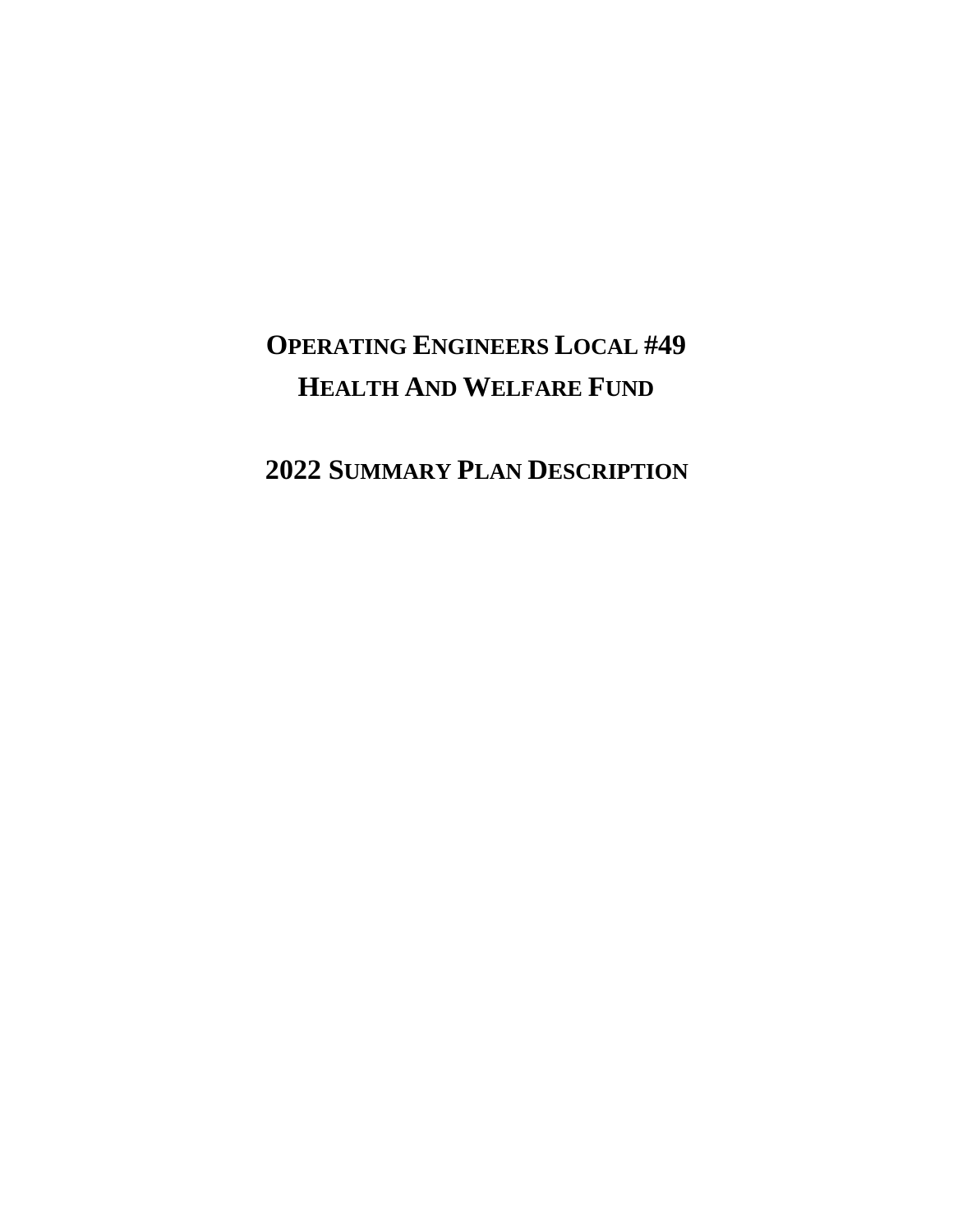# **OPERATING ENGINEERS LOCAL #49 HEALTH AND WELFARE FUND**

# **2022 SUMMARY PLAN DESCRIPTION**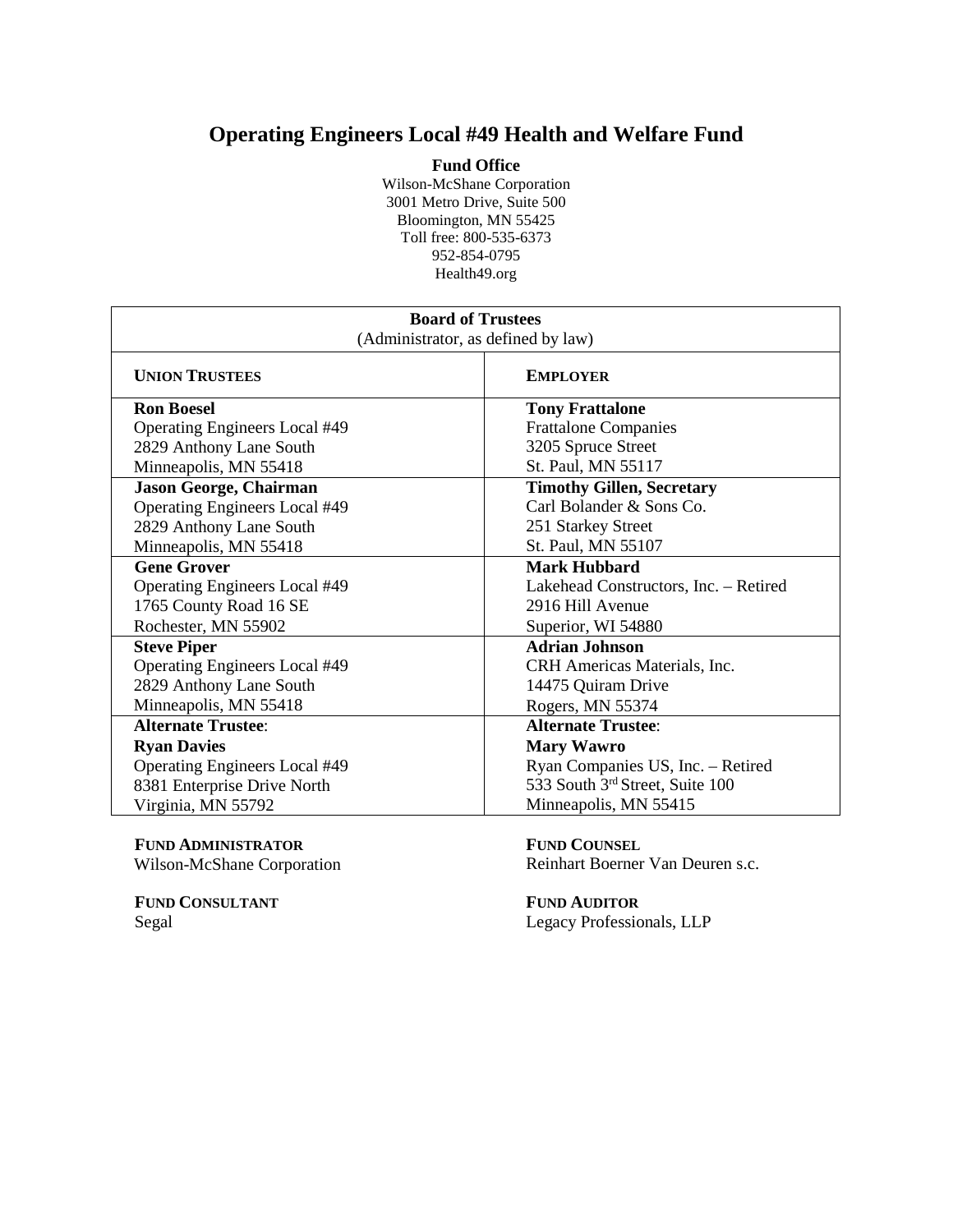# **Operating Engineers Local #49 Health and Welfare Fund**

#### **Fund Office**

Wilson-McShane Corporation 3001 Metro Drive, Suite 500 Bloomington, MN 55425 Toll free: 800-535-6373 952-854-0795 Health49.org

| <b>Board of Trustees</b>             |                                       |  |
|--------------------------------------|---------------------------------------|--|
| (Administrator, as defined by law)   |                                       |  |
| <b>UNION TRUSTEES</b>                | <b>EMPLOYER</b>                       |  |
| <b>Ron Boesel</b>                    | <b>Tony Frattalone</b>                |  |
| <b>Operating Engineers Local #49</b> | <b>Frattalone Companies</b>           |  |
| 2829 Anthony Lane South              | 3205 Spruce Street                    |  |
| Minneapolis, MN 55418                | St. Paul, MN 55117                    |  |
| <b>Jason George, Chairman</b>        | <b>Timothy Gillen, Secretary</b>      |  |
| Operating Engineers Local #49        | Carl Bolander & Sons Co.              |  |
| 2829 Anthony Lane South              | 251 Starkey Street                    |  |
| Minneapolis, MN 55418                | St. Paul, MN 55107                    |  |
| <b>Gene Grover</b>                   | <b>Mark Hubbard</b>                   |  |
| <b>Operating Engineers Local #49</b> | Lakehead Constructors, Inc. - Retired |  |
| 1765 County Road 16 SE               | 2916 Hill Avenue                      |  |
| Rochester, MN 55902                  | Superior, WI 54880                    |  |
| <b>Steve Piper</b>                   | <b>Adrian Johnson</b>                 |  |
| <b>Operating Engineers Local #49</b> | CRH Americas Materials, Inc.          |  |
| 2829 Anthony Lane South              | 14475 Quiram Drive                    |  |
| Minneapolis, MN 55418                | Rogers, MN 55374                      |  |
| <b>Alternate Trustee:</b>            | <b>Alternate Trustee:</b>             |  |
| <b>Ryan Davies</b>                   | <b>Mary Wawro</b>                     |  |
| <b>Operating Engineers Local #49</b> | Ryan Companies US, Inc. - Retired     |  |
| 8381 Enterprise Drive North          | 533 South 3rd Street, Suite 100       |  |
| Virginia, MN 55792                   | Minneapolis, MN 55415                 |  |

#### **FUND ADMINISTRATOR**

Wilson-McShane Corporation

**FUND CONSULTANT** Segal

**FUND COUNSEL**

Reinhart Boerner Van Deuren s.c.

# **FUND AUDITOR**

Legacy Professionals, LLP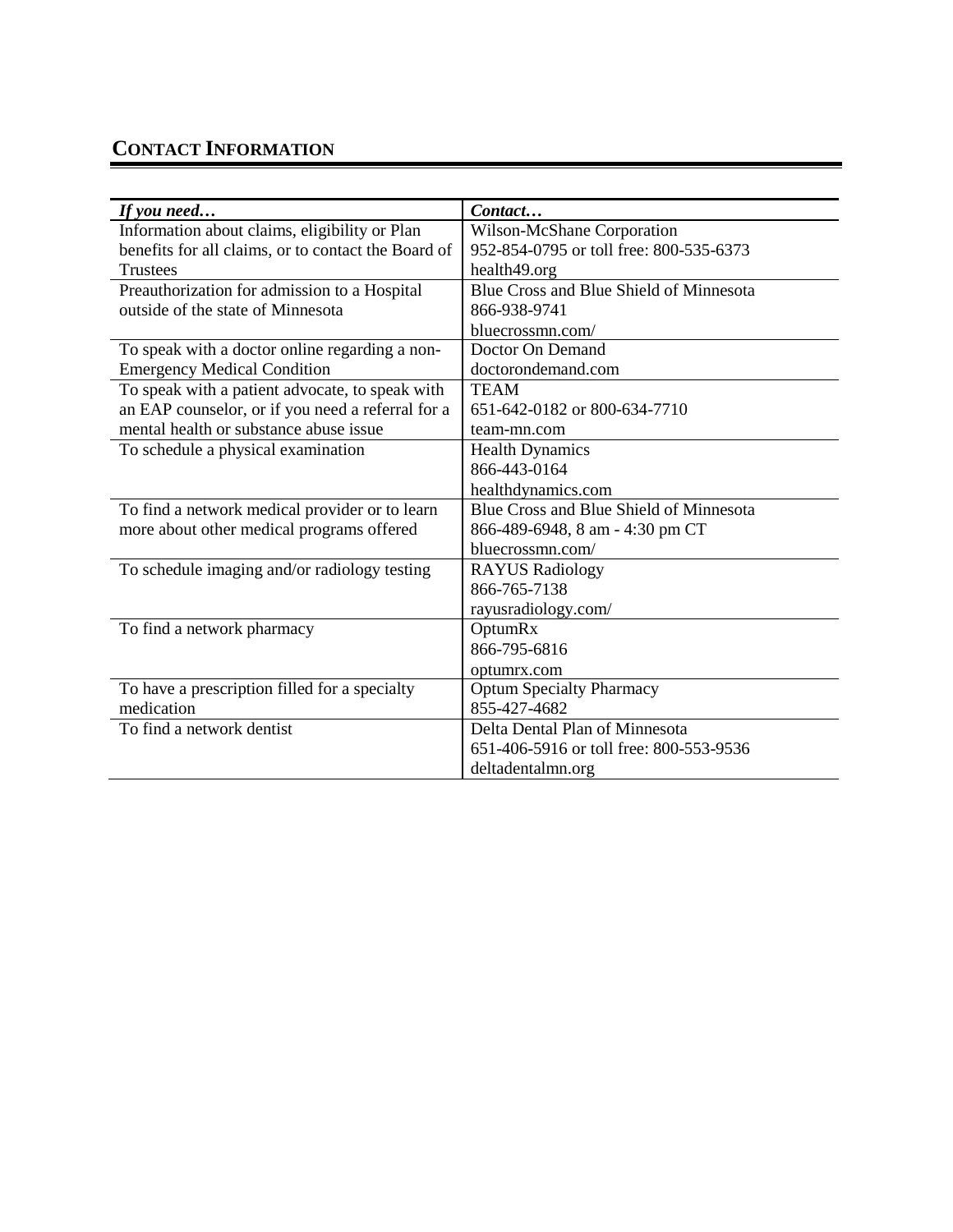# **CONTACT INFORMATION**

| If you need                                         | Contact                                 |
|-----------------------------------------------------|-----------------------------------------|
| Information about claims, eligibility or Plan       | Wilson-McShane Corporation              |
| benefits for all claims, or to contact the Board of | 952-854-0795 or toll free: 800-535-6373 |
| Trustees                                            | health49.org                            |
| Preauthorization for admission to a Hospital        | Blue Cross and Blue Shield of Minnesota |
| outside of the state of Minnesota                   | 866-938-9741                            |
|                                                     | bluecrossmn.com/                        |
| To speak with a doctor online regarding a non-      | Doctor On Demand                        |
| <b>Emergency Medical Condition</b>                  | doctorondemand.com                      |
| To speak with a patient advocate, to speak with     | <b>TEAM</b>                             |
| an EAP counselor, or if you need a referral for a   | 651-642-0182 or 800-634-7710            |
| mental health or substance abuse issue              | team-mn.com                             |
| To schedule a physical examination                  | <b>Health Dynamics</b>                  |
|                                                     | 866-443-0164                            |
|                                                     | healthdynamics.com                      |
| To find a network medical provider or to learn      | Blue Cross and Blue Shield of Minnesota |
| more about other medical programs offered           | 866-489-6948, 8 am - 4:30 pm CT         |
|                                                     | bluecrossmn.com/                        |
| To schedule imaging and/or radiology testing        | <b>RAYUS Radiology</b>                  |
|                                                     | 866-765-7138                            |
|                                                     | rayusradiology.com/                     |
| To find a network pharmacy                          | OptumRx                                 |
|                                                     | 866-795-6816                            |
|                                                     | optumrx.com                             |
| To have a prescription filled for a specialty       | <b>Optum Specialty Pharmacy</b>         |
| medication                                          | 855-427-4682                            |
| To find a network dentist                           | Delta Dental Plan of Minnesota          |
|                                                     | 651-406-5916 or toll free: 800-553-9536 |
|                                                     | deltadentalmn.org                       |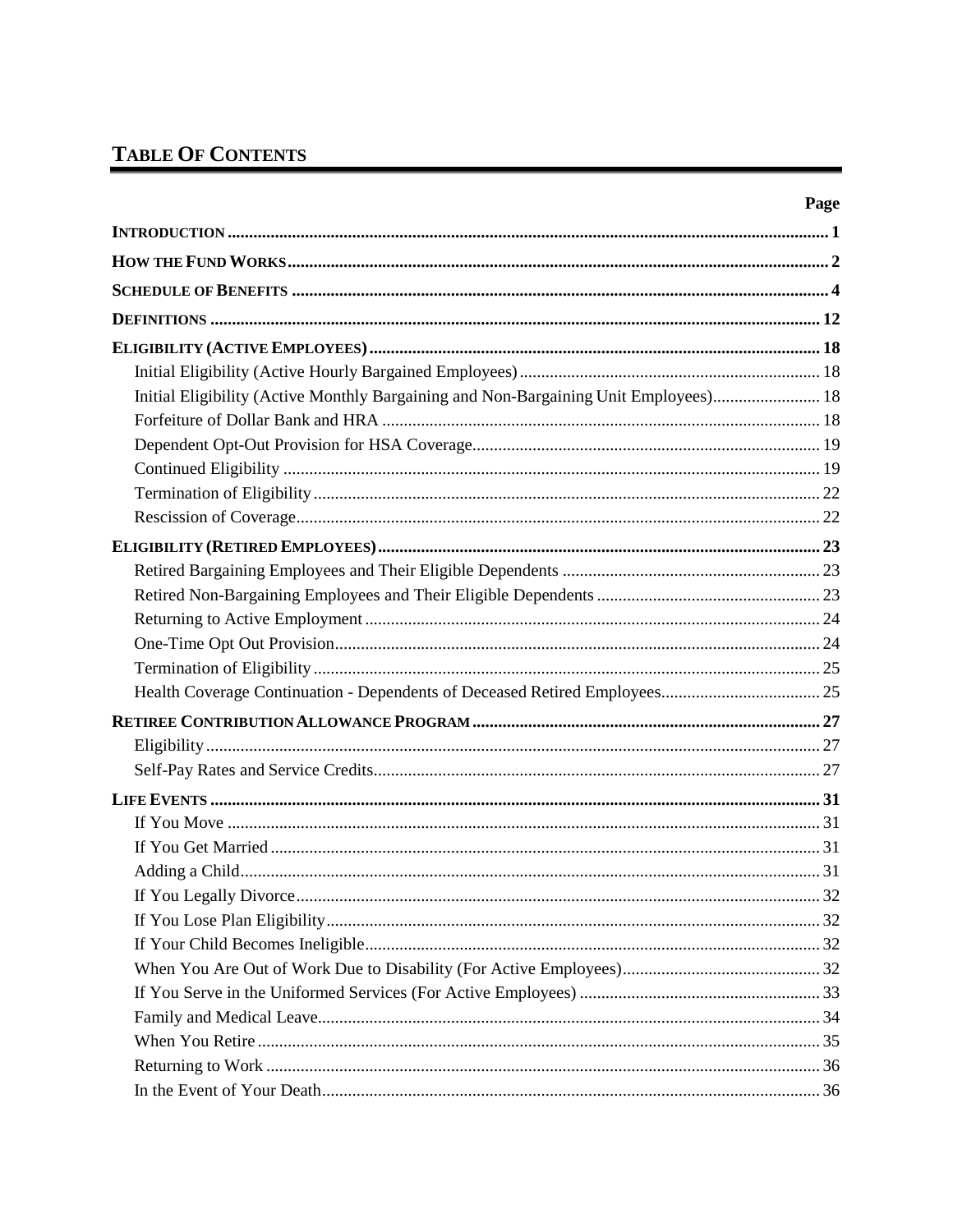# TABLE OF CONTENTS

\_\_\_\_\_\_\_\_\_\_

| Initial Eligibility (Active Monthly Bargaining and Non-Bargaining Unit Employees) 18 |  |
|--------------------------------------------------------------------------------------|--|
|                                                                                      |  |
|                                                                                      |  |
|                                                                                      |  |
|                                                                                      |  |
|                                                                                      |  |
|                                                                                      |  |
|                                                                                      |  |
|                                                                                      |  |
|                                                                                      |  |
|                                                                                      |  |
|                                                                                      |  |
|                                                                                      |  |
|                                                                                      |  |
|                                                                                      |  |
|                                                                                      |  |
|                                                                                      |  |
|                                                                                      |  |
|                                                                                      |  |
|                                                                                      |  |
|                                                                                      |  |
|                                                                                      |  |
|                                                                                      |  |
|                                                                                      |  |
|                                                                                      |  |
|                                                                                      |  |
|                                                                                      |  |
|                                                                                      |  |
|                                                                                      |  |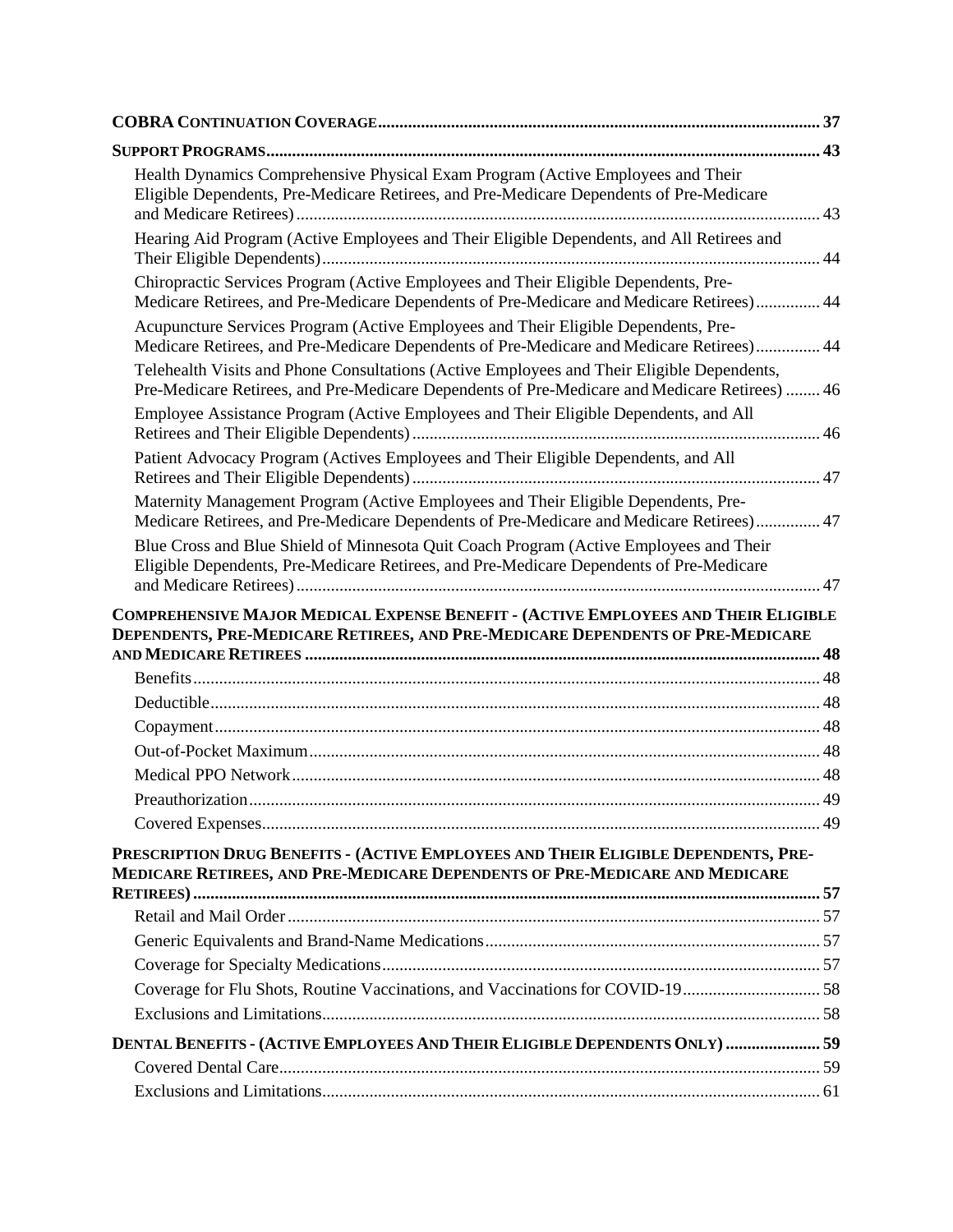| Health Dynamics Comprehensive Physical Exam Program (Active Employees and Their<br>Eligible Dependents, Pre-Medicare Retirees, and Pre-Medicare Dependents of Pre-Medicare                  |  |
|---------------------------------------------------------------------------------------------------------------------------------------------------------------------------------------------|--|
| Hearing Aid Program (Active Employees and Their Eligible Dependents, and All Retirees and                                                                                                   |  |
| Chiropractic Services Program (Active Employees and Their Eligible Dependents, Pre-<br>Medicare Retirees, and Pre-Medicare Dependents of Pre-Medicare and Medicare Retirees) 44             |  |
| Acupuncture Services Program (Active Employees and Their Eligible Dependents, Pre-<br>Medicare Retirees, and Pre-Medicare Dependents of Pre-Medicare and Medicare Retirees) 44              |  |
| Telehealth Visits and Phone Consultations (Active Employees and Their Eligible Dependents,<br>Pre-Medicare Retirees, and Pre-Medicare Dependents of Pre-Medicare and Medicare Retirees)  46 |  |
| Employee Assistance Program (Active Employees and Their Eligible Dependents, and All                                                                                                        |  |
| Patient Advocacy Program (Actives Employees and Their Eligible Dependents, and All                                                                                                          |  |
| Maternity Management Program (Active Employees and Their Eligible Dependents, Pre-<br>Medicare Retirees, and Pre-Medicare Dependents of Pre-Medicare and Medicare Retirees) 47              |  |
| Blue Cross and Blue Shield of Minnesota Quit Coach Program (Active Employees and Their<br>Eligible Dependents, Pre-Medicare Retirees, and Pre-Medicare Dependents of Pre-Medicare           |  |
| COMPREHENSIVE MAJOR MEDICAL EXPENSE BENEFIT - (ACTIVE EMPLOYEES AND THEIR ELIGIBLE<br>DEPENDENTS, PRE-MEDICARE RETIREES, AND PRE-MEDICARE DEPENDENTS OF PRE-MEDICARE                        |  |
|                                                                                                                                                                                             |  |
|                                                                                                                                                                                             |  |
|                                                                                                                                                                                             |  |
|                                                                                                                                                                                             |  |
|                                                                                                                                                                                             |  |
|                                                                                                                                                                                             |  |
|                                                                                                                                                                                             |  |
|                                                                                                                                                                                             |  |
| PRESCRIPTION DRUG BENEFITS - (ACTIVE EMPLOYEES AND THEIR ELIGIBLE DEPENDENTS, PRE-<br>MEDICARE RETIREES, AND PRE-MEDICARE DEPENDENTS OF PRE-MEDICARE AND MEDICARE                           |  |
|                                                                                                                                                                                             |  |
|                                                                                                                                                                                             |  |
|                                                                                                                                                                                             |  |
|                                                                                                                                                                                             |  |
| Coverage for Flu Shots, Routine Vaccinations, and Vaccinations for COVID-1958                                                                                                               |  |
|                                                                                                                                                                                             |  |
| DENTAL BENEFITS - (ACTIVE EMPLOYEES AND THEIR ELIGIBLE DEPENDENTS ONLY)  59                                                                                                                 |  |
|                                                                                                                                                                                             |  |
|                                                                                                                                                                                             |  |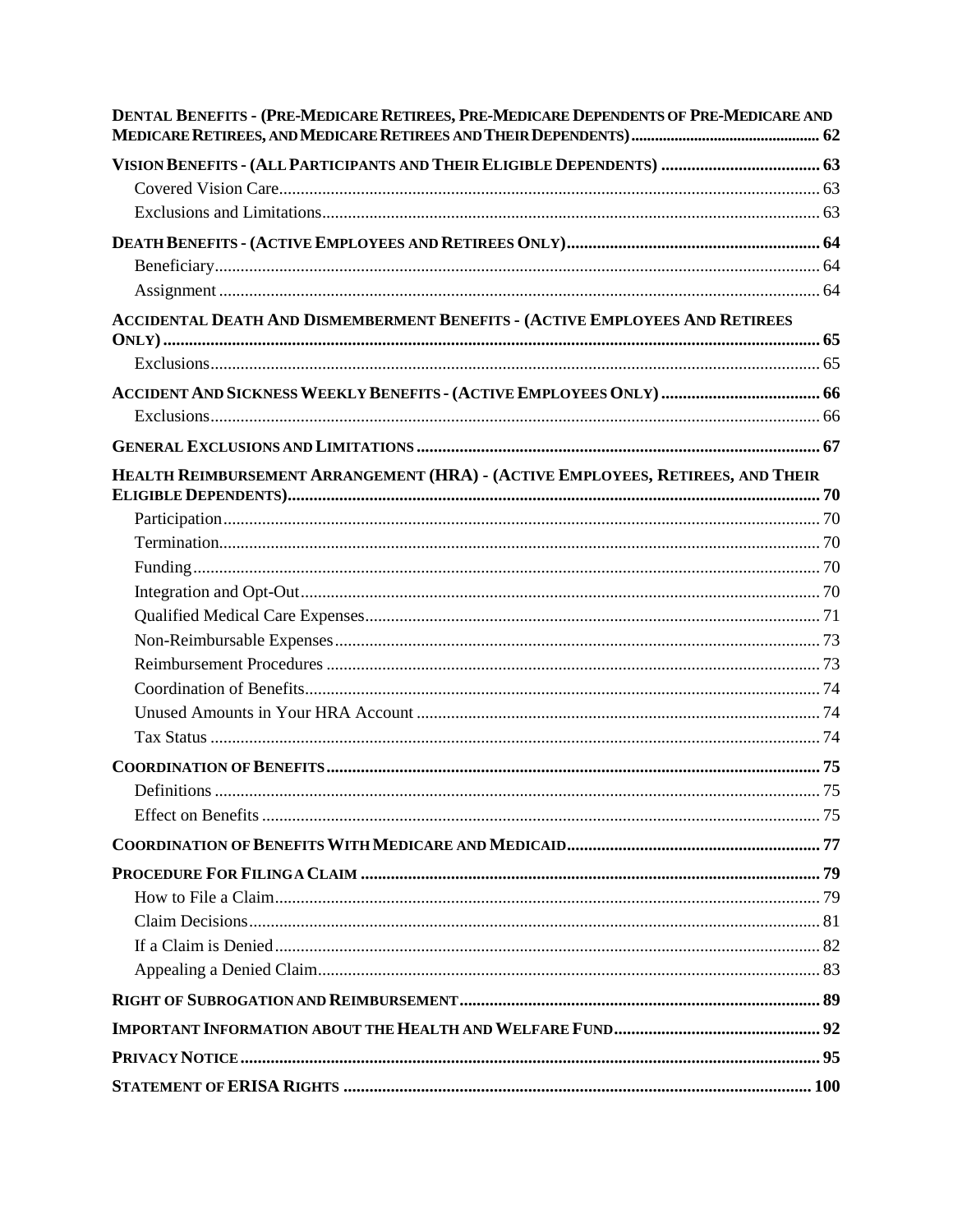| DENTAL BENEFITS - (PRE-MEDICARE RETIREES, PRE-MEDICARE DEPENDENTS OF PRE-MEDICARE AND |  |
|---------------------------------------------------------------------------------------|--|
|                                                                                       |  |
|                                                                                       |  |
|                                                                                       |  |
|                                                                                       |  |
|                                                                                       |  |
|                                                                                       |  |
| <b>ACCIDENTAL DEATH AND DISMEMBERMENT BENEFITS - (ACTIVE EMPLOYEES AND RETIREES</b>   |  |
|                                                                                       |  |
|                                                                                       |  |
|                                                                                       |  |
|                                                                                       |  |
|                                                                                       |  |
| HEALTH REIMBURSEMENT ARRANGEMENT (HRA) - (ACTIVE EMPLOYEES, RETIREES, AND THEIR       |  |
|                                                                                       |  |
|                                                                                       |  |
|                                                                                       |  |
|                                                                                       |  |
|                                                                                       |  |
|                                                                                       |  |
|                                                                                       |  |
|                                                                                       |  |
|                                                                                       |  |
|                                                                                       |  |
|                                                                                       |  |
|                                                                                       |  |
|                                                                                       |  |
|                                                                                       |  |
|                                                                                       |  |
|                                                                                       |  |
|                                                                                       |  |
|                                                                                       |  |
|                                                                                       |  |
|                                                                                       |  |
|                                                                                       |  |
|                                                                                       |  |
|                                                                                       |  |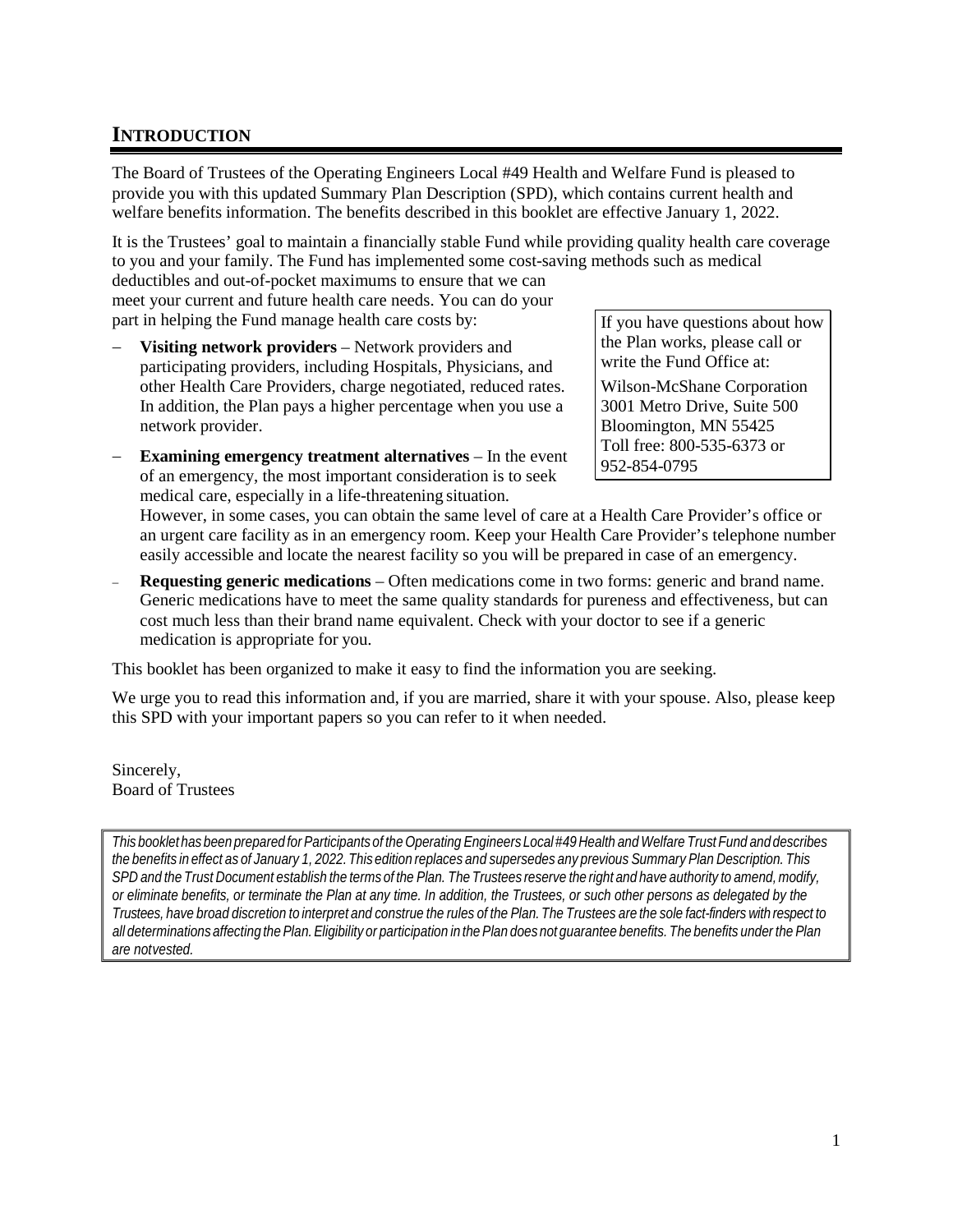# **INTRODUCTION**

The Board of Trustees of the Operating Engineers Local #49 Health and Welfare Fund is pleased to provide you with this updated Summary Plan Description (SPD), which contains current health and welfare benefits information. The benefits described in this booklet are effective January 1, 2022.

It is the Trustees' goal to maintain a financially stable Fund while providing quality health care coverage to you and your family. The Fund has implemented some cost-saving methods such as medical

deductibles and out-of-pocket maximums to ensure that we can meet your current and future health care needs. You can do your part in helping the Fund manage health care costs by:

- − **Visiting network providers**  Network providers and participating providers, including Hospitals, Physicians, and other Health Care Providers, charge negotiated, reduced rates. In addition, the Plan pays a higher percentage when you use a network provider.
- **Examining emergency treatment alternatives In the event** of an emergency, the most important consideration is to seek medical care, especially in a life-threatening situation.

If you have questions about how the Plan works, please call or write the Fund Office at: Wilson-McShane Corporation 3001 Metro Drive, Suite 500 Bloomington, MN 55425 Toll free: 800-535-6373 or 952-854-0795

However, in some cases, you can obtain the same level of care at a Health Care Provider's office or an urgent care facility as in an emergency room. Keep your Health Care Provider's telephone number easily accessible and locate the nearest facility so you will be prepared in case of an emergency.

− **Requesting generic medications** – Often medications come in two forms: generic and brand name. Generic medications have to meet the same quality standards for pureness and effectiveness, but can cost much less than their brand name equivalent. Check with your doctor to see if a generic medication is appropriate for you.

This booklet has been organized to make it easy to find the information you are seeking.

We urge you to read this information and, if you are married, share it with your spouse. Also, please keep this SPD with your important papers so you can refer to it when needed.

Sincerely, Board of Trustees

This booklet has been prepared for Participants of the Operating Engineers Local #49 Health and Welfare Trust Fund and describes the benefits in effect as of January 1, 2022. This edition replaces and supersedes any previous Summary Plan Description. This SPD and the Trust Document establish the terms of the Plan. The Trustees reserve the right and have authority to amend, modify, *or eliminate benefits, or terminate the Plan at any time. In addition, the Trustees, or such other persons as delegated by the*  Trustees, have broad discretion to interpret and construe the rules of the Plan. The Trustees are the sole fact-finders with respect to all determinations affecting the Plan. Eligibility or participation in the Plan does not guarantee benefits. The benefits under the Plan *are notvested.*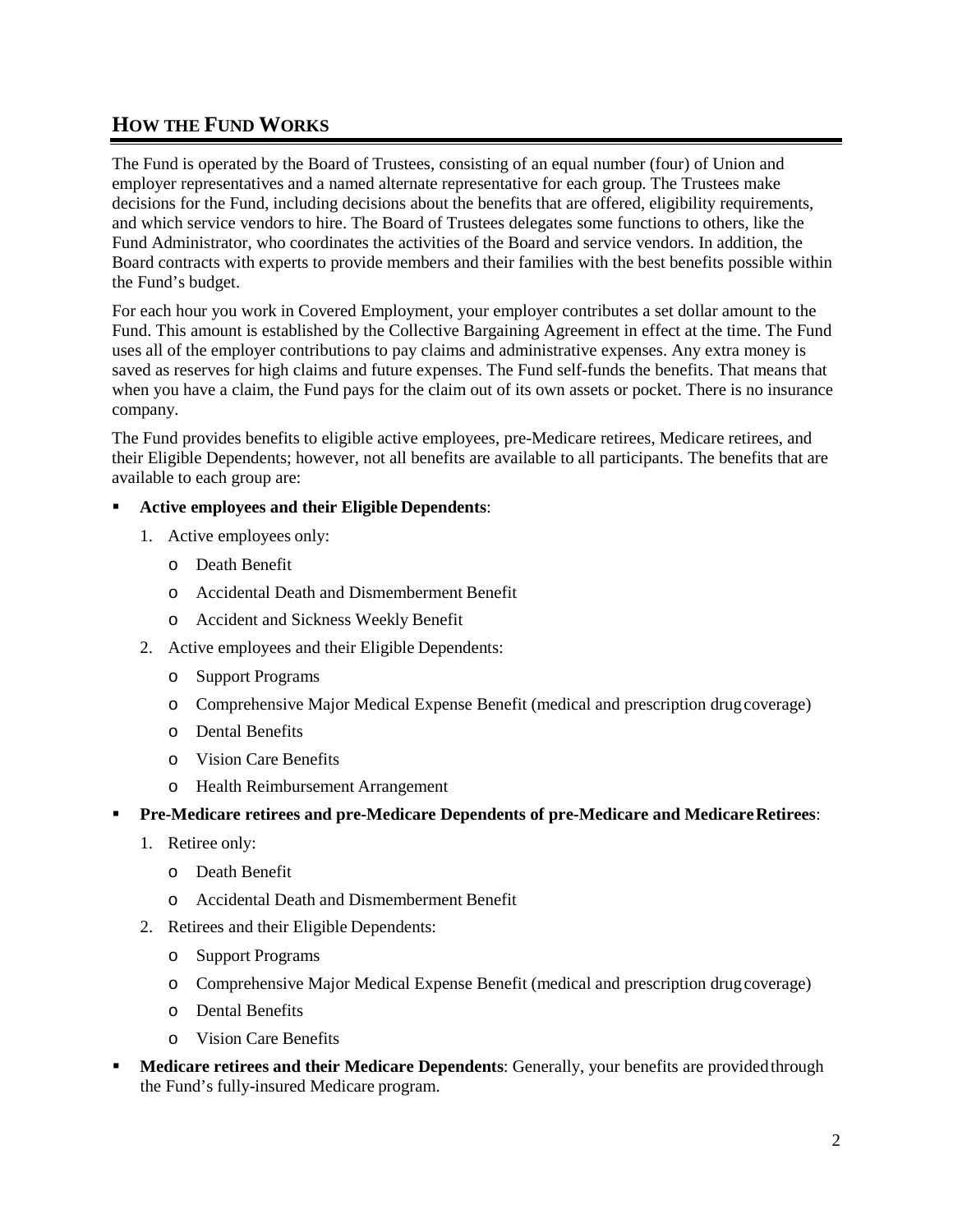# **HOW THE FUND WORKS**

The Fund is operated by the Board of Trustees, consisting of an equal number (four) of Union and employer representatives and a named alternate representative for each group. The Trustees make decisions for the Fund, including decisions about the benefits that are offered, eligibility requirements, and which service vendors to hire. The Board of Trustees delegates some functions to others, like the Fund Administrator, who coordinates the activities of the Board and service vendors. In addition, the Board contracts with experts to provide members and their families with the best benefits possible within the Fund's budget.

For each hour you work in Covered Employment, your employer contributes a set dollar amount to the Fund. This amount is established by the Collective Bargaining Agreement in effect at the time. The Fund uses all of the employer contributions to pay claims and administrative expenses. Any extra money is saved as reserves for high claims and future expenses. The Fund self-funds the benefits. That means that when you have a claim, the Fund pays for the claim out of its own assets or pocket. There is no insurance company.

The Fund provides benefits to eligible active employees, pre-Medicare retirees, Medicare retirees, and their Eligible Dependents; however, not all benefits are available to all participants. The benefits that are available to each group are:

## **Active employees and their Eligible Dependents**:

- 1. Active employees only:
	- o Death Benefit
	- o Accidental Death and Dismemberment Benefit
	- o Accident and Sickness Weekly Benefit
- 2. Active employees and their Eligible Dependents:
	- o Support Programs
	- o Comprehensive Major Medical Expense Benefit (medical and prescription drugcoverage)
	- o Dental Benefits
	- o Vision Care Benefits
	- o Health Reimbursement Arrangement

#### Pre-Medicare retirees and pre-Medicare Dependents of pre-Medicare and Medicare Retirees:

- 1. Retiree only:
	- o Death Benefit
	- o Accidental Death and Dismemberment Benefit
- 2. Retirees and their Eligible Dependents:
	- o Support Programs
	- o Comprehensive Major Medical Expense Benefit (medical and prescription drugcoverage)
	- o Dental Benefits
	- o Vision Care Benefits
- **Medicare retirees and their Medicare Dependents**: Generally, your benefits are providedthrough the Fund's fully-insured Medicare program.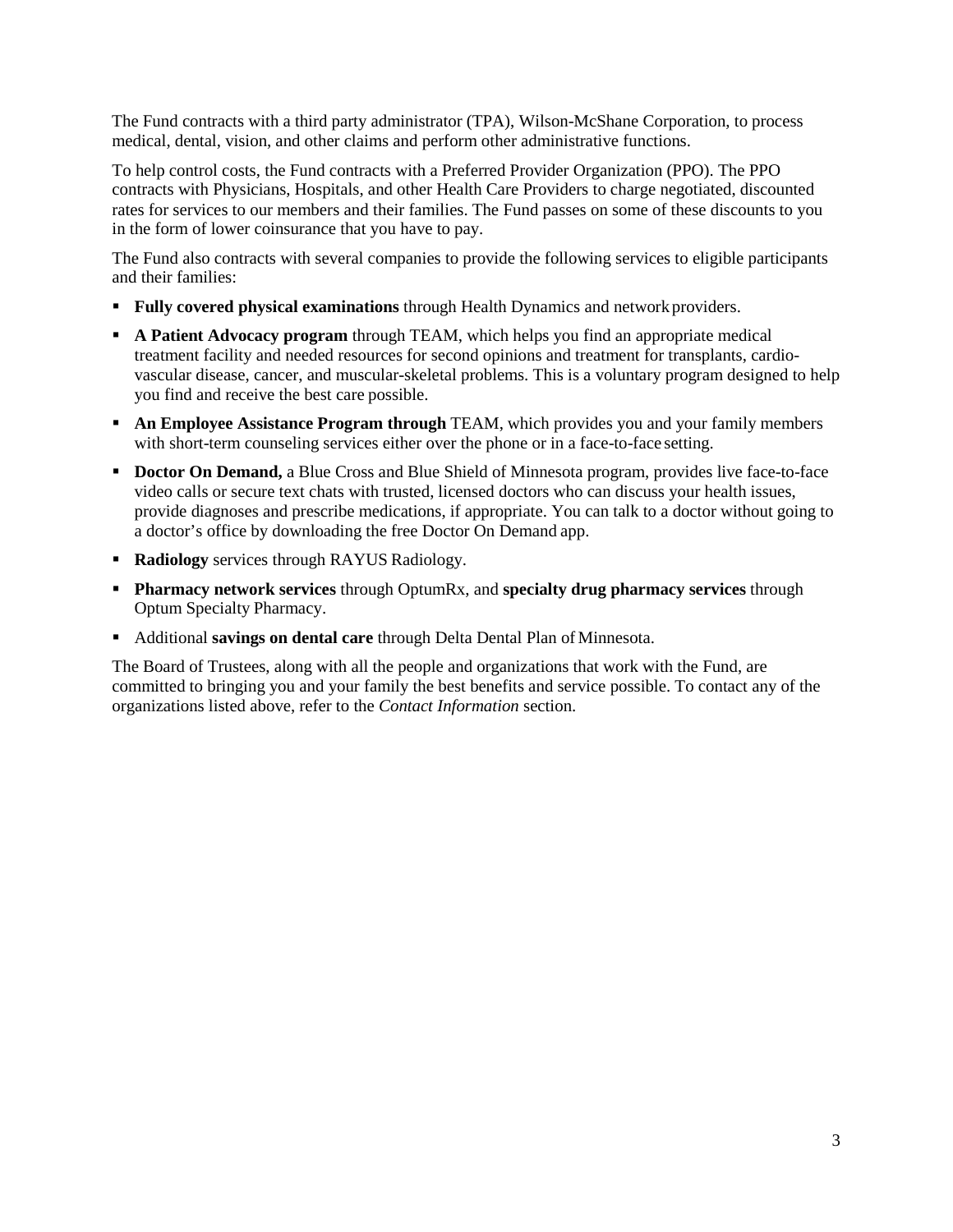The Fund contracts with a third party administrator (TPA), Wilson-McShane Corporation, to process medical, dental, vision, and other claims and perform other administrative functions.

To help control costs, the Fund contracts with a Preferred Provider Organization (PPO). The PPO contracts with Physicians, Hospitals, and other Health Care Providers to charge negotiated, discounted rates for services to our members and their families. The Fund passes on some of these discounts to you in the form of lower coinsurance that you have to pay.

The Fund also contracts with several companies to provide the following services to eligible participants and their families:

- **Fully covered physical examinations** through Health Dynamics and network providers.
- **A Patient Advocacy program** through TEAM, which helps you find an appropriate medical treatment facility and needed resources for second opinions and treatment for transplants, cardiovascular disease, cancer, and muscular-skeletal problems. This is a voluntary program designed to help you find and receive the best care possible.
- **An Employee Assistance Program through TEAM, which provides you and your family members** with short-term counseling services either over the phone or in a face-to-face setting.
- **Doctor On Demand,** a Blue Cross and Blue Shield of Minnesota program, provides live face-to-face video calls or secure text chats with trusted, licensed doctors who can discuss your health issues, provide diagnoses and prescribe medications, if appropriate. You can talk to a doctor without going to a doctor's office by downloading the free Doctor On Demand app.
- **Radiology** services through RAYUS Radiology.
- **Pharmacy network services** through OptumRx, and **specialty drug pharmacy services** through Optum Specialty Pharmacy.
- Additional **savings on dental care** through Delta Dental Plan of Minnesota.

The Board of Trustees, along with all the people and organizations that work with the Fund, are committed to bringing you and your family the best benefits and service possible. To contact any of the organizations listed above, refer to the *Contact Information* section.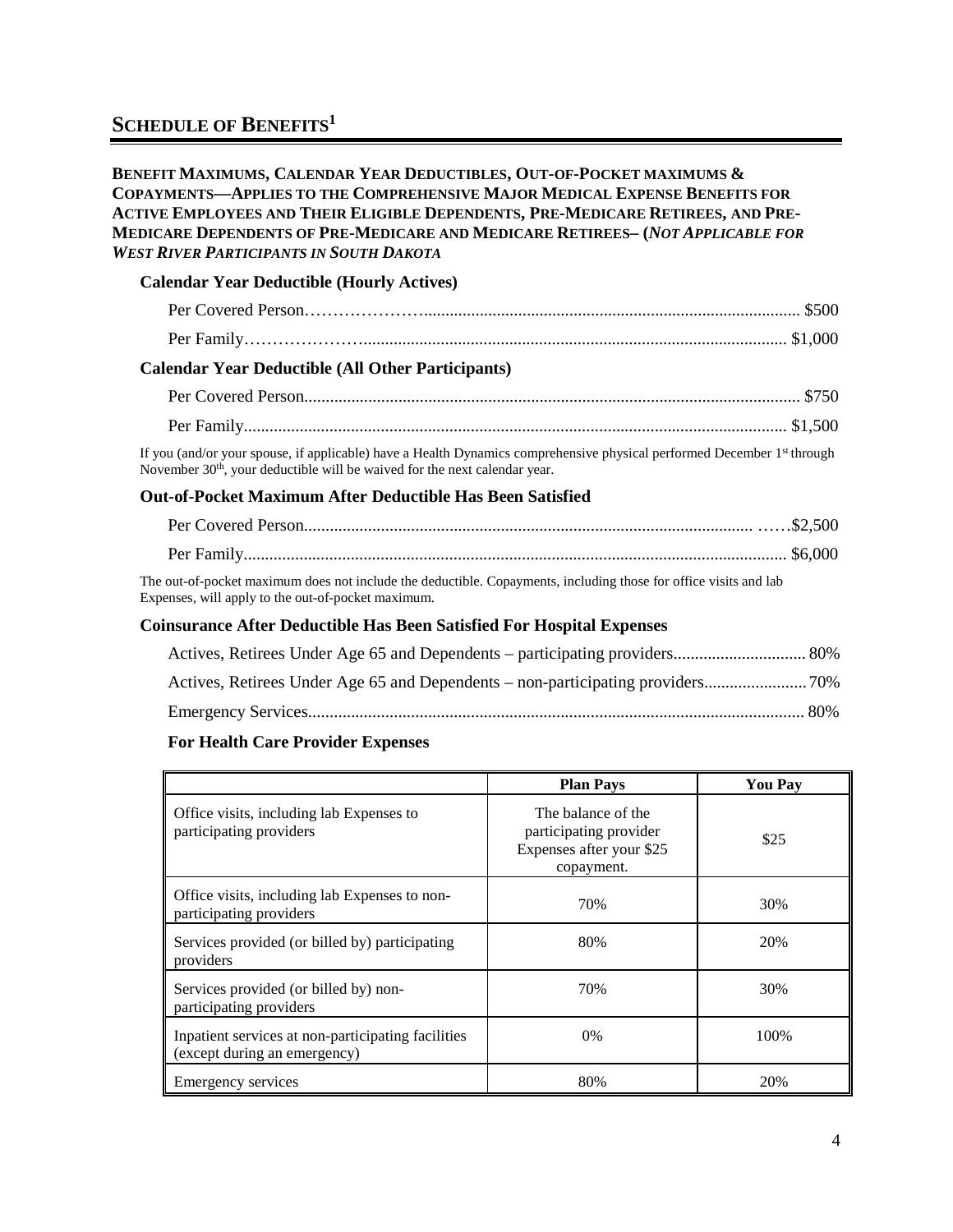# **SCHEDULE OF BENEFITS<sup>1</sup>**

## **BENEFIT MAXIMUMS, CALENDAR YEAR DEDUCTIBLES, OUT-OF-POCKET MAXIMUMS & COPAYMENTS—APPLIES TO THE COMPREHENSIVE MAJOR MEDICAL EXPENSE BENEFITS FOR ACTIVE EMPLOYEES AND THEIR ELIGIBLE DEPENDENTS, PRE-MEDICARE RETIREES, AND PRE-MEDICARE DEPENDENTS OF PRE-MEDICARE AND MEDICARE RETIREES– (***NOT APPLICABLE FOR WEST RIVER PARTICIPANTS IN SOUTH DAKOTA*

#### **Calendar Year Deductible (Hourly Actives)**

| <b>Calendar Year Deductible (All Other Participants)</b>                                                                                                                                                          |  |
|-------------------------------------------------------------------------------------------------------------------------------------------------------------------------------------------------------------------|--|
|                                                                                                                                                                                                                   |  |
|                                                                                                                                                                                                                   |  |
| If you (and/or your spouse, if applicable) have a Health Dynamics comprehensive physical performed December 1st through<br>November 30 <sup>th</sup> , your deductible will be waived for the next calendar year. |  |

## **Out-of-Pocket Maximum After Deductible Has Been Satisfied**

The out-of-pocket maximum does not include the deductible. Copayments, including those for office visits and lab Expenses, will apply to the out-of-pocket maximum.

#### **Coinsurance After Deductible Has Been Satisfied For Hospital Expenses**

| Actives, Retirees Under Age 65 and Dependents – non-participating providers |  |
|-----------------------------------------------------------------------------|--|
|                                                                             |  |

#### **For Health Care Provider Expenses**

|                                                                                    | <b>Plan Pays</b>                                                                       | <b>You Pay</b> |
|------------------------------------------------------------------------------------|----------------------------------------------------------------------------------------|----------------|
| Office visits, including lab Expenses to<br>participating providers                | The balance of the<br>participating provider<br>Expenses after your \$25<br>copayment. | \$25           |
| Office visits, including lab Expenses to non-<br>participating providers           | 70%                                                                                    | 30%            |
| Services provided (or billed by) participating<br>providers                        | 80%                                                                                    | 20%            |
| Services provided (or billed by) non-<br>participating providers                   | 70%                                                                                    | 30%            |
| Inpatient services at non-participating facilities<br>(except during an emergency) | 0%                                                                                     | 100%           |
| Emergency services                                                                 | 80%                                                                                    | 20%            |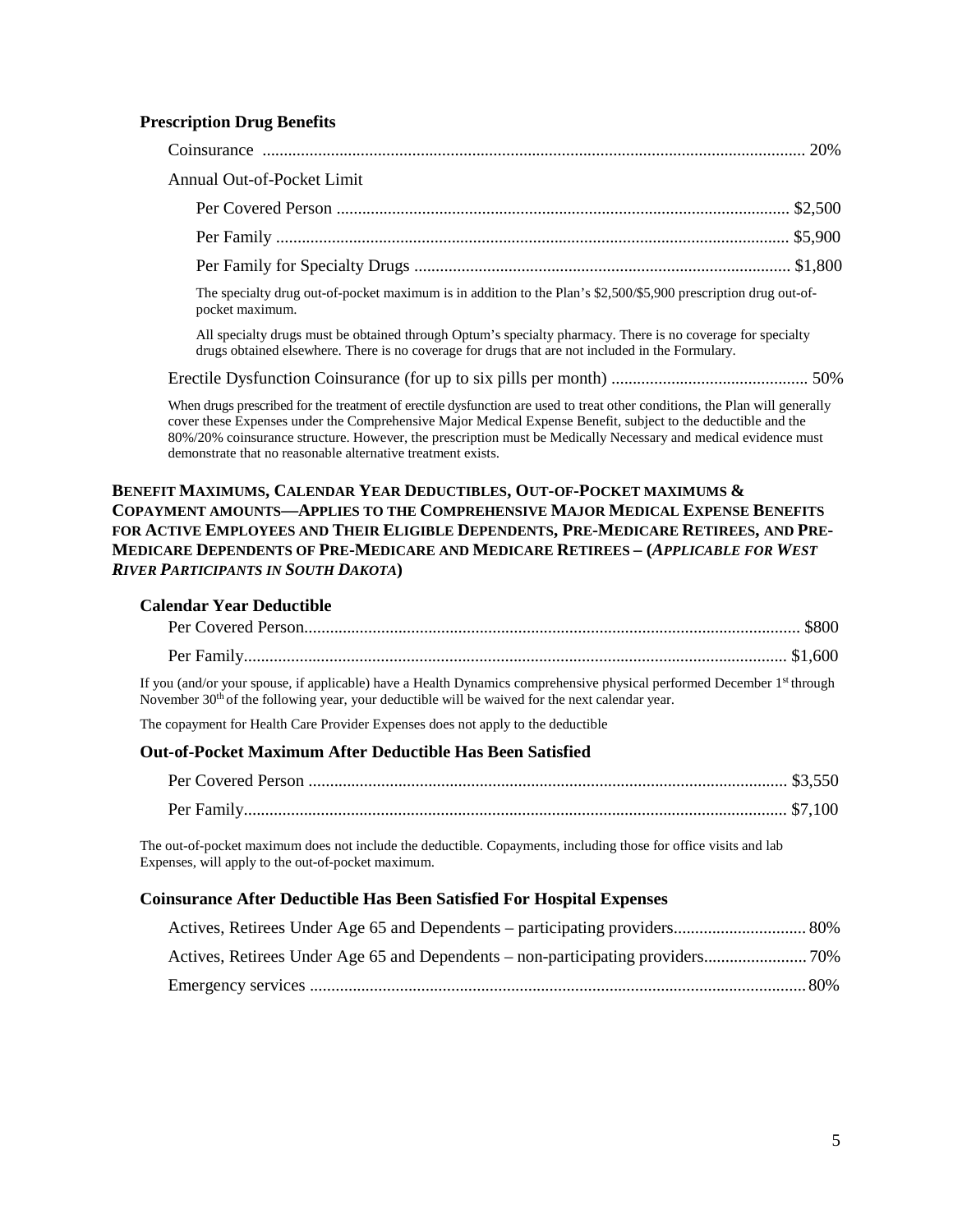#### **Prescription Drug Benefits**

| Annual Out-of-Pocket Limit                                                                                                                                                                                      |
|-----------------------------------------------------------------------------------------------------------------------------------------------------------------------------------------------------------------|
|                                                                                                                                                                                                                 |
|                                                                                                                                                                                                                 |
|                                                                                                                                                                                                                 |
| The specialty drug out-of-pocket maximum is in addition to the Plan's \$2,500/\$5,900 prescription drug out-of-<br>pocket maximum.                                                                              |
| All specialty drugs must be obtained through Optum's specialty pharmacy. There is no coverage for specialty<br>drugs obtained elsewhere. There is no coverage for drugs that are not included in the Formulary. |
|                                                                                                                                                                                                                 |
| When drugs prescribed for the treatment of erectile dysfunction are used to treat other conditions, the Plan will generally                                                                                     |

cover these Expenses under the Comprehensive Major Medical Expense Benefit, subject to the deductible and the 80%/20% coinsurance structure. However, the prescription must be Medically Necessary and medical evidence must demonstrate that no reasonable alternative treatment exists.

### **BENEFIT MAXIMUMS, CALENDAR YEAR DEDUCTIBLES, OUT-OF-POCKET MAXIMUMS & COPAYMENT AMOUNTS—APPLIES TO THE COMPREHENSIVE MAJOR MEDICAL EXPENSE BENEFITS FOR ACTIVE EMPLOYEES AND THEIR ELIGIBLE DEPENDENTS, PRE-MEDICARE RETIREES, AND PRE-MEDICARE DEPENDENTS OF PRE-MEDICARE AND MEDICARE RETIREES – (***APPLICABLE FOR WEST RIVER PARTICIPANTS IN SOUTH DAKOTA***)**

#### **Calendar Year Deductible**

If you (and/or your spouse, if applicable) have a Health Dynamics comprehensive physical performed December 1st through November 30<sup>th</sup> of the following year, your deductible will be waived for the next calendar year.

The copayment for Health Care Provider Expenses does not apply to the deductible

#### **Out-of-Pocket Maximum After Deductible Has Been Satisfied**

The out-of-pocket maximum does not include the deductible. Copayments, including those for office visits and lab Expenses, will apply to the out-of-pocket maximum.

#### **Coinsurance After Deductible Has Been Satisfied For Hospital Expenses**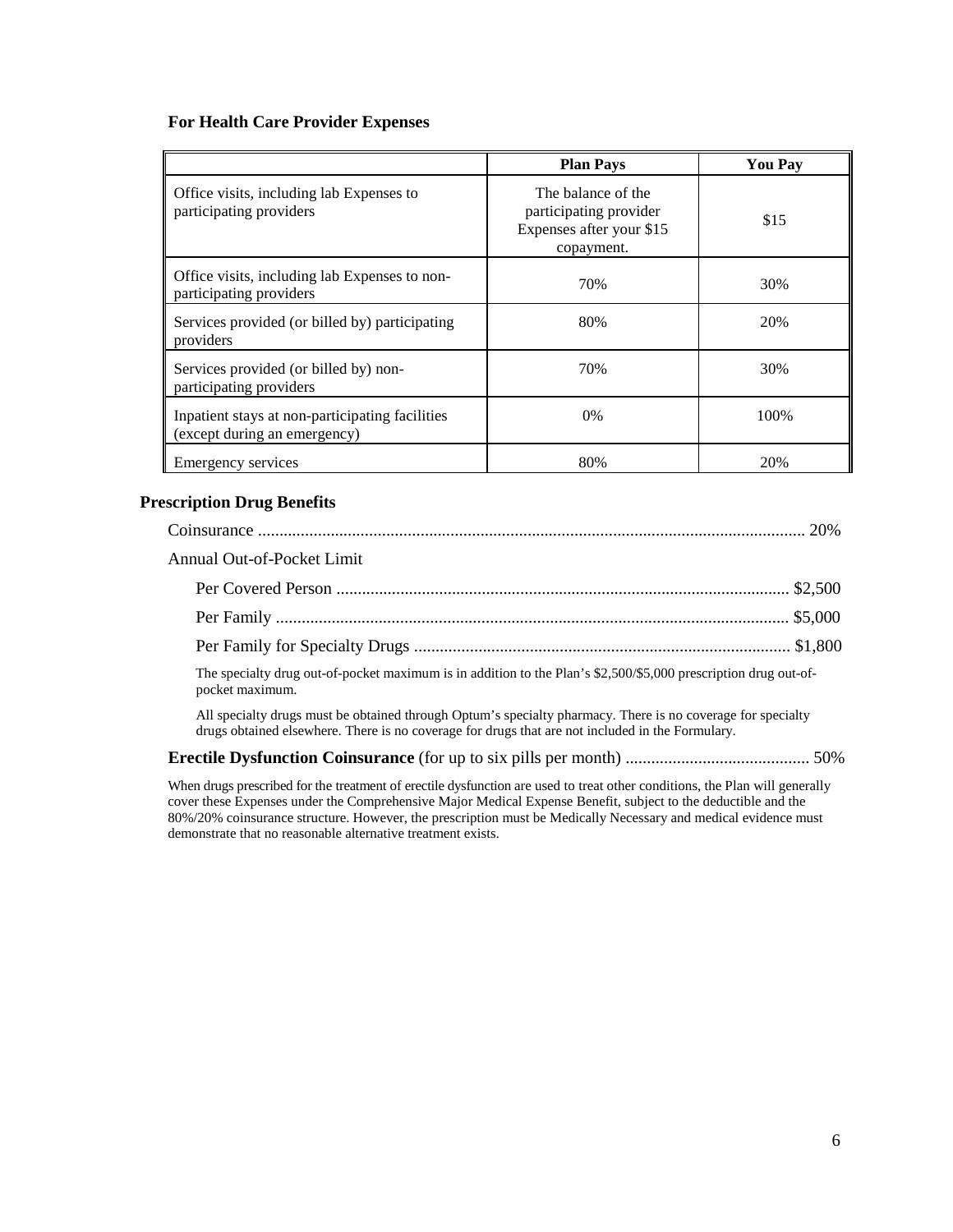# **For Health Care Provider Expenses**

|                                                                                 | <b>Plan Pays</b>                                                                       | <b>You Pay</b> |
|---------------------------------------------------------------------------------|----------------------------------------------------------------------------------------|----------------|
| Office visits, including lab Expenses to<br>participating providers             | The balance of the<br>participating provider<br>Expenses after your \$15<br>copayment. | \$15           |
| Office visits, including lab Expenses to non-<br>participating providers        | 70%                                                                                    | 30%            |
| Services provided (or billed by) participating<br>providers                     | 80%                                                                                    | 20%            |
| Services provided (or billed by) non-<br>participating providers                | 70%                                                                                    | 30%            |
| Inpatient stays at non-participating facilities<br>(except during an emergency) | $0\%$                                                                                  | 100%           |
| <b>Emergency services</b>                                                       | 80%                                                                                    | 20%            |

#### **Prescription Drug Benefits**

| Annual Out-of-Pocket Limit                                                                                                                                                                                                                                                                    |  |
|-----------------------------------------------------------------------------------------------------------------------------------------------------------------------------------------------------------------------------------------------------------------------------------------------|--|
|                                                                                                                                                                                                                                                                                               |  |
|                                                                                                                                                                                                                                                                                               |  |
|                                                                                                                                                                                                                                                                                               |  |
| The specialty drug out-of-pocket maximum is in addition to the Plan's \$2,500/\$5,000 prescription drug out-of-<br>pocket maximum.                                                                                                                                                            |  |
| All specialty drugs must be obtained through Optum's specialty pharmacy. There is no coverage for specialty<br>drugs obtained elsewhere. There is no coverage for drugs that are not included in the Formulary.                                                                               |  |
| $\frac{1}{2}$ and $\frac{1}{2}$ and $\frac{1}{2}$ and $\frac{1}{2}$ and $\frac{1}{2}$ and $\frac{1}{2}$ and $\frac{1}{2}$ and $\frac{1}{2}$ and $\frac{1}{2}$ and $\frac{1}{2}$ and $\frac{1}{2}$ and $\frac{1}{2}$ and $\frac{1}{2}$ and $\frac{1}{2}$ and $\frac{1}{2}$ and $\frac{1}{2}$ a |  |

**Erectile Dysfunction Coinsurance** (for up to six pills per month) ........................................... 50%

When drugs prescribed for the treatment of erectile dysfunction are used to treat other conditions, the Plan will generally cover these Expenses under the Comprehensive Major Medical Expense Benefit, subject to the deductible and the 80%/20% coinsurance structure. However, the prescription must be Medically Necessary and medical evidence must demonstrate that no reasonable alternative treatment exists.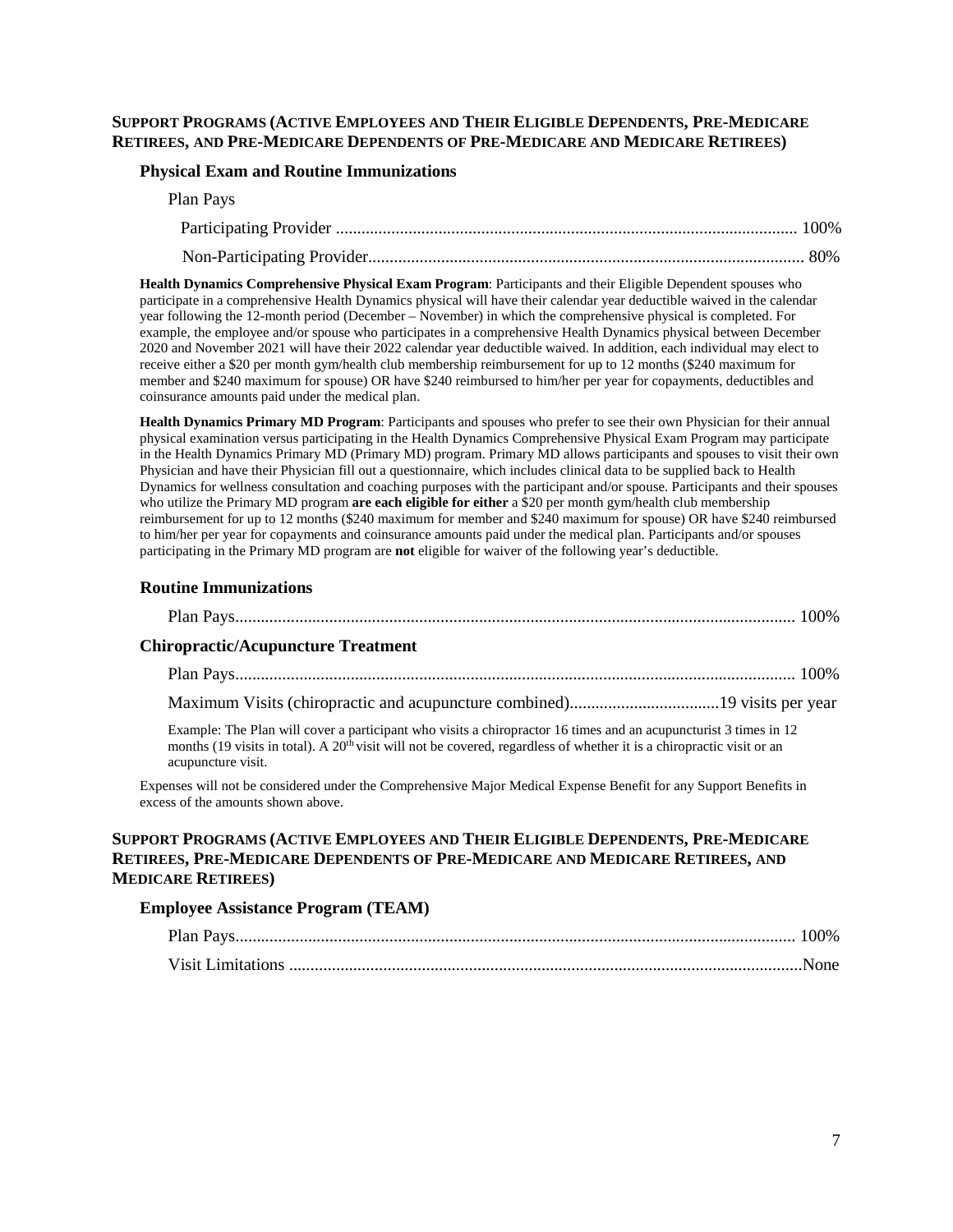#### **SUPPORT PROGRAMS (ACTIVE EMPLOYEES AND THEIR ELIGIBLE DEPENDENTS, PRE-MEDICARE RETIREES, AND PRE-MEDICARE DEPENDENTS OF PRE-MEDICARE AND MEDICARE RETIREES)**

#### **Physical Exam and Routine Immunizations**

| Plan Pays |  |
|-----------|--|
|           |  |
|           |  |

**Health Dynamics Comprehensive Physical Exam Program**: Participants and their Eligible Dependent spouses who participate in a comprehensive Health Dynamics physical will have their calendar year deductible waived in the calendar year following the 12-month period (December – November) in which the comprehensive physical is completed. For example, the employee and/or spouse who participates in a comprehensive Health Dynamics physical between December 2020 and November 2021 will have their 2022 calendar year deductible waived. In addition, each individual may elect to receive either a \$20 per month gym/health club membership reimbursement for up to 12 months (\$240 maximum for member and \$240 maximum for spouse) OR have \$240 reimbursed to him/her per year for copayments, deductibles and coinsurance amounts paid under the medical plan.

**Health Dynamics Primary MD Program**: Participants and spouses who prefer to see their own Physician for their annual physical examination versus participating in the Health Dynamics Comprehensive Physical Exam Program may participate in the Health Dynamics Primary MD (Primary MD) program. Primary MD allows participants and spouses to visit their own Physician and have their Physician fill out a questionnaire, which includes clinical data to be supplied back to Health Dynamics for wellness consultation and coaching purposes with the participant and/or spouse. Participants and their spouses who utilize the Primary MD program **are each eligible for either** a \$20 per month gym/health club membership reimbursement for up to 12 months (\$240 maximum for member and \$240 maximum for spouse) OR have \$240 reimbursed to him/her per year for copayments and coinsurance amounts paid under the medical plan. Participants and/or spouses participating in the Primary MD program are **not** eligible for waiver of the following year's deductible.

#### **Routine Immunizations**

| <b>Chiropractic/Acupuncture Treatment</b>                                                                                                                                                                                                                                   |                                                   |
|-----------------------------------------------------------------------------------------------------------------------------------------------------------------------------------------------------------------------------------------------------------------------------|---------------------------------------------------|
|                                                                                                                                                                                                                                                                             |                                                   |
|                                                                                                                                                                                                                                                                             |                                                   |
| Example: The Plan will cover a participant who visits a chiropractor 16 times and an acupuncturist 3 times in 12<br>months (19 visits in total). A 20 <sup>th</sup> visit will not be covered, regardless of whether it is a chiropractic visit or an<br>acupuncture visit. |                                                   |
| Expenses will not be considered under the Comprehensive Major Medical Expense Benefit for any Support Benefits in<br>excess of the amounts shown above.                                                                                                                     |                                                   |
| SUPPORT PROGRAMS (ACTIVE EMPLOYEES AND THEIR ELIGIBLE DEPENDENTS, PRE-MEDICARE<br>RETIREES, PRE-MEDICARE DEPENDENTS OF PRE-MEDICARE AND MEDICARE RETIREES, AND<br><b>MEDICARE RETIREES)</b>                                                                                 |                                                   |
| <b>Employee Assistance Program (TEAM)</b>                                                                                                                                                                                                                                   |                                                   |
|                                                                                                                                                                                                                                                                             | $\lambda$ $\lambda$ $\lambda$ $\lambda$ $\lambda$ |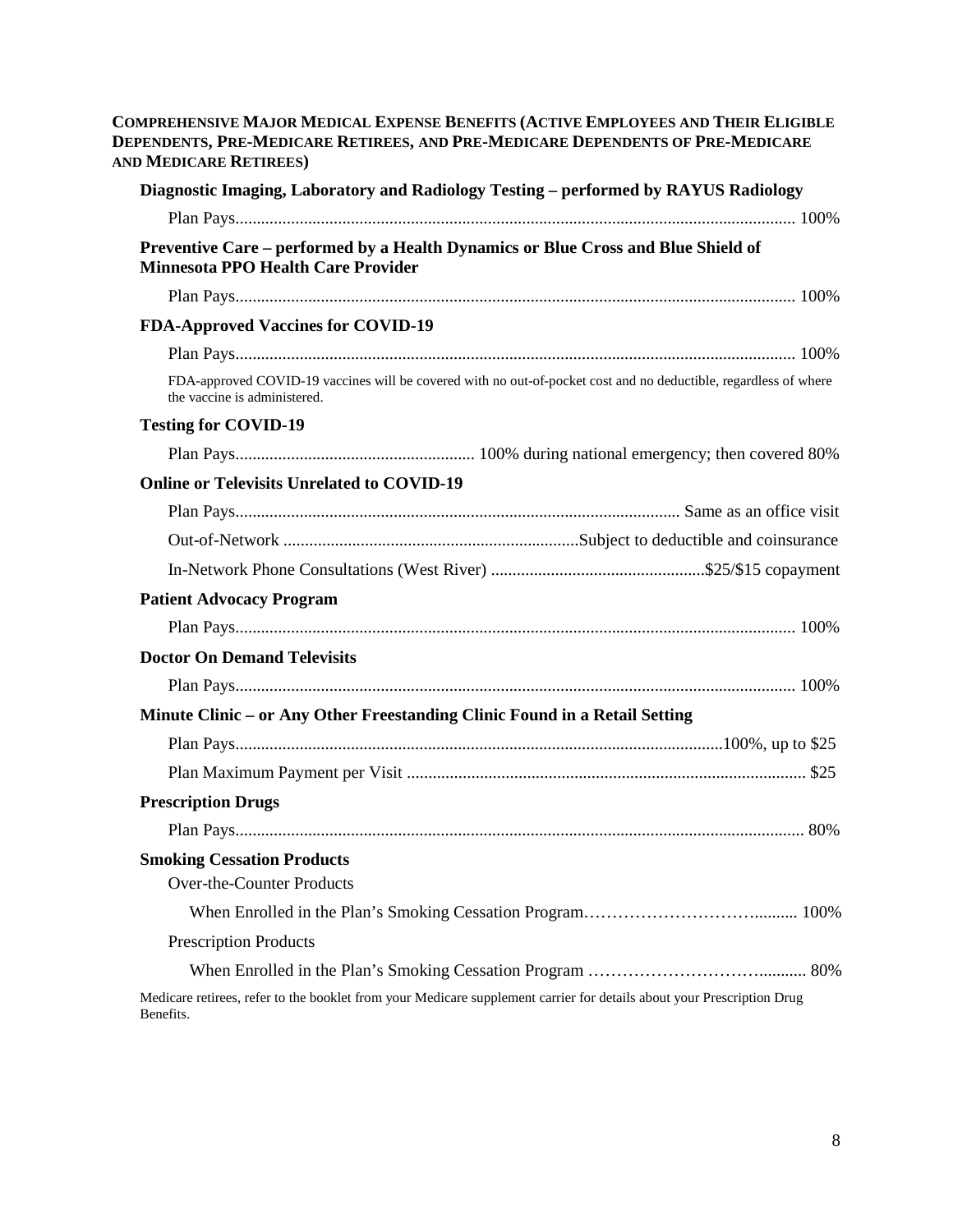# **COMPREHENSIVE MAJOR MEDICAL EXPENSE BENEFITS (ACTIVE EMPLOYEES AND THEIR ELIGIBLE DEPENDENTS, PRE-MEDICARE RETIREES, AND PRE-MEDICARE DEPENDENTS OF PRE-MEDICARE AND MEDICARE RETIREES) Diagnostic Imaging, Laboratory and Radiology Testing – performed by RAYUS Radiology** Plan Pays................................................................................................................................... 100% **Preventive Care – performed by a Health Dynamics or Blue Cross and Blue Shield of Minnesota PPO Health Care Provider** Plan Pays................................................................................................................................... 100% **FDA-Approved Vaccines for COVID-19**  Plan Pays................................................................................................................................... 100% FDA-approved COVID-19 vaccines will be covered with no out-of-pocket cost and no deductible, regardless of where the vaccine is administered. **Testing for COVID-19**  Plan Pays........................................................ 100% during national emergency; then covered 80% **Online or Televisits Unrelated to COVID-19**  Plan Pays........................................................................................................ Same as an office visit Out-of-Network .....................................................................Subject to deductible and coinsurance In-Network Phone Consultations (West River) ..................................................\$25/\$15 copayment **Patient Advocacy Program** Plan Pays................................................................................................................................... 100% **Doctor On Demand Televisits** Plan Pays................................................................................................................................... 100% **Minute Clinic – or Any Other Freestanding Clinic Found in a Retail Setting** Plan Pays..................................................................................................................100%, up to \$25 Plan Maximum Payment per Visit ............................................................................................. \$25 **Prescription Drugs** Plan Pays..................................................................................................................................... 80% **Smoking Cessation Products** Over-the-Counter Products When Enrolled in the Plan's Smoking Cessation Program………………………………………………………………………… Prescription Products When Enrolled in the Plan's Smoking Cessation Program …………………………........... 80% Medicare retirees, refer to the booklet from your Medicare supplement carrier for details about your Prescription Drug Benefits.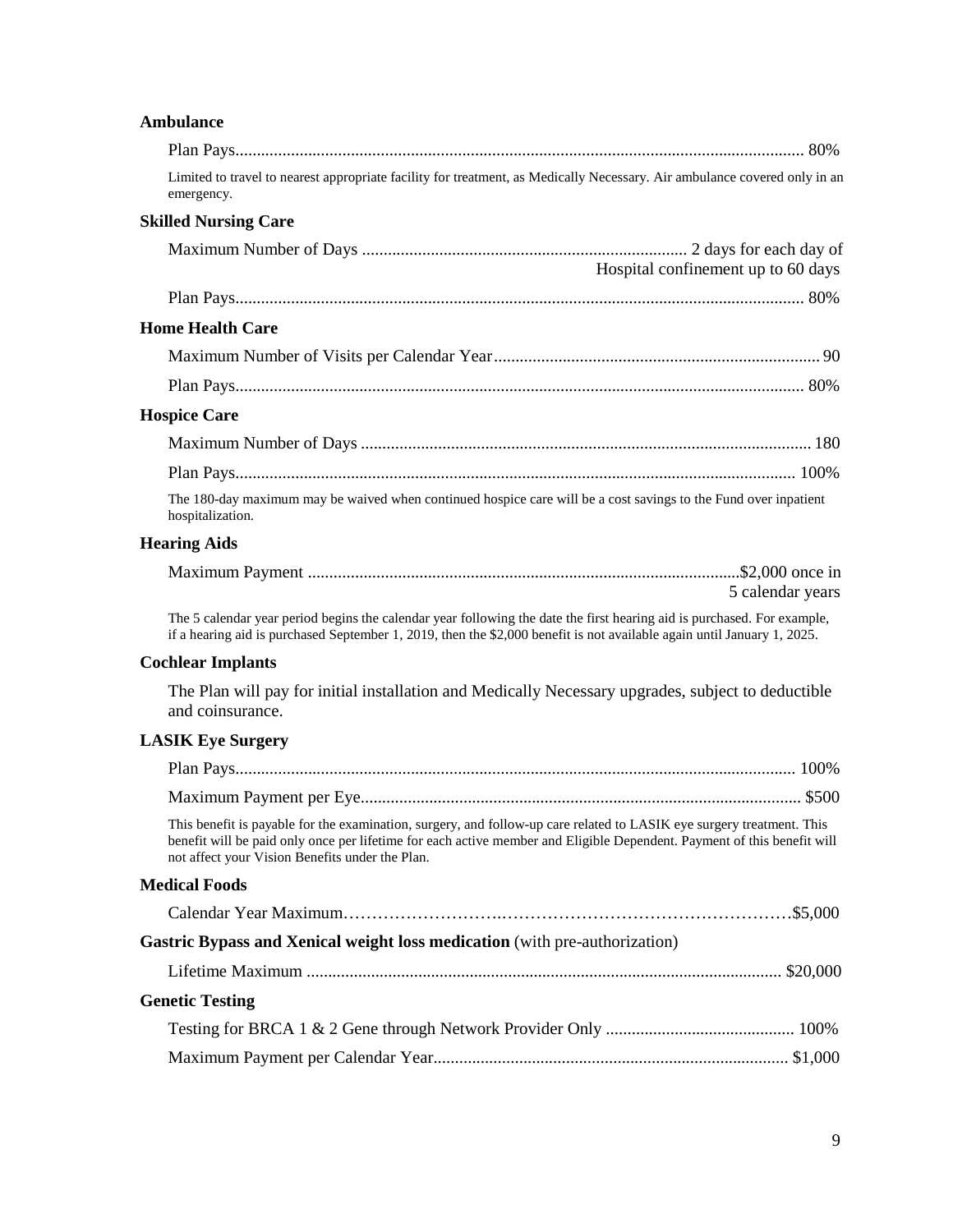# **Ambulance**

| Limited to travel to nearest appropriate facility for treatment, as Medically Necessary. Air ambulance covered only in an<br>emergency.                                                                                                                                                             |
|-----------------------------------------------------------------------------------------------------------------------------------------------------------------------------------------------------------------------------------------------------------------------------------------------------|
| <b>Skilled Nursing Care</b>                                                                                                                                                                                                                                                                         |
| Hospital confinement up to 60 days                                                                                                                                                                                                                                                                  |
|                                                                                                                                                                                                                                                                                                     |
| <b>Home Health Care</b>                                                                                                                                                                                                                                                                             |
|                                                                                                                                                                                                                                                                                                     |
|                                                                                                                                                                                                                                                                                                     |
| <b>Hospice Care</b>                                                                                                                                                                                                                                                                                 |
|                                                                                                                                                                                                                                                                                                     |
|                                                                                                                                                                                                                                                                                                     |
| The 180-day maximum may be waived when continued hospice care will be a cost savings to the Fund over inpatient<br>hospitalization.                                                                                                                                                                 |
| <b>Hearing Aids</b>                                                                                                                                                                                                                                                                                 |
| 5 calendar years                                                                                                                                                                                                                                                                                    |
| The 5 calendar year period begins the calendar year following the date the first hearing aid is purchased. For example,<br>if a hearing aid is purchased September 1, 2019, then the \$2,000 benefit is not available again until January 1, 2025.                                                  |
| <b>Cochlear Implants</b>                                                                                                                                                                                                                                                                            |
| The Plan will pay for initial installation and Medically Necessary upgrades, subject to deductible<br>and coinsurance.                                                                                                                                                                              |
| <b>LASIK Eye Surgery</b>                                                                                                                                                                                                                                                                            |
|                                                                                                                                                                                                                                                                                                     |
|                                                                                                                                                                                                                                                                                                     |
| This benefit is payable for the examination, surgery, and follow-up care related to LASIK eye surgery treatment. This<br>benefit will be paid only once per lifetime for each active member and Eligible Dependent. Payment of this benefit will<br>not affect your Vision Benefits under the Plan. |
| <b>Medical Foods</b>                                                                                                                                                                                                                                                                                |
|                                                                                                                                                                                                                                                                                                     |
| Gastric Bypass and Xenical weight loss medication (with pre-authorization)                                                                                                                                                                                                                          |
|                                                                                                                                                                                                                                                                                                     |
| <b>Genetic Testing</b>                                                                                                                                                                                                                                                                              |
|                                                                                                                                                                                                                                                                                                     |
|                                                                                                                                                                                                                                                                                                     |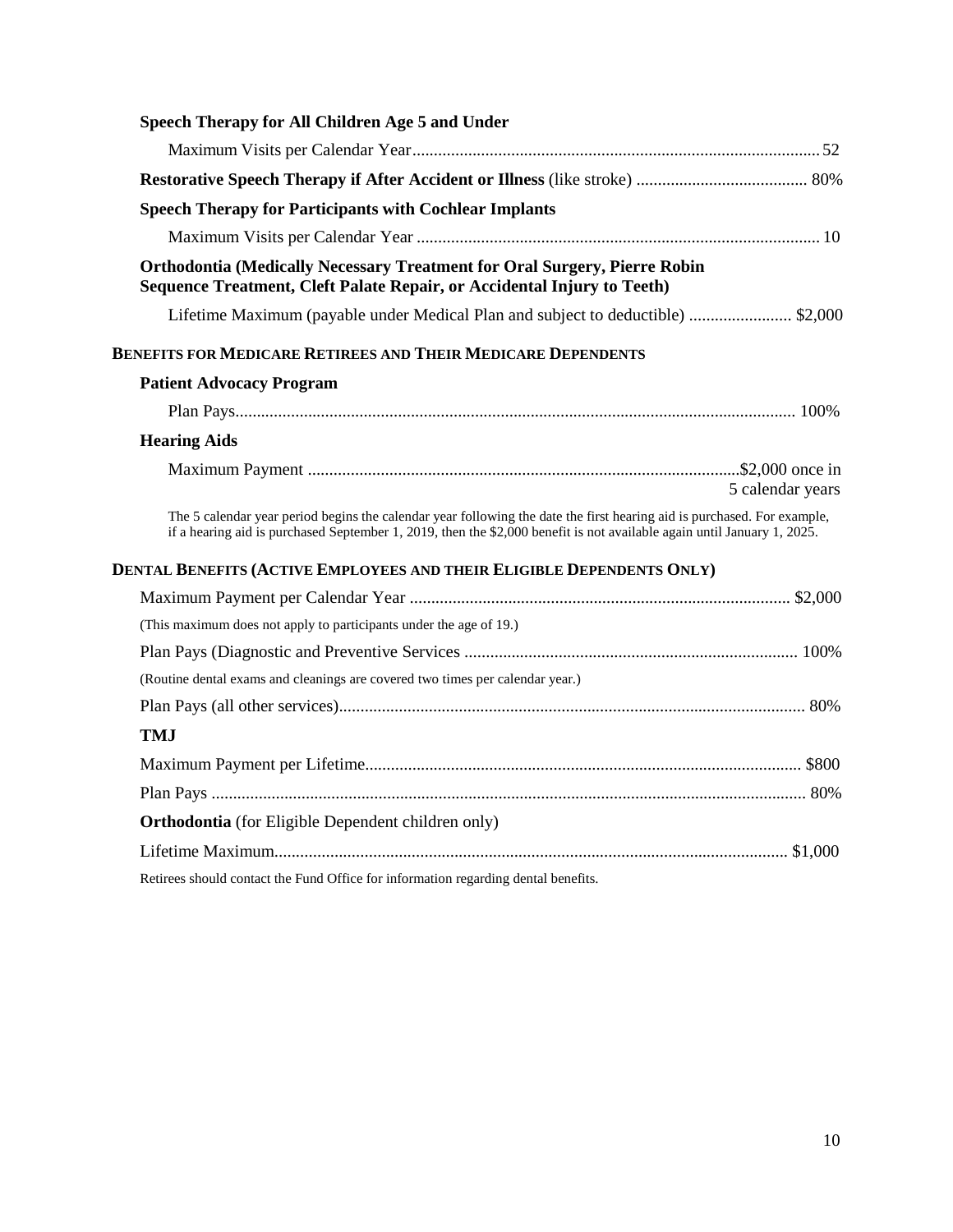| Speech Therapy for All Children Age 5 and Under                                                                                                                                                                                                    |                  |
|----------------------------------------------------------------------------------------------------------------------------------------------------------------------------------------------------------------------------------------------------|------------------|
|                                                                                                                                                                                                                                                    |                  |
|                                                                                                                                                                                                                                                    |                  |
| <b>Speech Therapy for Participants with Cochlear Implants</b>                                                                                                                                                                                      |                  |
|                                                                                                                                                                                                                                                    |                  |
| <b>Orthodontia (Medically Necessary Treatment for Oral Surgery, Pierre Robin</b><br>Sequence Treatment, Cleft Palate Repair, or Accidental Injury to Teeth)                                                                                        |                  |
| Lifetime Maximum (payable under Medical Plan and subject to deductible)  \$2,000                                                                                                                                                                   |                  |
| <b>BENEFITS FOR MEDICARE RETIREES AND THEIR MEDICARE DEPENDENTS</b>                                                                                                                                                                                |                  |
| <b>Patient Advocacy Program</b>                                                                                                                                                                                                                    |                  |
|                                                                                                                                                                                                                                                    |                  |
| <b>Hearing Aids</b>                                                                                                                                                                                                                                |                  |
|                                                                                                                                                                                                                                                    | 5 calendar years |
| The 5 calendar year period begins the calendar year following the date the first hearing aid is purchased. For example,<br>if a hearing aid is purchased September 1, 2019, then the \$2,000 benefit is not available again until January 1, 2025. |                  |
| DENTAL BENEFITS (ACTIVE EMPLOYEES AND THEIR ELIGIBLE DEPENDENTS ONLY)                                                                                                                                                                              |                  |
|                                                                                                                                                                                                                                                    |                  |
| (This maximum does not apply to participants under the age of 19.)                                                                                                                                                                                 |                  |
|                                                                                                                                                                                                                                                    |                  |
| (Routine dental exams and cleanings are covered two times per calendar year.)                                                                                                                                                                      |                  |
|                                                                                                                                                                                                                                                    |                  |
| <b>TMJ</b>                                                                                                                                                                                                                                         |                  |
|                                                                                                                                                                                                                                                    |                  |
|                                                                                                                                                                                                                                                    |                  |
| <b>Orthodontia</b> (for Eligible Dependent children only)                                                                                                                                                                                          |                  |
|                                                                                                                                                                                                                                                    |                  |
| Retirees should contact the Fund Office for information regarding dental benefits.                                                                                                                                                                 |                  |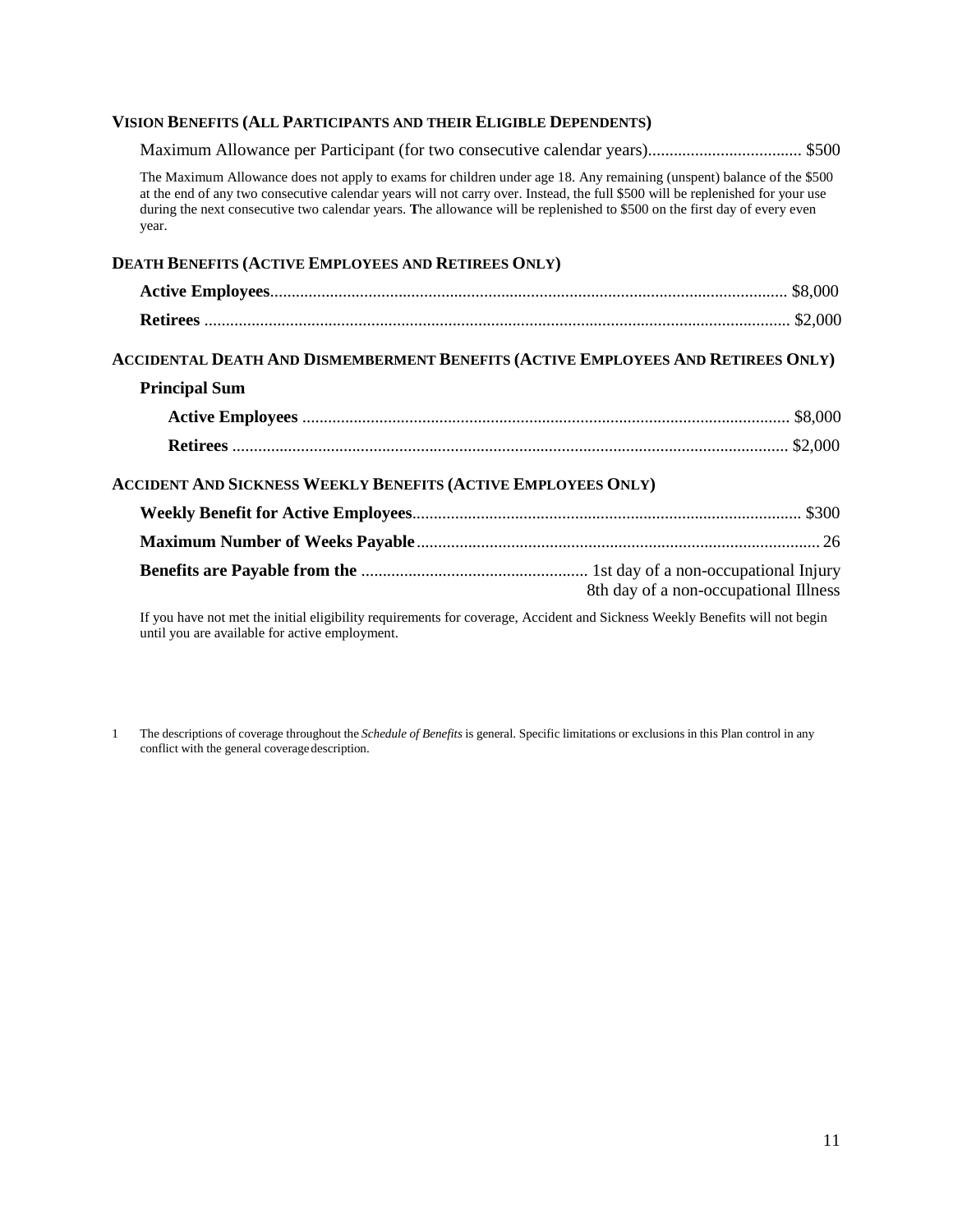#### **VISION BENEFITS (ALL PARTICIPANTS AND THEIR ELIGIBLE DEPENDENTS)**

| year.                                                                | The Maximum Allowance does not apply to exams for children under age 18. Any remaining (unspent) balance of the \$500<br>at the end of any two consecutive calendar years will not carry over. Instead, the full \$500 will be replenished for your use<br>during the next consecutive two calendar years. The allowance will be replenished to \$500 on the first day of every even |
|----------------------------------------------------------------------|--------------------------------------------------------------------------------------------------------------------------------------------------------------------------------------------------------------------------------------------------------------------------------------------------------------------------------------------------------------------------------------|
| <b>DEATH BENEFITS (ACTIVE EMPLOYEES AND RETIREES ONLY)</b>           |                                                                                                                                                                                                                                                                                                                                                                                      |
|                                                                      |                                                                                                                                                                                                                                                                                                                                                                                      |
|                                                                      |                                                                                                                                                                                                                                                                                                                                                                                      |
| <b>Principal Sum</b>                                                 | Accidental Death And Dismemberment Benefits (Active Employees And Retirees Only)                                                                                                                                                                                                                                                                                                     |
|                                                                      |                                                                                                                                                                                                                                                                                                                                                                                      |
|                                                                      |                                                                                                                                                                                                                                                                                                                                                                                      |
| <b>ACCIDENT AND SICKNESS WEEKLY BENEFITS (ACTIVE EMPLOYEES ONLY)</b> |                                                                                                                                                                                                                                                                                                                                                                                      |
|                                                                      |                                                                                                                                                                                                                                                                                                                                                                                      |
|                                                                      |                                                                                                                                                                                                                                                                                                                                                                                      |
|                                                                      | 8th day of a non-occupational Illness                                                                                                                                                                                                                                                                                                                                                |
|                                                                      |                                                                                                                                                                                                                                                                                                                                                                                      |

If you have not met the initial eligibility requirements for coverage, Accident and Sickness Weekly Benefits will not begin until you are available for active employment.

1 The descriptions of coverage throughout the *Schedule of Benefits* is general. Specific limitations or exclusions in this Plan control in any conflict with the general coveragedescription.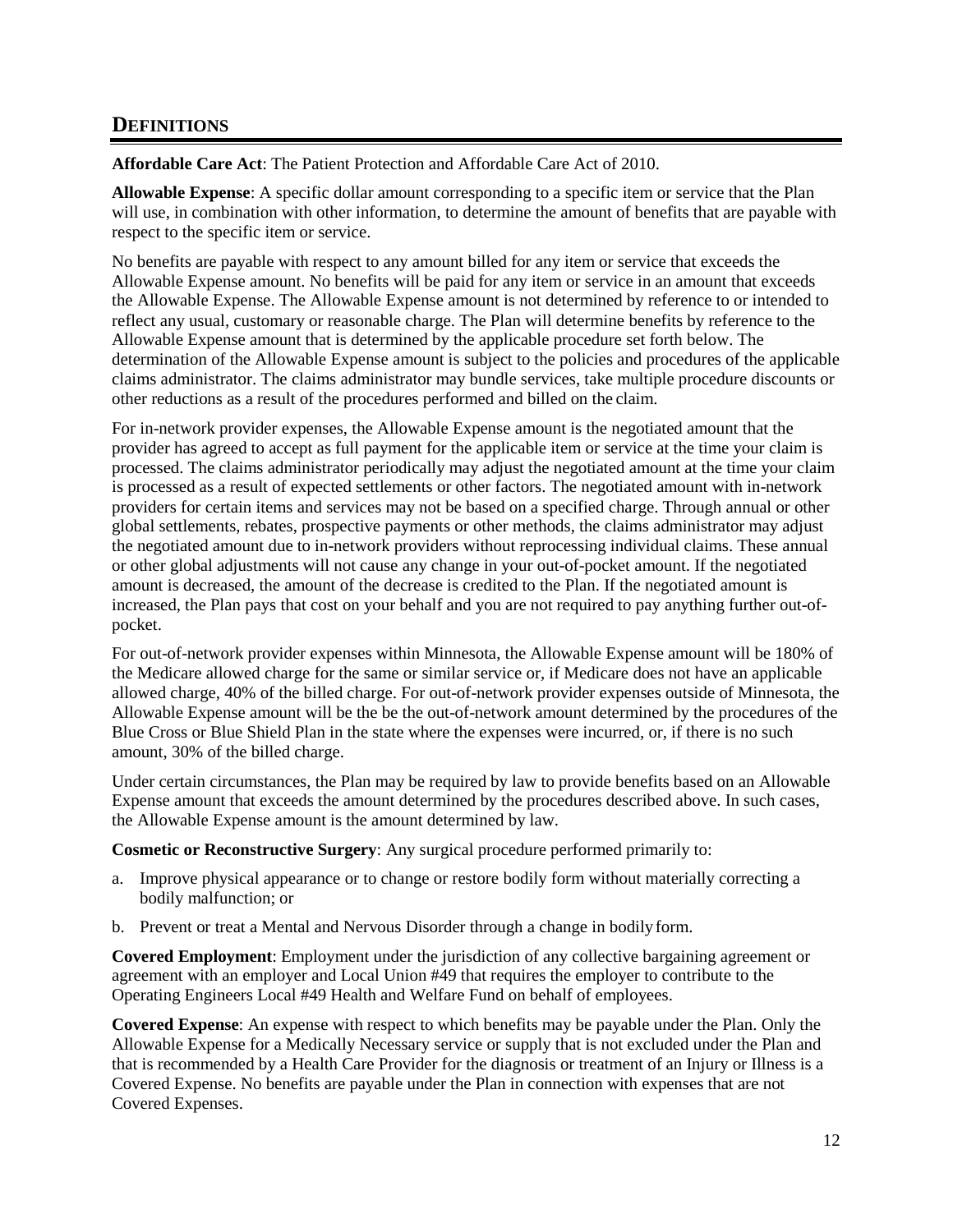# **DEFINITIONS**

**Affordable Care Act**: The Patient Protection and Affordable Care Act of 2010.

**Allowable Expense**: A specific dollar amount corresponding to a specific item or service that the Plan will use, in combination with other information, to determine the amount of benefits that are payable with respect to the specific item or service.

No benefits are payable with respect to any amount billed for any item or service that exceeds the Allowable Expense amount. No benefits will be paid for any item or service in an amount that exceeds the Allowable Expense. The Allowable Expense amount is not determined by reference to or intended to reflect any usual, customary or reasonable charge. The Plan will determine benefits by reference to the Allowable Expense amount that is determined by the applicable procedure set forth below. The determination of the Allowable Expense amount is subject to the policies and procedures of the applicable claims administrator. The claims administrator may bundle services, take multiple procedure discounts or other reductions as a result of the procedures performed and billed on the claim.

For in-network provider expenses, the Allowable Expense amount is the negotiated amount that the provider has agreed to accept as full payment for the applicable item or service at the time your claim is processed. The claims administrator periodically may adjust the negotiated amount at the time your claim is processed as a result of expected settlements or other factors. The negotiated amount with in-network providers for certain items and services may not be based on a specified charge. Through annual or other global settlements, rebates, prospective payments or other methods, the claims administrator may adjust the negotiated amount due to in-network providers without reprocessing individual claims. These annual or other global adjustments will not cause any change in your out-of-pocket amount. If the negotiated amount is decreased, the amount of the decrease is credited to the Plan. If the negotiated amount is increased, the Plan pays that cost on your behalf and you are not required to pay anything further out-ofpocket.

For out-of-network provider expenses within Minnesota, the Allowable Expense amount will be 180% of the Medicare allowed charge for the same or similar service or, if Medicare does not have an applicable allowed charge, 40% of the billed charge. For out-of-network provider expenses outside of Minnesota, the Allowable Expense amount will be the be the out-of-network amount determined by the procedures of the Blue Cross or Blue Shield Plan in the state where the expenses were incurred, or, if there is no such amount, 30% of the billed charge.

Under certain circumstances, the Plan may be required by law to provide benefits based on an Allowable Expense amount that exceeds the amount determined by the procedures described above. In such cases, the Allowable Expense amount is the amount determined by law.

**Cosmetic or Reconstructive Surgery**: Any surgical procedure performed primarily to:

- a. Improve physical appearance or to change or restore bodily form without materially correcting a bodily malfunction; or
- b. Prevent or treat a Mental and Nervous Disorder through a change in bodilyform.

**Covered Employment**: Employment under the jurisdiction of any collective bargaining agreement or agreement with an employer and Local Union #49 that requires the employer to contribute to the Operating Engineers Local #49 Health and Welfare Fund on behalf of employees.

**Covered Expense**: An expense with respect to which benefits may be payable under the Plan. Only the Allowable Expense for a Medically Necessary service or supply that is not excluded under the Plan and that is recommended by a Health Care Provider for the diagnosis or treatment of an Injury or Illness is a Covered Expense. No benefits are payable under the Plan in connection with expenses that are not Covered Expenses.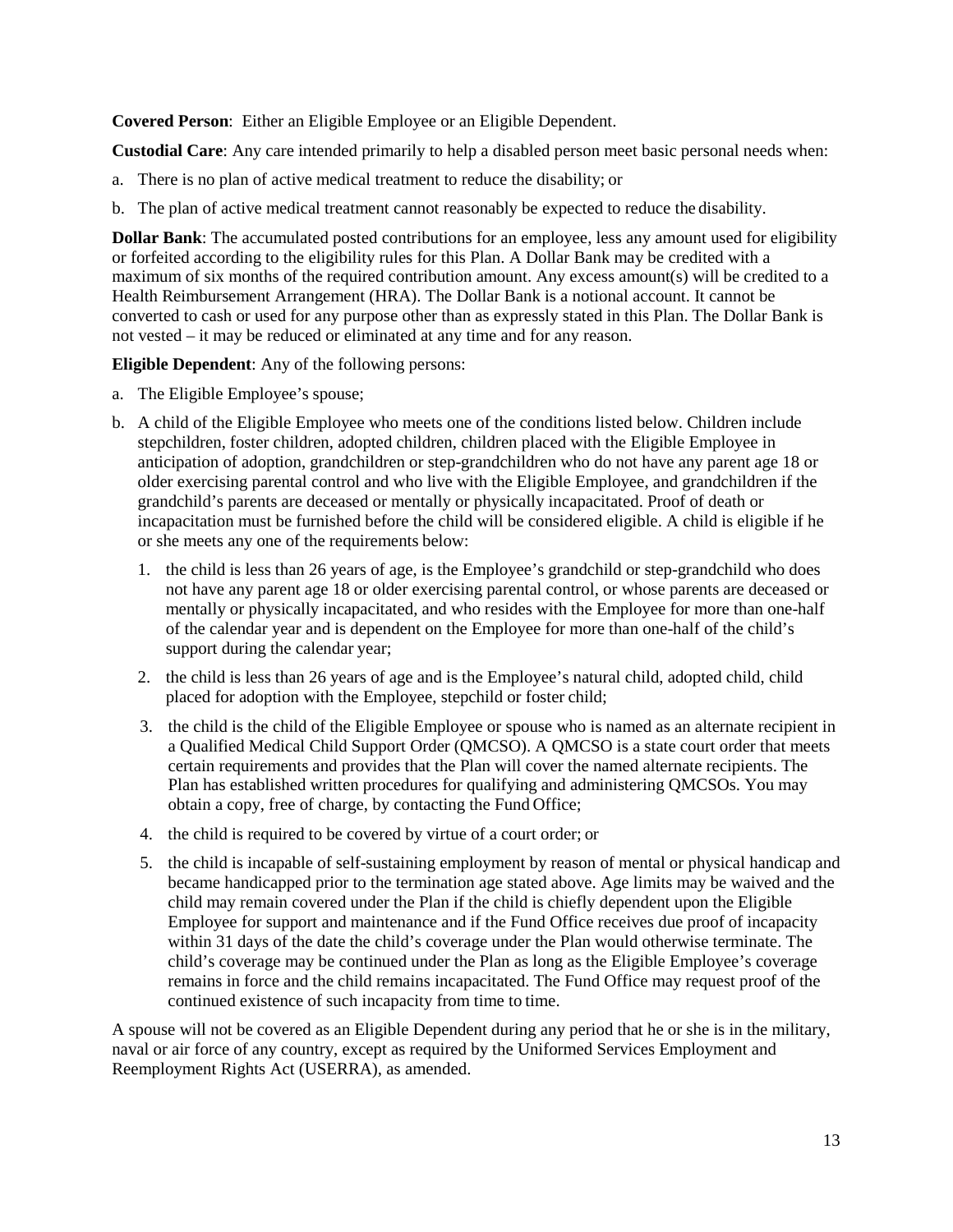**Covered Person**: Either an Eligible Employee or an Eligible Dependent.

**Custodial Care**: Any care intended primarily to help a disabled person meet basic personal needs when:

- a. There is no plan of active medical treatment to reduce the disability; or
- b. The plan of active medical treatment cannot reasonably be expected to reduce the disability.

**Dollar Bank**: The accumulated posted contributions for an employee, less any amount used for eligibility or forfeited according to the eligibility rules for this Plan. A Dollar Bank may be credited with a maximum of six months of the required contribution amount. Any excess amount(s) will be credited to a Health Reimbursement Arrangement (HRA). The Dollar Bank is a notional account. It cannot be converted to cash or used for any purpose other than as expressly stated in this Plan. The Dollar Bank is not vested – it may be reduced or eliminated at any time and for any reason.

**Eligible Dependent**: Any of the following persons:

- a. The Eligible Employee's spouse;
- b. A child of the Eligible Employee who meets one of the conditions listed below. Children include stepchildren, foster children, adopted children, children placed with the Eligible Employee in anticipation of adoption, grandchildren or step-grandchildren who do not have any parent age 18 or older exercising parental control and who live with the Eligible Employee, and grandchildren if the grandchild's parents are deceased or mentally or physically incapacitated. Proof of death or incapacitation must be furnished before the child will be considered eligible. A child is eligible if he or she meets any one of the requirements below:
	- 1. the child is less than 26 years of age, is the Employee's grandchild or step-grandchild who does not have any parent age 18 or older exercising parental control, or whose parents are deceased or mentally or physically incapacitated, and who resides with the Employee for more than one-half of the calendar year and is dependent on the Employee for more than one-half of the child's support during the calendar year;
	- 2. the child is less than 26 years of age and is the Employee's natural child, adopted child, child placed for adoption with the Employee, stepchild or foster child;
	- 3. the child is the child of the Eligible Employee or spouse who is named as an alternate recipient in a Qualified Medical Child Support Order (QMCSO). A QMCSO is a state court order that meets certain requirements and provides that the Plan will cover the named alternate recipients. The Plan has established written procedures for qualifying and administering QMCSOs. You may obtain a copy, free of charge, by contacting the Fund Office;
	- 4. the child is required to be covered by virtue of a court order; or
	- 5. the child is incapable of self-sustaining employment by reason of mental or physical handicap and became handicapped prior to the termination age stated above. Age limits may be waived and the child may remain covered under the Plan if the child is chiefly dependent upon the Eligible Employee for support and maintenance and if the Fund Office receives due proof of incapacity within 31 days of the date the child's coverage under the Plan would otherwise terminate. The child's coverage may be continued under the Plan as long as the Eligible Employee's coverage remains in force and the child remains incapacitated. The Fund Office may request proof of the continued existence of such incapacity from time to time.

A spouse will not be covered as an Eligible Dependent during any period that he or she is in the military, naval or air force of any country, except as required by the Uniformed Services Employment and Reemployment Rights Act (USERRA), as amended.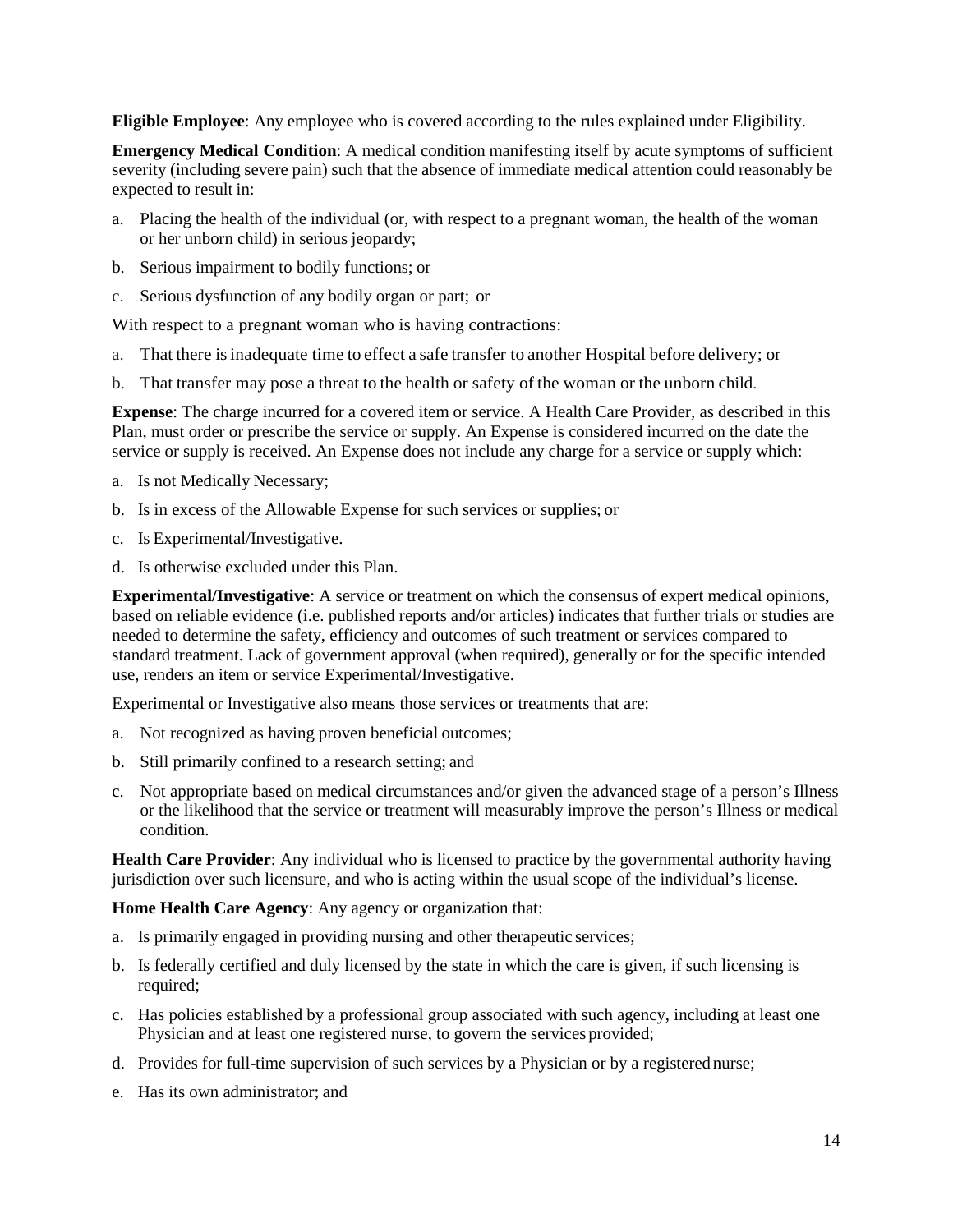**Eligible Employee**: Any employee who is covered according to the rules explained under Eligibility.

**Emergency Medical Condition**: A medical condition manifesting itself by acute symptoms of sufficient severity (including severe pain) such that the absence of immediate medical attention could reasonably be expected to result in:

- a. Placing the health of the individual (or, with respect to a pregnant woman, the health of the woman or her unborn child) in serious jeopardy;
- b. Serious impairment to bodily functions; or
- c. Serious dysfunction of any bodily organ or part; or

With respect to a pregnant woman who is having contractions:

- a. That there isinadequate time to effect a safe transfer to another Hospital before delivery; or
- b. That transfer may pose a threat to the health or safety of the woman or the unborn child.

**Expense**: The charge incurred for a covered item or service. A Health Care Provider, as described in this Plan, must order or prescribe the service or supply. An Expense is considered incurred on the date the service or supply is received. An Expense does not include any charge for a service or supply which:

- a. Is not Medically Necessary;
- b. Is in excess of the Allowable Expense for such services or supplies; or
- c. Is Experimental/Investigative.
- d. Is otherwise excluded under this Plan.

**Experimental/Investigative**: A service or treatment on which the consensus of expert medical opinions, based on reliable evidence (i.e. published reports and/or articles) indicates that further trials or studies are needed to determine the safety, efficiency and outcomes of such treatment or services compared to standard treatment. Lack of government approval (when required), generally or for the specific intended use, renders an item or service Experimental/Investigative.

Experimental or Investigative also means those services or treatments that are:

- a. Not recognized as having proven beneficial outcomes;
- b. Still primarily confined to a research setting; and
- c. Not appropriate based on medical circumstances and/or given the advanced stage of a person's Illness or the likelihood that the service or treatment will measurably improve the person's Illness or medical condition.

**Health Care Provider**: Any individual who is licensed to practice by the governmental authority having jurisdiction over such licensure, and who is acting within the usual scope of the individual's license.

**Home Health Care Agency**: Any agency or organization that:

- a. Is primarily engaged in providing nursing and other therapeutic services;
- b. Is federally certified and duly licensed by the state in which the care is given, if such licensing is required;
- c. Has policies established by a professional group associated with such agency, including at least one Physician and at least one registered nurse, to govern the services provided;
- d. Provides for full-time supervision of such services by a Physician or by a registered nurse;
- e. Has its own administrator; and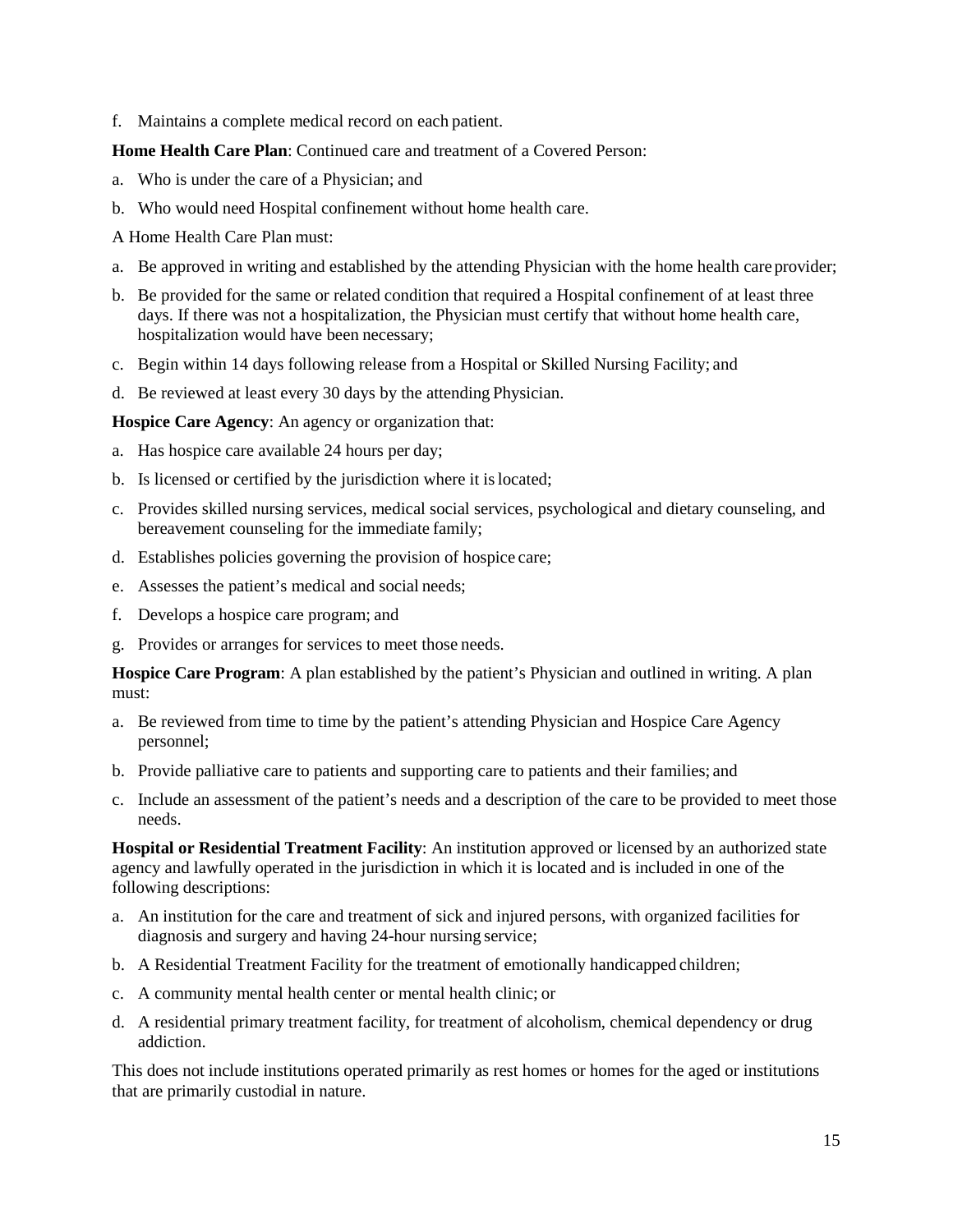f. Maintains a complete medical record on each patient.

**Home Health Care Plan**: Continued care and treatment of a Covered Person:

- a. Who is under the care of a Physician; and
- b. Who would need Hospital confinement without home health care.

A Home Health Care Plan must:

- a. Be approved in writing and established by the attending Physician with the home health careprovider;
- b. Be provided for the same or related condition that required a Hospital confinement of at least three days. If there was not a hospitalization, the Physician must certify that without home health care, hospitalization would have been necessary;
- c. Begin within 14 days following release from a Hospital or Skilled Nursing Facility; and
- d. Be reviewed at least every 30 days by the attending Physician.

**Hospice Care Agency**: An agency or organization that:

- a. Has hospice care available 24 hours per day;
- b. Is licensed or certified by the jurisdiction where it islocated;
- c. Provides skilled nursing services, medical social services, psychological and dietary counseling, and bereavement counseling for the immediate family;
- d. Establishes policies governing the provision of hospice care;
- e. Assesses the patient's medical and social needs;
- f. Develops a hospice care program; and
- g. Provides or arranges for services to meet those needs.

**Hospice Care Program**: A plan established by the patient's Physician and outlined in writing. A plan must:

- a. Be reviewed from time to time by the patient's attending Physician and Hospice Care Agency personnel;
- b. Provide palliative care to patients and supporting care to patients and their families; and
- c. Include an assessment of the patient's needs and a description of the care to be provided to meet those needs.

**Hospital or Residential Treatment Facility**: An institution approved or licensed by an authorized state agency and lawfully operated in the jurisdiction in which it is located and is included in one of the following descriptions:

- a. An institution for the care and treatment of sick and injured persons, with organized facilities for diagnosis and surgery and having 24-hour nursing service;
- b. A Residential Treatment Facility for the treatment of emotionally handicapped children;
- c. A community mental health center or mental health clinic; or
- d. A residential primary treatment facility, for treatment of alcoholism, chemical dependency or drug addiction.

This does not include institutions operated primarily as rest homes or homes for the aged or institutions that are primarily custodial in nature.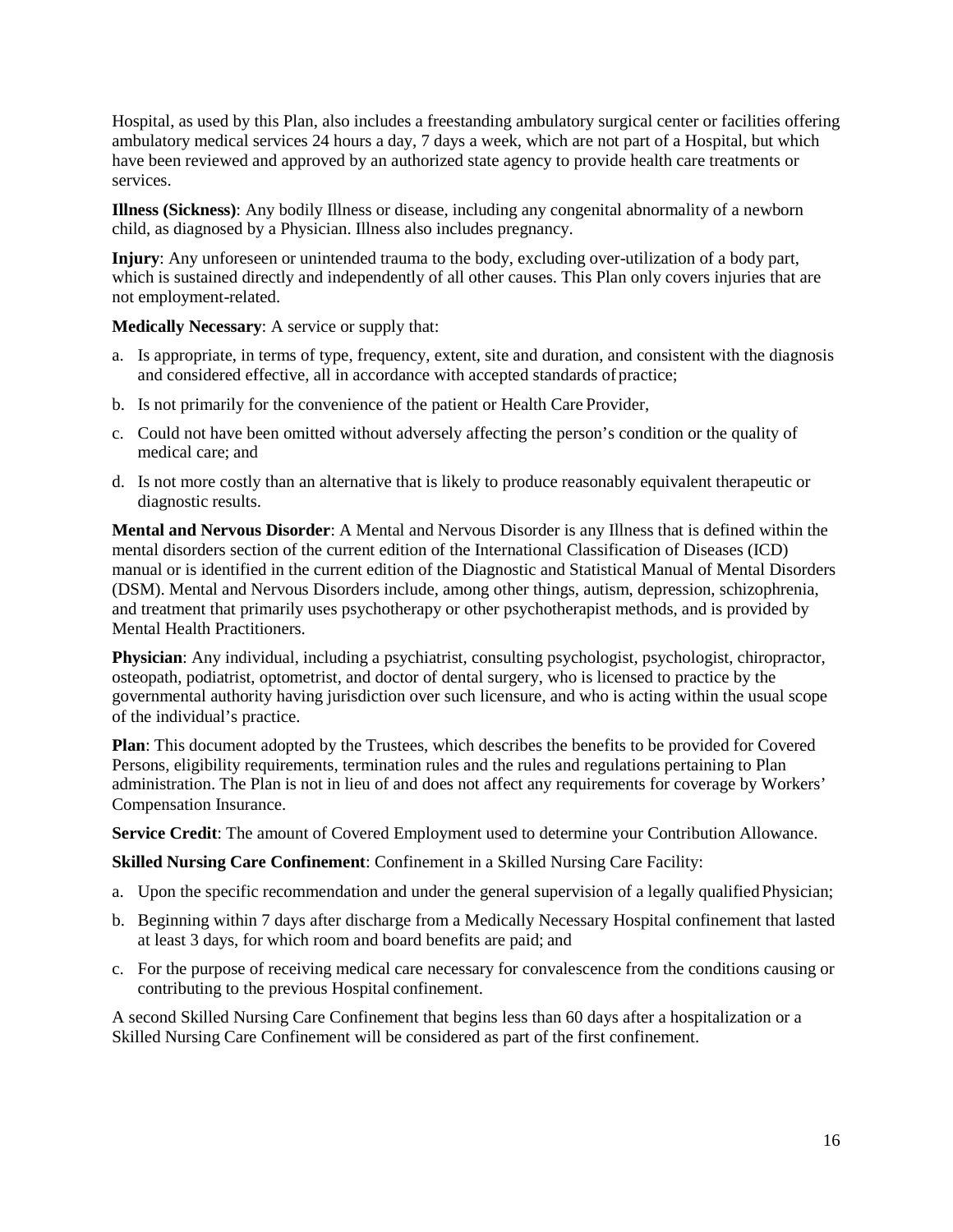Hospital, as used by this Plan, also includes a freestanding ambulatory surgical center or facilities offering ambulatory medical services 24 hours a day, 7 days a week, which are not part of a Hospital, but which have been reviewed and approved by an authorized state agency to provide health care treatments or services.

**Illness (Sickness)**: Any bodily Illness or disease, including any congenital abnormality of a newborn child, as diagnosed by a Physician. Illness also includes pregnancy.

**Injury**: Any unforeseen or unintended trauma to the body, excluding over-utilization of a body part, which is sustained directly and independently of all other causes. This Plan only covers injuries that are not employment-related.

**Medically Necessary**: A service or supply that:

- a. Is appropriate, in terms of type, frequency, extent, site and duration, and consistent with the diagnosis and considered effective, all in accordance with accepted standards of practice;
- b. Is not primarily for the convenience of the patient or Health Care Provider,
- c. Could not have been omitted without adversely affecting the person's condition or the quality of medical care; and
- d. Is not more costly than an alternative that is likely to produce reasonably equivalent therapeutic or diagnostic results.

**Mental and Nervous Disorder**: A Mental and Nervous Disorder is any Illness that is defined within the mental disorders section of the current edition of the International Classification of Diseases (ICD) manual or is identified in the current edition of the Diagnostic and Statistical Manual of Mental Disorders (DSM). Mental and Nervous Disorders include, among other things, autism, depression, schizophrenia, and treatment that primarily uses psychotherapy or other psychotherapist methods, and is provided by Mental Health Practitioners.

**Physician**: Any individual, including a psychiatrist, consulting psychologist, psychologist, chiropractor, osteopath, podiatrist, optometrist, and doctor of dental surgery, who is licensed to practice by the governmental authority having jurisdiction over such licensure, and who is acting within the usual scope of the individual's practice.

**Plan**: This document adopted by the Trustees, which describes the benefits to be provided for Covered Persons, eligibility requirements, termination rules and the rules and regulations pertaining to Plan administration. The Plan is not in lieu of and does not affect any requirements for coverage by Workers' Compensation Insurance.

**Service Credit**: The amount of Covered Employment used to determine your Contribution Allowance.

**Skilled Nursing Care Confinement**: Confinement in a Skilled Nursing Care Facility:

- a. Upon the specific recommendation and under the general supervision of a legally qualified Physician;
- b. Beginning within 7 days after discharge from a Medically Necessary Hospital confinement that lasted at least 3 days, for which room and board benefits are paid; and
- c. For the purpose of receiving medical care necessary for convalescence from the conditions causing or contributing to the previous Hospital confinement.

A second Skilled Nursing Care Confinement that begins less than 60 days after a hospitalization or a Skilled Nursing Care Confinement will be considered as part of the first confinement.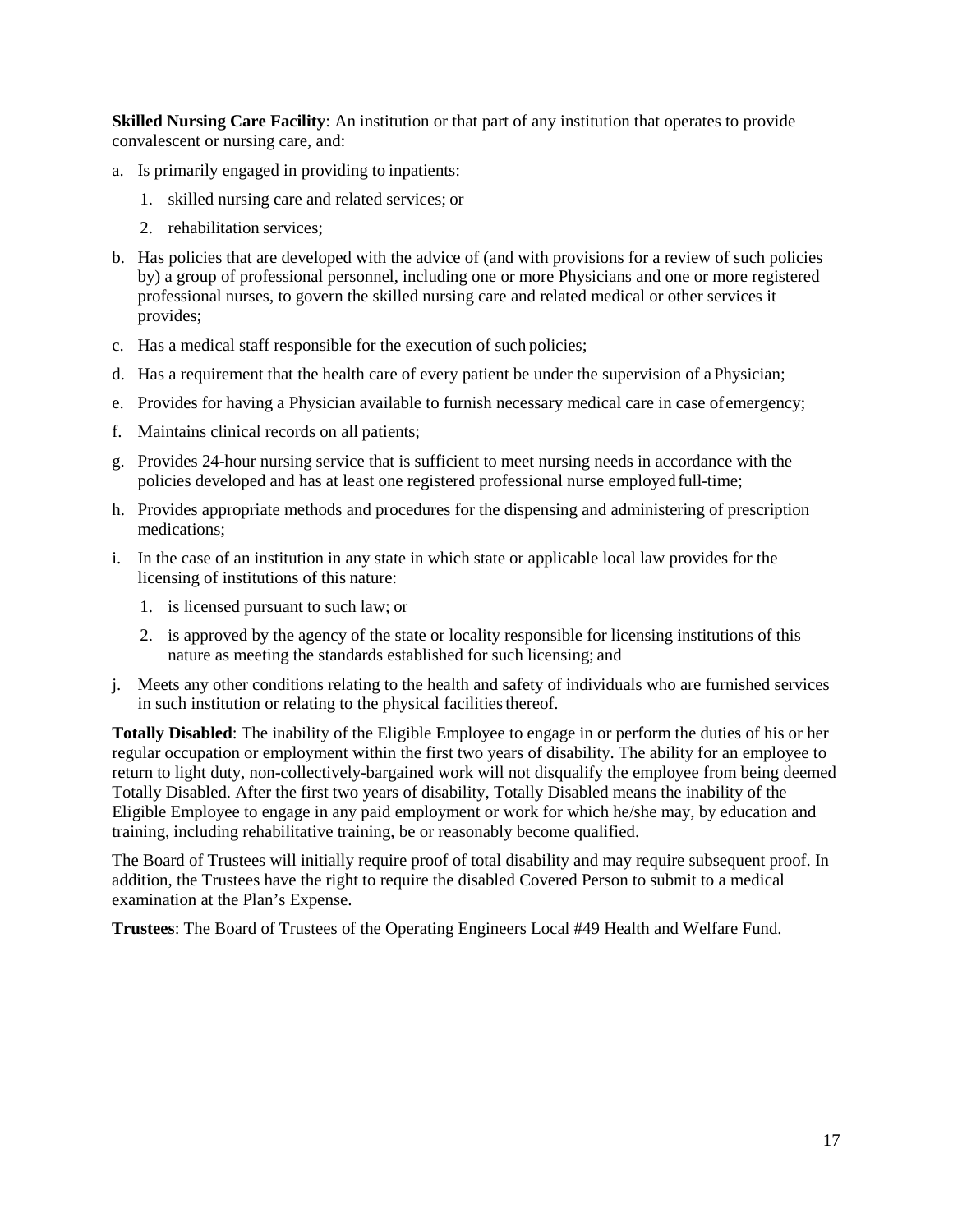**Skilled Nursing Care Facility**: An institution or that part of any institution that operates to provide convalescent or nursing care, and:

- a. Is primarily engaged in providing to inpatients:
	- 1. skilled nursing care and related services; or
	- 2. rehabilitation services;
- b. Has policies that are developed with the advice of (and with provisions for a review of such policies by) a group of professional personnel, including one or more Physicians and one or more registered professional nurses, to govern the skilled nursing care and related medical or other services it provides;
- c. Has a medical staff responsible for the execution of such policies;
- d. Has a requirement that the health care of every patient be under the supervision of a Physician;
- e. Provides for having a Physician available to furnish necessary medical care in case ofemergency;
- f. Maintains clinical records on all patients;
- g. Provides 24-hour nursing service that is sufficient to meet nursing needs in accordance with the policies developed and has at least one registered professional nurse employed full-time;
- h. Provides appropriate methods and procedures for the dispensing and administering of prescription medications;
- i. In the case of an institution in any state in which state or applicable local law provides for the licensing of institutions of this nature:
	- 1. is licensed pursuant to such law; or
	- 2. is approved by the agency of the state or locality responsible for licensing institutions of this nature as meeting the standards established for such licensing; and
- j. Meets any other conditions relating to the health and safety of individuals who are furnished services in such institution or relating to the physical facilities thereof.

**Totally Disabled**: The inability of the Eligible Employee to engage in or perform the duties of his or her regular occupation or employment within the first two years of disability. The ability for an employee to return to light duty, non-collectively-bargained work will not disqualify the employee from being deemed Totally Disabled. After the first two years of disability, Totally Disabled means the inability of the Eligible Employee to engage in any paid employment or work for which he/she may, by education and training, including rehabilitative training, be or reasonably become qualified.

The Board of Trustees will initially require proof of total disability and may require subsequent proof. In addition, the Trustees have the right to require the disabled Covered Person to submit to a medical examination at the Plan's Expense.

**Trustees**: The Board of Trustees of the Operating Engineers Local #49 Health and Welfare Fund.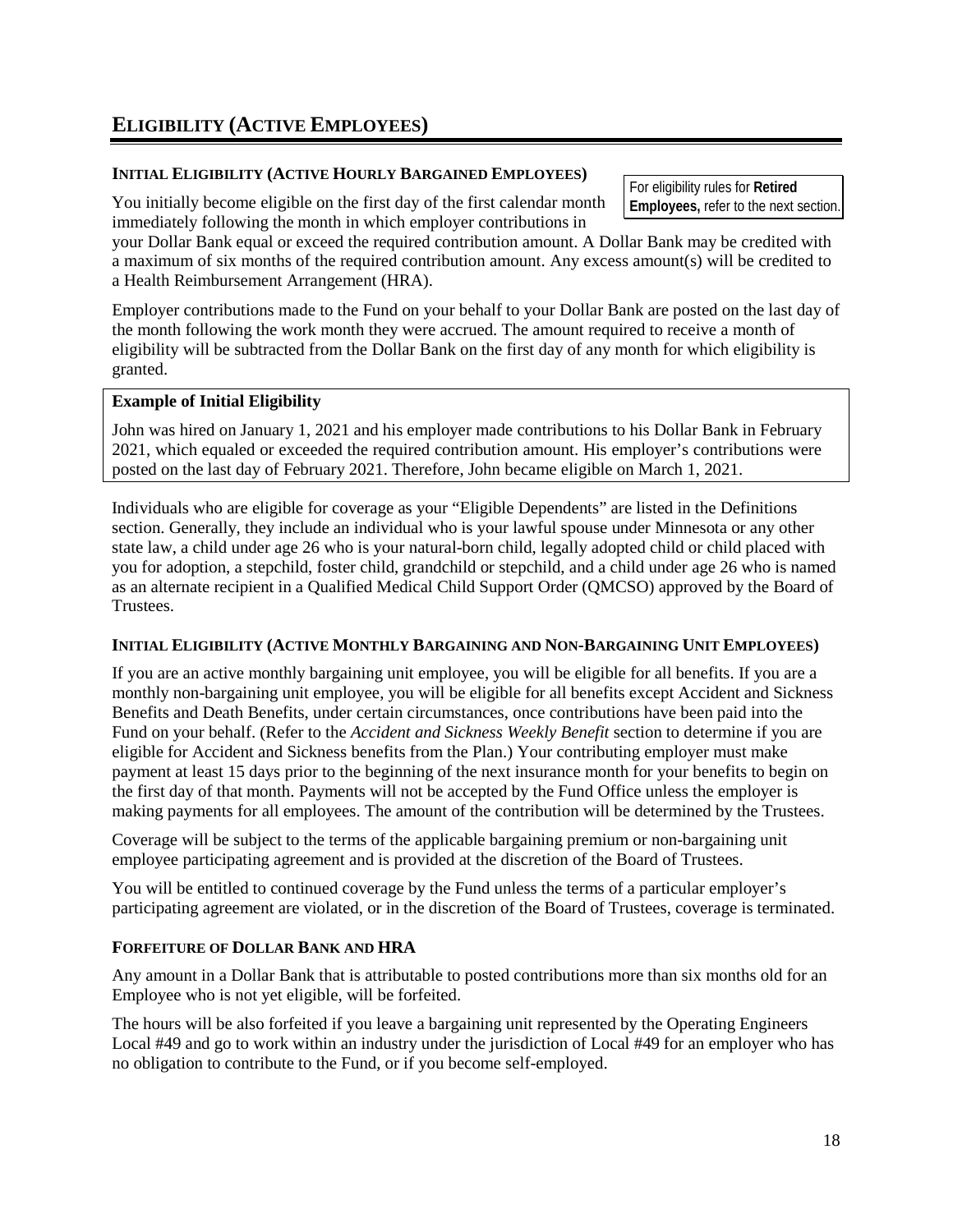## **INITIAL ELIGIBILITY (ACTIVE HOURLY BARGAINED EMPLOYEES)**

You initially become eligible on the first day of the first calendar month immediately following the month in which employer contributions in

your Dollar Bank equal or exceed the required contribution amount. A Dollar Bank may be credited with **Employees,** refer to the next section.

For eligibility rules for **Retired** 

a maximum of six months of the required contribution amount. Any excess amount(s) will be credited to a Health Reimbursement Arrangement (HRA).

Employer contributions made to the Fund on your behalf to your Dollar Bank are posted on the last day of the month following the work month they were accrued. The amount required to receive a month of eligibility will be subtracted from the Dollar Bank on the first day of any month for which eligibility is granted.

# **Example of Initial Eligibility**

John was hired on January 1, 2021 and his employer made contributions to his Dollar Bank in February 2021, which equaled or exceeded the required contribution amount. His employer's contributions were posted on the last day of February 2021. Therefore, John became eligible on March 1, 2021.

Individuals who are eligible for coverage as your "Eligible Dependents" are listed in the Definitions section. Generally, they include an individual who is your lawful spouse under Minnesota or any other state law, a child under age 26 who is your natural-born child, legally adopted child or child placed with you for adoption, a stepchild, foster child, grandchild or stepchild, and a child under age 26 who is named as an alternate recipient in a Qualified Medical Child Support Order (QMCSO) approved by the Board of Trustees.

# **INITIAL ELIGIBILITY (ACTIVE MONTHLY BARGAINING AND NON-BARGAINING UNIT EMPLOYEES)**

If you are an active monthly bargaining unit employee, you will be eligible for all benefits. If you are a monthly non-bargaining unit employee, you will be eligible for all benefits except Accident and Sickness Benefits and Death Benefits, under certain circumstances, once contributions have been paid into the Fund on your behalf. (Refer to the *Accident and Sickness Weekly Benefit* section to determine if you are eligible for Accident and Sickness benefits from the Plan.) Your contributing employer must make payment at least 15 days prior to the beginning of the next insurance month for your benefits to begin on the first day of that month. Payments will not be accepted by the Fund Office unless the employer is making payments for all employees. The amount of the contribution will be determined by the Trustees.

Coverage will be subject to the terms of the applicable bargaining premium or non-bargaining unit employee participating agreement and is provided at the discretion of the Board of Trustees.

You will be entitled to continued coverage by the Fund unless the terms of a particular employer's participating agreement are violated, or in the discretion of the Board of Trustees, coverage is terminated.

# **FORFEITURE OF DOLLAR BANK AND HRA**

Any amount in a Dollar Bank that is attributable to posted contributions more than six months old for an Employee who is not yet eligible, will be forfeited.

The hours will be also forfeited if you leave a bargaining unit represented by the Operating Engineers Local #49 and go to work within an industry under the jurisdiction of Local #49 for an employer who has no obligation to contribute to the Fund, or if you become self-employed.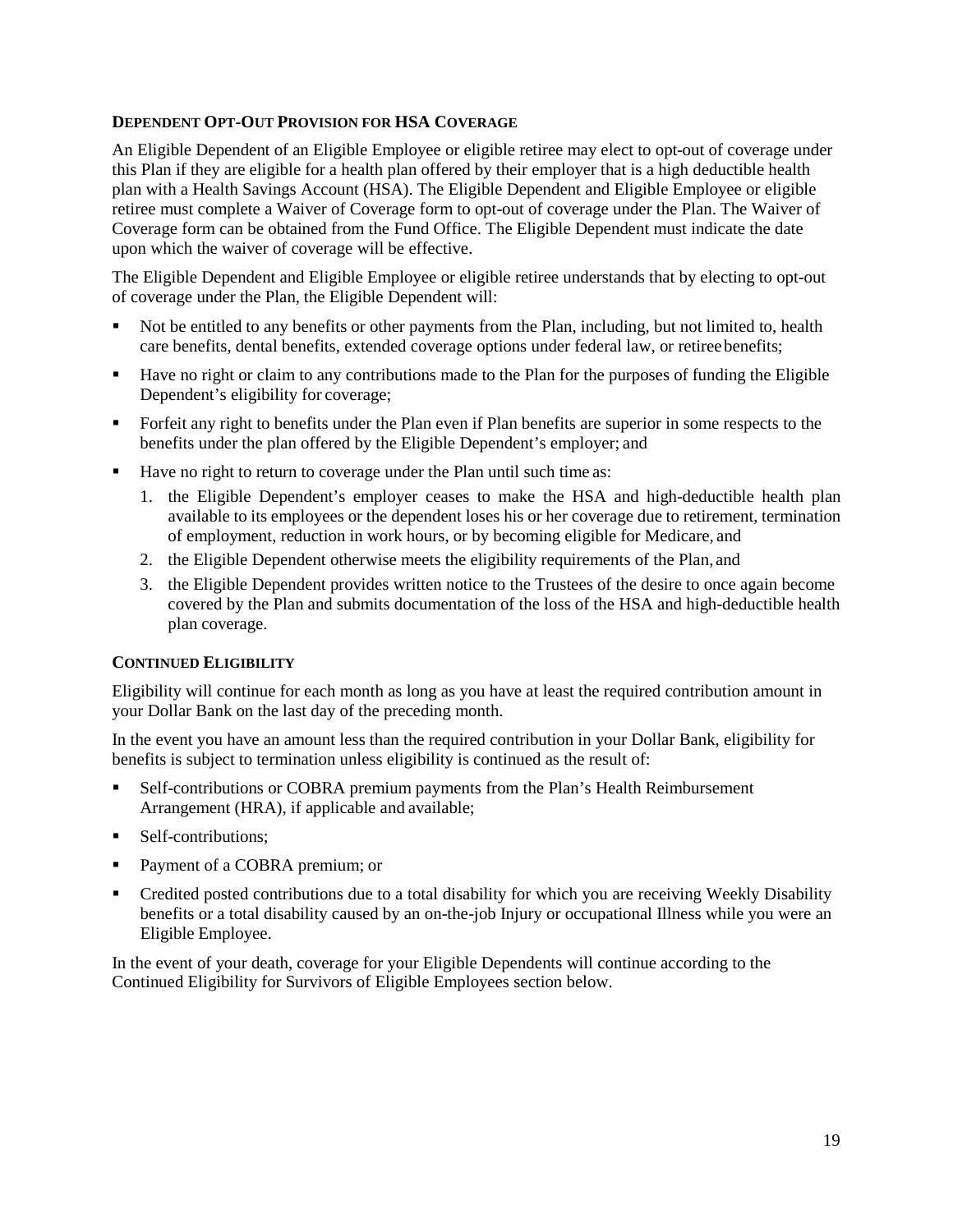#### **DEPENDENT OPT-OUT PROVISION FOR HSA COVERAGE**

An Eligible Dependent of an Eligible Employee or eligible retiree may elect to opt-out of coverage under this Plan if they are eligible for a health plan offered by their employer that is a high deductible health plan with a Health Savings Account (HSA). The Eligible Dependent and Eligible Employee or eligible retiree must complete a Waiver of Coverage form to opt-out of coverage under the Plan. The Waiver of Coverage form can be obtained from the Fund Office. The Eligible Dependent must indicate the date upon which the waiver of coverage will be effective.

The Eligible Dependent and Eligible Employee or eligible retiree understands that by electing to opt-out of coverage under the Plan, the Eligible Dependent will:

- Not be entitled to any benefits or other payments from the Plan, including, but not limited to, health care benefits, dental benefits, extended coverage options under federal law, or retireebenefits;
- Have no right or claim to any contributions made to the Plan for the purposes of funding the Eligible Dependent's eligibility for coverage;
- Forfeit any right to benefits under the Plan even if Plan benefits are superior in some respects to the benefits under the plan offered by the Eligible Dependent's employer; and
- Have no right to return to coverage under the Plan until such time as:
	- 1. the Eligible Dependent's employer ceases to make the HSA and high-deductible health plan available to its employees or the dependent loses his or her coverage due to retirement, termination of employment, reduction in work hours, or by becoming eligible for Medicare, and
	- 2. the Eligible Dependent otherwise meets the eligibility requirements of the Plan, and
	- 3. the Eligible Dependent provides written notice to the Trustees of the desire to once again become covered by the Plan and submits documentation of the loss of the HSA and high-deductible health plan coverage.

#### **CONTINUED ELIGIBILITY**

Eligibility will continue for each month as long as you have at least the required contribution amount in your Dollar Bank on the last day of the preceding month.

In the event you have an amount less than the required contribution in your Dollar Bank, eligibility for benefits is subject to termination unless eligibility is continued as the result of:

- Self-contributions or COBRA premium payments from the Plan's Health Reimbursement Arrangement (HRA), if applicable and available;
- **Self-contributions;**
- Payment of a COBRA premium; or
- Credited posted contributions due to a total disability for which you are receiving Weekly Disability benefits or a total disability caused by an on-the-job Injury or occupational Illness while you were an Eligible Employee.

In the event of your death, coverage for your Eligible Dependents will continue according to the Continued Eligibility for Survivors of Eligible Employees section below.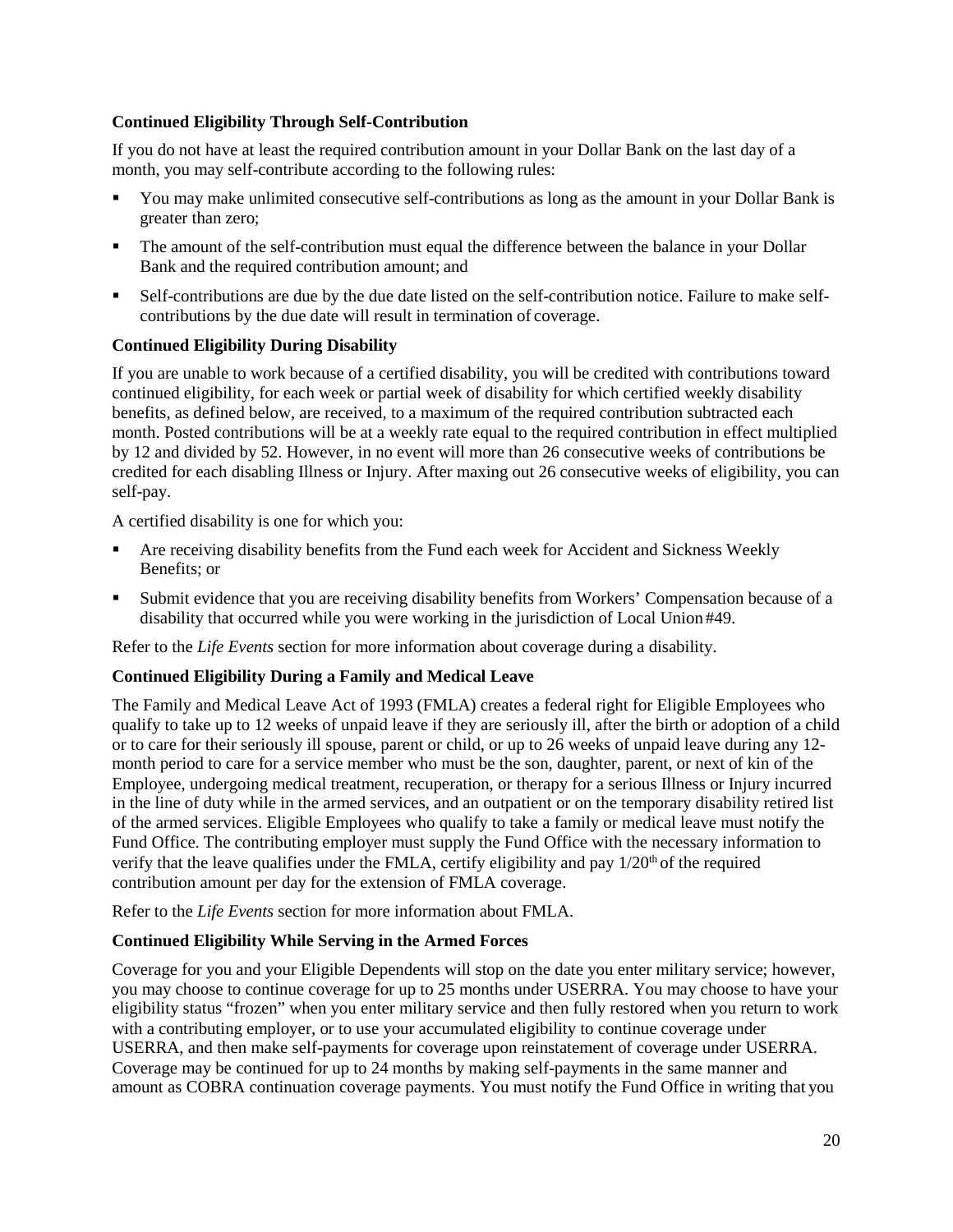## **Continued Eligibility Through Self-Contribution**

If you do not have at least the required contribution amount in your Dollar Bank on the last day of a month, you may self-contribute according to the following rules:

- You may make unlimited consecutive self-contributions as long as the amount in your Dollar Bank is greater than zero;
- The amount of the self-contribution must equal the difference between the balance in your Dollar Bank and the required contribution amount; and
- Self-contributions are due by the due date listed on the self-contribution notice. Failure to make selfcontributions by the due date will result in termination of coverage.

## **Continued Eligibility During Disability**

If you are unable to work because of a certified disability, you will be credited with contributions toward continued eligibility, for each week or partial week of disability for which certified weekly disability benefits, as defined below, are received, to a maximum of the required contribution subtracted each month. Posted contributions will be at a weekly rate equal to the required contribution in effect multiplied by 12 and divided by 52. However, in no event will more than 26 consecutive weeks of contributions be credited for each disabling Illness or Injury. After maxing out 26 consecutive weeks of eligibility, you can self-pay.

A certified disability is one for which you:

- Are receiving disability benefits from the Fund each week for Accident and Sickness Weekly Benefits; or
- Submit evidence that you are receiving disability benefits from Workers' Compensation because of a disability that occurred while you were working in the jurisdiction of Local Union #49.

Refer to the *Life Events* section for more information about coverage during a disability.

# **Continued Eligibility During a Family and Medical Leave**

The Family and Medical Leave Act of 1993 (FMLA) creates a federal right for Eligible Employees who qualify to take up to 12 weeks of unpaid leave if they are seriously ill, after the birth or adoption of a child or to care for their seriously ill spouse, parent or child, or up to 26 weeks of unpaid leave during any 12 month period to care for a service member who must be the son, daughter, parent, or next of kin of the Employee, undergoing medical treatment, recuperation, or therapy for a serious Illness or Injury incurred in the line of duty while in the armed services, and an outpatient or on the temporary disability retired list of the armed services. Eligible Employees who qualify to take a family or medical leave must notify the Fund Office. The contributing employer must supply the Fund Office with the necessary information to verify that the leave qualifies under the FMLA, certify eligibility and pay  $1/20<sup>th</sup>$  of the required contribution amount per day for the extension of FMLA coverage.

Refer to the *Life Events* section for more information about FMLA.

#### **Continued Eligibility While Serving in the Armed Forces**

Coverage for you and your Eligible Dependents will stop on the date you enter military service; however, you may choose to continue coverage for up to 25 months under USERRA. You may choose to have your eligibility status "frozen" when you enter military service and then fully restored when you return to work with a contributing employer, or to use your accumulated eligibility to continue coverage under USERRA, and then make self-payments for coverage upon reinstatement of coverage under USERRA. Coverage may be continued for up to 24 months by making self-payments in the same manner and amount as COBRA continuation coverage payments. You must notify the Fund Office in writing that you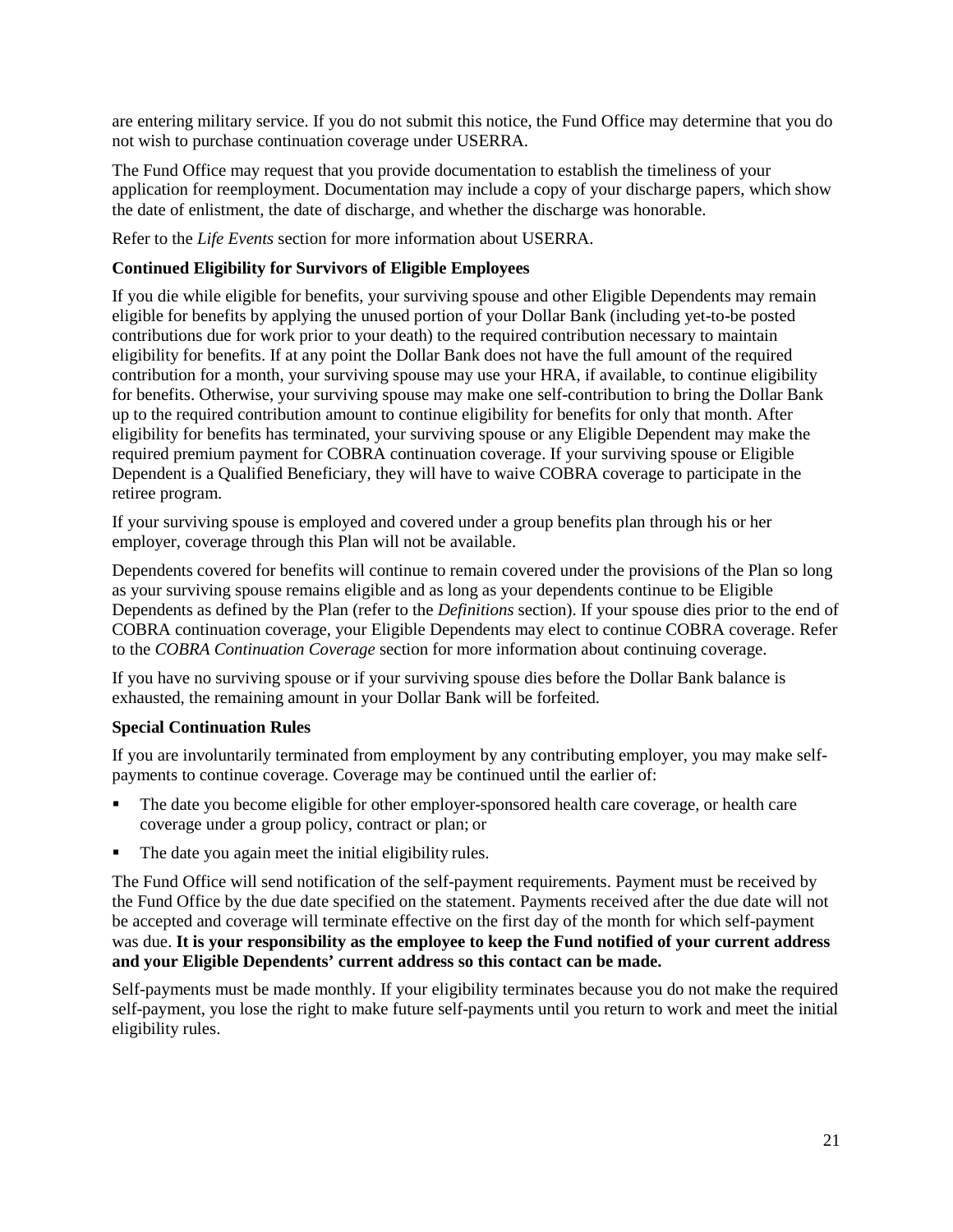are entering military service. If you do not submit this notice, the Fund Office may determine that you do not wish to purchase continuation coverage under USERRA.

The Fund Office may request that you provide documentation to establish the timeliness of your application for reemployment. Documentation may include a copy of your discharge papers, which show the date of enlistment, the date of discharge, and whether the discharge was honorable.

Refer to the *Life Events* section for more information about USERRA.

### **Continued Eligibility for Survivors of Eligible Employees**

If you die while eligible for benefits, your surviving spouse and other Eligible Dependents may remain eligible for benefits by applying the unused portion of your Dollar Bank (including yet-to-be posted contributions due for work prior to your death) to the required contribution necessary to maintain eligibility for benefits. If at any point the Dollar Bank does not have the full amount of the required contribution for a month, your surviving spouse may use your HRA, if available, to continue eligibility for benefits. Otherwise, your surviving spouse may make one self-contribution to bring the Dollar Bank up to the required contribution amount to continue eligibility for benefits for only that month. After eligibility for benefits has terminated, your surviving spouse or any Eligible Dependent may make the required premium payment for COBRA continuation coverage. If your surviving spouse or Eligible Dependent is a Qualified Beneficiary, they will have to waive COBRA coverage to participate in the retiree program.

If your surviving spouse is employed and covered under a group benefits plan through his or her employer, coverage through this Plan will not be available.

Dependents covered for benefits will continue to remain covered under the provisions of the Plan so long as your surviving spouse remains eligible and as long as your dependents continue to be Eligible Dependents as defined by the Plan (refer to the *Definitions* section). If your spouse dies prior to the end of COBRA continuation coverage, your Eligible Dependents may elect to continue COBRA coverage. Refer to the *COBRA Continuation Coverage* section for more information about continuing coverage.

If you have no surviving spouse or if your surviving spouse dies before the Dollar Bank balance is exhausted, the remaining amount in your Dollar Bank will be forfeited.

#### **Special Continuation Rules**

If you are involuntarily terminated from employment by any contributing employer, you may make selfpayments to continue coverage. Coverage may be continued until the earlier of:

- The date you become eligible for other employer-sponsored health care coverage, or health care coverage under a group policy, contract or plan; or
- The date you again meet the initial eligibility rules.

The Fund Office will send notification of the self-payment requirements. Payment must be received by the Fund Office by the due date specified on the statement. Payments received after the due date will not be accepted and coverage will terminate effective on the first day of the month for which self-payment was due. **It is your responsibility as the employee to keep the Fund notified of your current address and your Eligible Dependents' current address so this contact can be made.**

Self-payments must be made monthly. If your eligibility terminates because you do not make the required self-payment, you lose the right to make future self-payments until you return to work and meet the initial eligibility rules.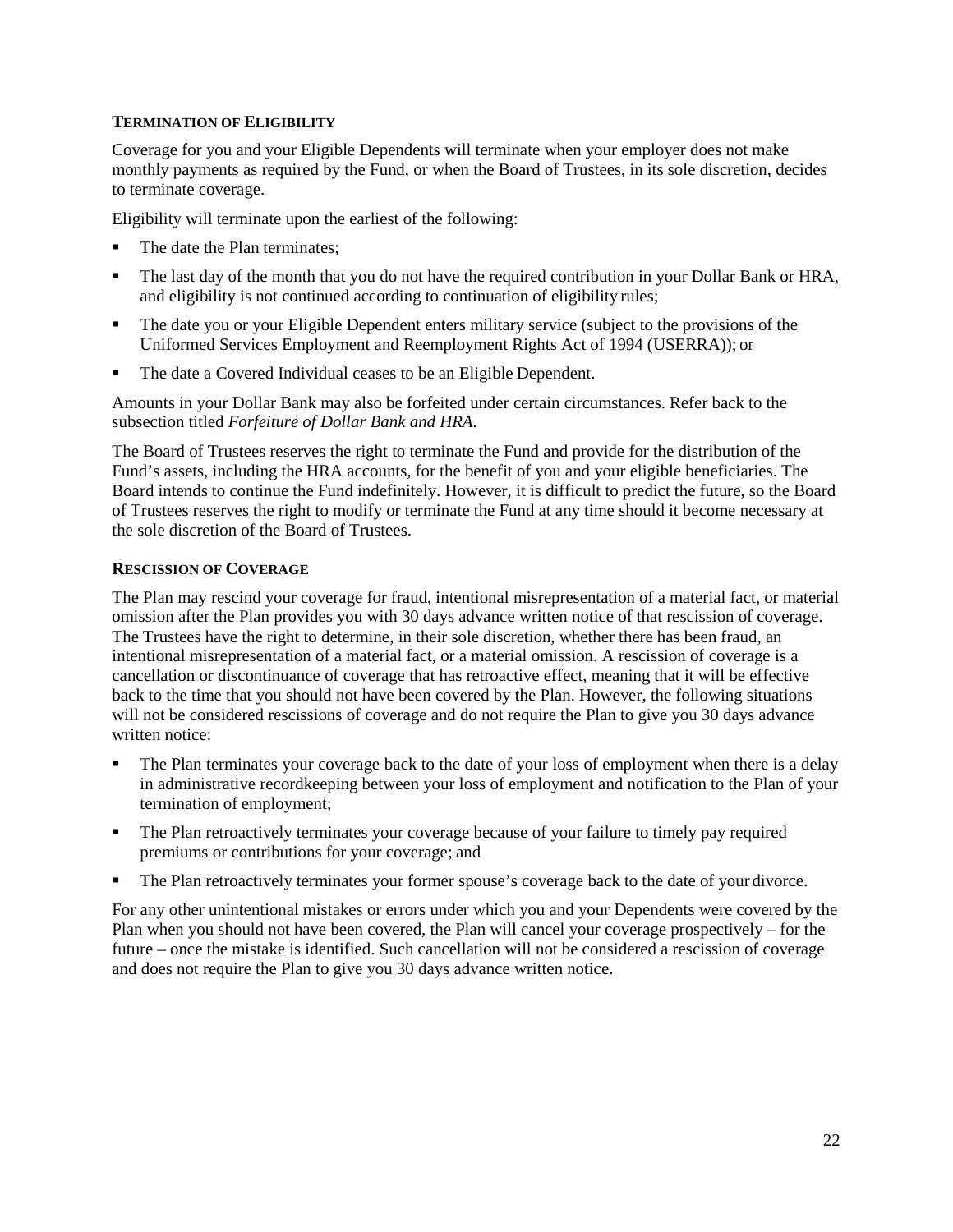#### **TERMINATION OF ELIGIBILITY**

Coverage for you and your Eligible Dependents will terminate when your employer does not make monthly payments as required by the Fund, or when the Board of Trustees, in its sole discretion, decides to terminate coverage.

Eligibility will terminate upon the earliest of the following:

- The date the Plan terminates;
- The last day of the month that you do not have the required contribution in your Dollar Bank or HRA, and eligibility is not continued according to continuation of eligibility rules;
- The date you or your Eligible Dependent enters military service (subject to the provisions of the Uniformed Services Employment and Reemployment Rights Act of 1994 (USERRA)); or
- The date a Covered Individual ceases to be an Eligible Dependent.

Amounts in your Dollar Bank may also be forfeited under certain circumstances. Refer back to the subsection titled *Forfeiture of Dollar Bank and HRA*.

The Board of Trustees reserves the right to terminate the Fund and provide for the distribution of the Fund's assets, including the HRA accounts, for the benefit of you and your eligible beneficiaries. The Board intends to continue the Fund indefinitely. However, it is difficult to predict the future, so the Board of Trustees reserves the right to modify or terminate the Fund at any time should it become necessary at the sole discretion of the Board of Trustees.

#### **RESCISSION OF COVERAGE**

The Plan may rescind your coverage for fraud, intentional misrepresentation of a material fact, or material omission after the Plan provides you with 30 days advance written notice of that rescission of coverage. The Trustees have the right to determine, in their sole discretion, whether there has been fraud, an intentional misrepresentation of a material fact, or a material omission. A rescission of coverage is a cancellation or discontinuance of coverage that has retroactive effect, meaning that it will be effective back to the time that you should not have been covered by the Plan. However, the following situations will not be considered rescissions of coverage and do not require the Plan to give you 30 days advance written notice:

- The Plan terminates your coverage back to the date of your loss of employment when there is a delay in administrative recordkeeping between your loss of employment and notification to the Plan of your termination of employment;
- The Plan retroactively terminates your coverage because of your failure to timely pay required premiums or contributions for your coverage; and
- The Plan retroactively terminates your former spouse's coverage back to the date of your divorce.

For any other unintentional mistakes or errors under which you and your Dependents were covered by the Plan when you should not have been covered, the Plan will cancel your coverage prospectively – for the future – once the mistake is identified. Such cancellation will not be considered a rescission of coverage and does not require the Plan to give you 30 days advance written notice.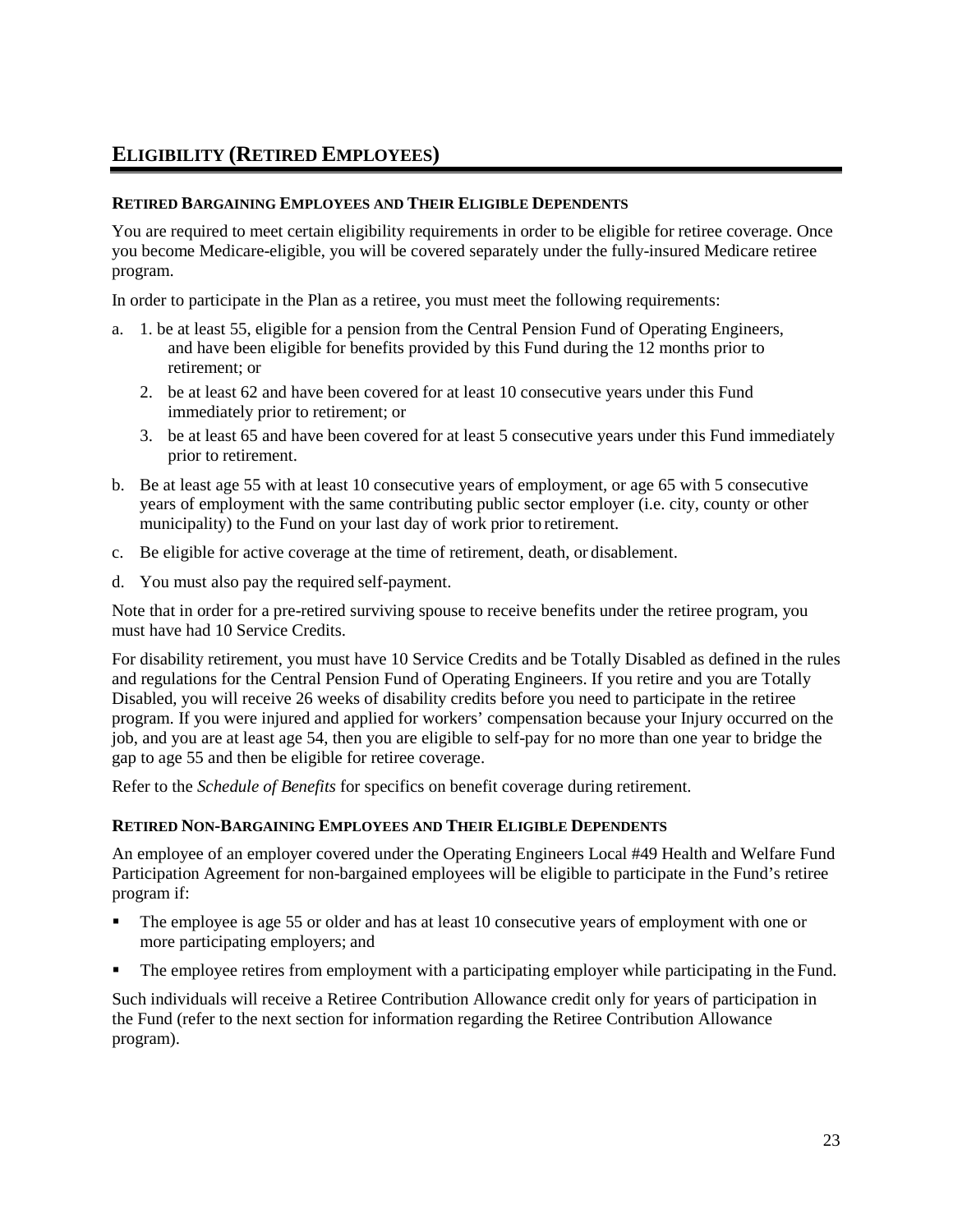# **ELIGIBILITY (RETIRED EMPLOYEES)**

## **RETIRED BARGAINING EMPLOYEES AND THEIR ELIGIBLE DEPENDENTS**

You are required to meet certain eligibility requirements in order to be eligible for retiree coverage. Once you become Medicare-eligible, you will be covered separately under the fully-insured Medicare retiree program.

In order to participate in the Plan as a retiree, you must meet the following requirements:

- a. 1. be at least 55, eligible for a pension from the Central Pension Fund of Operating Engineers, and have been eligible for benefits provided by this Fund during the 12 months prior to retirement; or
	- 2. be at least 62 and have been covered for at least 10 consecutive years under this Fund immediately prior to retirement; or
	- 3. be at least 65 and have been covered for at least 5 consecutive years under this Fund immediately prior to retirement.
- b. Be at least age 55 with at least 10 consecutive years of employment, or age 65 with 5 consecutive years of employment with the same contributing public sector employer (i.e. city, county or other municipality) to the Fund on your last day of work prior to retirement.
- c. Be eligible for active coverage at the time of retirement, death, or disablement.
- d. You must also pay the required self-payment.

Note that in order for a pre-retired surviving spouse to receive benefits under the retiree program, you must have had 10 Service Credits.

For disability retirement, you must have 10 Service Credits and be Totally Disabled as defined in the rules and regulations for the Central Pension Fund of Operating Engineers. If you retire and you are Totally Disabled, you will receive 26 weeks of disability credits before you need to participate in the retiree program. If you were injured and applied for workers' compensation because your Injury occurred on the job, and you are at least age 54, then you are eligible to self-pay for no more than one year to bridge the gap to age 55 and then be eligible for retiree coverage.

Refer to the *Schedule of Benefits* for specifics on benefit coverage during retirement.

#### **RETIRED NON-BARGAINING EMPLOYEES AND THEIR ELIGIBLE DEPENDENTS**

An employee of an employer covered under the Operating Engineers Local #49 Health and Welfare Fund Participation Agreement for non-bargained employees will be eligible to participate in the Fund's retiree program if:

- The employee is age 55 or older and has at least 10 consecutive years of employment with one or more participating employers; and
- The employee retires from employment with a participating employer while participating in the Fund.

Such individuals will receive a Retiree Contribution Allowance credit only for years of participation in the Fund (refer to the next section for information regarding the Retiree Contribution Allowance program).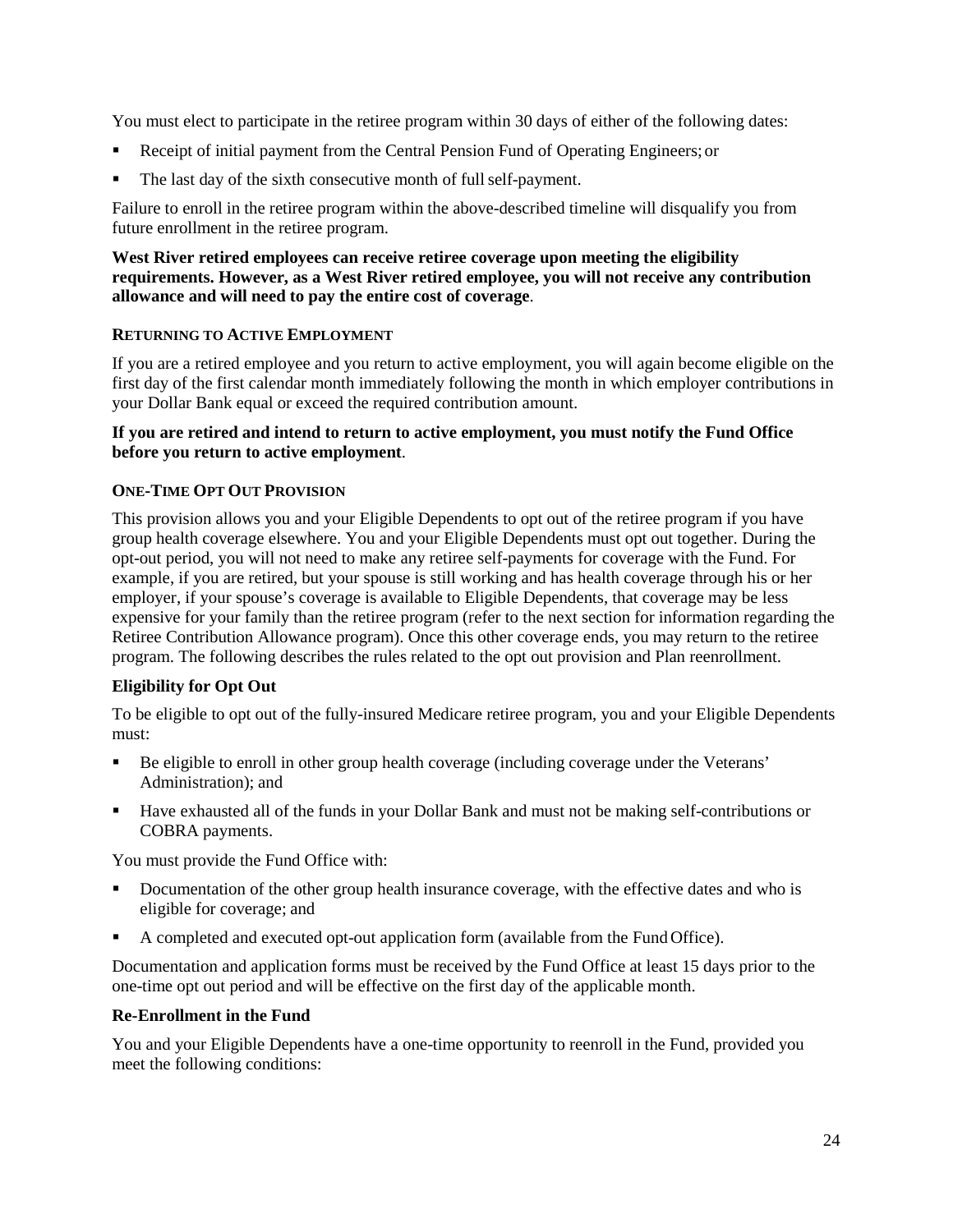You must elect to participate in the retiree program within 30 days of either of the following dates:

- Receipt of initial payment from the Central Pension Fund of Operating Engineers; or
- The last day of the sixth consecutive month of full self-payment.

Failure to enroll in the retiree program within the above-described timeline will disqualify you from future enrollment in the retiree program.

#### **West River retired employees can receive retiree coverage upon meeting the eligibility requirements. However, as a West River retired employee, you will not receive any contribution allowance and will need to pay the entire cost of coverage**.

#### **RETURNING TO ACTIVE EMPLOYMENT**

If you are a retired employee and you return to active employment, you will again become eligible on the first day of the first calendar month immediately following the month in which employer contributions in your Dollar Bank equal or exceed the required contribution amount.

#### **If you are retired and intend to return to active employment, you must notify the Fund Office before you return to active employment**.

#### **ONE-TIME OPT OUT PROVISION**

This provision allows you and your Eligible Dependents to opt out of the retiree program if you have group health coverage elsewhere. You and your Eligible Dependents must opt out together. During the opt-out period, you will not need to make any retiree self-payments for coverage with the Fund. For example, if you are retired, but your spouse is still working and has health coverage through his or her employer, if your spouse's coverage is available to Eligible Dependents, that coverage may be less expensive for your family than the retiree program (refer to the next section for information regarding the Retiree Contribution Allowance program). Once this other coverage ends, you may return to the retiree program. The following describes the rules related to the opt out provision and Plan reenrollment.

#### **Eligibility for Opt Out**

To be eligible to opt out of the fully-insured Medicare retiree program, you and your Eligible Dependents must:

- Be eligible to enroll in other group health coverage (including coverage under the Veterans' Administration); and
- Have exhausted all of the funds in your Dollar Bank and must not be making self-contributions or COBRA payments.

You must provide the Fund Office with:

- Documentation of the other group health insurance coverage, with the effective dates and who is eligible for coverage; and
- A completed and executed opt-out application form (available from the Fund Office).

Documentation and application forms must be received by the Fund Office at least 15 days prior to the one-time opt out period and will be effective on the first day of the applicable month.

#### **Re-Enrollment in the Fund**

You and your Eligible Dependents have a one-time opportunity to reenroll in the Fund, provided you meet the following conditions: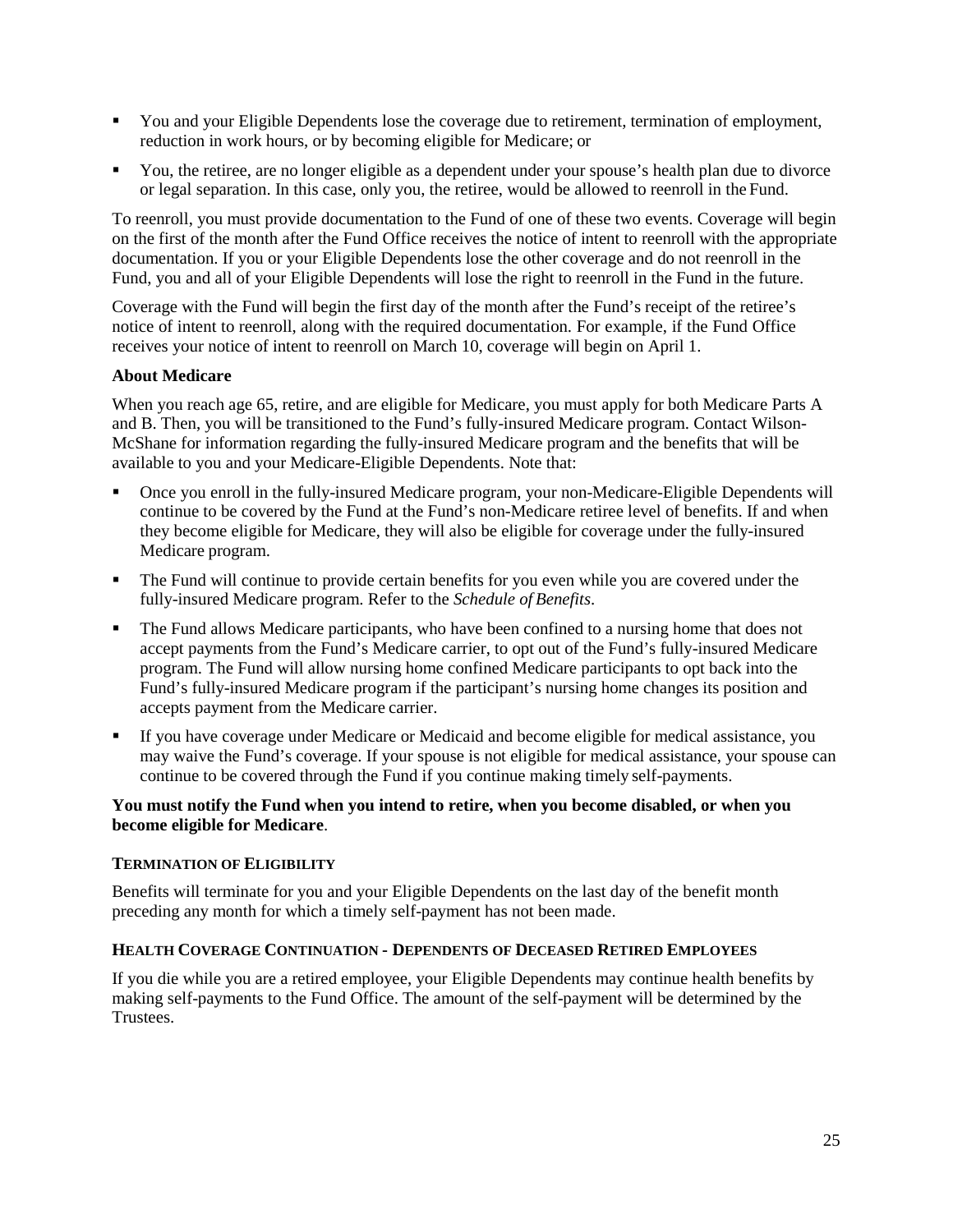- You and your Eligible Dependents lose the coverage due to retirement, termination of employment, reduction in work hours, or by becoming eligible for Medicare; or
- You, the retiree, are no longer eligible as a dependent under your spouse's health plan due to divorce or legal separation. In this case, only you, the retiree, would be allowed to reenroll in the Fund.

To reenroll, you must provide documentation to the Fund of one of these two events. Coverage will begin on the first of the month after the Fund Office receives the notice of intent to reenroll with the appropriate documentation. If you or your Eligible Dependents lose the other coverage and do not reenroll in the Fund, you and all of your Eligible Dependents will lose the right to reenroll in the Fund in the future.

Coverage with the Fund will begin the first day of the month after the Fund's receipt of the retiree's notice of intent to reenroll, along with the required documentation. For example, if the Fund Office receives your notice of intent to reenroll on March 10, coverage will begin on April 1.

# **About Medicare**

When you reach age 65, retire, and are eligible for Medicare, you must apply for both Medicare Parts A and B. Then, you will be transitioned to the Fund's fully-insured Medicare program. Contact Wilson-McShane for information regarding the fully-insured Medicare program and the benefits that will be available to you and your Medicare-Eligible Dependents. Note that:

- Once you enroll in the fully-insured Medicare program, your non-Medicare-Eligible Dependents will continue to be covered by the Fund at the Fund's non-Medicare retiree level of benefits. If and when they become eligible for Medicare, they will also be eligible for coverage under the fully-insured Medicare program.
- The Fund will continue to provide certain benefits for you even while you are covered under the fully-insured Medicare program. Refer to the *Schedule of Benefits*.
- The Fund allows Medicare participants, who have been confined to a nursing home that does not accept payments from the Fund's Medicare carrier, to opt out of the Fund's fully-insured Medicare program. The Fund will allow nursing home confined Medicare participants to opt back into the Fund's fully-insured Medicare program if the participant's nursing home changes its position and accepts payment from the Medicare carrier.
- If you have coverage under Medicare or Medicaid and become eligible for medical assistance, you may waive the Fund's coverage. If your spouse is not eligible for medical assistance, your spouse can continue to be covered through the Fund if you continue making timely self-payments.

#### **You must notify the Fund when you intend to retire, when you become disabled, or when you become eligible for Medicare**.

#### **TERMINATION OF ELIGIBILITY**

Benefits will terminate for you and your Eligible Dependents on the last day of the benefit month preceding any month for which a timely self-payment has not been made.

#### **HEALTH COVERAGE CONTINUATION - DEPENDENTS OF DECEASED RETIRED EMPLOYEES**

If you die while you are a retired employee, your Eligible Dependents may continue health benefits by making self-payments to the Fund Office. The amount of the self-payment will be determined by the Trustees.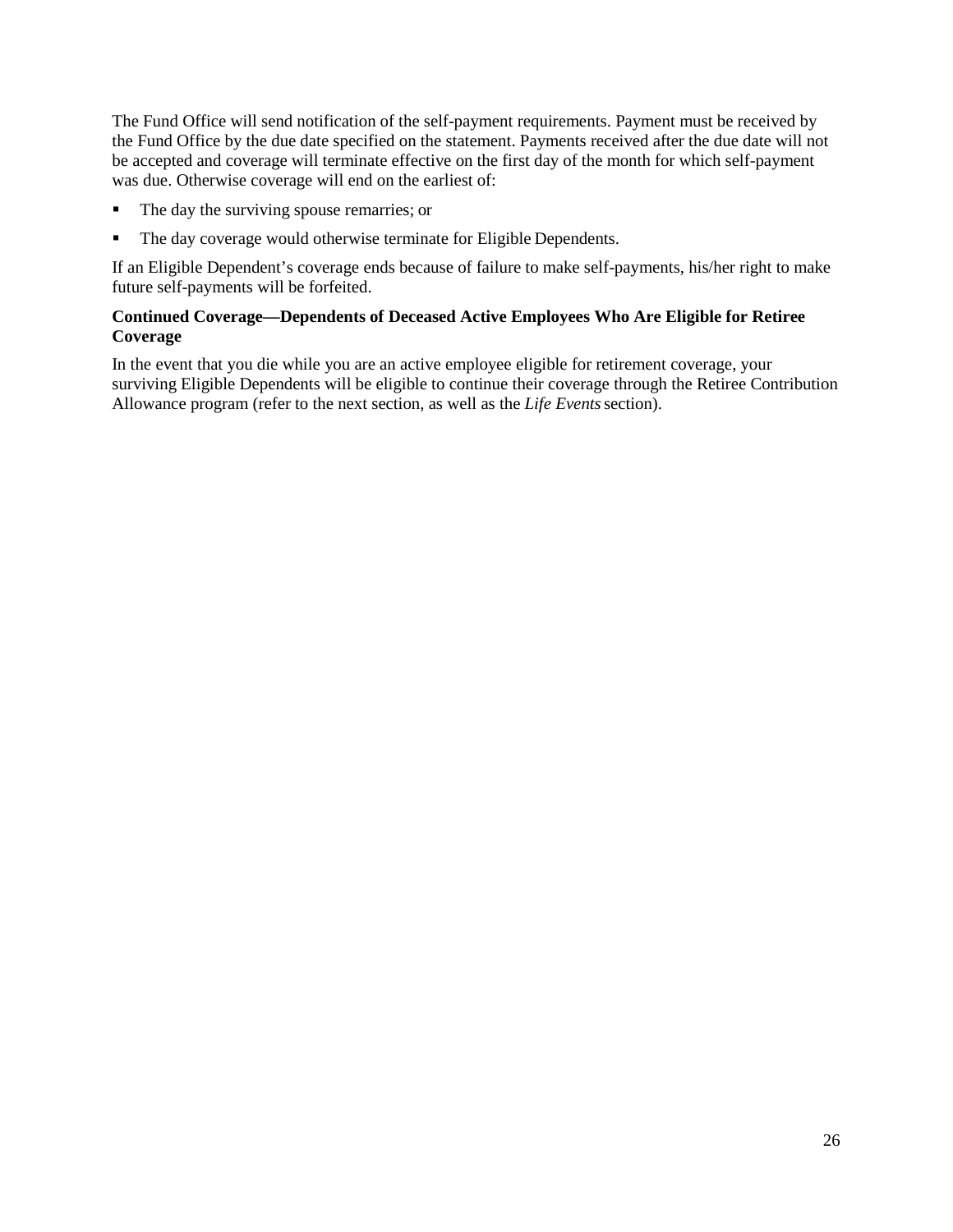The Fund Office will send notification of the self-payment requirements. Payment must be received by the Fund Office by the due date specified on the statement. Payments received after the due date will not be accepted and coverage will terminate effective on the first day of the month for which self-payment was due. Otherwise coverage will end on the earliest of:

- The day the surviving spouse remarries; or
- The day coverage would otherwise terminate for Eligible Dependents.

If an Eligible Dependent's coverage ends because of failure to make self-payments, his/her right to make future self-payments will be forfeited.

### **Continued Coverage—Dependents of Deceased Active Employees Who Are Eligible for Retiree Coverage**

In the event that you die while you are an active employee eligible for retirement coverage, your surviving Eligible Dependents will be eligible to continue their coverage through the Retiree Contribution Allowance program (refer to the next section, as well as the *Life Events*section).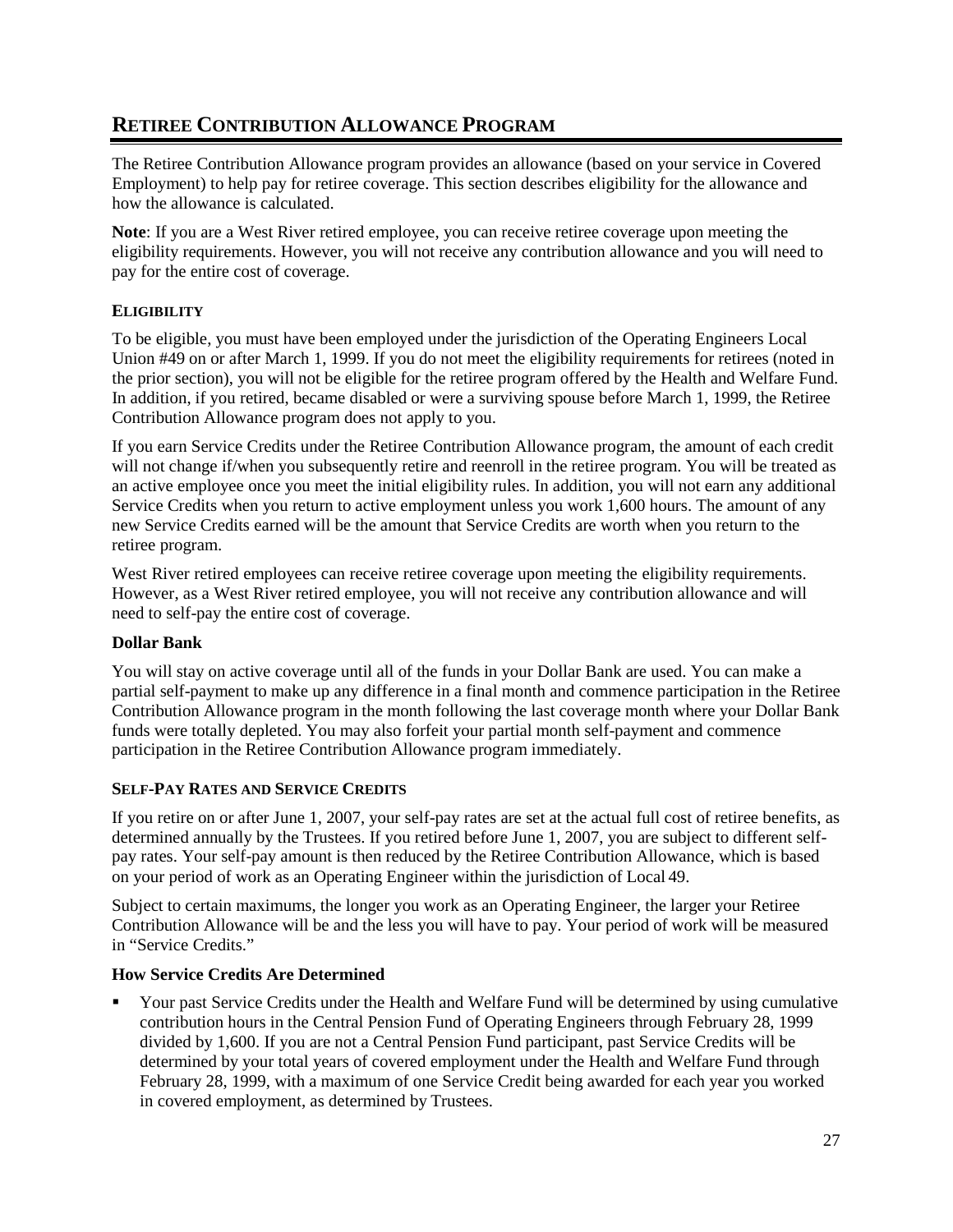# **RETIREE CONTRIBUTION ALLOWANCE PROGRAM**

The Retiree Contribution Allowance program provides an allowance (based on your service in Covered Employment) to help pay for retiree coverage. This section describes eligibility for the allowance and how the allowance is calculated.

**Note**: If you are a West River retired employee, you can receive retiree coverage upon meeting the eligibility requirements. However, you will not receive any contribution allowance and you will need to pay for the entire cost of coverage.

# **ELIGIBILITY**

To be eligible, you must have been employed under the jurisdiction of the Operating Engineers Local Union #49 on or after March 1, 1999. If you do not meet the eligibility requirements for retirees (noted in the prior section), you will not be eligible for the retiree program offered by the Health and Welfare Fund. In addition, if you retired, became disabled or were a surviving spouse before March 1, 1999, the Retiree Contribution Allowance program does not apply to you.

If you earn Service Credits under the Retiree Contribution Allowance program, the amount of each credit will not change if/when you subsequently retire and reenroll in the retiree program. You will be treated as an active employee once you meet the initial eligibility rules. In addition, you will not earn any additional Service Credits when you return to active employment unless you work 1,600 hours. The amount of any new Service Credits earned will be the amount that Service Credits are worth when you return to the retiree program.

West River retired employees can receive retiree coverage upon meeting the eligibility requirements. However, as a West River retired employee, you will not receive any contribution allowance and will need to self-pay the entire cost of coverage.

# **Dollar Bank**

You will stay on active coverage until all of the funds in your Dollar Bank are used. You can make a partial self-payment to make up any difference in a final month and commence participation in the Retiree Contribution Allowance program in the month following the last coverage month where your Dollar Bank funds were totally depleted. You may also forfeit your partial month self-payment and commence participation in the Retiree Contribution Allowance program immediately.

# **SELF-PAY RATES AND SERVICE CREDITS**

If you retire on or after June 1, 2007, your self-pay rates are set at the actual full cost of retiree benefits, as determined annually by the Trustees. If you retired before June 1, 2007, you are subject to different selfpay rates. Your self-pay amount is then reduced by the Retiree Contribution Allowance, which is based on your period of work as an Operating Engineer within the jurisdiction of Local 49.

Subject to certain maximums, the longer you work as an Operating Engineer, the larger your Retiree Contribution Allowance will be and the less you will have to pay. Your period of work will be measured in "Service Credits."

# **How Service Credits Are Determined**

 Your past Service Credits under the Health and Welfare Fund will be determined by using cumulative contribution hours in the Central Pension Fund of Operating Engineers through February 28, 1999 divided by 1,600. If you are not a Central Pension Fund participant, past Service Credits will be determined by your total years of covered employment under the Health and Welfare Fund through February 28, 1999, with a maximum of one Service Credit being awarded for each year you worked in covered employment, as determined by Trustees.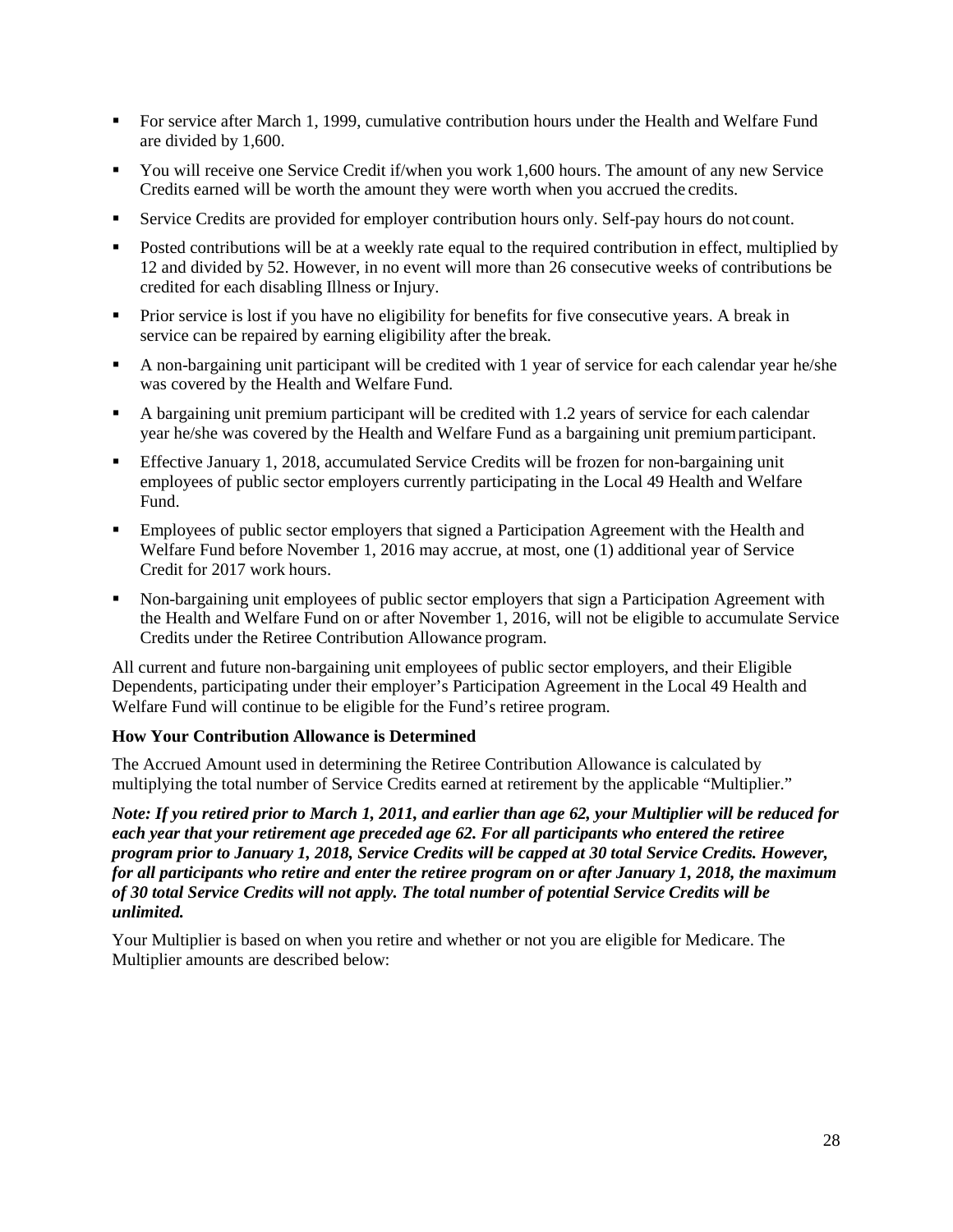- For service after March 1, 1999, cumulative contribution hours under the Health and Welfare Fund are divided by 1,600.
- You will receive one Service Credit if/when you work 1,600 hours. The amount of any new Service Credits earned will be worth the amount they were worth when you accrued the credits.
- Service Credits are provided for employer contribution hours only. Self-pay hours do not count.
- Posted contributions will be at a weekly rate equal to the required contribution in effect, multiplied by 12 and divided by 52. However, in no event will more than 26 consecutive weeks of contributions be credited for each disabling Illness or Injury.
- Prior service is lost if you have no eligibility for benefits for five consecutive years. A break in service can be repaired by earning eligibility after the break.
- A non-bargaining unit participant will be credited with 1 year of service for each calendar year he/she was covered by the Health and Welfare Fund.
- A bargaining unit premium participant will be credited with 1.2 years of service for each calendar year he/she was covered by the Health and Welfare Fund as a bargaining unit premiumparticipant.
- Effective January 1, 2018, accumulated Service Credits will be frozen for non-bargaining unit employees of public sector employers currently participating in the Local 49 Health and Welfare Fund.
- Employees of public sector employers that signed a Participation Agreement with the Health and Welfare Fund before November 1, 2016 may accrue, at most, one (1) additional year of Service Credit for 2017 work hours.
- Non-bargaining unit employees of public sector employers that sign a Participation Agreement with the Health and Welfare Fund on or after November 1, 2016, will not be eligible to accumulate Service Credits under the Retiree Contribution Allowance program.

All current and future non-bargaining unit employees of public sector employers, and their Eligible Dependents, participating under their employer's Participation Agreement in the Local 49 Health and Welfare Fund will continue to be eligible for the Fund's retiree program.

#### **How Your Contribution Allowance is Determined**

The Accrued Amount used in determining the Retiree Contribution Allowance is calculated by multiplying the total number of Service Credits earned at retirement by the applicable "Multiplier."

*Note: If you retired prior to March 1, 2011, and earlier than age 62, your Multiplier will be reduced for each year that your retirement age preceded age 62. For all participants who entered the retiree program prior to January 1, 2018, Service Credits will be capped at 30 total Service Credits. However, for all participants who retire and enter the retiree program on or after January 1, 2018, the maximum of 30 total Service Credits will not apply. The total number of potential Service Credits will be unlimited.*

Your Multiplier is based on when you retire and whether or not you are eligible for Medicare. The Multiplier amounts are described below: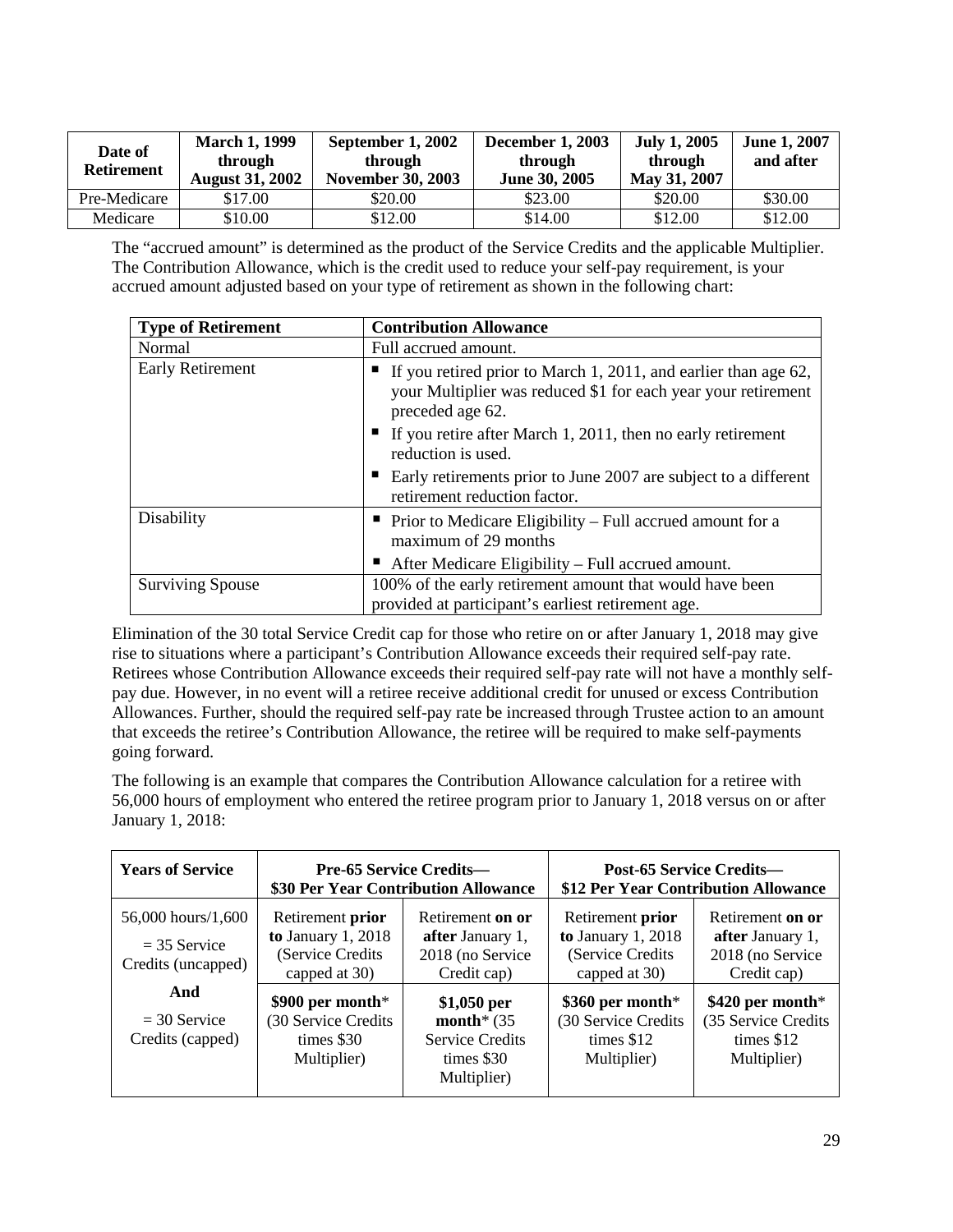| Date of<br><b>Retirement</b> | <b>March 1, 1999</b><br>through<br><b>August 31, 2002</b> | September 1, 2002<br>through<br><b>November 30, 2003</b> | <b>December 1, 2003</b><br>through<br>June 30, 2005 | <b>July 1, 2005</b><br>through<br>May 31, 2007 | June 1, 2007<br>and after |
|------------------------------|-----------------------------------------------------------|----------------------------------------------------------|-----------------------------------------------------|------------------------------------------------|---------------------------|
| Pre-Medicare                 | \$17.00                                                   | \$20.00                                                  | \$23.00                                             | \$20.00                                        | \$30.00                   |
| Medicare                     | \$10.00                                                   | \$12.00                                                  | \$14.00                                             | \$12.00                                        | \$12.00                   |

The "accrued amount" is determined as the product of the Service Credits and the applicable Multiplier. The Contribution Allowance, which is the credit used to reduce your self-pay requirement, is your accrued amount adjusted based on your type of retirement as shown in the following chart:

| <b>Type of Retirement</b> | <b>Contribution Allowance</b>                                                                                                                        |
|---------------------------|------------------------------------------------------------------------------------------------------------------------------------------------------|
| Normal                    | Full accrued amount.                                                                                                                                 |
| <b>Early Retirement</b>   | If you retired prior to March 1, 2011, and earlier than age 62,<br>your Multiplier was reduced \$1 for each year your retirement<br>preceded age 62. |
|                           | If you retire after March 1, 2011, then no early retirement<br>reduction is used.                                                                    |
|                           | Early retirements prior to June 2007 are subject to a different<br>retirement reduction factor.                                                      |
| Disability                | Prior to Medicare Eligibility – Full accrued amount for a<br>maximum of 29 months                                                                    |
|                           | After Medicare Eligibility – Full accrued amount.                                                                                                    |
| <b>Surviving Spouse</b>   | 100% of the early retirement amount that would have been                                                                                             |
|                           | provided at participant's earliest retirement age.                                                                                                   |

Elimination of the 30 total Service Credit cap for those who retire on or after January 1, 2018 may give rise to situations where a participant's Contribution Allowance exceeds their required self-pay rate. Retirees whose Contribution Allowance exceeds their required self-pay rate will not have a monthly selfpay due. However, in no event will a retiree receive additional credit for unused or excess Contribution Allowances. Further, should the required self-pay rate be increased through Trustee action to an amount that exceeds the retiree's Contribution Allowance, the retiree will be required to make self-payments going forward.

The following is an example that compares the Contribution Allowance calculation for a retiree with 56,000 hours of employment who entered the retiree program prior to January 1, 2018 versus on or after January 1, 2018:

| <b>Years of Service</b>                                    | <b>Pre-65 Service Credits—</b><br>\$30 Per Year Contribution Allowance         |                                                                                       | <b>Post-65 Service Credits—</b><br>\$12 Per Year Contribution Allowance        |                                                                         |
|------------------------------------------------------------|--------------------------------------------------------------------------------|---------------------------------------------------------------------------------------|--------------------------------------------------------------------------------|-------------------------------------------------------------------------|
| 56,000 hours/1,600<br>$=$ 35 Service<br>Credits (uncapped) | Retirement prior<br>to January $1, 2018$<br>(Service Credits)<br>capped at 30) | Retirement on or<br><b>after</b> January 1,<br>2018 (no Service<br>Credit cap)        | Retirement prior<br>to January $1, 2018$<br>(Service Credits)<br>capped at 30) | Retirement on or<br>after January 1,<br>2018 (no Service<br>Credit cap) |
| And<br>$=$ 30 Service<br>Credits (capped)                  | \$900 per month*<br>(30 Service Credits)<br>times \$30<br>Multiplier)          | $$1,050$ per<br>month* $(35)$<br><b>Service Credits</b><br>times $$30$<br>Multiplier) | \$360 per month*<br>(30 Service Credits<br>times \$12<br>Multiplier)           | \$420 per month*<br>(35 Service Credits<br>times \$12<br>Multiplier)    |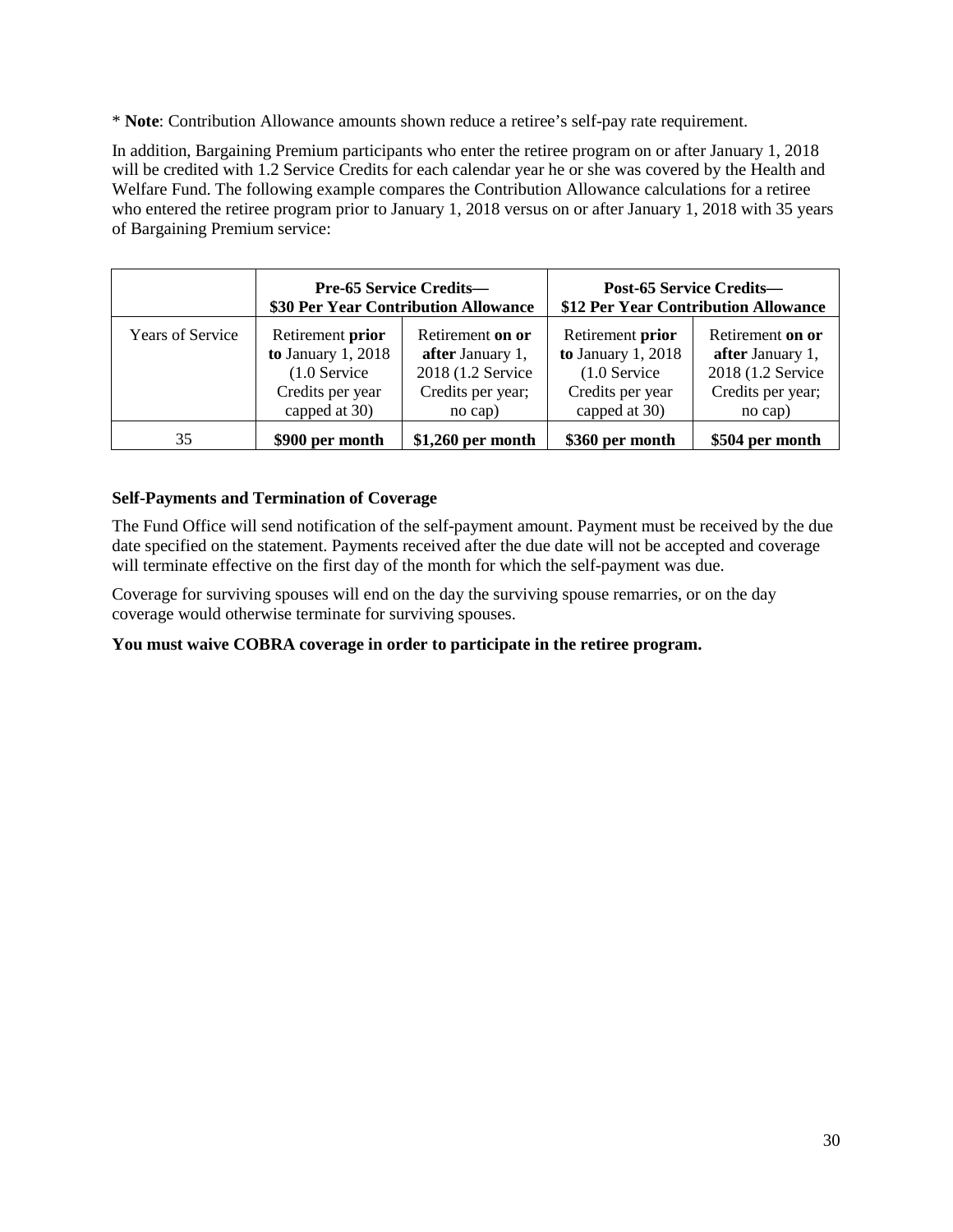\* **Note**: Contribution Allowance amounts shown reduce a retiree's self-pay rate requirement.

In addition, Bargaining Premium participants who enter the retiree program on or after January 1, 2018 will be credited with 1.2 Service Credits for each calendar year he or she was covered by the Health and Welfare Fund. The following example compares the Contribution Allowance calculations for a retiree who entered the retiree program prior to January 1, 2018 versus on or after January 1, 2018 with 35 years of Bargaining Premium service:

|                  | <b>Pre-65 Service Credits—</b><br>\$30 Per Year Contribution Allowance                          |                                                                                                  | <b>Post-65 Service Credits—</b><br>\$12 Per Year Contribution Allowance                         |                                                                                                  |
|------------------|-------------------------------------------------------------------------------------------------|--------------------------------------------------------------------------------------------------|-------------------------------------------------------------------------------------------------|--------------------------------------------------------------------------------------------------|
| Years of Service | Retirement prior<br>to January $1, 2018$<br>$(1.0$ Service<br>Credits per year<br>capped at 30) | Retirement on or<br><b>after January 1,</b><br>2018 (1.2 Service<br>Credits per year;<br>no cap) | Retirement prior<br>to January $1, 2018$<br>$(1.0$ Service<br>Credits per year<br>capped at 30) | Retirement on or<br><b>after January 1,</b><br>2018 (1.2 Service<br>Credits per year;<br>no cap) |
| 35               | \$900 per month                                                                                 | $$1,260$ per month                                                                               | \$360 per month                                                                                 | \$504 per month                                                                                  |

# **Self-Payments and Termination of Coverage**

The Fund Office will send notification of the self-payment amount. Payment must be received by the due date specified on the statement. Payments received after the due date will not be accepted and coverage will terminate effective on the first day of the month for which the self-payment was due.

Coverage for surviving spouses will end on the day the surviving spouse remarries, or on the day coverage would otherwise terminate for surviving spouses.

**You must waive COBRA coverage in order to participate in the retiree program.**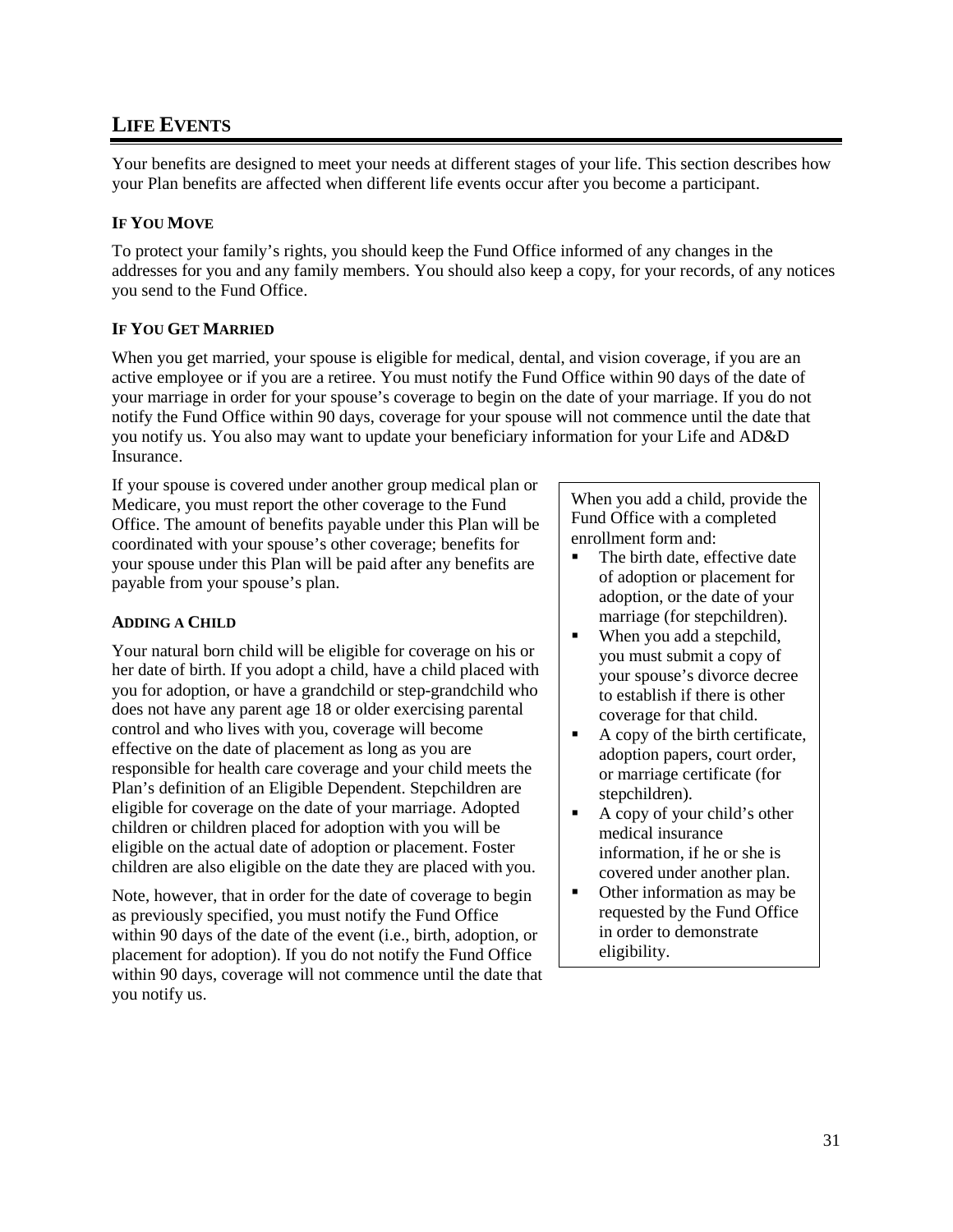## **LIFE EVENTS**

Your benefits are designed to meet your needs at different stages of your life. This section describes how your Plan benefits are affected when different life events occur after you become a participant.

## **IF YOU MOVE**

To protect your family's rights, you should keep the Fund Office informed of any changes in the addresses for you and any family members. You should also keep a copy, for your records, of any notices you send to the Fund Office.

## **IF YOU GET MARRIED**

When you get married, your spouse is eligible for medical, dental, and vision coverage, if you are an active employee or if you are a retiree. You must notify the Fund Office within 90 days of the date of your marriage in order for your spouse's coverage to begin on the date of your marriage. If you do not notify the Fund Office within 90 days, coverage for your spouse will not commence until the date that you notify us. You also may want to update your beneficiary information for your Life and AD&D Insurance.

If your spouse is covered under another group medical plan or Medicare, you must report the other coverage to the Fund Office. The amount of benefits payable under this Plan will be coordinated with your spouse's other coverage; benefits for your spouse under this Plan will be paid after any benefits are payable from your spouse's plan.

## **ADDING A CHILD**

Your natural born child will be eligible for coverage on his or her date of birth. If you adopt a child, have a child placed with you for adoption, or have a grandchild or step-grandchild who does not have any parent age 18 or older exercising parental control and who lives with you, coverage will become effective on the date of placement as long as you are responsible for health care coverage and your child meets the Plan's definition of an Eligible Dependent. Stepchildren are eligible for coverage on the date of your marriage. Adopted children or children placed for adoption with you will be eligible on the actual date of adoption or placement. Foster children are also eligible on the date they are placed with you.

Note, however, that in order for the date of coverage to begin as previously specified, you must notify the Fund Office within 90 days of the date of the event (i.e., birth, adoption, or placement for adoption). If you do not notify the Fund Office within 90 days, coverage will not commence until the date that you notify us.

When you add a child, provide the Fund Office with a completed enrollment form and:

- The birth date, effective date of adoption or placement for adoption, or the date of your marriage (for stepchildren).
- When you add a stepchild, you must submit a copy of your spouse's divorce decree to establish if there is other coverage for that child.
- A copy of the birth certificate, adoption papers, court order, or marriage certificate (for stepchildren).
- A copy of your child's other medical insurance information, if he or she is covered under another plan.
- Other information as may be requested by the Fund Office in order to demonstrate eligibility.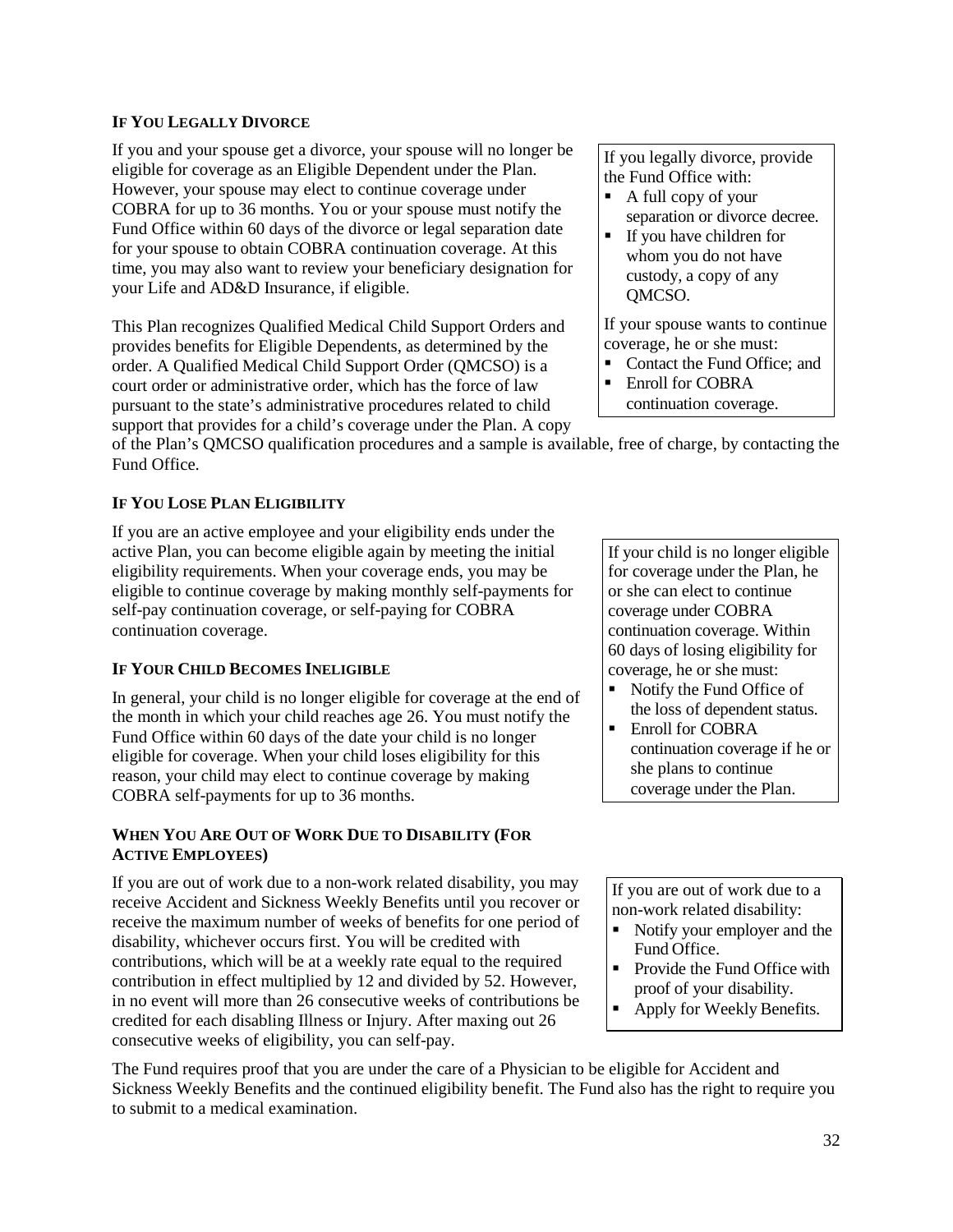#### **IF YOU LEGALLY DIVORCE**

If you and your spouse get a divorce, your spouse will no longer be eligible for coverage as an Eligible Dependent under the Plan. However, your spouse may elect to continue coverage under COBRA for up to 36 months. You or your spouse must notify the Fund Office within 60 days of the divorce or legal separation date for your spouse to obtain COBRA continuation coverage. At this time, you may also want to review your beneficiary designation for your Life and AD&D Insurance, if eligible.

This Plan recognizes Qualified Medical Child Support Orders and provides benefits for Eligible Dependents, as determined by the order. A Qualified Medical Child Support Order (QMCSO) is a court order or administrative order, which has the force of law pursuant to the state's administrative procedures related to child support that provides for a child's coverage under the Plan. A copy If you legally divorce, provide the Fund Office with:

- A full copy of your separation or divorce decree.
- If you have children for whom you do not have custody, a copy of any QMCSO.

If your spouse wants to continue coverage, he or she must:

• Contact the Fund Office; and **Enroll for COBRA** continuation coverage.

of the Plan's QMCSO qualification procedures and a sample is available, free of charge, by contacting the Fund Office.

### **IF YOU LOSE PLAN ELIGIBILITY**

If you are an active employee and your eligibility ends under the active Plan, you can become eligible again by meeting the initial eligibility requirements. When your coverage ends, you may be eligible to continue coverage by making monthly self-payments for self-pay continuation coverage, or self-paying for COBRA continuation coverage.

## **IF YOUR CHILD BECOMES INELIGIBLE**

In general, your child is no longer eligible for coverage at the end of the month in which your child reaches age 26. You must notify the Fund Office within 60 days of the date your child is no longer eligible for coverage. When your child loses eligibility for this reason, your child may elect to continue coverage by making COBRA self-payments for up to 36 months.

#### **WHEN YOU ARE OUT OF WORK DUE TO DISABILITY (FOR ACTIVE EMPLOYEES)**

If you are out of work due to a non-work related disability, you may receive Accident and Sickness Weekly Benefits until you recover or receive the maximum number of weeks of benefits for one period of disability, whichever occurs first. You will be credited with contributions, which will be at a weekly rate equal to the required contribution in effect multiplied by 12 and divided by 52. However, in no event will more than 26 consecutive weeks of contributions be credited for each disabling Illness or Injury. After maxing out 26 consecutive weeks of eligibility, you can self-pay.

If your child is no longer eligible for coverage under the Plan, he or she can elect to continue coverage under COBRA continuation coverage. Within 60 days of losing eligibility for coverage, he or she must:

- Notify the Fund Office of the loss of dependent status.
- **Enroll for COBRA** continuation coverage if he or she plans to continue coverage under the Plan.

If you are out of work due to a non-work related disability:

- Notify your employer and the Fund Office.
- Provide the Fund Office with proof of your disability.
- **Apply for Weekly Benefits.**

The Fund requires proof that you are under the care of a Physician to be eligible for Accident and Sickness Weekly Benefits and the continued eligibility benefit. The Fund also has the right to require you to submit to a medical examination.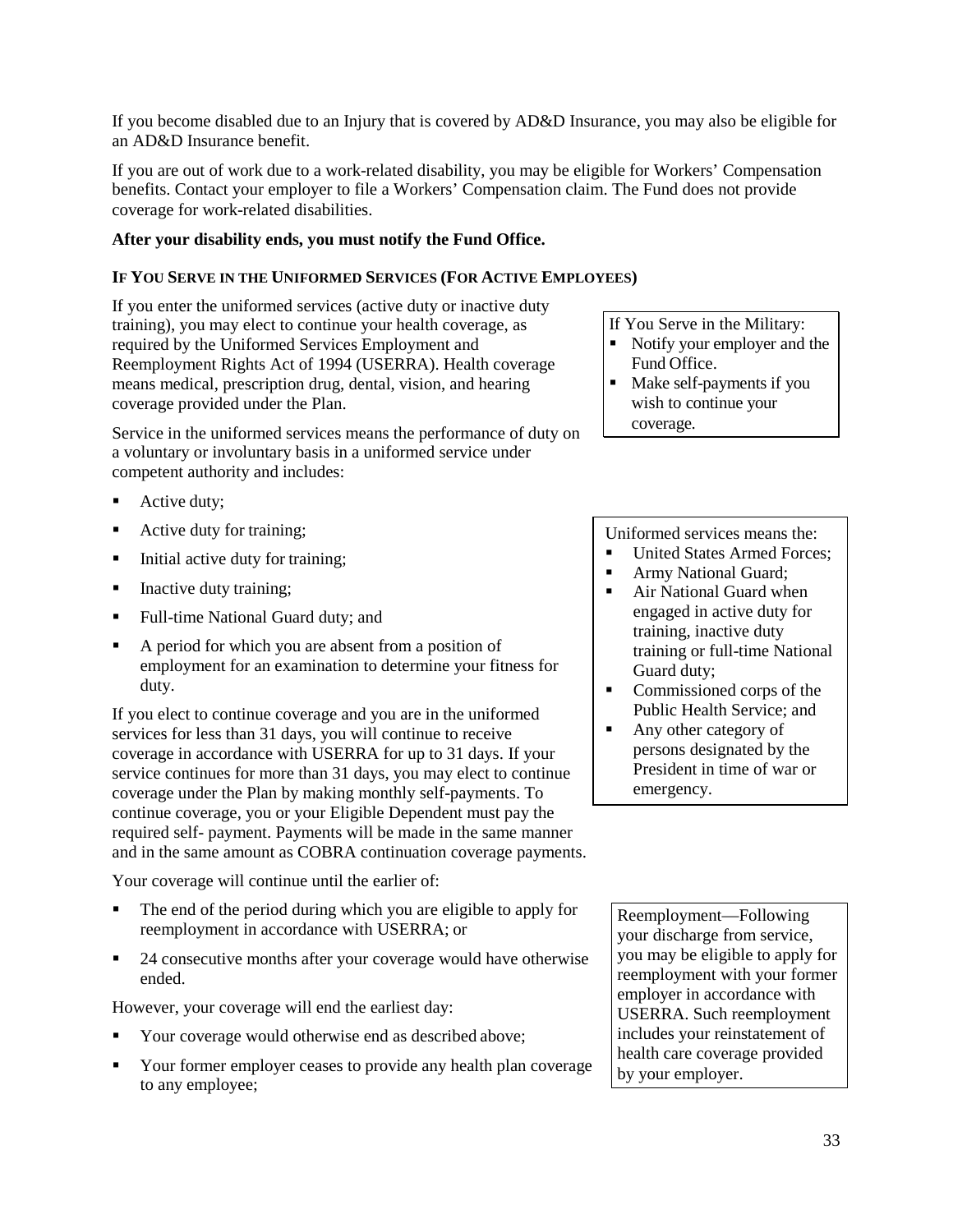If you become disabled due to an Injury that is covered by AD&D Insurance, you may also be eligible for an AD&D Insurance benefit.

If you are out of work due to a work-related disability, you may be eligible for Workers' Compensation benefits. Contact your employer to file a Workers' Compensation claim. The Fund does not provide coverage for work-related disabilities.

## **After your disability ends, you must notify the Fund Office.**

### **IF YOU SERVE IN THE UNIFORMED SERVICES (FOR ACTIVE EMPLOYEES)**

If you enter the uniformed services (active duty or inactive duty training), you may elect to continue your health coverage, as required by the Uniformed Services Employment and Reemployment Rights Act of 1994 (USERRA). Health coverage means medical, prescription drug, dental, vision, and hearing coverage provided under the Plan.

Service in the uniformed services means the performance of duty on a voluntary or involuntary basis in a uniformed service under competent authority and includes:

- Active duty;
- Active duty for training;
- Initial active duty for training;
- Inactive duty training;
- Full-time National Guard duty; and
- A period for which you are absent from a position of employment for an examination to determine your fitness for duty.

If you elect to continue coverage and you are in the uniformed services for less than 31 days, you will continue to receive coverage in accordance with USERRA for up to 31 days. If your service continues for more than 31 days, you may elect to continue coverage under the Plan by making monthly self-payments. To continue coverage, you or your Eligible Dependent must pay the required self- payment. Payments will be made in the same manner and in the same amount as COBRA continuation coverage payments.

Your coverage will continue until the earlier of:

- The end of the period during which you are eligible to apply for reemployment in accordance with USERRA; or
- 24 consecutive months after your coverage would have otherwise ended.

However, your coverage will end the earliest day:

- Your coverage would otherwise end as described above;
- Your former employer ceases to provide any health plan coverage to any employee;

If You Serve in the Military:

- Notify your employer and the Fund Office.
- Make self-payments if you wish to continue your coverage.

Uniformed services means the:

- United States Armed Forces;
- Army National Guard;
- Air National Guard when engaged in active duty for training, inactive duty training or full-time National Guard duty;
- Commissioned corps of the Public Health Service; and
- Any other category of persons designated by the President in time of war or emergency.

Reemployment—Following your discharge from service, you may be eligible to apply for reemployment with your former employer in accordance with USERRA. Such reemployment includes your reinstatement of health care coverage provided by your employer.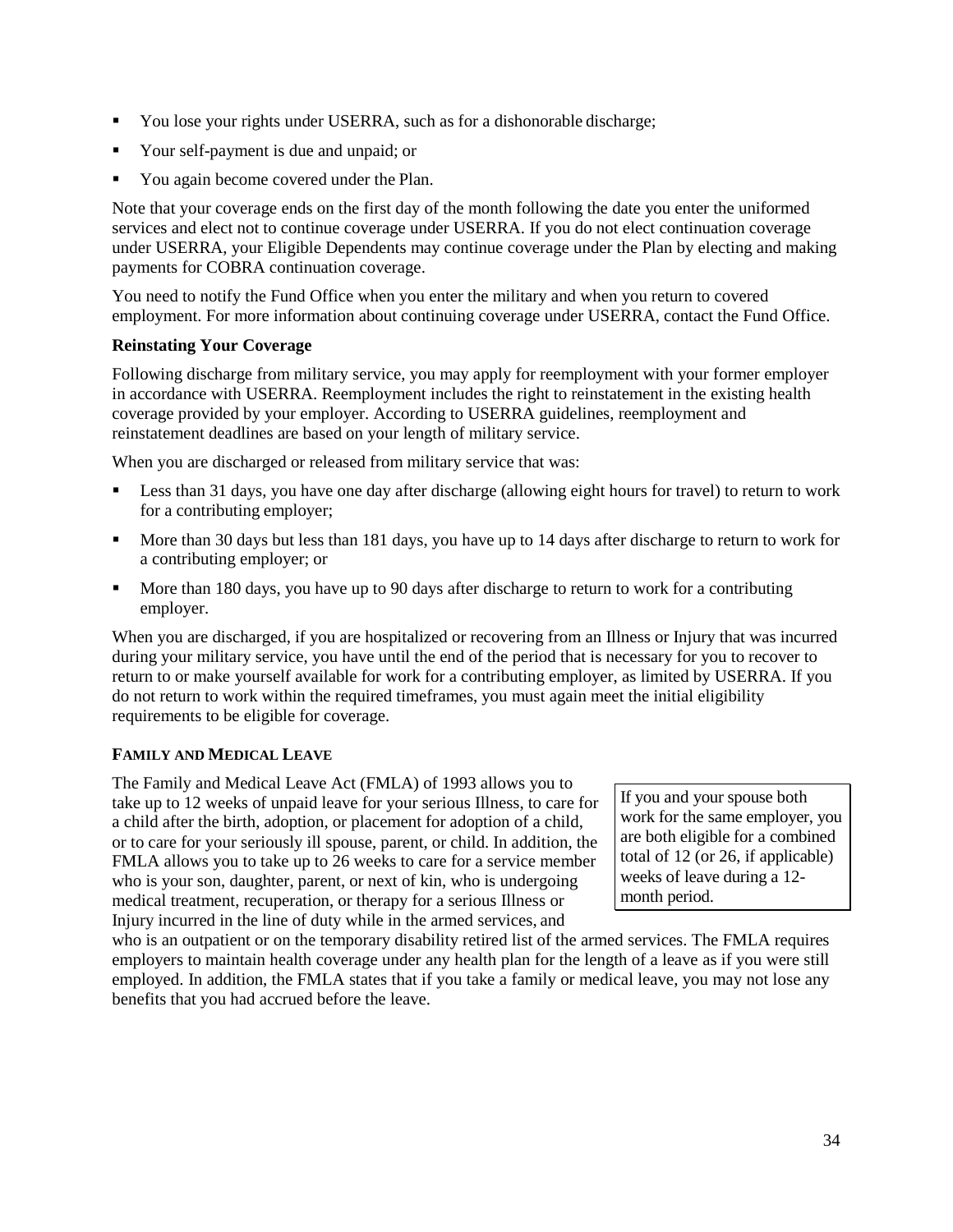- You lose your rights under USERRA, such as for a dishonorable discharge;
- Your self-payment is due and unpaid; or
- You again become covered under the Plan.

Note that your coverage ends on the first day of the month following the date you enter the uniformed services and elect not to continue coverage under USERRA. If you do not elect continuation coverage under USERRA, your Eligible Dependents may continue coverage under the Plan by electing and making payments for COBRA continuation coverage.

You need to notify the Fund Office when you enter the military and when you return to covered employment. For more information about continuing coverage under USERRA, contact the Fund Office.

### **Reinstating Your Coverage**

Following discharge from military service, you may apply for reemployment with your former employer in accordance with USERRA. Reemployment includes the right to reinstatement in the existing health coverage provided by your employer. According to USERRA guidelines, reemployment and reinstatement deadlines are based on your length of military service.

When you are discharged or released from military service that was:

- Less than 31 days, you have one day after discharge (allowing eight hours for travel) to return to work for a contributing employer;
- More than 30 days but less than 181 days, you have up to 14 days after discharge to return to work for a contributing employer; or
- More than 180 days, you have up to 90 days after discharge to return to work for a contributing employer.

When you are discharged, if you are hospitalized or recovering from an Illness or Injury that was incurred during your military service, you have until the end of the period that is necessary for you to recover to return to or make yourself available for work for a contributing employer, as limited by USERRA. If you do not return to work within the required timeframes, you must again meet the initial eligibility requirements to be eligible for coverage.

## **FAMILY AND MEDICAL LEAVE**

The Family and Medical Leave Act (FMLA) of 1993 allows you to take up to 12 weeks of unpaid leave for your serious Illness, to care for a child after the birth, adoption, or placement for adoption of a child, or to care for your seriously ill spouse, parent, or child. In addition, the FMLA allows you to take up to 26 weeks to care for a service member who is your son, daughter, parent, or next of kin, who is undergoing medical treatment, recuperation, or therapy for a serious Illness or Injury incurred in the line of duty while in the armed services, and

If you and your spouse both work for the same employer, you are both eligible for a combined total of 12 (or 26, if applicable) weeks of leave during a 12 month period.

who is an outpatient or on the temporary disability retired list of the armed services. The FMLA requires employers to maintain health coverage under any health plan for the length of a leave as if you were still employed. In addition, the FMLA states that if you take a family or medical leave, you may not lose any benefits that you had accrued before the leave.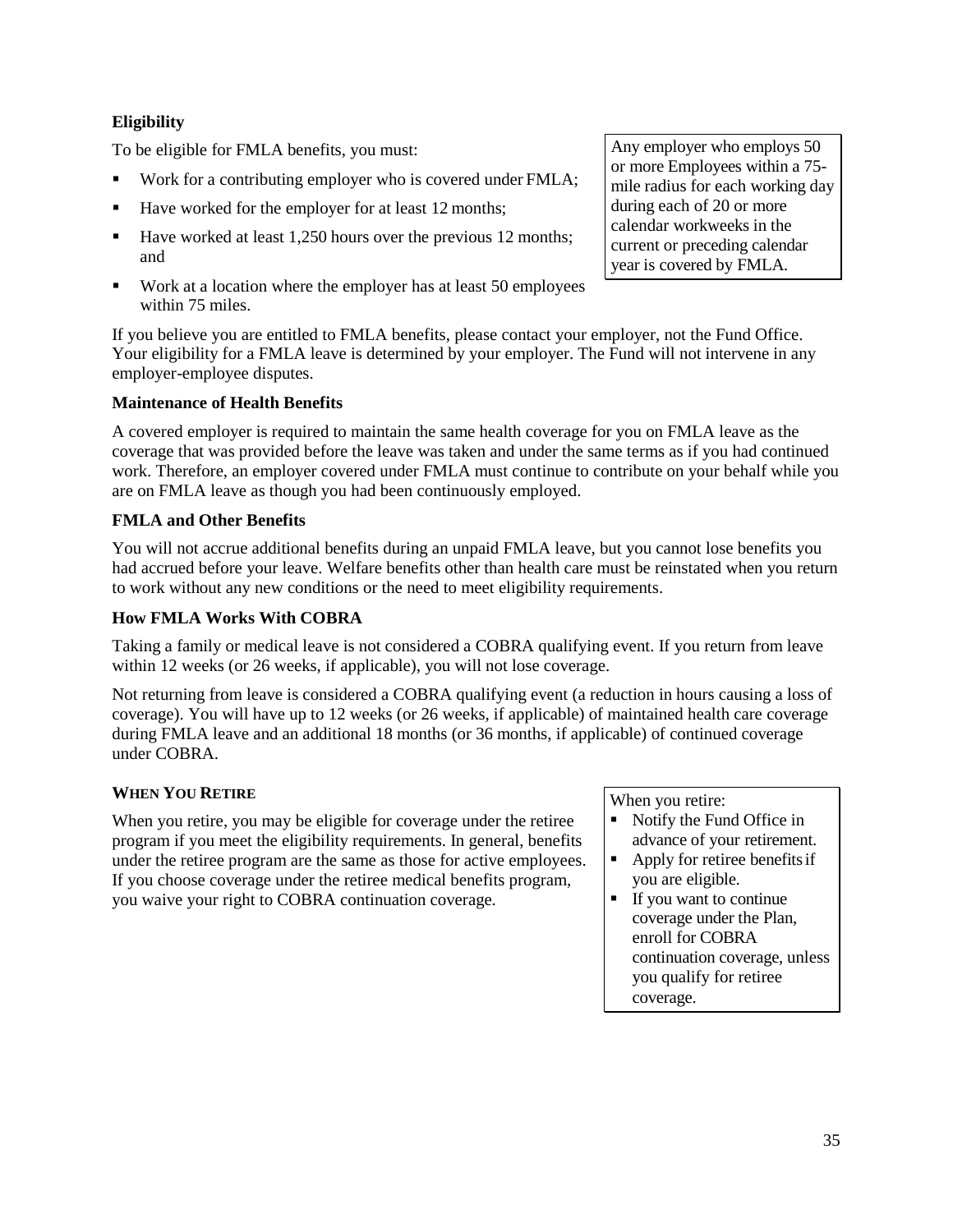## **Eligibility**

To be eligible for FMLA benefits, you must:

- Work for a contributing employer who is covered under FMLA;
- Have worked for the employer for at least 12 months;
- Have worked at least 1,250 hours over the previous 12 months; and
- Work at a location where the employer has at least 50 employees within 75 miles.

If you believe you are entitled to FMLA benefits, please contact your employer, not the Fund Office. Your eligibility for a FMLA leave is determined by your employer. The Fund will not intervene in any employer-employee disputes.

### **Maintenance of Health Benefits**

A covered employer is required to maintain the same health coverage for you on FMLA leave as the coverage that was provided before the leave was taken and under the same terms as if you had continued work. Therefore, an employer covered under FMLA must continue to contribute on your behalf while you are on FMLA leave as though you had been continuously employed.

#### **FMLA and Other Benefits**

You will not accrue additional benefits during an unpaid FMLA leave, but you cannot lose benefits you had accrued before your leave. Welfare benefits other than health care must be reinstated when you return to work without any new conditions or the need to meet eligibility requirements.

#### **How FMLA Works With COBRA**

Taking a family or medical leave is not considered a COBRA qualifying event. If you return from leave within 12 weeks (or 26 weeks, if applicable), you will not lose coverage.

Not returning from leave is considered a COBRA qualifying event (a reduction in hours causing a loss of coverage). You will have up to 12 weeks (or 26 weeks, if applicable) of maintained health care coverage during FMLA leave and an additional 18 months (or 36 months, if applicable) of continued coverage under COBRA.

## **WHEN YOU RETIRE**

When you retire, you may be eligible for coverage under the retiree program if you meet the eligibility requirements. In general, benefits under the retiree program are the same as those for active employees. If you choose coverage under the retiree medical benefits program, you waive your right to COBRA continuation coverage.

When you retire:

- Notify the Fund Office in advance of your retirement.
- Apply for retiree benefits if you are eligible.
- $\blacksquare$  If you want to continue coverage under the Plan, enroll for COBRA continuation coverage, unless you qualify for retiree coverage.

Any employer who employs 50 or more Employees within a 75 mile radius for each working day during each of 20 or more calendar workweeks in the current or preceding calendar year is covered by FMLA.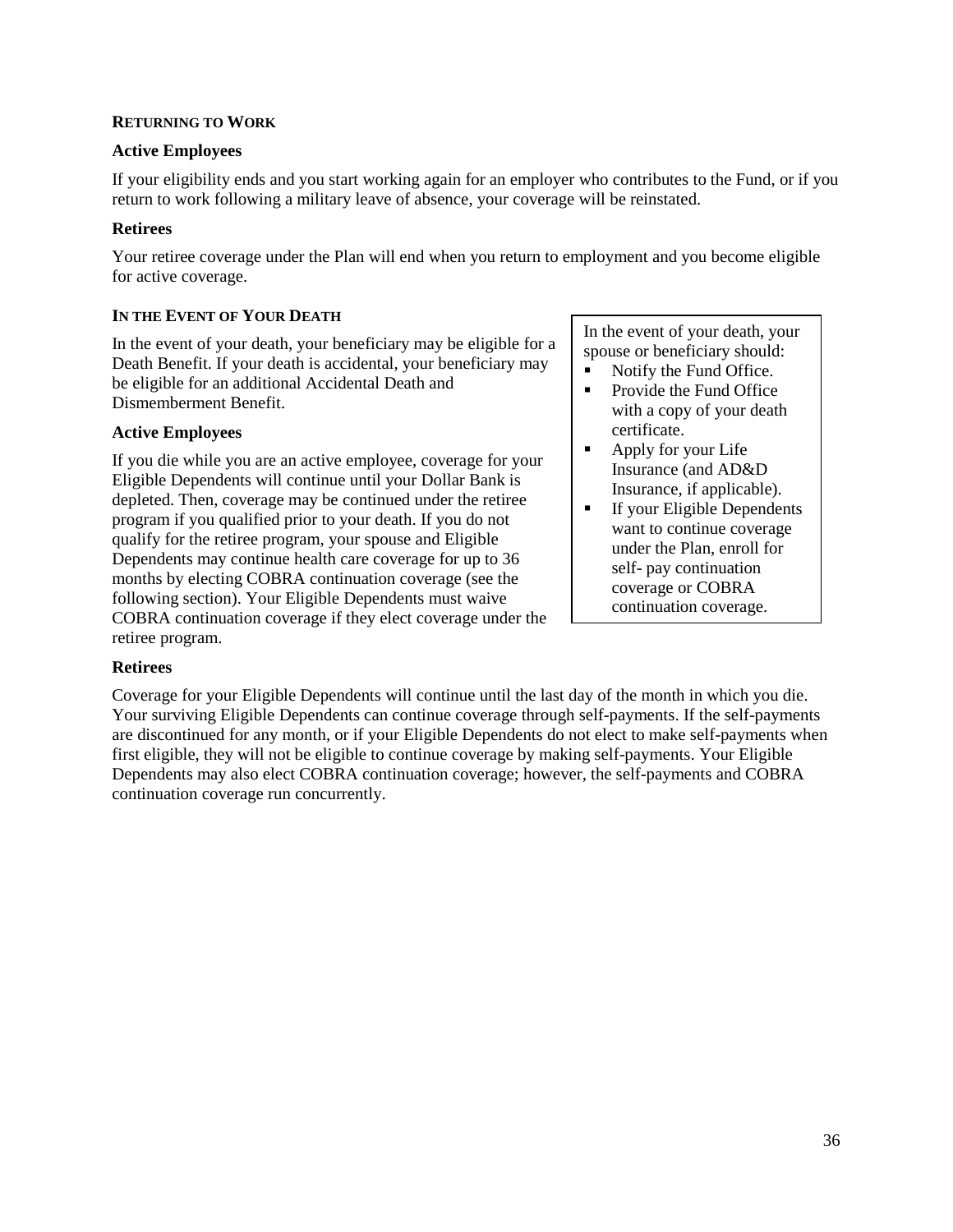#### **RETURNING TO WORK**

#### **Active Employees**

If your eligibility ends and you start working again for an employer who contributes to the Fund, or if you return to work following a military leave of absence, your coverage will be reinstated.

### **Retirees**

Your retiree coverage under the Plan will end when you return to employment and you become eligible for active coverage.

### **IN THE EVENT OF YOUR DEATH**

In the event of your death, your beneficiary may be eligible for a Death Benefit. If your death is accidental, your beneficiary may be eligible for an additional Accidental Death and Dismemberment Benefit.

### **Active Employees**

If you die while you are an active employee, coverage for your Eligible Dependents will continue until your Dollar Bank is depleted. Then, coverage may be continued under the retiree program if you qualified prior to your death. If you do not qualify for the retiree program, your spouse and Eligible Dependents may continue health care coverage for up to 36 months by electing COBRA continuation coverage (see the following section). Your Eligible Dependents must waive COBRA continuation coverage if they elect coverage under the retiree program.

In the event of your death, your spouse or beneficiary should:

- Notify the Fund Office.
- Provide the Fund Office with a copy of your death certificate.
- Apply for your Life Insurance (and AD&D Insurance, if applicable).
- **If your Eligible Dependents** want to continue coverage under the Plan, enroll for self- pay continuation coverage or COBRA continuation coverage.

#### **Retirees**

Coverage for your Eligible Dependents will continue until the last day of the month in which you die. Your surviving Eligible Dependents can continue coverage through self-payments. If the self-payments are discontinued for any month, or if your Eligible Dependents do not elect to make self-payments when first eligible, they will not be eligible to continue coverage by making self-payments. Your Eligible Dependents may also elect COBRA continuation coverage; however, the self-payments and COBRA continuation coverage run concurrently.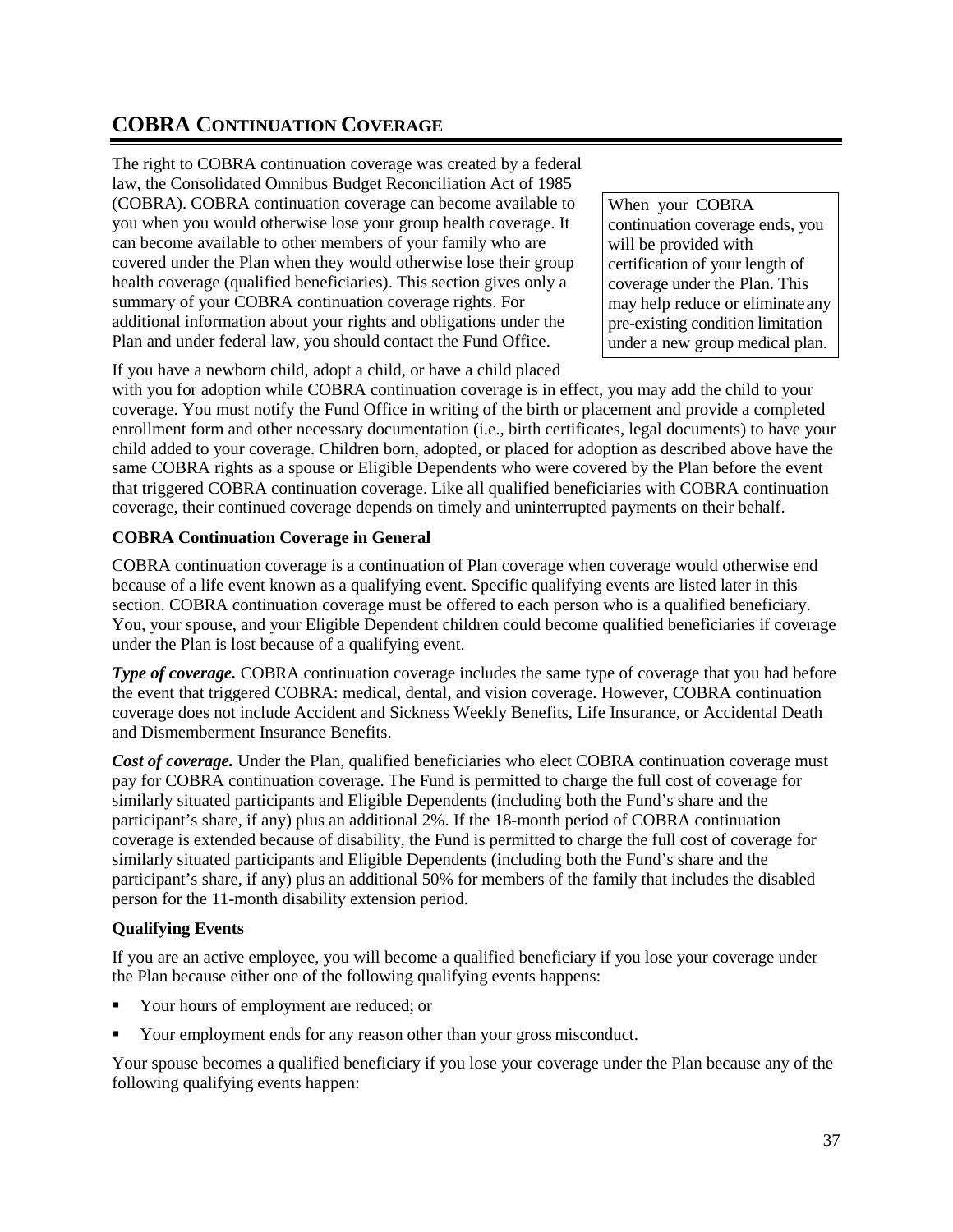# **COBRA CONTINUATION COVERAGE**

The right to COBRA continuation coverage was created by a federal law, the Consolidated Omnibus Budget Reconciliation Act of 1985 (COBRA). COBRA continuation coverage can become available to you when you would otherwise lose your group health coverage. It can become available to other members of your family who are covered under the Plan when they would otherwise lose their group health coverage (qualified beneficiaries). This section gives only a summary of your COBRA continuation coverage rights. For additional information about your rights and obligations under the Plan and under federal law, you should contact the Fund Office.

When your COBRA continuation coverage ends, you will be provided with certification of your length of coverage under the Plan. This may help reduce or eliminateany pre-existing condition limitation under a new group medical plan.

If you have a newborn child, adopt a child, or have a child placed

with you for adoption while COBRA continuation coverage is in effect, you may add the child to your coverage. You must notify the Fund Office in writing of the birth or placement and provide a completed enrollment form and other necessary documentation (i.e., birth certificates, legal documents) to have your child added to your coverage. Children born, adopted, or placed for adoption as described above have the same COBRA rights as a spouse or Eligible Dependents who were covered by the Plan before the event that triggered COBRA continuation coverage. Like all qualified beneficiaries with COBRA continuation coverage, their continued coverage depends on timely and uninterrupted payments on their behalf.

### **COBRA Continuation Coverage in General**

COBRA continuation coverage is a continuation of Plan coverage when coverage would otherwise end because of a life event known as a qualifying event. Specific qualifying events are listed later in this section. COBRA continuation coverage must be offered to each person who is a qualified beneficiary. You, your spouse, and your Eligible Dependent children could become qualified beneficiaries if coverage under the Plan is lost because of a qualifying event.

*Type of coverage.* COBRA continuation coverage includes the same type of coverage that you had before the event that triggered COBRA: medical, dental, and vision coverage. However, COBRA continuation coverage does not include Accident and Sickness Weekly Benefits, Life Insurance, or Accidental Death and Dismemberment Insurance Benefits.

*Cost of coverage.* Under the Plan, qualified beneficiaries who elect COBRA continuation coverage must pay for COBRA continuation coverage. The Fund is permitted to charge the full cost of coverage for similarly situated participants and Eligible Dependents (including both the Fund's share and the participant's share, if any) plus an additional 2%. If the 18-month period of COBRA continuation coverage is extended because of disability, the Fund is permitted to charge the full cost of coverage for similarly situated participants and Eligible Dependents (including both the Fund's share and the participant's share, if any) plus an additional 50% for members of the family that includes the disabled person for the 11-month disability extension period.

## **Qualifying Events**

If you are an active employee, you will become a qualified beneficiary if you lose your coverage under the Plan because either one of the following qualifying events happens:

- Your hours of employment are reduced; or
- Your employment ends for any reason other than your gross misconduct.

Your spouse becomes a qualified beneficiary if you lose your coverage under the Plan because any of the following qualifying events happen: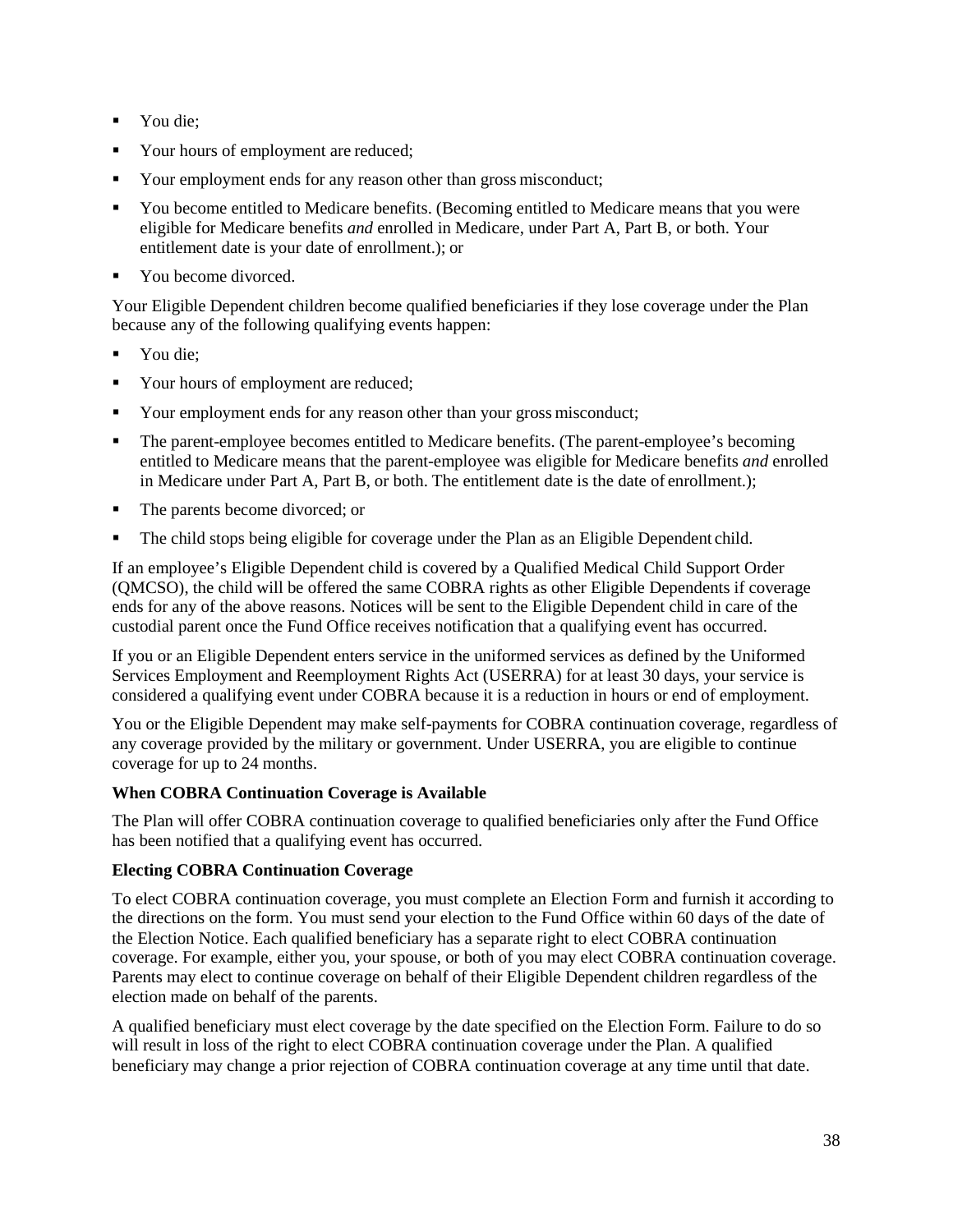- You die;
- Your hours of employment are reduced;
- Your employment ends for any reason other than gross misconduct;
- You become entitled to Medicare benefits. (Becoming entitled to Medicare means that you were eligible for Medicare benefits *and* enrolled in Medicare, under Part A, Part B, or both. Your entitlement date is your date of enrollment.); or
- You become divorced.

Your Eligible Dependent children become qualified beneficiaries if they lose coverage under the Plan because any of the following qualifying events happen:

- You die:
- Your hours of employment are reduced;
- Your employment ends for any reason other than your gross misconduct;
- The parent-employee becomes entitled to Medicare benefits. (The parent-employee's becoming entitled to Medicare means that the parent-employee was eligible for Medicare benefits *and* enrolled in Medicare under Part A, Part B, or both. The entitlement date is the date of enrollment.);
- The parents become divorced; or
- The child stops being eligible for coverage under the Plan as an Eligible Dependent child.

If an employee's Eligible Dependent child is covered by a Qualified Medical Child Support Order (QMCSO), the child will be offered the same COBRA rights as other Eligible Dependents if coverage ends for any of the above reasons. Notices will be sent to the Eligible Dependent child in care of the custodial parent once the Fund Office receives notification that a qualifying event has occurred.

If you or an Eligible Dependent enters service in the uniformed services as defined by the Uniformed Services Employment and Reemployment Rights Act (USERRA) for at least 30 days, your service is considered a qualifying event under COBRA because it is a reduction in hours or end of employment.

You or the Eligible Dependent may make self-payments for COBRA continuation coverage, regardless of any coverage provided by the military or government. Under USERRA, you are eligible to continue coverage for up to 24 months.

## **When COBRA Continuation Coverage is Available**

The Plan will offer COBRA continuation coverage to qualified beneficiaries only after the Fund Office has been notified that a qualifying event has occurred.

## **Electing COBRA Continuation Coverage**

To elect COBRA continuation coverage, you must complete an Election Form and furnish it according to the directions on the form. You must send your election to the Fund Office within 60 days of the date of the Election Notice. Each qualified beneficiary has a separate right to elect COBRA continuation coverage. For example, either you, your spouse, or both of you may elect COBRA continuation coverage. Parents may elect to continue coverage on behalf of their Eligible Dependent children regardless of the election made on behalf of the parents.

A qualified beneficiary must elect coverage by the date specified on the Election Form. Failure to do so will result in loss of the right to elect COBRA continuation coverage under the Plan. A qualified beneficiary may change a prior rejection of COBRA continuation coverage at any time until that date.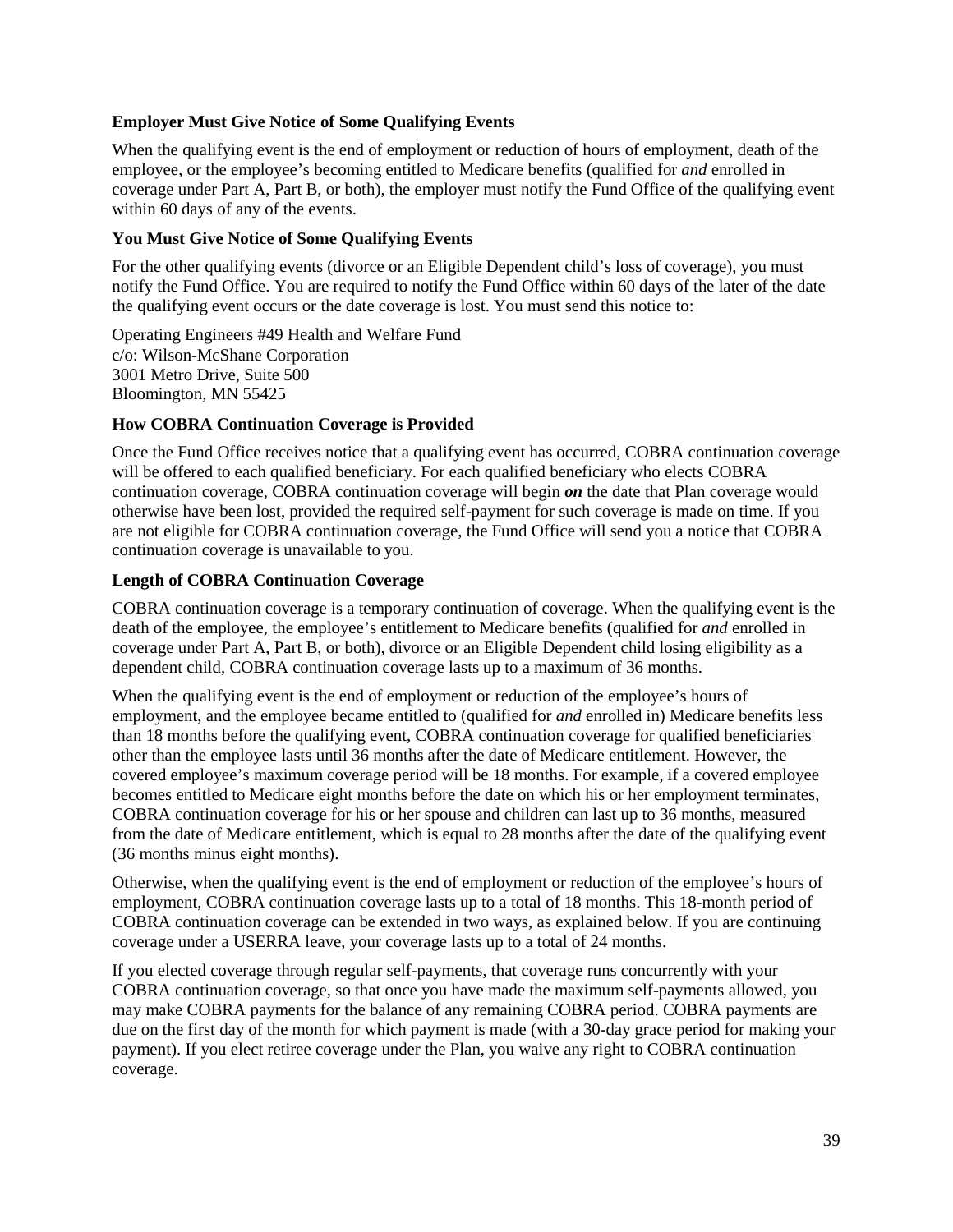#### **Employer Must Give Notice of Some Qualifying Events**

When the qualifying event is the end of employment or reduction of hours of employment, death of the employee, or the employee's becoming entitled to Medicare benefits (qualified for *and* enrolled in coverage under Part A, Part B, or both), the employer must notify the Fund Office of the qualifying event within 60 days of any of the events.

## **You Must Give Notice of Some Qualifying Events**

For the other qualifying events (divorce or an Eligible Dependent child's loss of coverage), you must notify the Fund Office. You are required to notify the Fund Office within 60 days of the later of the date the qualifying event occurs or the date coverage is lost. You must send this notice to:

Operating Engineers #49 Health and Welfare Fund c/o: Wilson-McShane Corporation 3001 Metro Drive, Suite 500 Bloomington, MN 55425

#### **How COBRA Continuation Coverage is Provided**

Once the Fund Office receives notice that a qualifying event has occurred, COBRA continuation coverage will be offered to each qualified beneficiary. For each qualified beneficiary who elects COBRA continuation coverage, COBRA continuation coverage will begin *on* the date that Plan coverage would otherwise have been lost, provided the required self-payment for such coverage is made on time. If you are not eligible for COBRA continuation coverage, the Fund Office will send you a notice that COBRA continuation coverage is unavailable to you.

#### **Length of COBRA Continuation Coverage**

COBRA continuation coverage is a temporary continuation of coverage. When the qualifying event is the death of the employee, the employee's entitlement to Medicare benefits (qualified for *and* enrolled in coverage under Part A, Part B, or both), divorce or an Eligible Dependent child losing eligibility as a dependent child, COBRA continuation coverage lasts up to a maximum of 36 months.

When the qualifying event is the end of employment or reduction of the employee's hours of employment, and the employee became entitled to (qualified for *and* enrolled in) Medicare benefits less than 18 months before the qualifying event, COBRA continuation coverage for qualified beneficiaries other than the employee lasts until 36 months after the date of Medicare entitlement. However, the covered employee's maximum coverage period will be 18 months. For example, if a covered employee becomes entitled to Medicare eight months before the date on which his or her employment terminates, COBRA continuation coverage for his or her spouse and children can last up to 36 months, measured from the date of Medicare entitlement, which is equal to 28 months after the date of the qualifying event (36 months minus eight months).

Otherwise, when the qualifying event is the end of employment or reduction of the employee's hours of employment, COBRA continuation coverage lasts up to a total of 18 months. This 18-month period of COBRA continuation coverage can be extended in two ways, as explained below. If you are continuing coverage under a USERRA leave, your coverage lasts up to a total of 24 months.

If you elected coverage through regular self-payments, that coverage runs concurrently with your COBRA continuation coverage, so that once you have made the maximum self-payments allowed, you may make COBRA payments for the balance of any remaining COBRA period. COBRA payments are due on the first day of the month for which payment is made (with a 30-day grace period for making your payment). If you elect retiree coverage under the Plan, you waive any right to COBRA continuation coverage.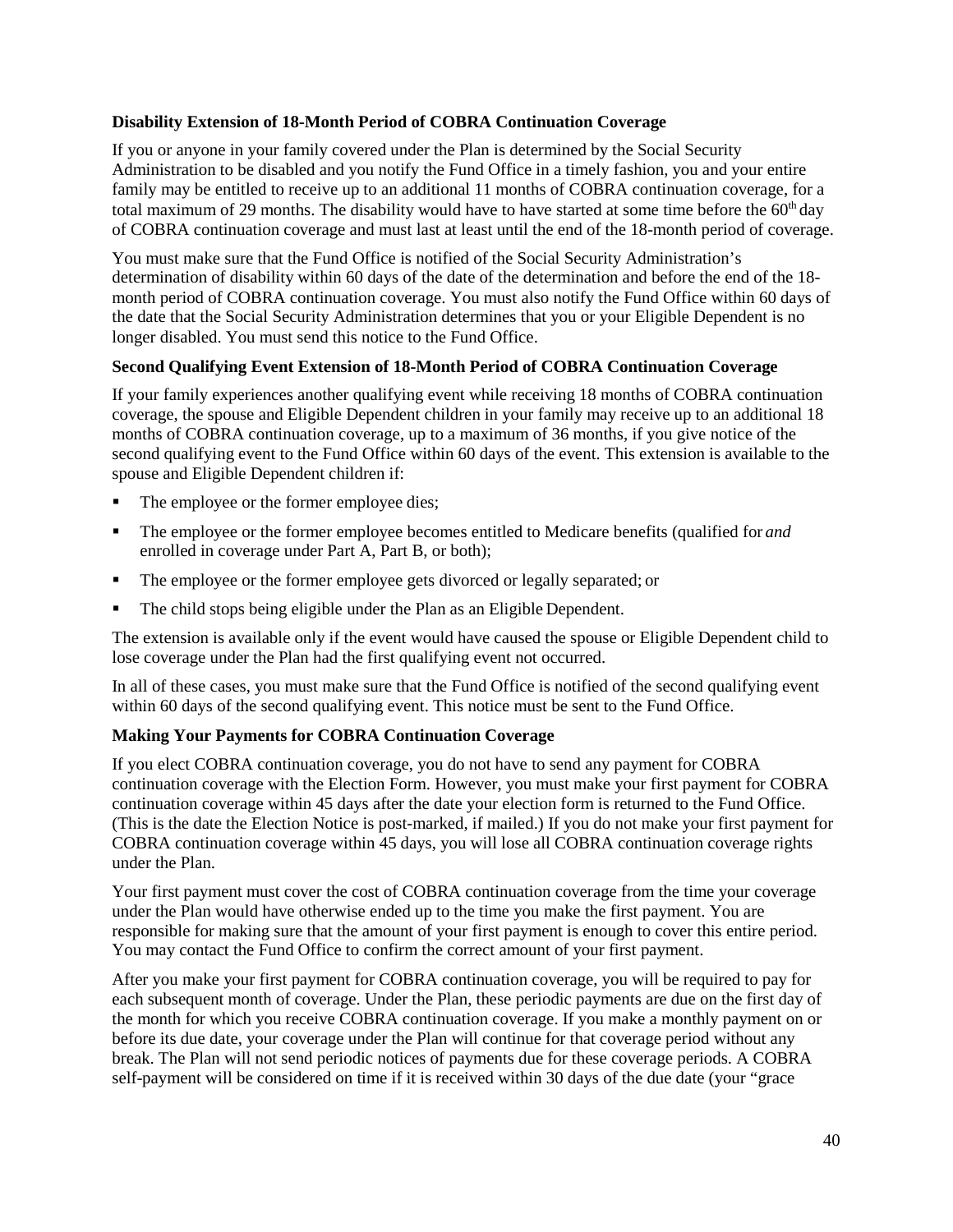#### **Disability Extension of 18-Month Period of COBRA Continuation Coverage**

If you or anyone in your family covered under the Plan is determined by the Social Security Administration to be disabled and you notify the Fund Office in a timely fashion, you and your entire family may be entitled to receive up to an additional 11 months of COBRA continuation coverage, for a total maximum of 29 months. The disability would have to have started at some time before the  $60<sup>th</sup>$  day of COBRA continuation coverage and must last at least until the end of the 18-month period of coverage.

You must make sure that the Fund Office is notified of the Social Security Administration's determination of disability within 60 days of the date of the determination and before the end of the 18 month period of COBRA continuation coverage. You must also notify the Fund Office within 60 days of the date that the Social Security Administration determines that you or your Eligible Dependent is no longer disabled. You must send this notice to the Fund Office.

#### **Second Qualifying Event Extension of 18-Month Period of COBRA Continuation Coverage**

If your family experiences another qualifying event while receiving 18 months of COBRA continuation coverage, the spouse and Eligible Dependent children in your family may receive up to an additional 18 months of COBRA continuation coverage, up to a maximum of 36 months, if you give notice of the second qualifying event to the Fund Office within 60 days of the event. This extension is available to the spouse and Eligible Dependent children if:

- The employee or the former employee dies;
- The employee or the former employee becomes entitled to Medicare benefits (qualified for *and* enrolled in coverage under Part A, Part B, or both);
- The employee or the former employee gets divorced or legally separated; or
- The child stops being eligible under the Plan as an Eligible Dependent.

The extension is available only if the event would have caused the spouse or Eligible Dependent child to lose coverage under the Plan had the first qualifying event not occurred.

In all of these cases, you must make sure that the Fund Office is notified of the second qualifying event within 60 days of the second qualifying event. This notice must be sent to the Fund Office.

## **Making Your Payments for COBRA Continuation Coverage**

If you elect COBRA continuation coverage, you do not have to send any payment for COBRA continuation coverage with the Election Form. However, you must make your first payment for COBRA continuation coverage within 45 days after the date your election form is returned to the Fund Office. (This is the date the Election Notice is post-marked, if mailed.) If you do not make your first payment for COBRA continuation coverage within 45 days, you will lose all COBRA continuation coverage rights under the Plan.

Your first payment must cover the cost of COBRA continuation coverage from the time your coverage under the Plan would have otherwise ended up to the time you make the first payment. You are responsible for making sure that the amount of your first payment is enough to cover this entire period. You may contact the Fund Office to confirm the correct amount of your first payment.

After you make your first payment for COBRA continuation coverage, you will be required to pay for each subsequent month of coverage. Under the Plan, these periodic payments are due on the first day of the month for which you receive COBRA continuation coverage. If you make a monthly payment on or before its due date, your coverage under the Plan will continue for that coverage period without any break. The Plan will not send periodic notices of payments due for these coverage periods. A COBRA self-payment will be considered on time if it is received within 30 days of the due date (your "grace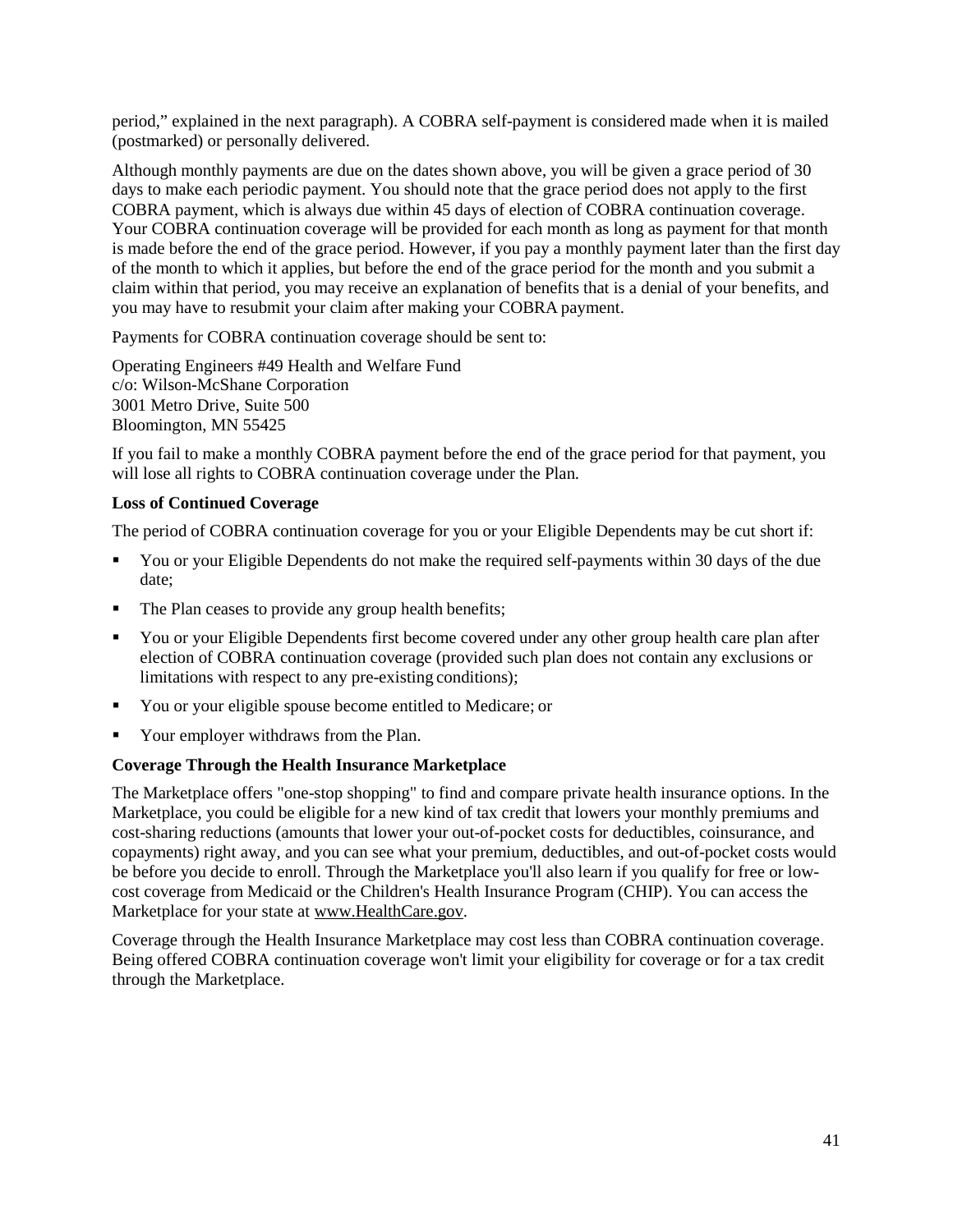period," explained in the next paragraph). A COBRA self-payment is considered made when it is mailed (postmarked) or personally delivered.

Although monthly payments are due on the dates shown above, you will be given a grace period of 30 days to make each periodic payment. You should note that the grace period does not apply to the first COBRA payment, which is always due within 45 days of election of COBRA continuation coverage. Your COBRA continuation coverage will be provided for each month as long as payment for that month is made before the end of the grace period. However, if you pay a monthly payment later than the first day of the month to which it applies, but before the end of the grace period for the month and you submit a claim within that period, you may receive an explanation of benefits that is a denial of your benefits, and you may have to resubmit your claim after making your COBRA payment.

Payments for COBRA continuation coverage should be sent to:

Operating Engineers #49 Health and Welfare Fund c/o: Wilson-McShane Corporation 3001 Metro Drive, Suite 500 Bloomington, MN 55425

If you fail to make a monthly COBRA payment before the end of the grace period for that payment, you will lose all rights to COBRA continuation coverage under the Plan.

## **Loss of Continued Coverage**

The period of COBRA continuation coverage for you or your Eligible Dependents may be cut short if:

- You or your Eligible Dependents do not make the required self-payments within 30 days of the due date;
- The Plan ceases to provide any group health benefits;
- You or your Eligible Dependents first become covered under any other group health care plan after election of COBRA continuation coverage (provided such plan does not contain any exclusions or limitations with respect to any pre-existing conditions);
- You or your eligible spouse become entitled to Medicare; or
- Your employer withdraws from the Plan.

## **Coverage Through the Health Insurance Marketplace**

The Marketplace offers "one-stop shopping" to find and compare private health insurance options. In the Marketplace, you could be eligible for a new kind of tax credit that lowers your monthly premiums and cost-sharing reductions (amounts that lower your out-of-pocket costs for deductibles, coinsurance, and copayments) right away, and you can see what your premium, deductibles, and out-of-pocket costs would be before you decide to enroll. Through the Marketplace you'll also learn if you qualify for free or lowcost coverage from Medicaid or the Children's Health Insurance Program (CHIP). You can access the Marketplace for your state at [www.HealthCare.gov.](http://www.healthcare.gov/)

Coverage through the Health Insurance Marketplace may cost less than COBRA continuation coverage. Being offered COBRA continuation coverage won't limit your eligibility for coverage or for a tax credit through the Marketplace.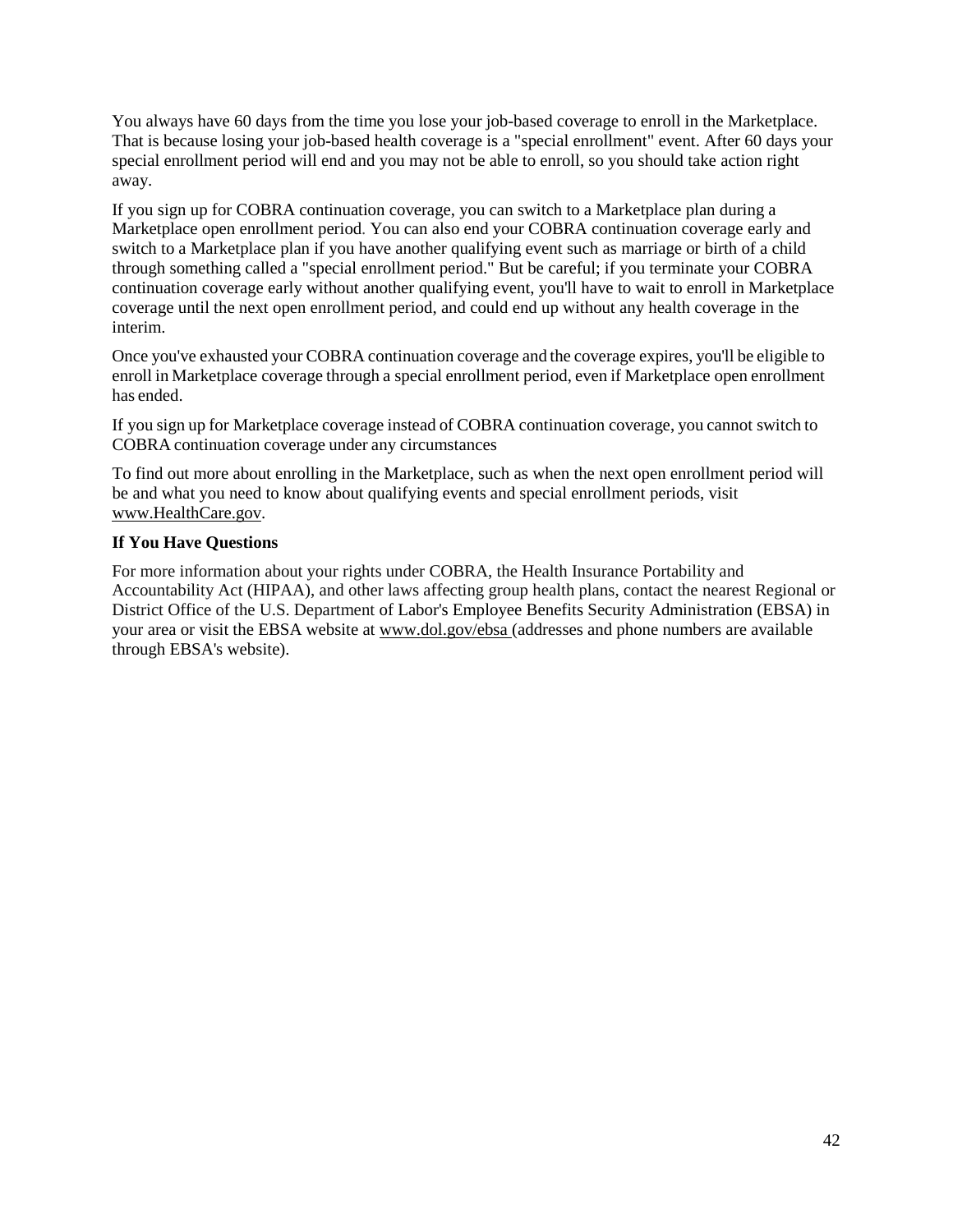You always have 60 days from the time you lose your job-based coverage to enroll in the Marketplace. That is because losing your job-based health coverage is a "special enrollment" event. After 60 days your special enrollment period will end and you may not be able to enroll, so you should take action right away.

If you sign up for COBRA continuation coverage, you can switch to a Marketplace plan during a Marketplace open enrollment period. You can also end your COBRA continuation coverage early and switch to a Marketplace plan if you have another qualifying event such as marriage or birth of a child through something called a "special enrollment period." But be careful; if you terminate your COBRA continuation coverage early without another qualifying event, you'll have to wait to enroll in Marketplace coverage until the next open enrollment period, and could end up without any health coverage in the interim.

Once you've exhausted your COBRA continuation coverage and the coverage expires, you'll be eligible to enroll in Marketplace coverage through a special enrollment period, even if Marketplace open enrollment has ended.

If you sign up for Marketplace coverage instead of COBRA continuation coverage, you cannot switch to COBRA continuation coverage under any circumstances

To find out more about enrolling in the Marketplace, such as when the next open enrollment period will be and what you need to know about qualifying events and special enrollment periods, visit [www.HealthCare.gov.](http://www.healthcare.gov/)

## **If You Have Questions**

For more information about your rights under COBRA, the Health Insurance Portability and Accountability Act (HIPAA), and other laws affecting group health plans, contact the nearest Regional or District Office of the U.S. Department of Labor's Employee Benefits Security Administration (EBSA) in your area or visit the EBSA website a[t www.dol.gov/ebsa](http://www.dol.gov/ebsa) (addresses and phone numbers are available through EBSA's website).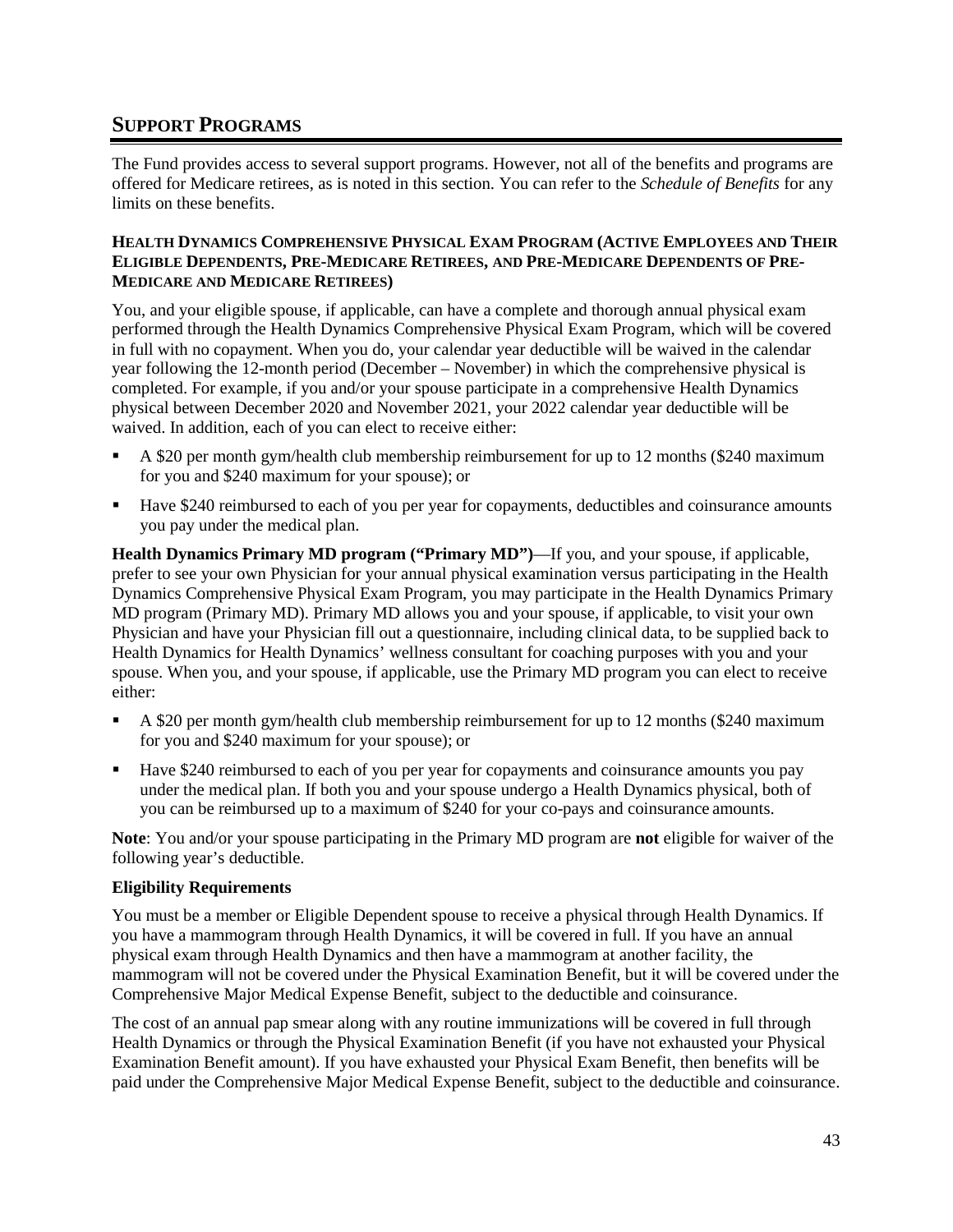## **SUPPORT PROGRAMS**

The Fund provides access to several support programs. However, not all of the benefits and programs are offered for Medicare retirees, as is noted in this section. You can refer to the *Schedule of Benefits* for any limits on these benefits.

## **HEALTH DYNAMICS COMPREHENSIVE PHYSICAL EXAM PROGRAM (ACTIVE EMPLOYEES AND THEIR ELIGIBLE DEPENDENTS, PRE-MEDICARE RETIREES, AND PRE-MEDICARE DEPENDENTS OF PRE-MEDICARE AND MEDICARE RETIREES)**

You, and your eligible spouse, if applicable, can have a complete and thorough annual physical exam performed through the Health Dynamics Comprehensive Physical Exam Program, which will be covered in full with no copayment. When you do, your calendar year deductible will be waived in the calendar year following the 12-month period (December – November) in which the comprehensive physical is completed. For example, if you and/or your spouse participate in a comprehensive Health Dynamics physical between December 2020 and November 2021, your 2022 calendar year deductible will be waived. In addition, each of you can elect to receive either:

- A \$20 per month gym/health club membership reimbursement for up to 12 months (\$240 maximum for you and \$240 maximum for your spouse); or
- Have \$240 reimbursed to each of you per year for copayments, deductibles and coinsurance amounts you pay under the medical plan.

**Health Dynamics Primary MD program ("Primary MD")**—If you, and your spouse, if applicable, prefer to see your own Physician for your annual physical examination versus participating in the Health Dynamics Comprehensive Physical Exam Program, you may participate in the Health Dynamics Primary MD program (Primary MD). Primary MD allows you and your spouse, if applicable, to visit your own Physician and have your Physician fill out a questionnaire, including clinical data, to be supplied back to Health Dynamics for Health Dynamics' wellness consultant for coaching purposes with you and your spouse. When you, and your spouse, if applicable, use the Primary MD program you can elect to receive either:

- A \$20 per month gym/health club membership reimbursement for up to 12 months (\$240 maximum for you and \$240 maximum for your spouse); or
- Have \$240 reimbursed to each of you per year for copayments and coinsurance amounts you pay under the medical plan. If both you and your spouse undergo a Health Dynamics physical, both of you can be reimbursed up to a maximum of \$240 for your co-pays and coinsurance amounts.

**Note**: You and/or your spouse participating in the Primary MD program are **not** eligible for waiver of the following year's deductible.

#### **Eligibility Requirements**

You must be a member or Eligible Dependent spouse to receive a physical through Health Dynamics. If you have a mammogram through Health Dynamics, it will be covered in full. If you have an annual physical exam through Health Dynamics and then have a mammogram at another facility, the mammogram will not be covered under the Physical Examination Benefit, but it will be covered under the Comprehensive Major Medical Expense Benefit, subject to the deductible and coinsurance.

The cost of an annual pap smear along with any routine immunizations will be covered in full through Health Dynamics or through the Physical Examination Benefit (if you have not exhausted your Physical Examination Benefit amount). If you have exhausted your Physical Exam Benefit, then benefits will be paid under the Comprehensive Major Medical Expense Benefit, subject to the deductible and coinsurance.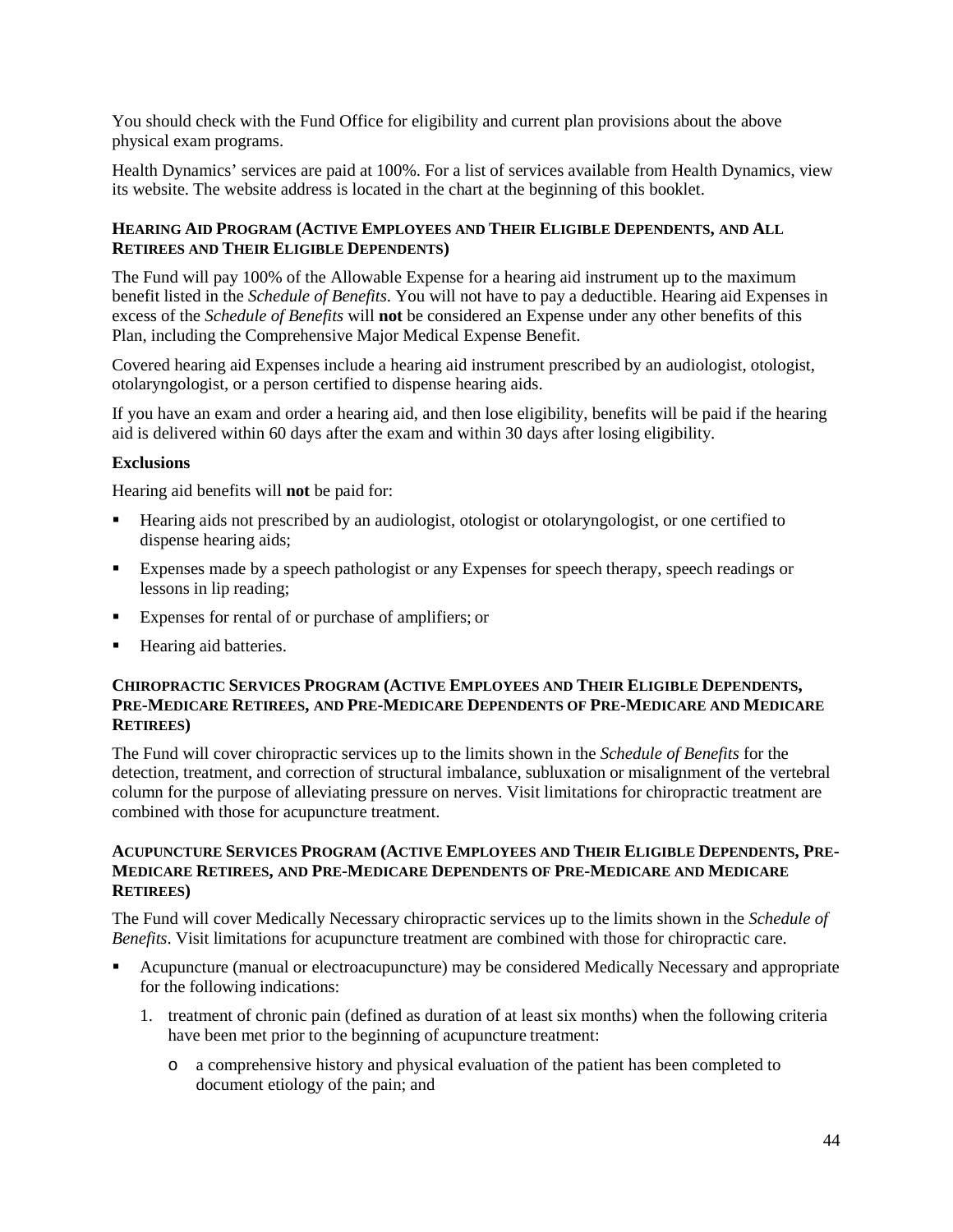You should check with the Fund Office for eligibility and current plan provisions about the above physical exam programs.

Health Dynamics' services are paid at 100%. For a list of services available from Health Dynamics, view its website. The website address is located in the chart at the beginning of this booklet.

#### **HEARING AID PROGRAM (ACTIVE EMPLOYEES AND THEIR ELIGIBLE DEPENDENTS, AND ALL RETIREES AND THEIR ELIGIBLE DEPENDENTS)**

The Fund will pay 100% of the Allowable Expense for a hearing aid instrument up to the maximum benefit listed in the *Schedule of Benefits*. You will not have to pay a deductible. Hearing aid Expenses in excess of the *Schedule of Benefits* will **not** be considered an Expense under any other benefits of this Plan, including the Comprehensive Major Medical Expense Benefit.

Covered hearing aid Expenses include a hearing aid instrument prescribed by an audiologist, otologist, otolaryngologist, or a person certified to dispense hearing aids.

If you have an exam and order a hearing aid, and then lose eligibility, benefits will be paid if the hearing aid is delivered within 60 days after the exam and within 30 days after losing eligibility.

#### **Exclusions**

Hearing aid benefits will **not** be paid for:

- Hearing aids not prescribed by an audiologist, otologist or otolaryngologist, or one certified to dispense hearing aids;
- Expenses made by a speech pathologist or any Expenses for speech therapy, speech readings or lessons in lip reading;
- Expenses for rental of or purchase of amplifiers; or
- Hearing aid batteries.

#### **CHIROPRACTIC SERVICES PROGRAM (ACTIVE EMPLOYEES AND THEIR ELIGIBLE DEPENDENTS, PRE-MEDICARE RETIREES, AND PRE-MEDICARE DEPENDENTS OF PRE-MEDICARE AND MEDICARE RETIREES)**

The Fund will cover chiropractic services up to the limits shown in the *Schedule of Benefits* for the detection, treatment, and correction of structural imbalance, subluxation or misalignment of the vertebral column for the purpose of alleviating pressure on nerves. Visit limitations for chiropractic treatment are combined with those for acupuncture treatment.

#### **ACUPUNCTURE SERVICES PROGRAM (ACTIVE EMPLOYEES AND THEIR ELIGIBLE DEPENDENTS, PRE-MEDICARE RETIREES, AND PRE-MEDICARE DEPENDENTS OF PRE-MEDICARE AND MEDICARE RETIREES)**

The Fund will cover Medically Necessary chiropractic services up to the limits shown in the *Schedule of Benefits*. Visit limitations for acupuncture treatment are combined with those for chiropractic care.

- Acupuncture (manual or electroacupuncture) may be considered Medically Necessary and appropriate for the following indications:
	- 1. treatment of chronic pain (defined as duration of at least six months) when the following criteria have been met prior to the beginning of acupuncture treatment:
		- o a comprehensive history and physical evaluation of the patient has been completed to document etiology of the pain; and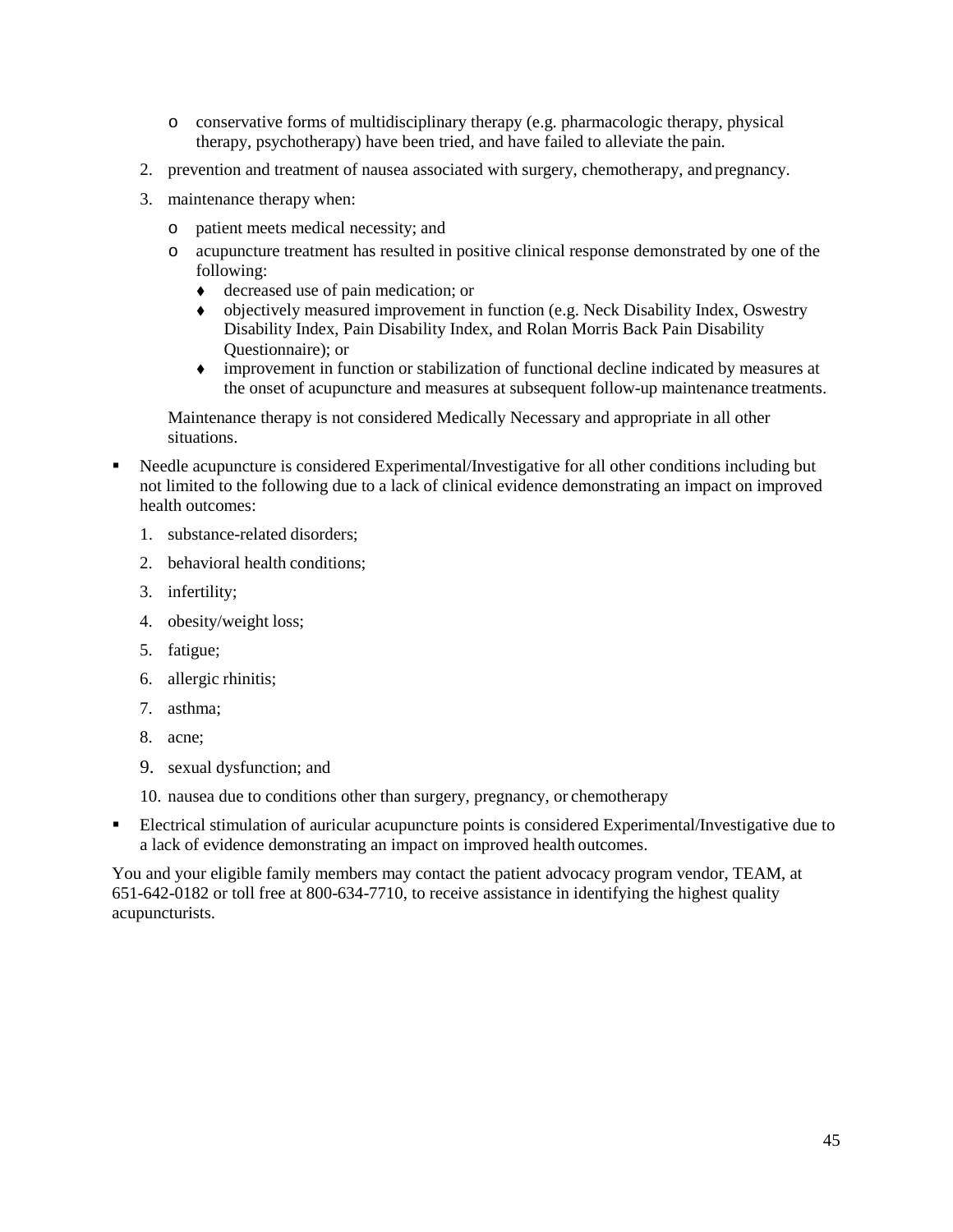- o conservative forms of multidisciplinary therapy (e.g. pharmacologic therapy, physical therapy, psychotherapy) have been tried, and have failed to alleviate the pain.
- 2. prevention and treatment of nausea associated with surgery, chemotherapy, and pregnancy.
- 3. maintenance therapy when:
	- o patient meets medical necessity; and
	- o acupuncture treatment has resulted in positive clinical response demonstrated by one of the following:
		- decreased use of pain medication; or
		- objectively measured improvement in function (e.g. Neck Disability Index, Oswestry Disability Index, Pain Disability Index, and Rolan Morris Back Pain Disability Questionnaire); or
		- improvement in function or stabilization of functional decline indicated by measures at the onset of acupuncture and measures at subsequent follow-up maintenance treatments.

Maintenance therapy is not considered Medically Necessary and appropriate in all other situations.

- Needle acupuncture is considered Experimental/Investigative for all other conditions including but not limited to the following due to a lack of clinical evidence demonstrating an impact on improved health outcomes:
	- 1. substance-related disorders;
	- 2. behavioral health conditions;
	- 3. infertility;
	- 4. obesity/weight loss;
	- 5. fatigue;
	- 6. allergic rhinitis;
	- 7. asthma;
	- 8. acne;
	- 9. sexual dysfunction; and
	- 10. nausea due to conditions other than surgery, pregnancy, or chemotherapy
- Electrical stimulation of auricular acupuncture points is considered Experimental/Investigative due to a lack of evidence demonstrating an impact on improved health outcomes.

You and your eligible family members may contact the patient advocacy program vendor, TEAM, at 651-642-0182 or toll free at 800-634-7710, to receive assistance in identifying the highest quality acupuncturists.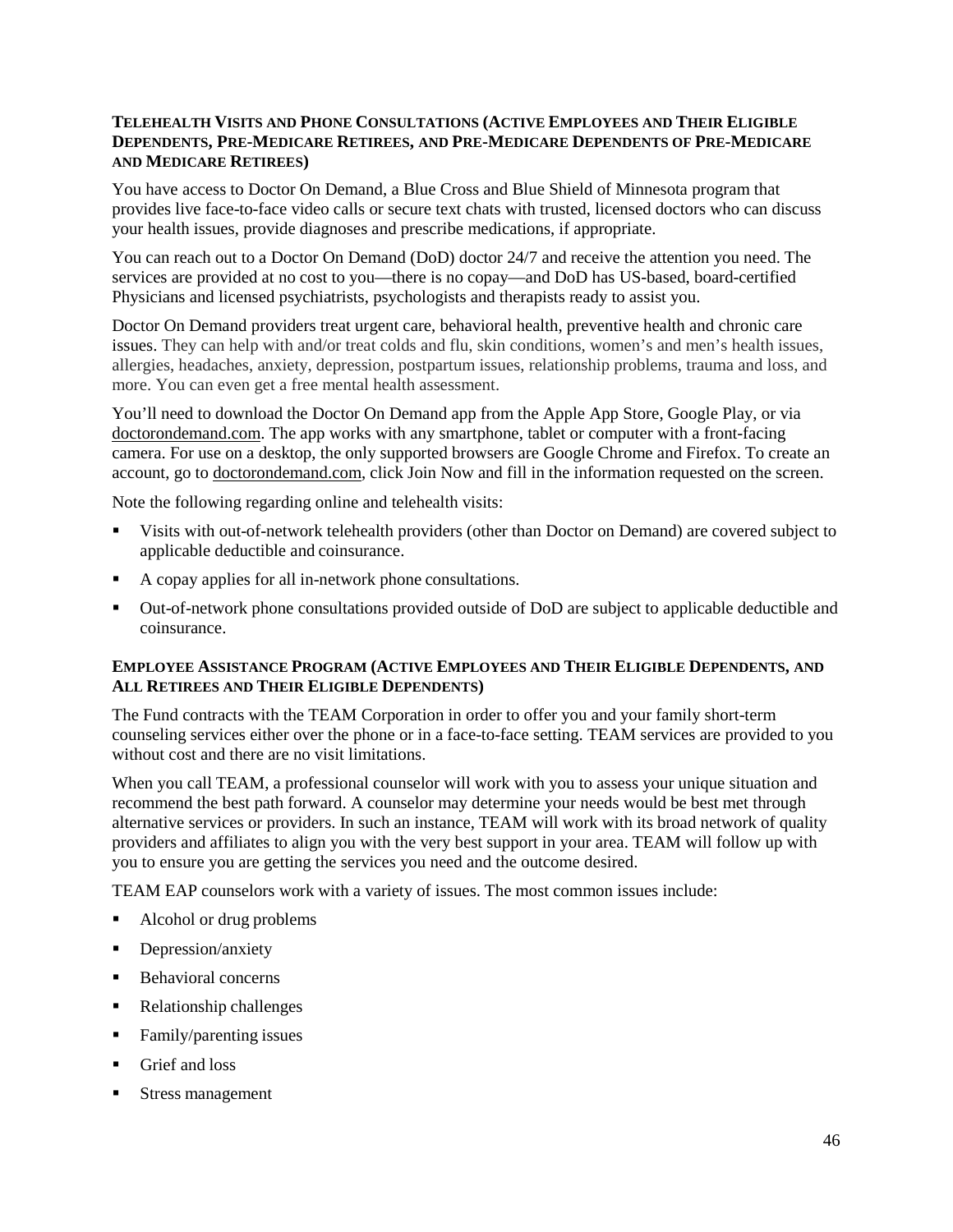#### **TELEHEALTH VISITS AND PHONE CONSULTATIONS (ACTIVE EMPLOYEES AND THEIR ELIGIBLE DEPENDENTS, PRE-MEDICARE RETIREES, AND PRE-MEDICARE DEPENDENTS OF PRE-MEDICARE AND MEDICARE RETIREES)**

You have access to Doctor On Demand, a Blue Cross and Blue Shield of Minnesota program that provides live face-to-face video calls or secure text chats with trusted, licensed doctors who can discuss your health issues, provide diagnoses and prescribe medications, if appropriate.

You can reach out to a Doctor On Demand (DoD) doctor 24/7 and receive the attention you need. The services are provided at no cost to you—there is no copay—and DoD has US-based, board-certified Physicians and licensed psychiatrists, psychologists and therapists ready to assist you.

Doctor On Demand providers treat urgent care, behavioral health, preventive health and chronic care issues. They can help with and/or treat colds and flu, skin conditions, women's and men's health issues, allergies, headaches, anxiety, depression, postpartum issues, relationship problems, trauma and loss, and more. You can even get a free mental health assessment.

You'll need to download the Doctor On Demand app from the Apple App Store, Google Play, or via doctorondemand.com. The app works with any smartphone, tablet or computer with a front-facing camera. For use on a desktop, the only supported browsers are Google Chrome and Firefox. To create an account, go to doctorondemand.com, click Join Now and fill in the information requested on the screen.

Note the following regarding online and telehealth visits:

- Visits with out-of-network telehealth providers (other than Doctor on Demand) are covered subject to applicable deductible and coinsurance.
- A copay applies for all in-network phone consultations.
- Out-of-network phone consultations provided outside of DoD are subject to applicable deductible and coinsurance.

#### **EMPLOYEE ASSISTANCE PROGRAM (ACTIVE EMPLOYEES AND THEIR ELIGIBLE DEPENDENTS, AND ALL RETIREES AND THEIR ELIGIBLE DEPENDENTS)**

The Fund contracts with the TEAM Corporation in order to offer you and your family short-term counseling services either over the phone or in a face-to-face setting. TEAM services are provided to you without cost and there are no visit limitations.

When you call TEAM, a professional counselor will work with you to assess your unique situation and recommend the best path forward. A counselor may determine your needs would be best met through alternative services or providers. In such an instance, TEAM will work with its broad network of quality providers and affiliates to align you with the very best support in your area. TEAM will follow up with you to ensure you are getting the services you need and the outcome desired.

TEAM EAP counselors work with a variety of issues. The most common issues include:

- Alcohol or drug problems
- Depression/anxiety
- Behavioral concerns
- Relationship challenges
- Family/parenting issues
- Grief and loss
- Stress management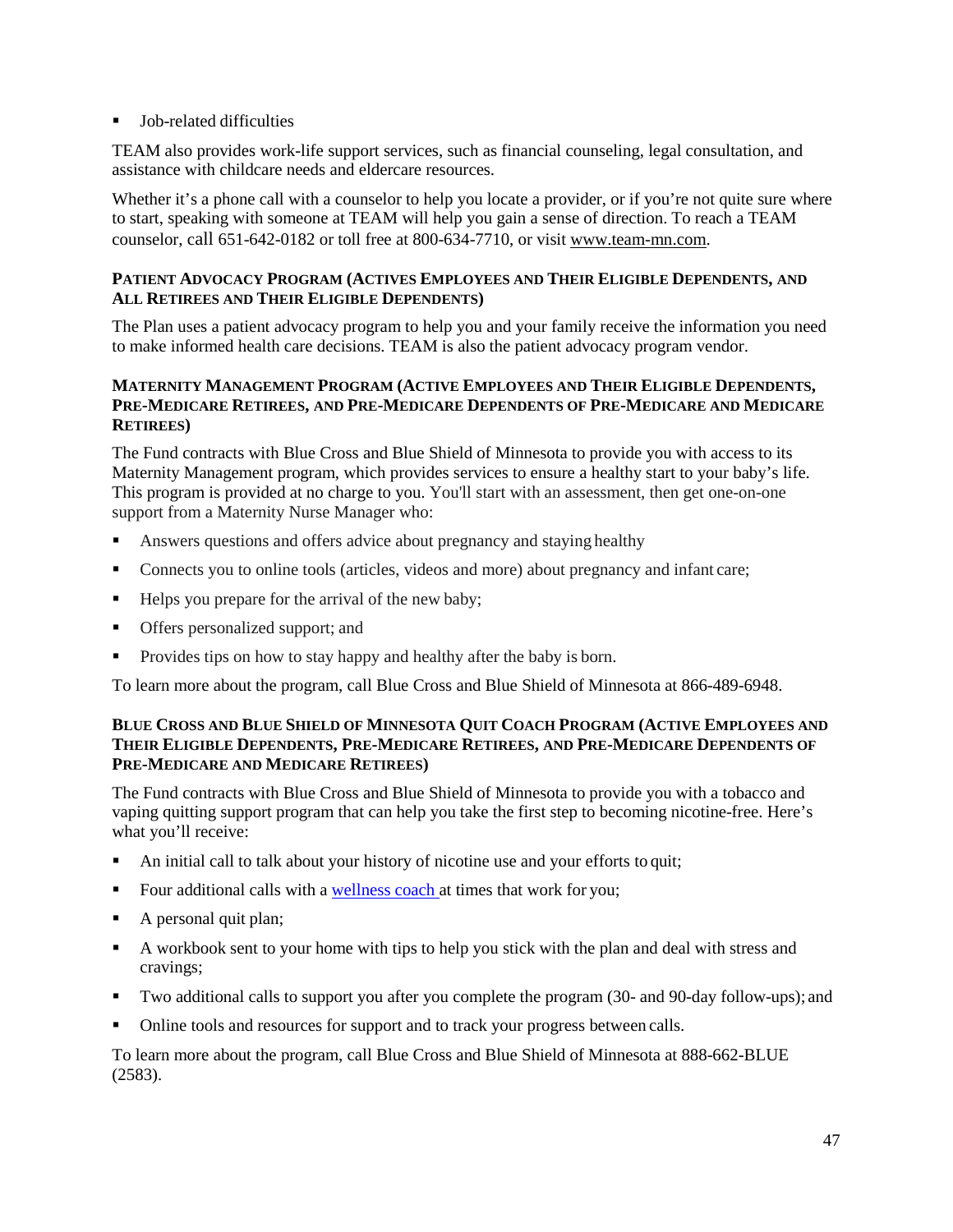#### Job-related difficulties

TEAM also provides work-life support services, such as financial counseling, legal consultation, and assistance with childcare needs and eldercare resources.

Whether it's a phone call with a counselor to help you locate a provider, or if you're not quite sure where to start, speaking with someone at TEAM will help you gain a sense of direction. To reach a TEAM counselor, call 651-642-0182 or toll free at 800-634-7710, or visit [www.team-mn.com.](http://www.team-mn.com/)

### **PATIENT ADVOCACY PROGRAM (ACTIVES EMPLOYEES AND THEIR ELIGIBLE DEPENDENTS, AND ALL RETIREES AND THEIR ELIGIBLE DEPENDENTS)**

The Plan uses a patient advocacy program to help you and your family receive the information you need to make informed health care decisions. TEAM is also the patient advocacy program vendor.

#### **MATERNITY MANAGEMENT PROGRAM (ACTIVE EMPLOYEES AND THEIR ELIGIBLE DEPENDENTS, PRE-MEDICARE RETIREES, AND PRE-MEDICARE DEPENDENTS OF PRE-MEDICARE AND MEDICARE RETIREES)**

The Fund contracts with Blue Cross and Blue Shield of Minnesota to provide you with access to its Maternity Management program, which provides services to ensure a healthy start to your baby's life. This program is provided at no charge to you. You'll start with an assessment, then get one-on-one support from a Maternity Nurse Manager who:

- Answers questions and offers advice about pregnancy and staying healthy
- Connects you to online tools (articles, videos and more) about pregnancy and infant care;
- Helps you prepare for the arrival of the new baby;
- **•** Offers personalized support; and
- Provides tips on how to stay happy and healthy after the baby is born.

To learn more about the program, call Blue Cross and Blue Shield of Minnesota at 866-489-6948.

#### **BLUE CROSS AND BLUE SHIELD OF MINNESOTA QUIT COACH PROGRAM (ACTIVE EMPLOYEES AND THEIR ELIGIBLE DEPENDENTS, PRE-MEDICARE RETIREES, AND PRE-MEDICARE DEPENDENTS OF PRE-MEDICARE AND MEDICARE RETIREES)**

The Fund contracts with Blue Cross and Blue Shield of Minnesota to provide you with a tobacco and vaping quitting support program that can help you take the first step to becoming nicotine-free. Here's what you'll receive:

- An initial call to talk about your history of nicotine use and your efforts to quit;
- Four additional calls with a [wellness coach a](https://www.bluecrossmn.com/wellbeing/health-programs/get-know-blue-cross-wellness-coaches)t times that work for you;
- A personal quit plan;
- A workbook sent to your home with tips to help you stick with the plan and deal with stress and cravings;
- Two additional calls to support you after you complete the program (30- and 90-day follow-ups); and
- Online tools and resources for support and to track your progress between calls.

To learn more about the program, call Blue Cross and Blue Shield of Minnesota at 888-662-BLUE (2583).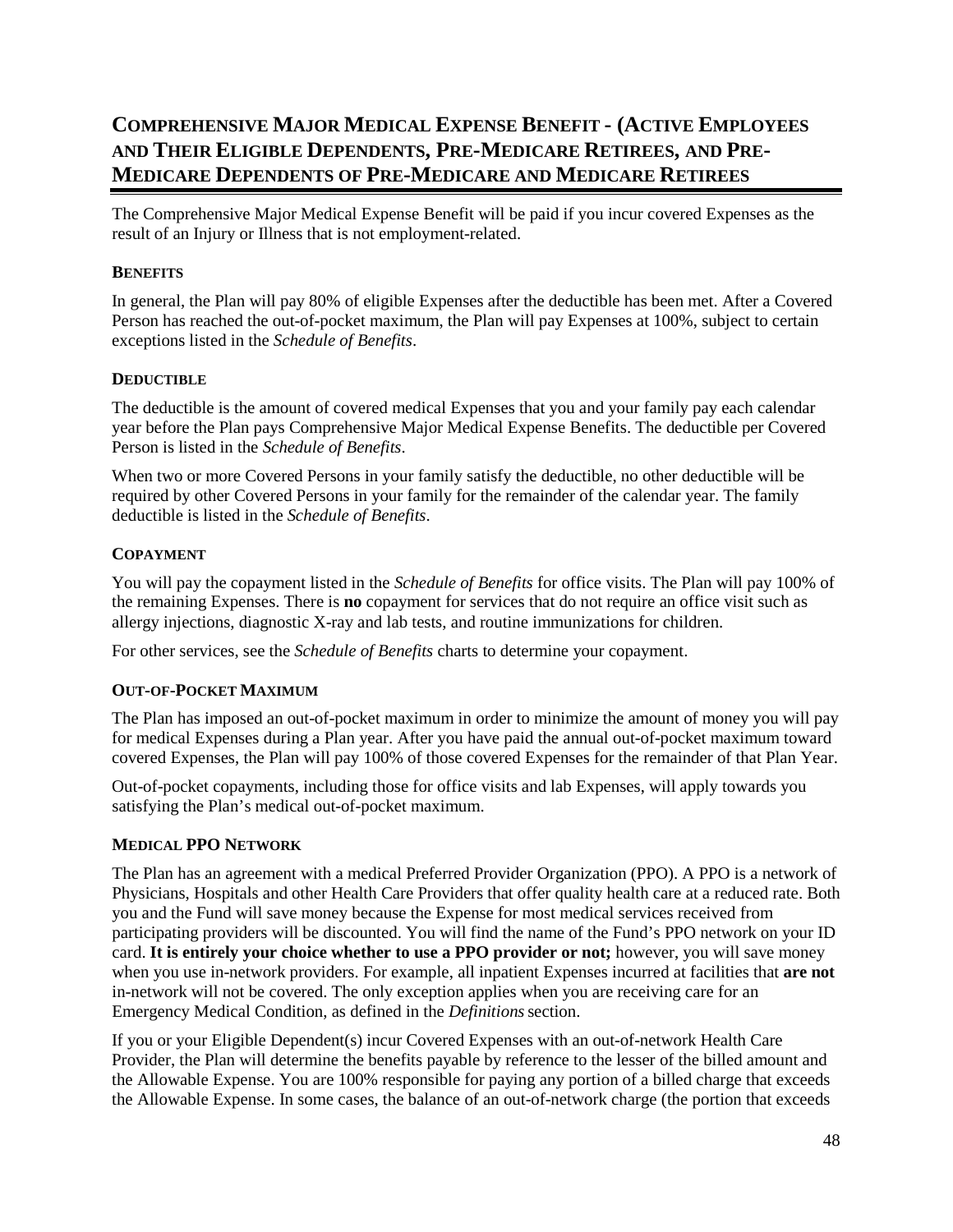# **COMPREHENSIVE MAJOR MEDICAL EXPENSE BENEFIT - (ACTIVE EMPLOYEES AND THEIR ELIGIBLE DEPENDENTS, PRE-MEDICARE RETIREES, AND PRE-MEDICARE DEPENDENTS OF PRE-MEDICARE AND MEDICARE RETIREES**

The Comprehensive Major Medical Expense Benefit will be paid if you incur covered Expenses as the result of an Injury or Illness that is not employment-related.

## **BENEFITS**

In general, the Plan will pay 80% of eligible Expenses after the deductible has been met. After a Covered Person has reached the out-of-pocket maximum, the Plan will pay Expenses at 100%, subject to certain exceptions listed in the *Schedule of Benefits*.

#### **DEDUCTIBLE**

The deductible is the amount of covered medical Expenses that you and your family pay each calendar year before the Plan pays Comprehensive Major Medical Expense Benefits. The deductible per Covered Person is listed in the *Schedule of Benefits*.

When two or more Covered Persons in your family satisfy the deductible, no other deductible will be required by other Covered Persons in your family for the remainder of the calendar year. The family deductible is listed in the *Schedule of Benefits*.

### **COPAYMENT**

You will pay the copayment listed in the *Schedule of Benefits* for office visits. The Plan will pay 100% of the remaining Expenses. There is **no** copayment for services that do not require an office visit such as allergy injections, diagnostic X-ray and lab tests, and routine immunizations for children.

For other services, see the *Schedule of Benefits* charts to determine your copayment.

#### **OUT-OF-POCKET MAXIMUM**

The Plan has imposed an out-of-pocket maximum in order to minimize the amount of money you will pay for medical Expenses during a Plan year. After you have paid the annual out-of-pocket maximum toward covered Expenses, the Plan will pay 100% of those covered Expenses for the remainder of that Plan Year.

Out-of-pocket copayments, including those for office visits and lab Expenses, will apply towards you satisfying the Plan's medical out-of-pocket maximum.

#### **MEDICAL PPO NETWORK**

The Plan has an agreement with a medical Preferred Provider Organization (PPO). A PPO is a network of Physicians, Hospitals and other Health Care Providers that offer quality health care at a reduced rate. Both you and the Fund will save money because the Expense for most medical services received from participating providers will be discounted. You will find the name of the Fund's PPO network on your ID card. **It is entirely your choice whether to use a PPO provider or not;** however, you will save money when you use in-network providers. For example, all inpatient Expenses incurred at facilities that **are not**  in-network will not be covered. The only exception applies when you are receiving care for an Emergency Medical Condition, as defined in the *Definitions*section.

If you or your Eligible Dependent(s) incur Covered Expenses with an out-of-network Health Care Provider, the Plan will determine the benefits payable by reference to the lesser of the billed amount and the Allowable Expense. You are 100% responsible for paying any portion of a billed charge that exceeds the Allowable Expense. In some cases, the balance of an out-of-network charge (the portion that exceeds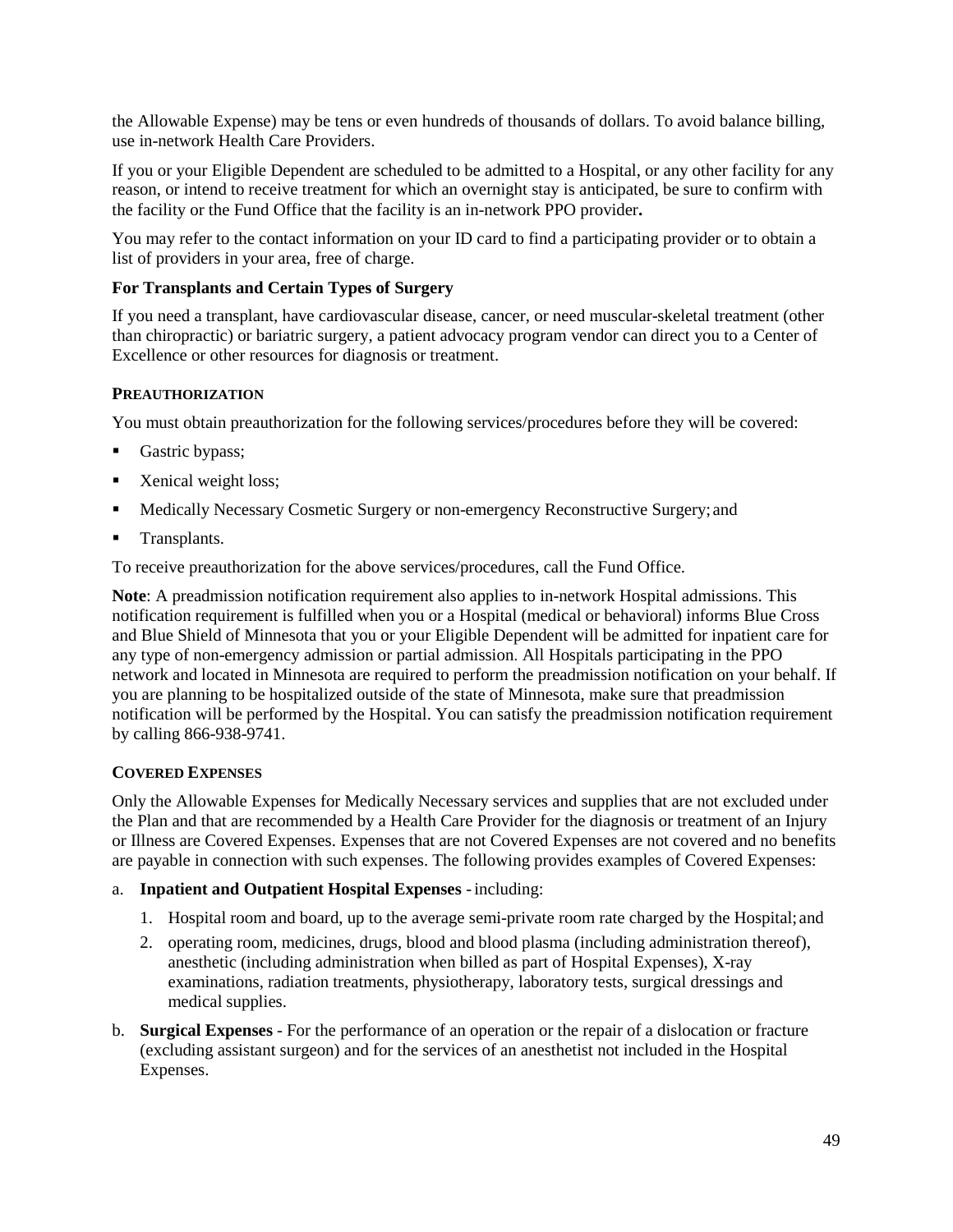the Allowable Expense) may be tens or even hundreds of thousands of dollars. To avoid balance billing, use in-network Health Care Providers.

If you or your Eligible Dependent are scheduled to be admitted to a Hospital, or any other facility for any reason, or intend to receive treatment for which an overnight stay is anticipated, be sure to confirm with the facility or the Fund Office that the facility is an in-network PPO provider**.**

You may refer to the contact information on your ID card to find a participating provider or to obtain a list of providers in your area, free of charge.

### **For Transplants and Certain Types of Surgery**

If you need a transplant, have cardiovascular disease, cancer, or need muscular-skeletal treatment (other than chiropractic) or bariatric surgery, a patient advocacy program vendor can direct you to a Center of Excellence or other resources for diagnosis or treatment.

#### **PREAUTHORIZATION**

You must obtain preauthorization for the following services/procedures before they will be covered:

- Gastric bypass;
- Xenical weight loss;
- Medically Necessary Cosmetic Surgery or non-emergency Reconstructive Surgery; and
- Transplants.

To receive preauthorization for the above services/procedures, call the Fund Office.

**Note**: A preadmission notification requirement also applies to in-network Hospital admissions. This notification requirement is fulfilled when you or a Hospital (medical or behavioral) informs Blue Cross and Blue Shield of Minnesota that you or your Eligible Dependent will be admitted for inpatient care for any type of non-emergency admission or partial admission. All Hospitals participating in the PPO network and located in Minnesota are required to perform the preadmission notification on your behalf. If you are planning to be hospitalized outside of the state of Minnesota, make sure that preadmission notification will be performed by the Hospital. You can satisfy the preadmission notification requirement by calling 866-938-9741.

#### **COVERED EXPENSES**

Only the Allowable Expenses for Medically Necessary services and supplies that are not excluded under the Plan and that are recommended by a Health Care Provider for the diagnosis or treatment of an Injury or Illness are Covered Expenses. Expenses that are not Covered Expenses are not covered and no benefits are payable in connection with such expenses. The following provides examples of Covered Expenses:

- a. **Inpatient and Outpatient Hospital Expenses** -including:
	- 1. Hospital room and board, up to the average semi-private room rate charged by the Hospital; and
	- 2. operating room, medicines, drugs, blood and blood plasma (including administration thereof), anesthetic (including administration when billed as part of Hospital Expenses), X-ray examinations, radiation treatments, physiotherapy, laboratory tests, surgical dressings and medical supplies.
- b. **Surgical Expenses**  For the performance of an operation or the repair of a dislocation or fracture (excluding assistant surgeon) and for the services of an anesthetist not included in the Hospital Expenses.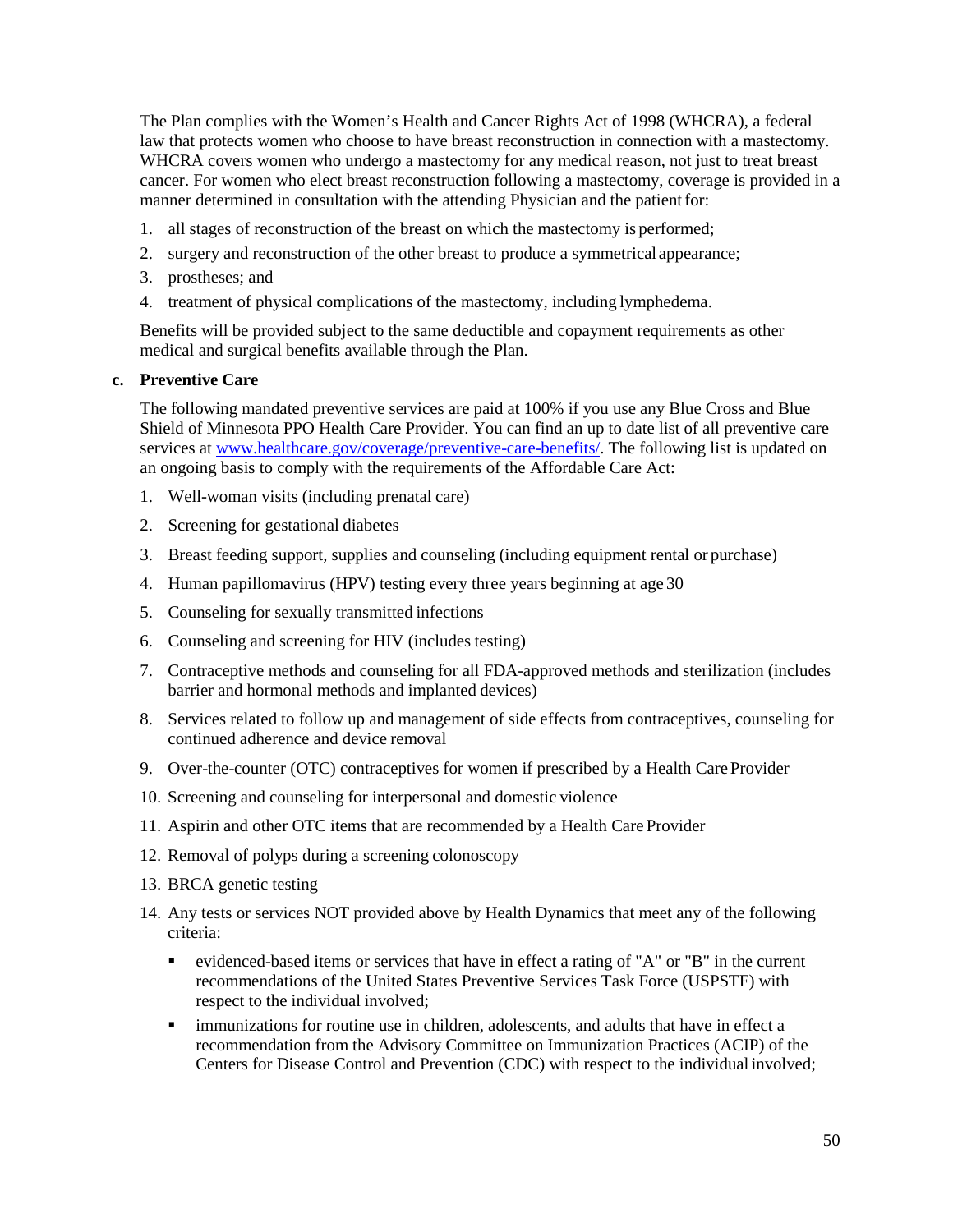The Plan complies with the Women's Health and Cancer Rights Act of 1998 (WHCRA), a federal law that protects women who choose to have breast reconstruction in connection with a mastectomy. WHCRA covers women who undergo a mastectomy for any medical reason, not just to treat breast cancer. For women who elect breast reconstruction following a mastectomy, coverage is provided in a manner determined in consultation with the attending Physician and the patient for:

- 1. all stages of reconstruction of the breast on which the mastectomy is performed;
- 2. surgery and reconstruction of the other breast to produce a symmetrical appearance;
- 3. prostheses; and
- 4. treatment of physical complications of the mastectomy, including lymphedema.

Benefits will be provided subject to the same deductible and copayment requirements as other medical and surgical benefits available through the Plan.

#### **c. Preventive Care**

The following mandated preventive services are paid at 100% if you use any Blue Cross and Blue Shield of Minnesota PPO Health Care Provider. You can find an up to date list of all preventive care services at [www.healthcare.gov/coverage/preventive-care-benefits/.](http://www.healthcare.gov/coverage/preventive-care-benefits/) The following list is updated on an ongoing basis to comply with the requirements of the Affordable Care Act:

- 1. Well-woman visits (including prenatal care)
- 2. Screening for gestational diabetes
- 3. Breast feeding support, supplies and counseling (including equipment rental or purchase)
- 4. Human papillomavirus (HPV) testing every three years beginning at age 30
- 5. Counseling for sexually transmitted infections
- 6. Counseling and screening for HIV (includes testing)
- 7. Contraceptive methods and counseling for all FDA-approved methods and sterilization (includes barrier and hormonal methods and implanted devices)
- 8. Services related to follow up and management of side effects from contraceptives, counseling for continued adherence and device removal
- 9. Over-the-counter (OTC) contraceptives for women if prescribed by a Health Care Provider
- 10. Screening and counseling for interpersonal and domestic violence
- 11. Aspirin and other OTC items that are recommended by a Health Care Provider
- 12. Removal of polyps during a screening colonoscopy
- 13. BRCA genetic testing
- 14. Any tests or services NOT provided above by Health Dynamics that meet any of the following criteria:
	- evidenced-based items or services that have in effect a rating of "A" or "B" in the current recommendations of the United States Preventive Services Task Force (USPSTF) with respect to the individual involved;
	- immunizations for routine use in children, adolescents, and adults that have in effect a recommendation from the Advisory Committee on Immunization Practices (ACIP) of the Centers for Disease Control and Prevention (CDC) with respect to the individual involved;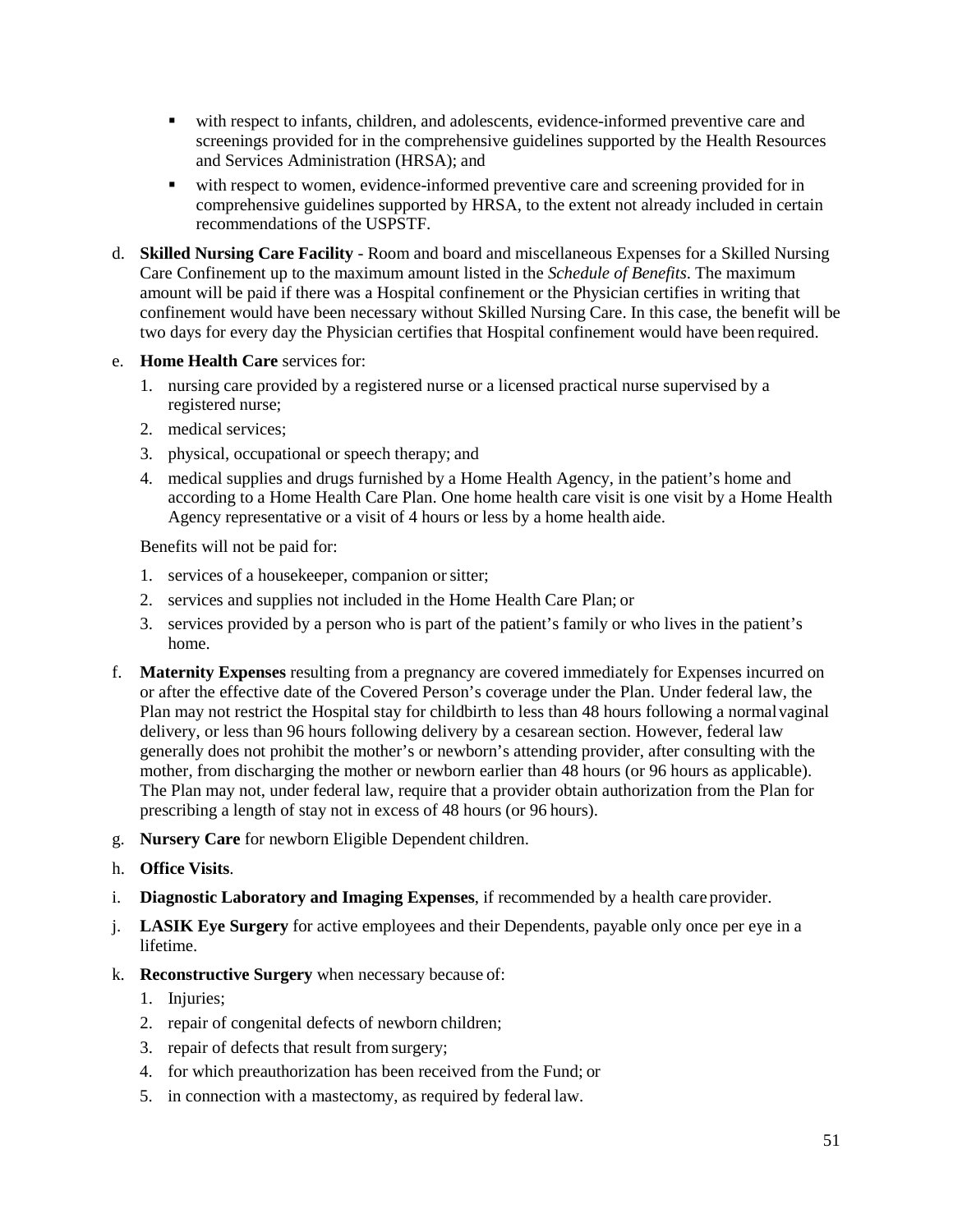- with respect to infants, children, and adolescents, evidence-informed preventive care and screenings provided for in the comprehensive guidelines supported by the Health Resources and Services Administration (HRSA); and
- with respect to women, evidence-informed preventive care and screening provided for in comprehensive guidelines supported by HRSA, to the extent not already included in certain recommendations of the USPSTF.
- d. **Skilled Nursing Care Facility**  Room and board and miscellaneous Expenses for a Skilled Nursing Care Confinement up to the maximum amount listed in the *Schedule of Benefits*. The maximum amount will be paid if there was a Hospital confinement or the Physician certifies in writing that confinement would have been necessary without Skilled Nursing Care. In this case, the benefit will be two days for every day the Physician certifies that Hospital confinement would have been required.

### e. **Home Health Care** services for:

- 1. nursing care provided by a registered nurse or a licensed practical nurse supervised by a registered nurse;
- 2. medical services;
- 3. physical, occupational or speech therapy; and
- 4. medical supplies and drugs furnished by a Home Health Agency, in the patient's home and according to a Home Health Care Plan. One home health care visit is one visit by a Home Health Agency representative or a visit of 4 hours or less by a home health aide.

Benefits will not be paid for:

- 1. services of a housekeeper, companion orsitter;
- 2. services and supplies not included in the Home Health Care Plan; or
- 3. services provided by a person who is part of the patient's family or who lives in the patient's home.
- f. **Maternity Expenses** resulting from a pregnancy are covered immediately for Expenses incurred on or after the effective date of the Covered Person's coverage under the Plan. Under federal law, the Plan may not restrict the Hospital stay for childbirth to less than 48 hours following a normalvaginal delivery, or less than 96 hours following delivery by a cesarean section. However, federal law generally does not prohibit the mother's or newborn's attending provider, after consulting with the mother, from discharging the mother or newborn earlier than 48 hours (or 96 hours as applicable). The Plan may not, under federal law, require that a provider obtain authorization from the Plan for prescribing a length of stay not in excess of 48 hours (or 96 hours).
- g. **Nursery Care** for newborn Eligible Dependent children.
- h. **Office Visits**.
- i. **Diagnostic Laboratory and Imaging Expenses**, if recommended by a health care provider.
- j. **LASIK Eye Surgery** for active employees and their Dependents, payable only once per eye in a lifetime.
- k. **Reconstructive Surgery** when necessary because of:
	- 1. Injuries;
	- 2. repair of congenital defects of newborn children;
	- 3. repair of defects that result fromsurgery;
	- 4. for which preauthorization has been received from the Fund; or
	- 5. in connection with a mastectomy, as required by federal law.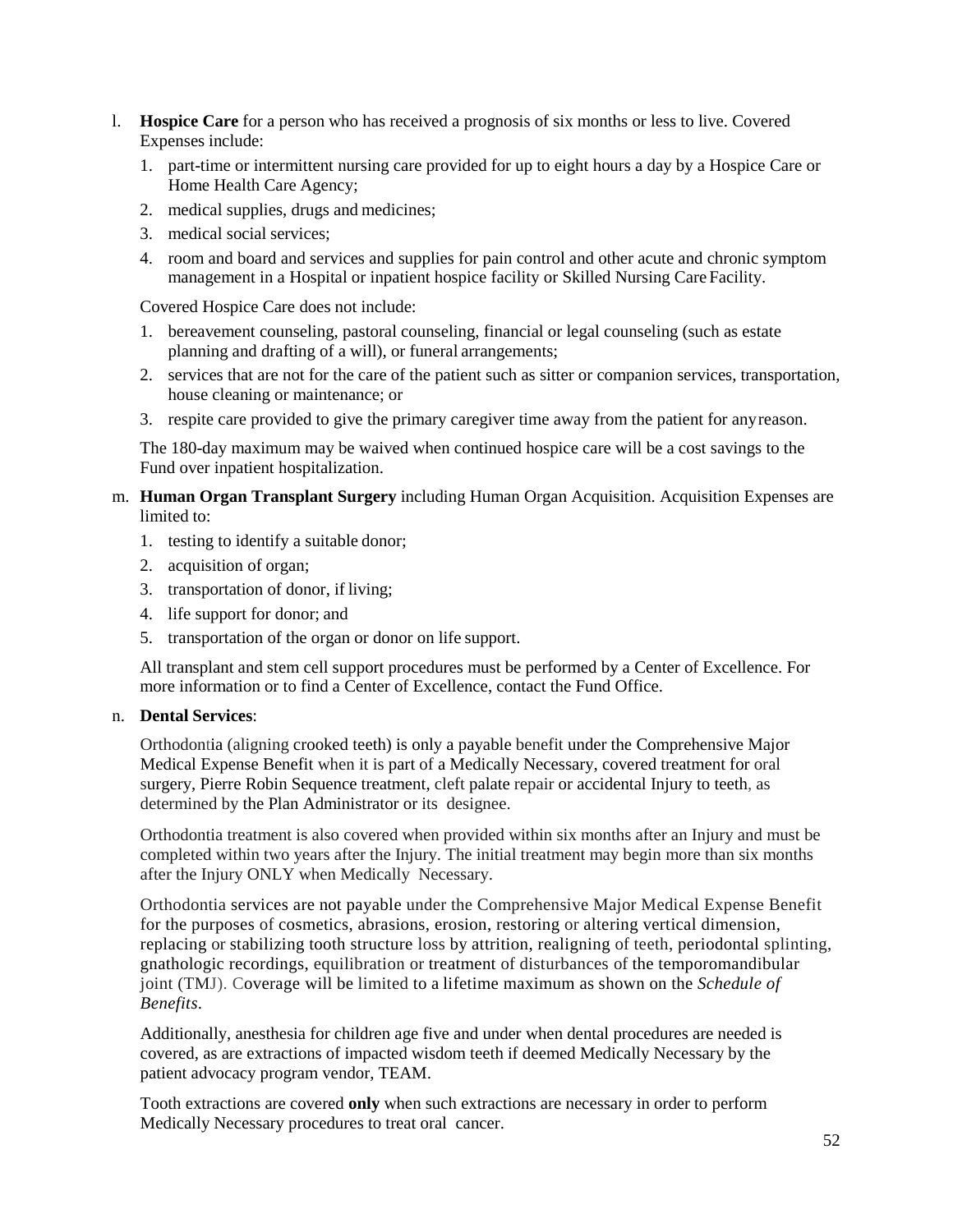- l. **Hospice Care** for a person who has received a prognosis of six months or less to live. Covered Expenses include:
	- 1. part-time or intermittent nursing care provided for up to eight hours a day by a Hospice Care or Home Health Care Agency;
	- 2. medical supplies, drugs and medicines;
	- 3. medical social services;
	- 4. room and board and services and supplies for pain control and other acute and chronic symptom management in a Hospital or inpatient hospice facility or Skilled Nursing Care Facility.

Covered Hospice Care does not include:

- 1. bereavement counseling, pastoral counseling, financial or legal counseling (such as estate planning and drafting of a will), or funeral arrangements;
- 2. services that are not for the care of the patient such as sitter or companion services, transportation, house cleaning or maintenance; or
- 3. respite care provided to give the primary caregiver time away from the patient for anyreason.

The 180-day maximum may be waived when continued hospice care will be a cost savings to the Fund over inpatient hospitalization.

- m. **Human Organ Transplant Surgery** including Human Organ Acquisition. Acquisition Expenses are limited to:
	- 1. testing to identify a suitable donor;
	- 2. acquisition of organ;
	- 3. transportation of donor, if living;
	- 4. life support for donor; and
	- 5. transportation of the organ or donor on life support.

All transplant and stem cell support procedures must be performed by a Center of Excellence. For more information or to find a Center of Excellence, contact the Fund Office.

#### n. **Dental Services**:

Orthodontia (aligning crooked teeth) is only a payable benefit under the Comprehensive Major Medical Expense Benefit when it is part of a Medically Necessary, covered treatment for oral surgery, Pierre Robin Sequence treatment, cleft palate repair or accidental Injury to teeth, as determined by the Plan Administrator or its designee.

Orthodontia treatment is also covered when provided within six months after an Injury and must be completed within two years after the Injury. The initial treatment may begin more than six months after the Injury ONLY when Medically Necessary.

Orthodontia services are not payable under the Comprehensive Major Medical Expense Benefit for the purposes of cosmetics, abrasions, erosion, restoring or altering vertical dimension, replacing or stabilizing tooth structure loss by attrition, realigning of teeth, periodontal splinting, gnathologic recordings, equilibration or treatment of disturbances of the temporomandibular joint (TMJ). Coverage will be limited to a lifetime maximum as shown on the *Schedule of Benefits*.

Additionally, anesthesia for children age five and under when dental procedures are needed is covered, as are extractions of impacted wisdom teeth if deemed Medically Necessary by the patient advocacy program vendor, TEAM.

Tooth extractions are covered **only** when such extractions are necessary in order to perform Medically Necessary procedures to treat oral cancer.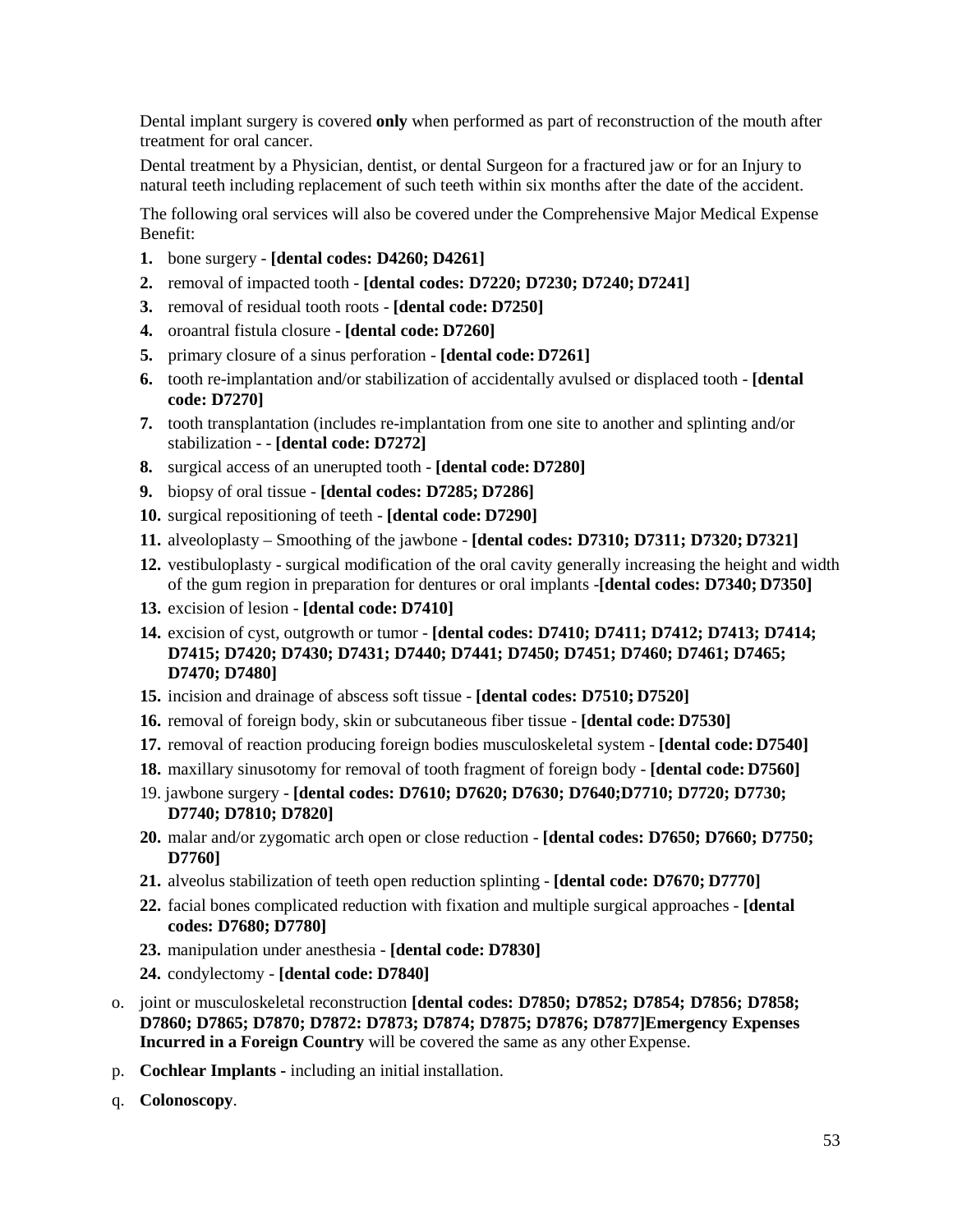Dental implant surgery is covered **only** when performed as part of reconstruction of the mouth after treatment for oral cancer.

Dental treatment by a Physician, dentist, or dental Surgeon for a fractured jaw or for an Injury to natural teeth including replacement of such teeth within six months after the date of the accident.

The following oral services will also be covered under the Comprehensive Major Medical Expense Benefit:

- **1.** bone surgery **[dental codes: D4260; D4261]**
- **2.** removal of impacted tooth **[dental codes: D7220; D7230; D7240; D7241]**
- **3.** removal of residual tooth roots **[dental code: D7250]**
- **4.** oroantral fistula closure **[dental code: D7260]**
- **5.** primary closure of a sinus perforation **[dental code: D7261]**
- **6.** tooth re-implantation and/or stabilization of accidentally avulsed or displaced tooth **[dental code: D7270]**
- **7.** tooth transplantation (includes re-implantation from one site to another and splinting and/or stabilization - - **[dental code: D7272]**
- **8.** surgical access of an unerupted tooth **[dental code: D7280]**
- **9.** biopsy of oral tissue **[dental codes: D7285; D7286]**
- **10.** surgical repositioning of teeth **[dental code: D7290]**
- **11.** alveoloplasty Smoothing of the jawbone **[dental codes: D7310; D7311; D7320; D7321]**
- **12.** vestibuloplasty surgical modification of the oral cavity generally increasing the height and width of the gum region in preparation for dentures or oral implants -**[dental codes: D7340; D7350]**
- **13.** excision of lesion **[dental code: D7410]**
- **14.** excision of cyst, outgrowth or tumor **[dental codes: D7410; D7411; D7412; D7413; D7414; D7415; D7420; D7430; D7431; D7440; D7441; D7450; D7451; D7460; D7461; D7465; D7470; D7480]**
- **15.** incision and drainage of abscess soft tissue **[dental codes: D7510; D7520]**
- **16.** removal of foreign body, skin or subcutaneous fiber tissue **[dental code: D7530]**
- **17.** removal of reaction producing foreign bodies musculoskeletal system **[dental code: D7540]**
- **18.** maxillary sinusotomy for removal of tooth fragment of foreign body **[dental code: D7560]**
- 19. jawbone surgery **[dental codes: D7610; D7620; D7630; D7640;D7710; D7720; D7730; D7740; D7810; D7820]**
- **20.** malar and/or zygomatic arch open or close reduction **[dental codes: D7650; D7660; D7750; D7760]**
- **21.** alveolus stabilization of teeth open reduction splinting **[dental code: D7670; D7770]**
- **22.** facial bones complicated reduction with fixation and multiple surgical approaches **[dental codes: D7680; D7780]**
- **23.** manipulation under anesthesia **[dental code: D7830]**
- **24.** condylectomy **[dental code: D7840]**
- o. joint or musculoskeletal reconstruction **[dental codes: D7850; D7852; D7854; D7856; D7858; D7860; D7865; D7870; D7872: D7873; D7874; D7875; D7876; D7877]Emergency Expenses Incurred in a Foreign Country** will be covered the same as any other Expense.
- p. **Cochlear Implants -** including an initial installation.
- q. **Colonoscopy**.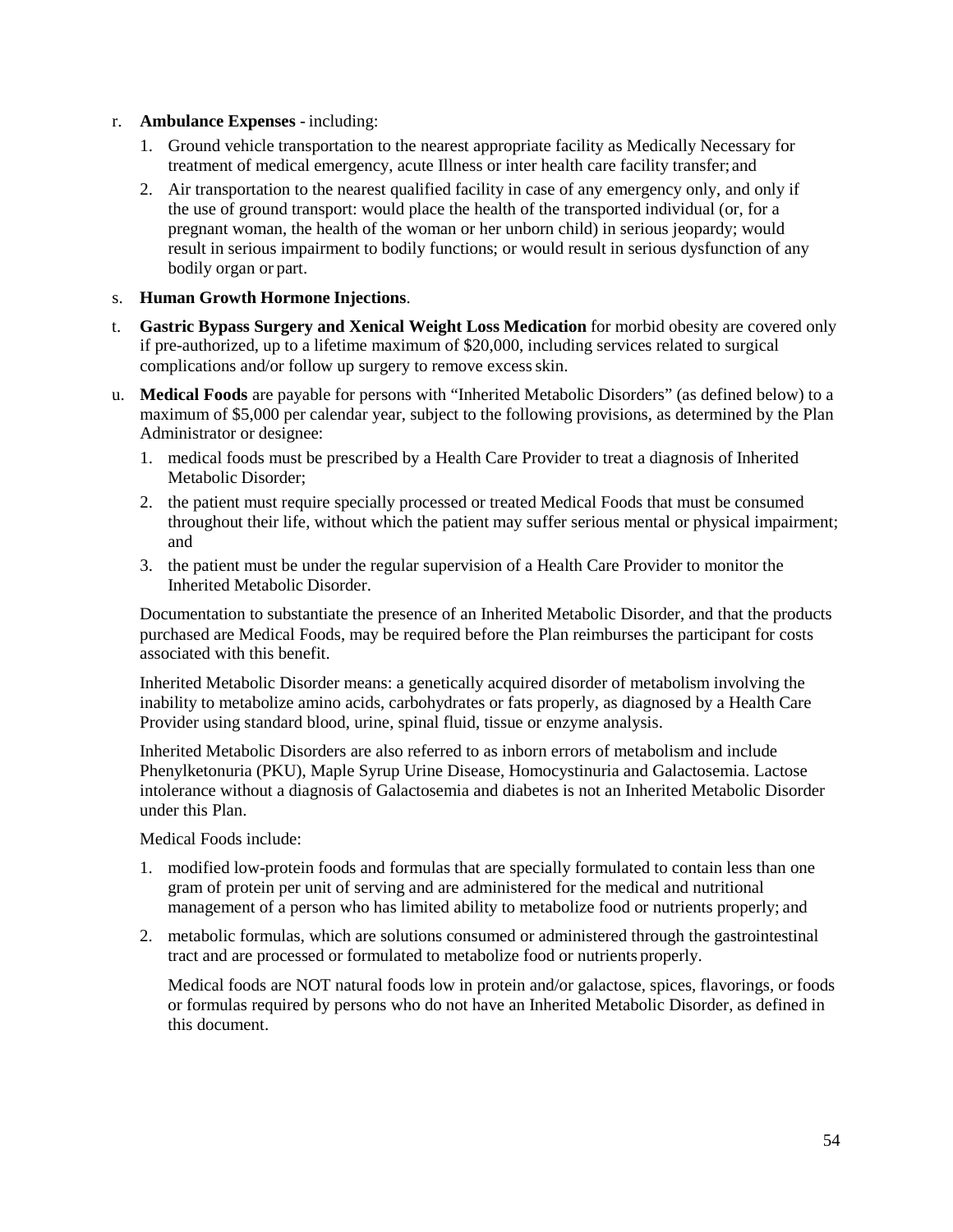- r. **Ambulance Expenses**  including:
	- 1. Ground vehicle transportation to the nearest appropriate facility as Medically Necessary for treatment of medical emergency, acute Illness or inter health care facility transfer; and
	- 2. Air transportation to the nearest qualified facility in case of any emergency only, and only if the use of ground transport: would place the health of the transported individual (or, for a pregnant woman, the health of the woman or her unborn child) in serious jeopardy; would result in serious impairment to bodily functions; or would result in serious dysfunction of any bodily organ or part.
- s. **Human Growth Hormone Injections**.
- t. **Gastric Bypass Surgery and Xenical Weight Loss Medication** for morbid obesity are covered only if pre-authorized, up to a lifetime maximum of \$20,000, including services related to surgical complications and/or follow up surgery to remove excess skin.
- u. **Medical Foods** are payable for persons with "Inherited Metabolic Disorders" (as defined below) to a maximum of \$5,000 per calendar year, subject to the following provisions, as determined by the Plan Administrator or designee:
	- 1. medical foods must be prescribed by a Health Care Provider to treat a diagnosis of Inherited Metabolic Disorder;
	- 2. the patient must require specially processed or treated Medical Foods that must be consumed throughout their life, without which the patient may suffer serious mental or physical impairment; and
	- 3. the patient must be under the regular supervision of a Health Care Provider to monitor the Inherited Metabolic Disorder.

Documentation to substantiate the presence of an Inherited Metabolic Disorder, and that the products purchased are Medical Foods, may be required before the Plan reimburses the participant for costs associated with this benefit.

Inherited Metabolic Disorder means: a genetically acquired disorder of metabolism involving the inability to metabolize amino acids, carbohydrates or fats properly, as diagnosed by a Health Care Provider using standard blood, urine, spinal fluid, tissue or enzyme analysis.

Inherited Metabolic Disorders are also referred to as inborn errors of metabolism and include Phenylketonuria (PKU), Maple Syrup Urine Disease, Homocystinuria and Galactosemia. Lactose intolerance without a diagnosis of Galactosemia and diabetes is not an Inherited Metabolic Disorder under this Plan.

Medical Foods include:

- 1. modified low-protein foods and formulas that are specially formulated to contain less than one gram of protein per unit of serving and are administered for the medical and nutritional management of a person who has limited ability to metabolize food or nutrients properly; and
- 2. metabolic formulas, which are solutions consumed or administered through the gastrointestinal tract and are processed or formulated to metabolize food or nutrients properly.

Medical foods are NOT natural foods low in protein and/or galactose, spices, flavorings, or foods or formulas required by persons who do not have an Inherited Metabolic Disorder, as defined in this document.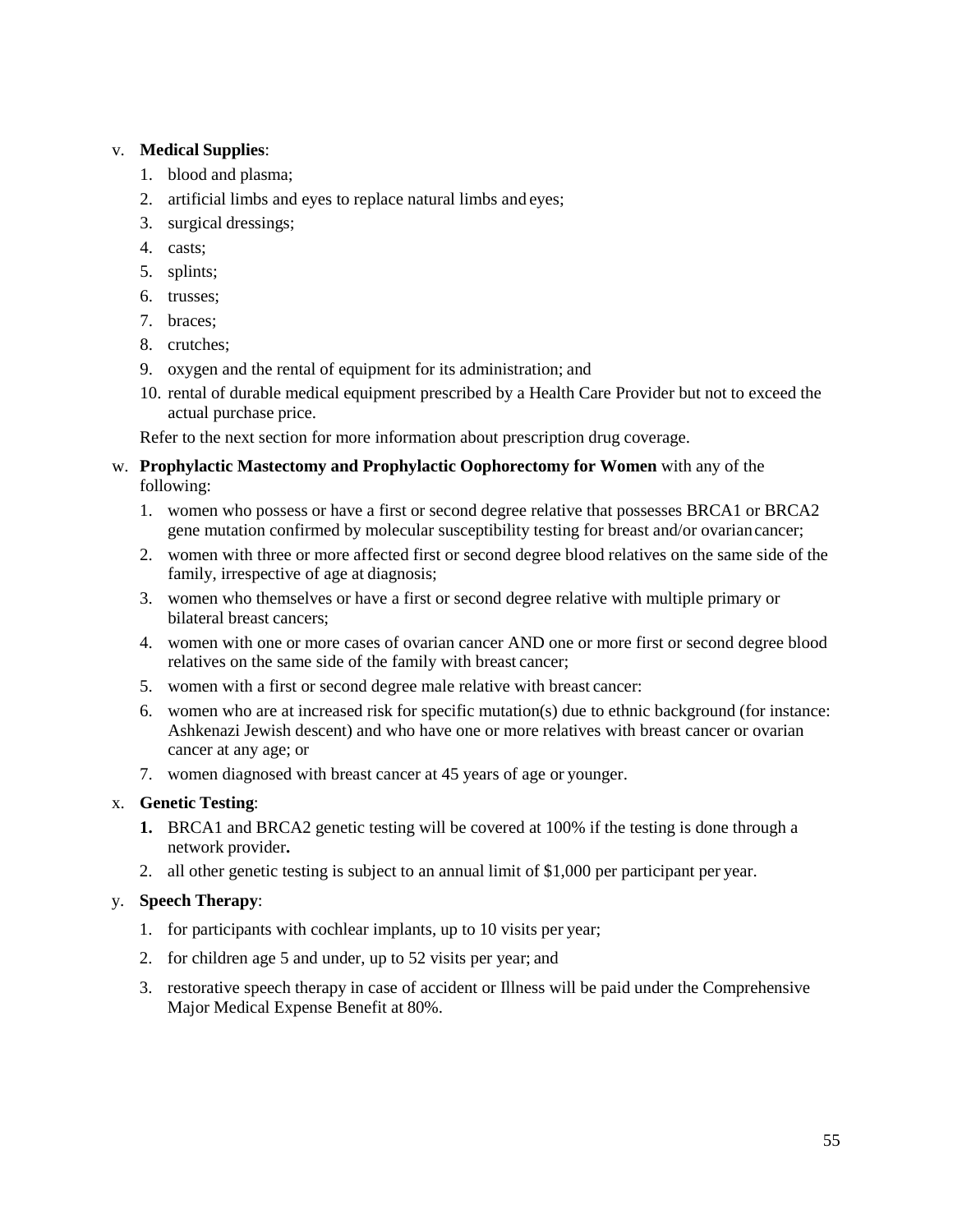## v. **Medical Supplies**:

- 1. blood and plasma;
- 2. artificial limbs and eyes to replace natural limbs and eyes;
- 3. surgical dressings;
- 4. casts;
- 5. splints;
- 6. trusses;
- 7. braces;
- 8. crutches;
- 9. oxygen and the rental of equipment for its administration; and
- 10. rental of durable medical equipment prescribed by a Health Care Provider but not to exceed the actual purchase price.

Refer to the next section for more information about prescription drug coverage.

## w. **Prophylactic Mastectomy and Prophylactic Oophorectomy for Women** with any of the following:

- 1. women who possess or have a first or second degree relative that possesses BRCA1 or BRCA2 gene mutation confirmed by molecular susceptibility testing for breast and/or ovariancancer;
- 2. women with three or more affected first or second degree blood relatives on the same side of the family, irrespective of age at diagnosis;
- 3. women who themselves or have a first or second degree relative with multiple primary or bilateral breast cancers;
- 4. women with one or more cases of ovarian cancer AND one or more first or second degree blood relatives on the same side of the family with breast cancer;
- 5. women with a first or second degree male relative with breast cancer:
- 6. women who are at increased risk for specific mutation(s) due to ethnic background (for instance: Ashkenazi Jewish descent) and who have one or more relatives with breast cancer or ovarian cancer at any age; or
- 7. women diagnosed with breast cancer at 45 years of age or younger.

## x. **Genetic Testing**:

- **1.** BRCA1 and BRCA2 genetic testing will be covered at 100% if the testing is done through a network provider**.**
- 2. all other genetic testing is subject to an annual limit of \$1,000 per participant per year.

## y. **Speech Therapy**:

- 1. for participants with cochlear implants, up to 10 visits per year;
- 2. for children age 5 and under, up to 52 visits per year; and
- 3. restorative speech therapy in case of accident or Illness will be paid under the Comprehensive Major Medical Expense Benefit at 80%.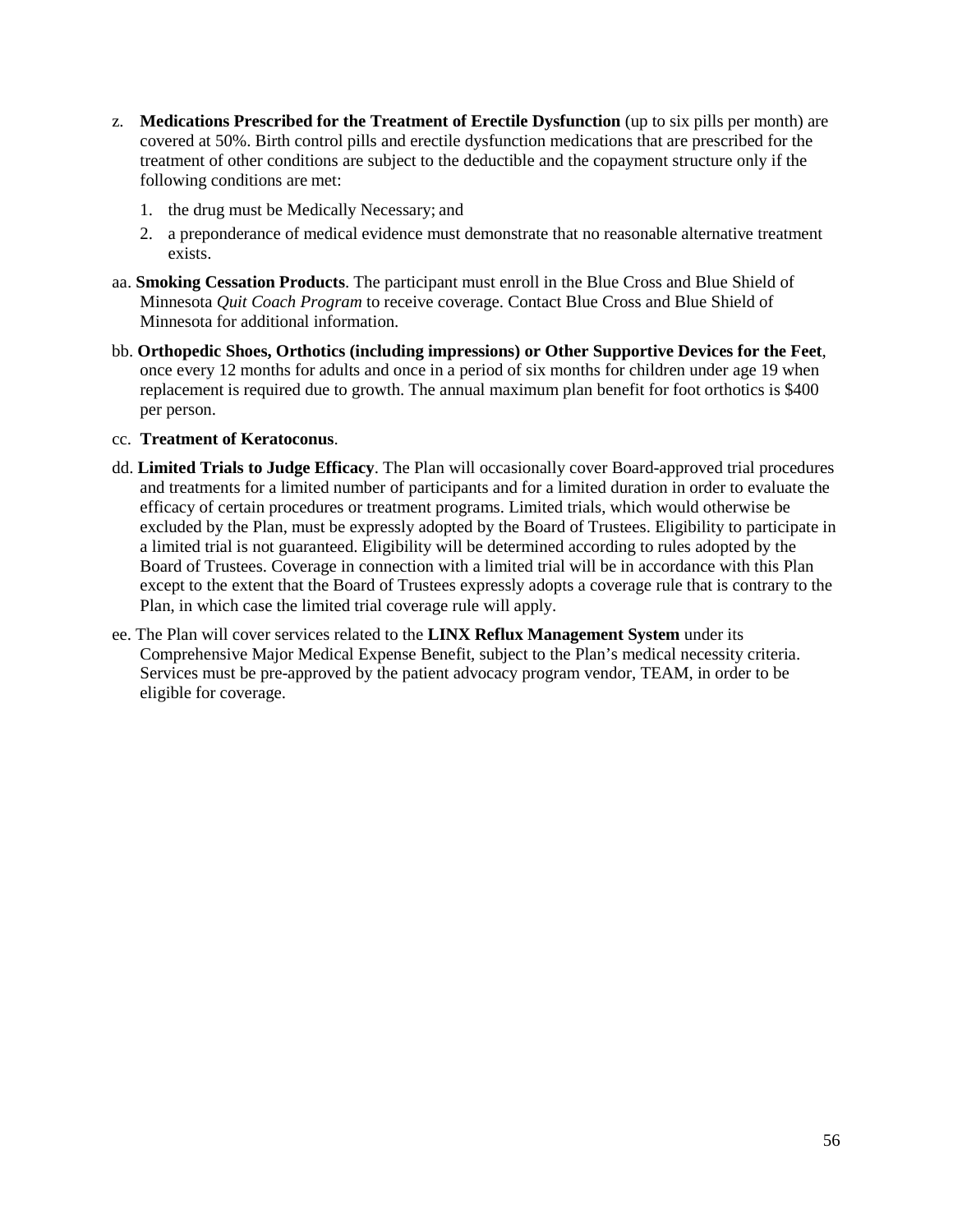- z. **Medications Prescribed for the Treatment of Erectile Dysfunction** (up to six pills per month) are covered at 50%. Birth control pills and erectile dysfunction medications that are prescribed for the treatment of other conditions are subject to the deductible and the copayment structure only if the following conditions are met:
	- 1. the drug must be Medically Necessary; and
	- 2. a preponderance of medical evidence must demonstrate that no reasonable alternative treatment exists.
- aa. **Smoking Cessation Products**. The participant must enroll in the Blue Cross and Blue Shield of Minnesota *Quit Coach Program* to receive coverage. Contact Blue Cross and Blue Shield of Minnesota for additional information.
- bb. **Orthopedic Shoes, Orthotics (including impressions) or Other Supportive Devices for the Feet**, once every 12 months for adults and once in a period of six months for children under age 19 when replacement is required due to growth. The annual maximum plan benefit for foot orthotics is \$400 per person.

#### cc. **Treatment of Keratoconus**.

- dd. **Limited Trials to Judge Efficacy**. The Plan will occasionally cover Board-approved trial procedures and treatments for a limited number of participants and for a limited duration in order to evaluate the efficacy of certain procedures or treatment programs. Limited trials, which would otherwise be excluded by the Plan, must be expressly adopted by the Board of Trustees. Eligibility to participate in a limited trial is not guaranteed. Eligibility will be determined according to rules adopted by the Board of Trustees. Coverage in connection with a limited trial will be in accordance with this Plan except to the extent that the Board of Trustees expressly adopts a coverage rule that is contrary to the Plan, in which case the limited trial coverage rule will apply.
- ee. The Plan will cover services related to the **LINX Reflux Management System** under its Comprehensive Major Medical Expense Benefit, subject to the Plan's medical necessity criteria. Services must be pre-approved by the patient advocacy program vendor, TEAM, in order to be eligible for coverage.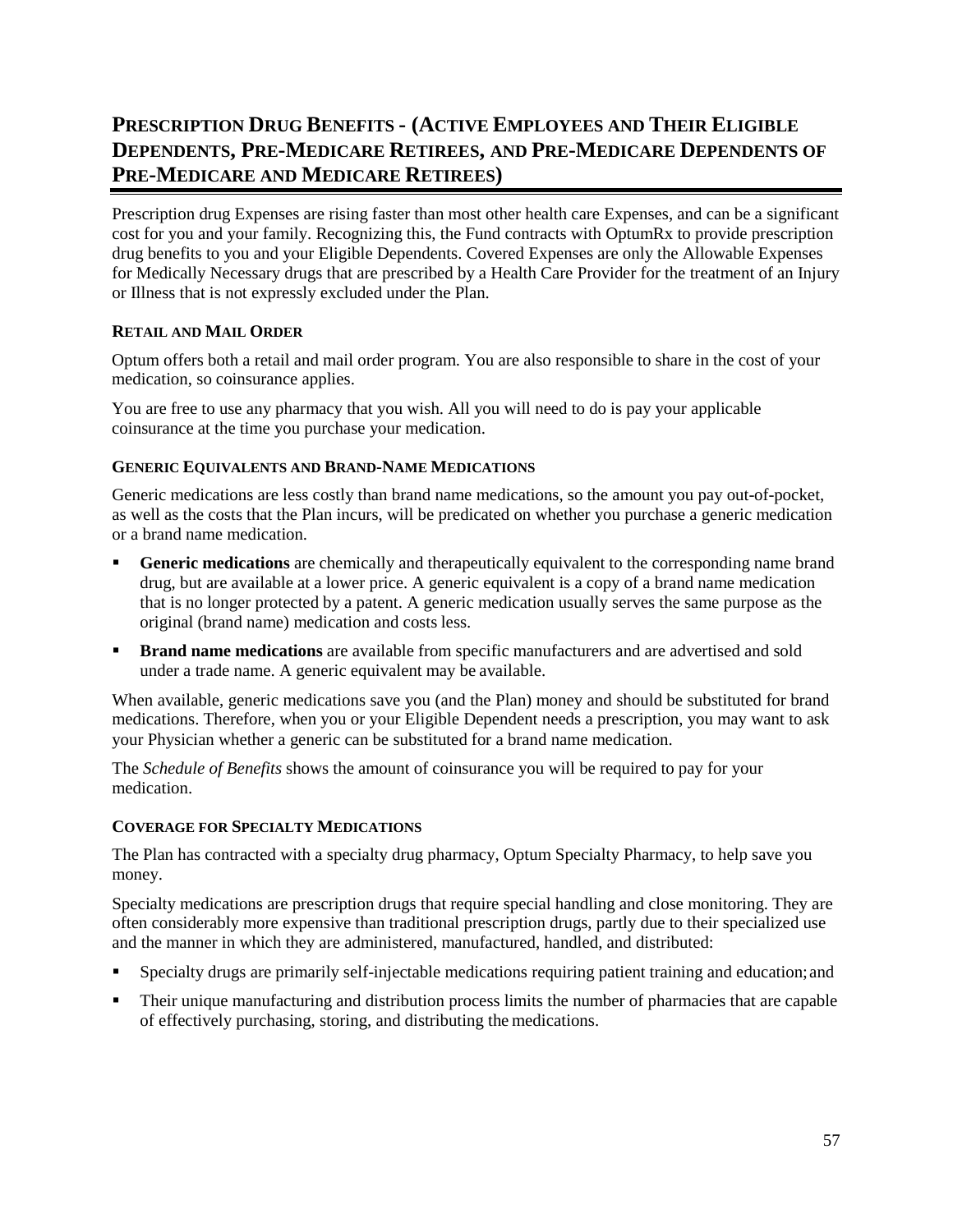# **PRESCRIPTION DRUG BENEFITS - (ACTIVE EMPLOYEES AND THEIR ELIGIBLE DEPENDENTS, PRE-MEDICARE RETIREES, AND PRE-MEDICARE DEPENDENTS OF PRE-MEDICARE AND MEDICARE RETIREES)**

Prescription drug Expenses are rising faster than most other health care Expenses, and can be a significant cost for you and your family. Recognizing this, the Fund contracts with OptumRx to provide prescription drug benefits to you and your Eligible Dependents. Covered Expenses are only the Allowable Expenses for Medically Necessary drugs that are prescribed by a Health Care Provider for the treatment of an Injury or Illness that is not expressly excluded under the Plan.

### **RETAIL AND MAIL ORDER**

Optum offers both a retail and mail order program. You are also responsible to share in the cost of your medication, so coinsurance applies.

You are free to use any pharmacy that you wish. All you will need to do is pay your applicable coinsurance at the time you purchase your medication.

### **GENERIC EQUIVALENTS AND BRAND-NAME MEDICATIONS**

Generic medications are less costly than brand name medications, so the amount you pay out-of-pocket, as well as the costs that the Plan incurs, will be predicated on whether you purchase a generic medication or a brand name medication.

- **Generic medications** are chemically and therapeutically equivalent to the corresponding name brand drug, but are available at a lower price. A generic equivalent is a copy of a brand name medication that is no longer protected by a patent. A generic medication usually serves the same purpose as the original (brand name) medication and costs less.
- **Brand name medications** are available from specific manufacturers and are advertised and sold under a trade name. A generic equivalent may be available.

When available, generic medications save you (and the Plan) money and should be substituted for brand medications. Therefore, when you or your Eligible Dependent needs a prescription, you may want to ask your Physician whether a generic can be substituted for a brand name medication.

The *Schedule of Benefits* shows the amount of coinsurance you will be required to pay for your medication.

#### **COVERAGE FOR SPECIALTY MEDICATIONS**

The Plan has contracted with a specialty drug pharmacy, Optum Specialty Pharmacy, to help save you money.

Specialty medications are prescription drugs that require special handling and close monitoring. They are often considerably more expensive than traditional prescription drugs, partly due to their specialized use and the manner in which they are administered, manufactured, handled, and distributed:

- Specialty drugs are primarily self-injectable medications requiring patient training and education;and
- Their unique manufacturing and distribution process limits the number of pharmacies that are capable of effectively purchasing, storing, and distributing the medications.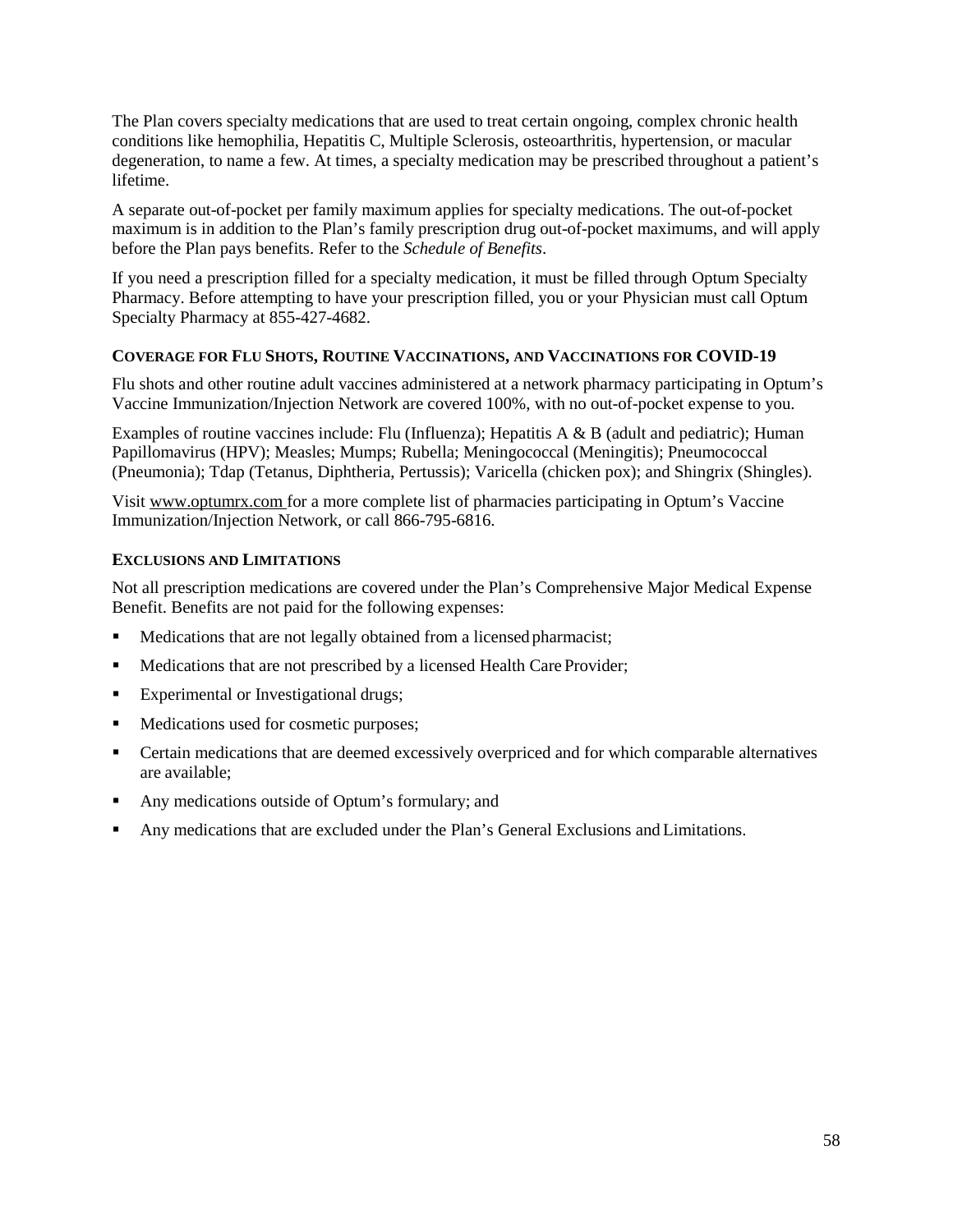The Plan covers specialty medications that are used to treat certain ongoing, complex chronic health conditions like hemophilia, Hepatitis C, Multiple Sclerosis, osteoarthritis, hypertension, or macular degeneration, to name a few. At times, a specialty medication may be prescribed throughout a patient's lifetime.

A separate out-of-pocket per family maximum applies for specialty medications. The out-of-pocket maximum is in addition to the Plan's family prescription drug out-of-pocket maximums, and will apply before the Plan pays benefits. Refer to the *Schedule of Benefits*.

If you need a prescription filled for a specialty medication, it must be filled through Optum Specialty Pharmacy. Before attempting to have your prescription filled, you or your Physician must call Optum Specialty Pharmacy at 855-427-4682.

### **COVERAGE FOR FLU SHOTS, ROUTINE VACCINATIONS, AND VACCINATIONS FOR COVID-19**

Flu shots and other routine adult vaccines administered at a network pharmacy participating in Optum's Vaccine Immunization/Injection Network are covered 100%, with no out-of-pocket expense to you.

Examples of routine vaccines include: Flu (Influenza); Hepatitis A & B (adult and pediatric); Human Papillomavirus (HPV); Measles; Mumps; Rubella; Meningococcal (Meningitis); Pneumococcal (Pneumonia); Tdap (Tetanus, Diphtheria, Pertussis); Varicella (chicken pox); and Shingrix (Shingles).

Visit [www.optumrx.com f](http://www.optumrx.com/)or a more complete list of pharmacies participating in Optum's Vaccine Immunization/Injection Network, or call 866-795-6816.

### **EXCLUSIONS AND LIMITATIONS**

Not all prescription medications are covered under the Plan's Comprehensive Major Medical Expense Benefit. Benefits are not paid for the following expenses:

- Medications that are not legally obtained from a licensed pharmacist;
- Medications that are not prescribed by a licensed Health Care Provider;
- Experimental or Investigational drugs;
- Medications used for cosmetic purposes;
- Certain medications that are deemed excessively overpriced and for which comparable alternatives are available;
- Any medications outside of Optum's formulary; and
- Any medications that are excluded under the Plan's General Exclusions and Limitations.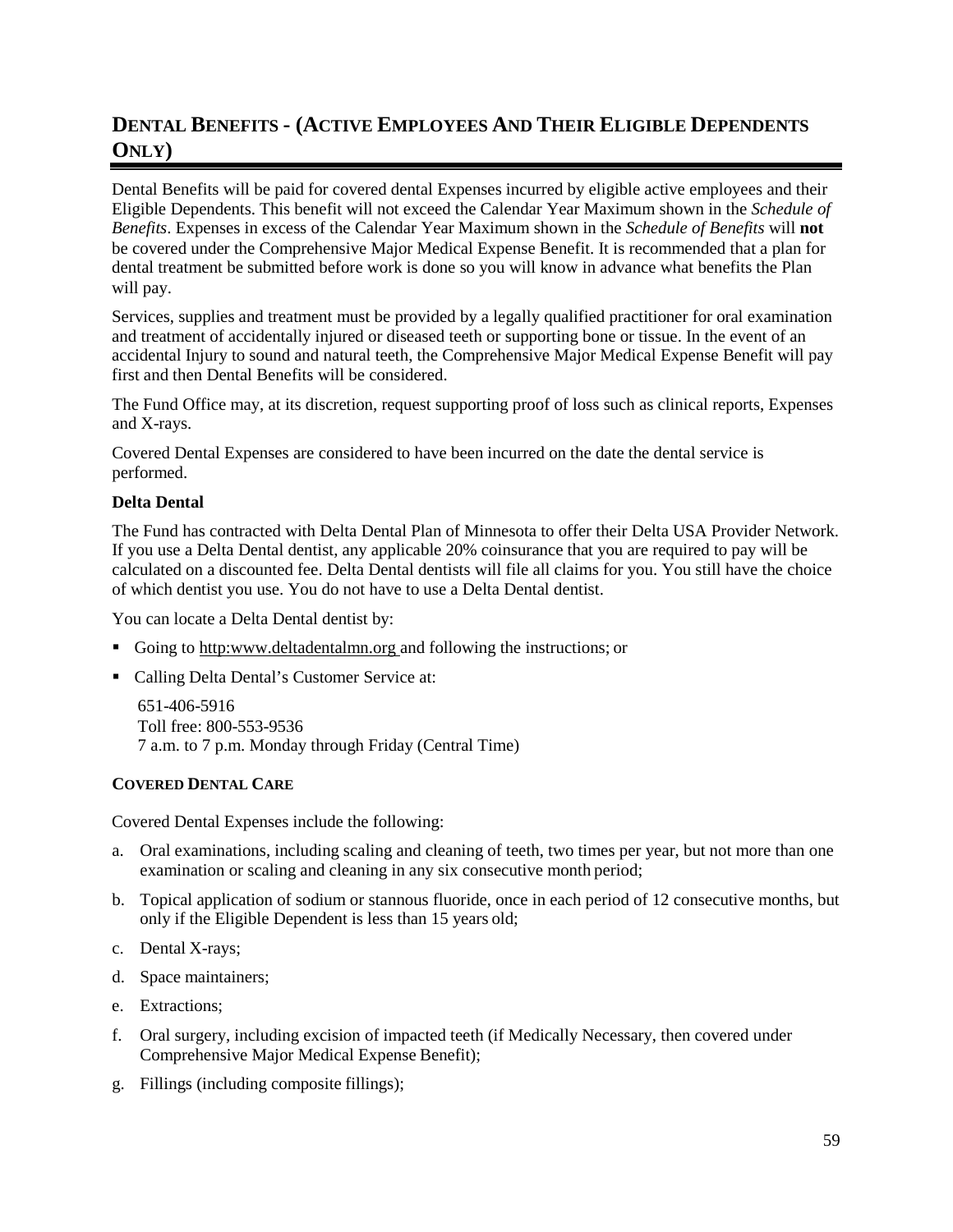# **DENTAL BENEFITS - (ACTIVE EMPLOYEES AND THEIR ELIGIBLE DEPENDENTS ONLY)**

Dental Benefits will be paid for covered dental Expenses incurred by eligible active employees and their Eligible Dependents. This benefit will not exceed the Calendar Year Maximum shown in the *Schedule of Benefits*. Expenses in excess of the Calendar Year Maximum shown in the *Schedule of Benefits* will **not**  be covered under the Comprehensive Major Medical Expense Benefit. It is recommended that a plan for dental treatment be submitted before work is done so you will know in advance what benefits the Plan will pay.

Services, supplies and treatment must be provided by a legally qualified practitioner for oral examination and treatment of accidentally injured or diseased teeth or supporting bone or tissue. In the event of an accidental Injury to sound and natural teeth, the Comprehensive Major Medical Expense Benefit will pay first and then Dental Benefits will be considered.

The Fund Office may, at its discretion, request supporting proof of loss such as clinical reports, Expenses and X-rays.

Covered Dental Expenses are considered to have been incurred on the date the dental service is performed.

### **Delta Dental**

The Fund has contracted with Delta Dental Plan of Minnesota to offer their Delta USA Provider Network. If you use a Delta Dental dentist, any applicable 20% coinsurance that you are required to pay will be calculated on a discounted fee. Delta Dental dentists will file all claims for you. You still have the choice of which dentist you use. You do not have to use a Delta Dental dentist.

You can locate a Delta Dental dentist by:

- Going to http[:www.deltadentalmn.org a](http://www.deltadentalmn.org/)nd following the instructions; or
- Calling Delta Dental's Customer Service at:

651-406-5916 Toll free: 800-553-9536 7 a.m. to 7 p.m. Monday through Friday (Central Time)

#### **COVERED DENTAL CARE**

Covered Dental Expenses include the following:

- a. Oral examinations, including scaling and cleaning of teeth, two times per year, but not more than one examination or scaling and cleaning in any six consecutive month period;
- b. Topical application of sodium or stannous fluoride, once in each period of 12 consecutive months, but only if the Eligible Dependent is less than 15 years old;
- c. Dental X-rays;
- d. Space maintainers;
- e. Extractions;
- f. Oral surgery, including excision of impacted teeth (if Medically Necessary, then covered under Comprehensive Major Medical Expense Benefit);
- g. Fillings (including composite fillings);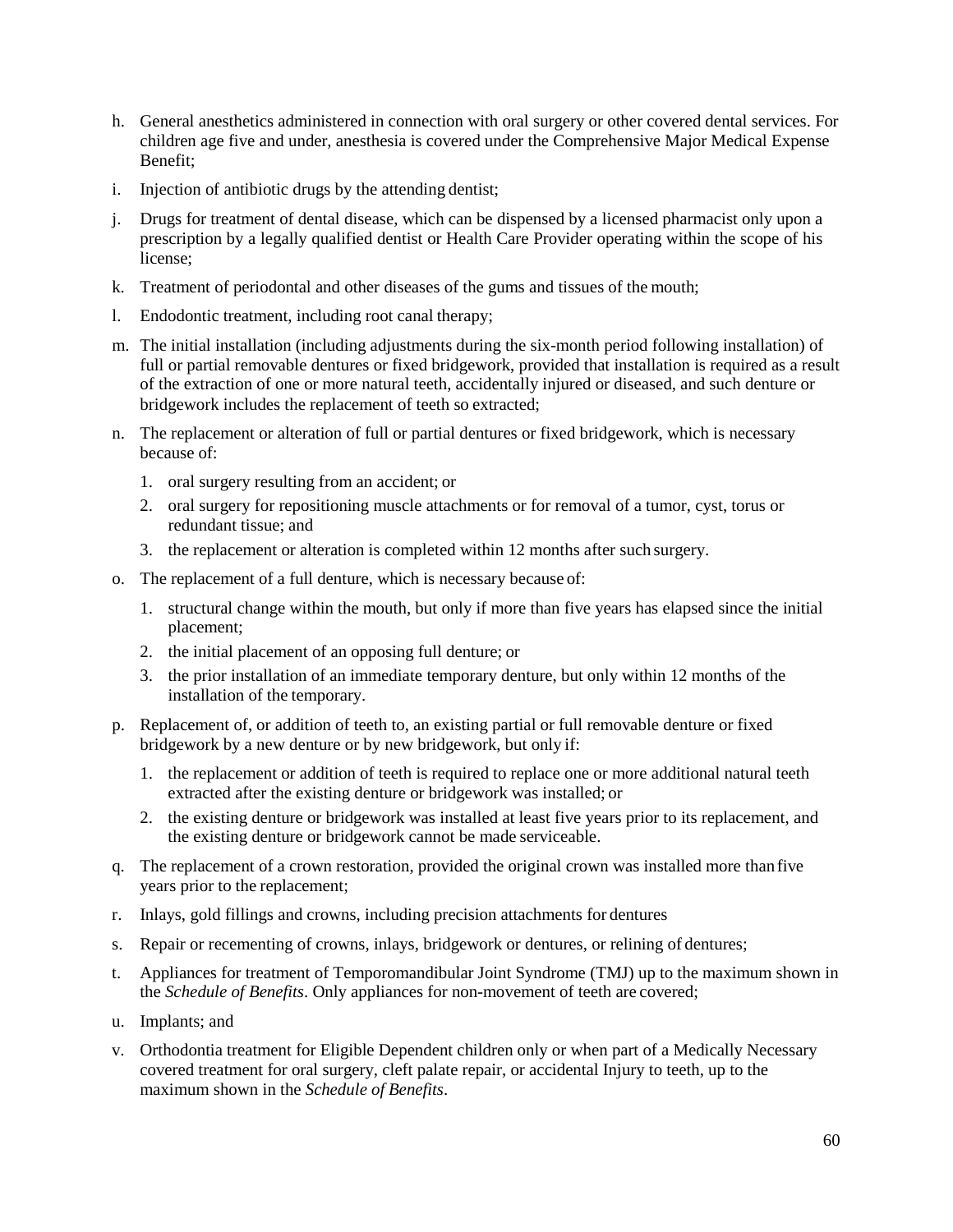- h. General anesthetics administered in connection with oral surgery or other covered dental services. For children age five and under, anesthesia is covered under the Comprehensive Major Medical Expense Benefit;
- i. Injection of antibiotic drugs by the attending dentist;
- j. Drugs for treatment of dental disease, which can be dispensed by a licensed pharmacist only upon a prescription by a legally qualified dentist or Health Care Provider operating within the scope of his license;
- k. Treatment of periodontal and other diseases of the gums and tissues of the mouth;
- l. Endodontic treatment, including root canal therapy;
- m. The initial installation (including adjustments during the six-month period following installation) of full or partial removable dentures or fixed bridgework, provided that installation is required as a result of the extraction of one or more natural teeth, accidentally injured or diseased, and such denture or bridgework includes the replacement of teeth so extracted;
- n. The replacement or alteration of full or partial dentures or fixed bridgework, which is necessary because of:
	- 1. oral surgery resulting from an accident; or
	- 2. oral surgery for repositioning muscle attachments or for removal of a tumor, cyst, torus or redundant tissue; and
	- 3. the replacement or alteration is completed within 12 months after such surgery.
- o. The replacement of a full denture, which is necessary because of:
	- 1. structural change within the mouth, but only if more than five years has elapsed since the initial placement;
	- 2. the initial placement of an opposing full denture; or
	- 3. the prior installation of an immediate temporary denture, but only within 12 months of the installation of the temporary.
- p. Replacement of, or addition of teeth to, an existing partial or full removable denture or fixed bridgework by a new denture or by new bridgework, but only if:
	- 1. the replacement or addition of teeth is required to replace one or more additional natural teeth extracted after the existing denture or bridgework was installed; or
	- 2. the existing denture or bridgework was installed at least five years prior to its replacement, and the existing denture or bridgework cannot be made serviceable.
- q. The replacement of a crown restoration, provided the original crown was installed more thanfive years prior to the replacement;
- r. Inlays, gold fillings and crowns, including precision attachments for dentures
- s. Repair or recementing of crowns, inlays, bridgework or dentures, or relining of dentures;
- t. Appliances for treatment of Temporomandibular Joint Syndrome (TMJ) up to the maximum shown in the *Schedule of Benefits*. Only appliances for non-movement of teeth are covered;
- u. Implants; and
- v. Orthodontia treatment for Eligible Dependent children only or when part of a Medically Necessary covered treatment for oral surgery, cleft palate repair, or accidental Injury to teeth, up to the maximum shown in the *Schedule of Benefits*.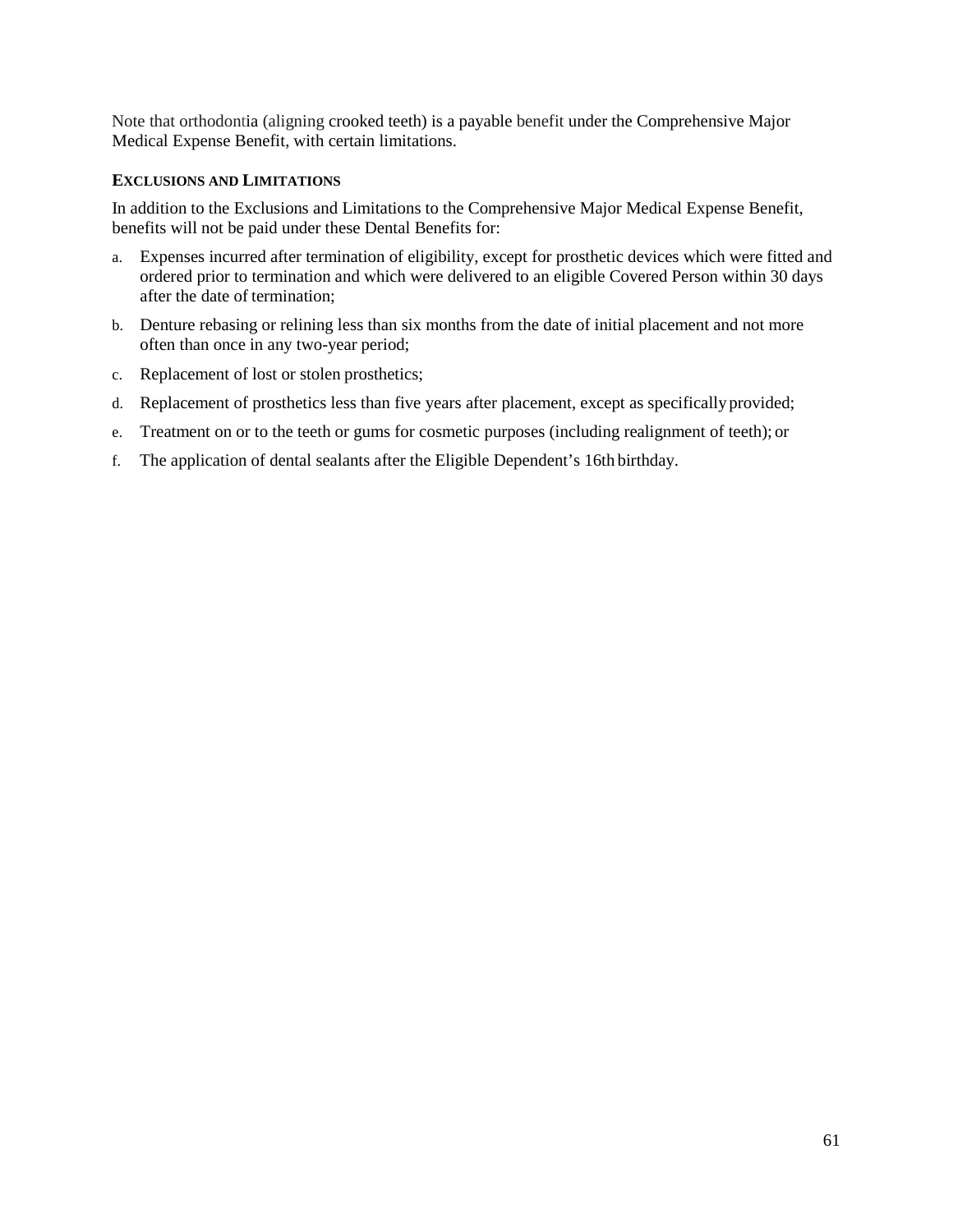Note that orthodontia (aligning crooked teeth) is a payable benefit under the Comprehensive Major Medical Expense Benefit, with certain limitations.

## **EXCLUSIONS AND LIMITATIONS**

In addition to the Exclusions and Limitations to the Comprehensive Major Medical Expense Benefit, benefits will not be paid under these Dental Benefits for:

- a. Expenses incurred after termination of eligibility, except for prosthetic devices which were fitted and ordered prior to termination and which were delivered to an eligible Covered Person within 30 days after the date of termination;
- b. Denture rebasing or relining less than six months from the date of initial placement and not more often than once in any two-year period;
- c. Replacement of lost or stolen prosthetics;
- d. Replacement of prosthetics less than five years after placement, except as specifically provided;
- e. Treatment on or to the teeth or gums for cosmetic purposes (including realignment of teeth); or
- f. The application of dental sealants after the Eligible Dependent's 16th birthday.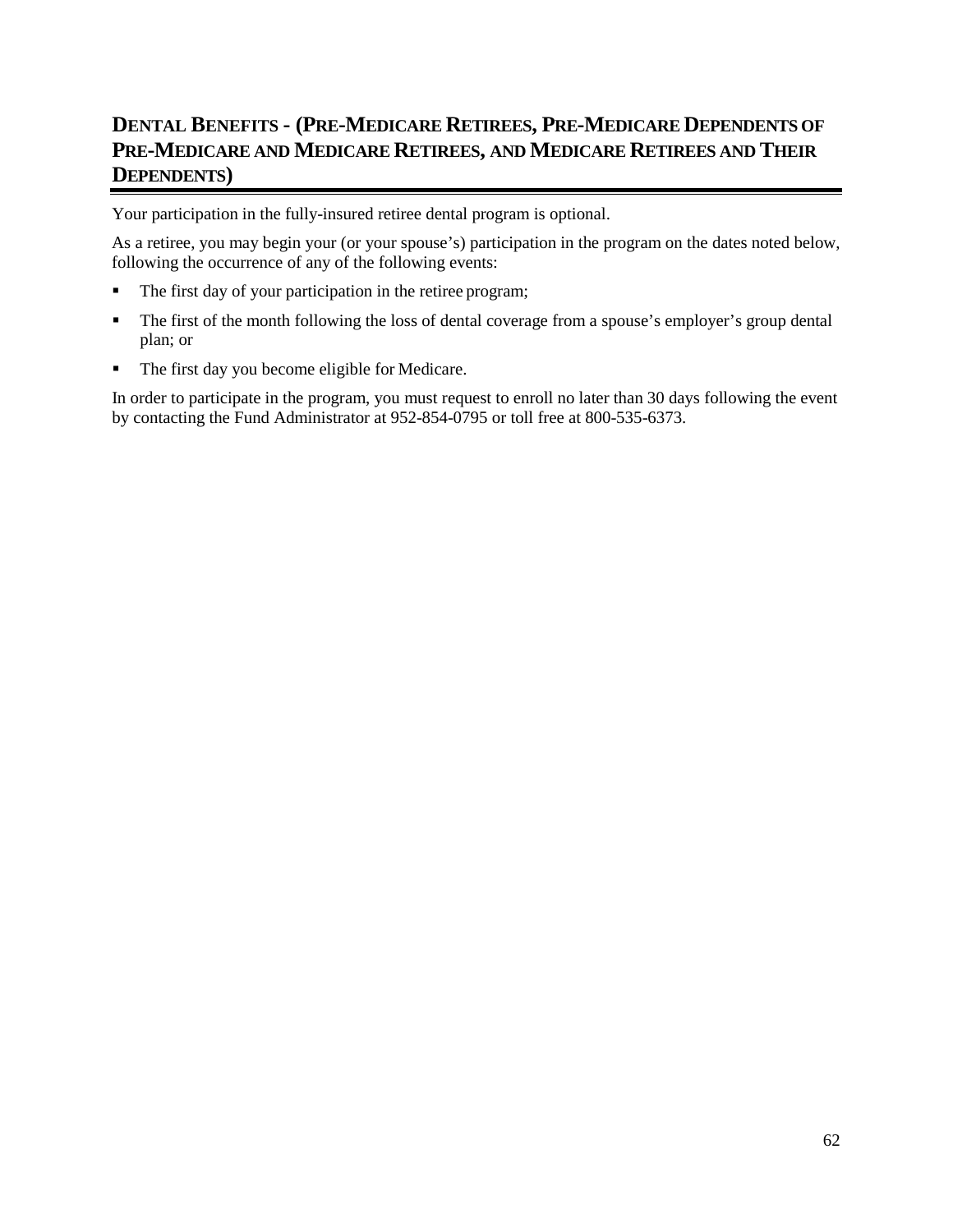# **DENTAL BENEFITS - (PRE-MEDICARE RETIREES, PRE-MEDICARE DEPENDENTS OF PRE-MEDICARE AND MEDICARE RETIREES, AND MEDICARE RETIREES AND THEIR DEPENDENTS)**

Your participation in the fully-insured retiree dental program is optional.

As a retiree, you may begin your (or your spouse's) participation in the program on the dates noted below, following the occurrence of any of the following events:

- The first day of your participation in the retiree program;
- The first of the month following the loss of dental coverage from a spouse's employer's group dental plan; or
- The first day you become eligible for Medicare.

In order to participate in the program, you must request to enroll no later than 30 days following the event by contacting the Fund Administrator at 952-854-0795 or toll free at 800-535-6373.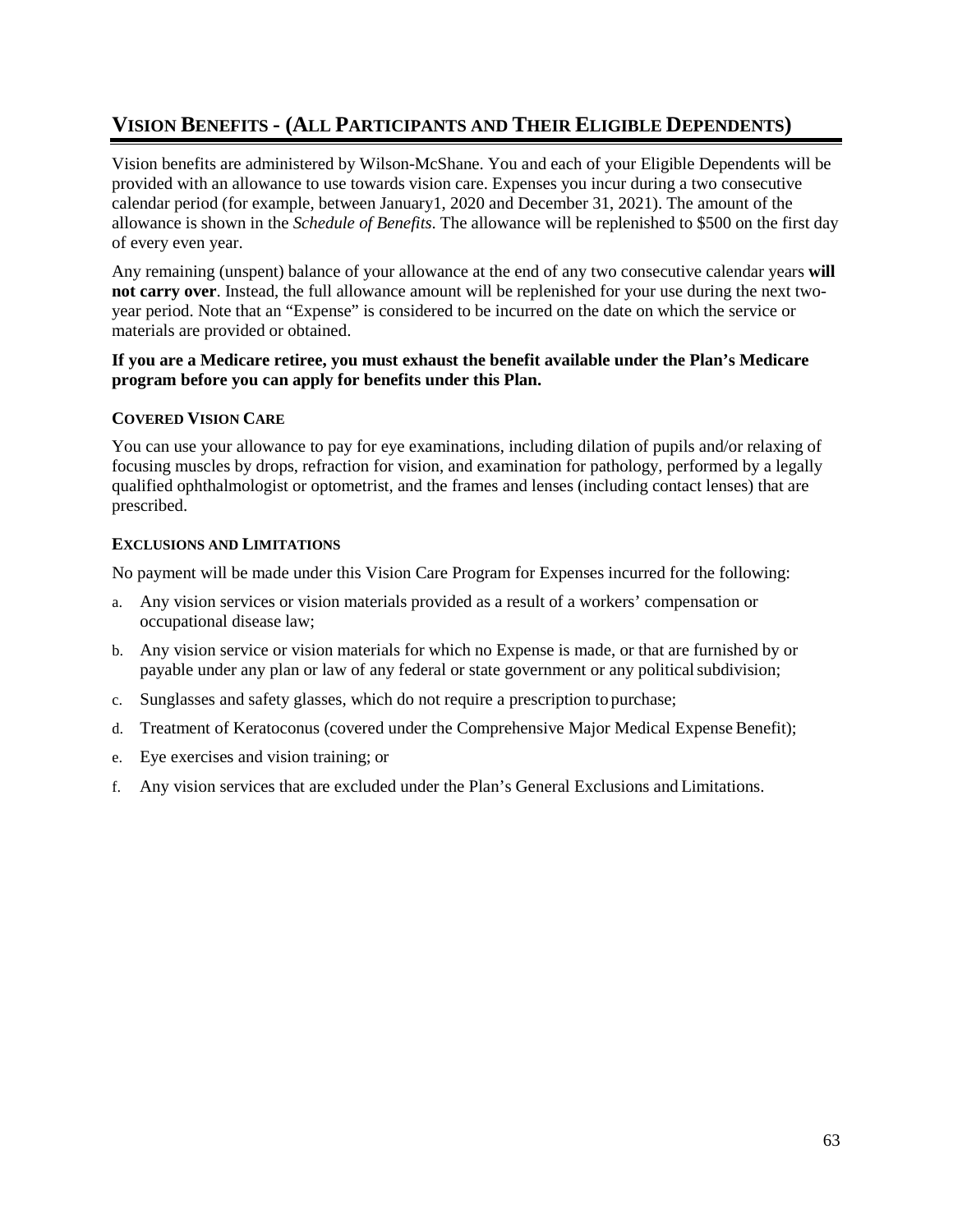# **VISION BENEFITS - (ALL PARTICIPANTS AND THEIR ELIGIBLE DEPENDENTS)**

Vision benefits are administered by Wilson-McShane. You and each of your Eligible Dependents will be provided with an allowance to use towards vision care. Expenses you incur during a two consecutive calendar period (for example, between January1, 2020 and December 31, 2021). The amount of the allowance is shown in the *Schedule of Benefits*. The allowance will be replenished to \$500 on the first day of every even year.

Any remaining (unspent) balance of your allowance at the end of any two consecutive calendar years **will not carry over**. Instead, the full allowance amount will be replenished for your use during the next twoyear period. Note that an "Expense" is considered to be incurred on the date on which the service or materials are provided or obtained.

#### **If you are a Medicare retiree, you must exhaust the benefit available under the Plan's Medicare program before you can apply for benefits under this Plan.**

### **COVERED VISION CARE**

You can use your allowance to pay for eye examinations, including dilation of pupils and/or relaxing of focusing muscles by drops, refraction for vision, and examination for pathology, performed by a legally qualified ophthalmologist or optometrist, and the frames and lenses (including contact lenses) that are prescribed.

#### **EXCLUSIONS AND LIMITATIONS**

No payment will be made under this Vision Care Program for Expenses incurred for the following:

- a. Any vision services or vision materials provided as a result of a workers' compensation or occupational disease law;
- b. Any vision service or vision materials for which no Expense is made, or that are furnished by or payable under any plan or law of any federal or state government or any political subdivision;
- c. Sunglasses and safety glasses, which do not require a prescription to purchase;
- d. Treatment of Keratoconus (covered under the Comprehensive Major Medical Expense Benefit);
- e. Eye exercises and vision training; or
- f. Any vision services that are excluded under the Plan's General Exclusions and Limitations.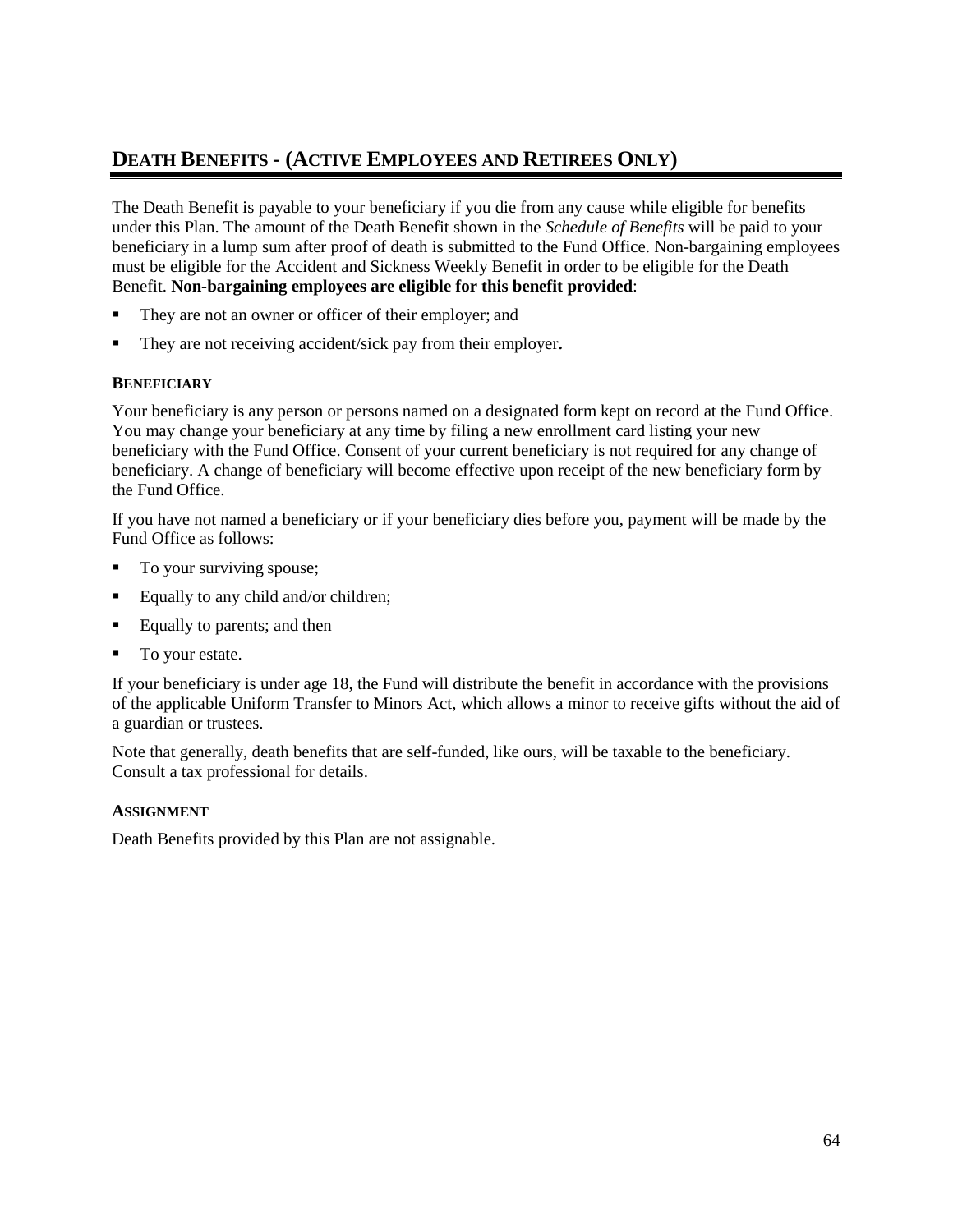# **DEATH BENEFITS - (ACTIVE EMPLOYEES AND RETIREES ONLY)**

The Death Benefit is payable to your beneficiary if you die from any cause while eligible for benefits under this Plan. The amount of the Death Benefit shown in the *Schedule of Benefits* will be paid to your beneficiary in a lump sum after proof of death is submitted to the Fund Office. Non-bargaining employees must be eligible for the Accident and Sickness Weekly Benefit in order to be eligible for the Death Benefit. **Non-bargaining employees are eligible for this benefit provided**:

- They are not an owner or officer of their employer; and
- They are not receiving accident/sick pay from their employer**.**

### **BENEFICIARY**

Your beneficiary is any person or persons named on a designated form kept on record at the Fund Office. You may change your beneficiary at any time by filing a new enrollment card listing your new beneficiary with the Fund Office. Consent of your current beneficiary is not required for any change of beneficiary. A change of beneficiary will become effective upon receipt of the new beneficiary form by the Fund Office.

If you have not named a beneficiary or if your beneficiary dies before you, payment will be made by the Fund Office as follows:

- To your surviving spouse;
- Equally to any child and/or children;
- Equally to parents; and then
- To your estate.

If your beneficiary is under age 18, the Fund will distribute the benefit in accordance with the provisions of the applicable Uniform Transfer to Minors Act, which allows a minor to receive gifts without the aid of a guardian or trustees.

Note that generally, death benefits that are self-funded, like ours, will be taxable to the beneficiary. Consult a tax professional for details.

#### **ASSIGNMENT**

Death Benefits provided by this Plan are not assignable.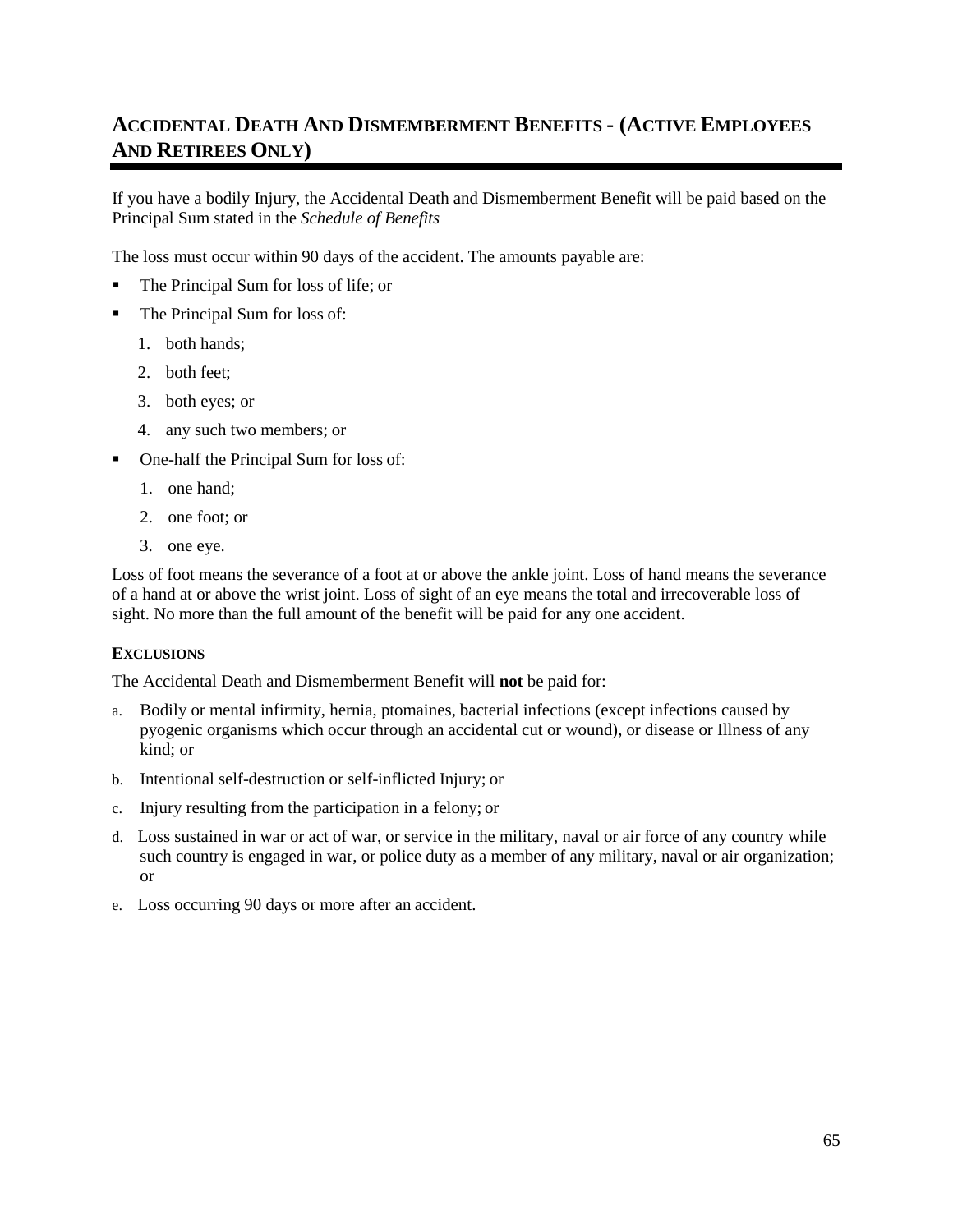# **ACCIDENTAL DEATH AND DISMEMBERMENT BENEFITS - (ACTIVE EMPLOYEES AND RETIREES ONLY)**

If you have a bodily Injury, the Accidental Death and Dismemberment Benefit will be paid based on the Principal Sum stated in the *Schedule of Benefits*

The loss must occur within 90 days of the accident. The amounts payable are:

- The Principal Sum for loss of life; or
- The Principal Sum for loss of:
	- 1. both hands;
	- 2. both feet;
	- 3. both eyes; or
	- 4. any such two members; or
- One-half the Principal Sum for loss of:
	- 1. one hand;
	- 2. one foot; or
	- 3. one eye.

Loss of foot means the severance of a foot at or above the ankle joint. Loss of hand means the severance of a hand at or above the wrist joint. Loss of sight of an eye means the total and irrecoverable loss of sight. No more than the full amount of the benefit will be paid for any one accident.

#### **EXCLUSIONS**

The Accidental Death and Dismemberment Benefit will **not** be paid for:

- a. Bodily or mental infirmity, hernia, ptomaines, bacterial infections (except infections caused by pyogenic organisms which occur through an accidental cut or wound), or disease or Illness of any kind; or
- b. Intentional self-destruction or self-inflicted Injury; or
- c. Injury resulting from the participation in a felony; or
- d. Loss sustained in war or act of war, or service in the military, naval or air force of any country while such country is engaged in war, or police duty as a member of any military, naval or air organization; or
- e. Loss occurring 90 days or more after an accident.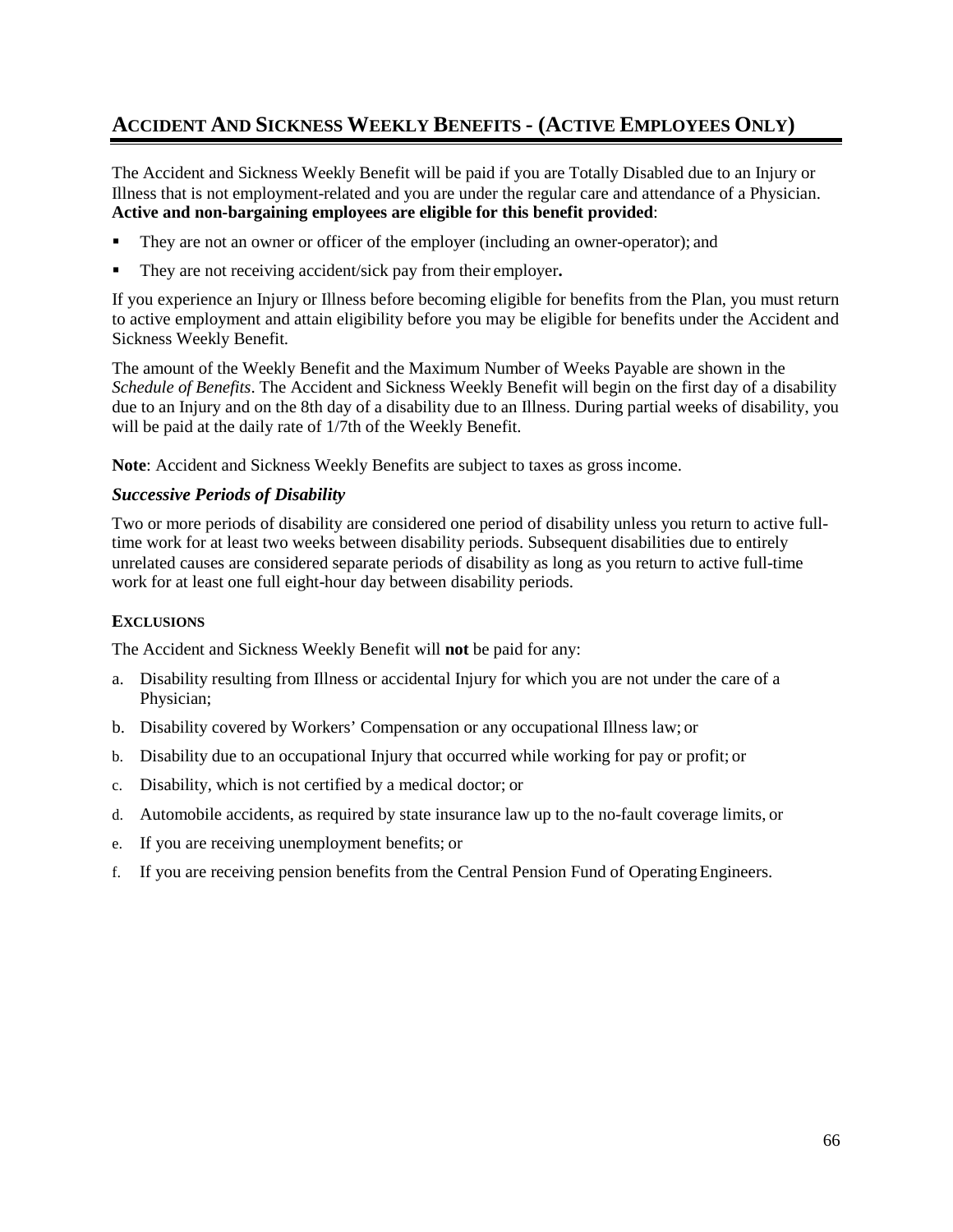# **ACCIDENT AND SICKNESS WEEKLY BENEFITS - (ACTIVE EMPLOYEES ONLY)**

The Accident and Sickness Weekly Benefit will be paid if you are Totally Disabled due to an Injury or Illness that is not employment-related and you are under the regular care and attendance of a Physician. **Active and non-bargaining employees are eligible for this benefit provided**:

- They are not an owner or officer of the employer (including an owner-operator); and
- They are not receiving accident/sick pay from their employer**.**

If you experience an Injury or Illness before becoming eligible for benefits from the Plan, you must return to active employment and attain eligibility before you may be eligible for benefits under the Accident and Sickness Weekly Benefit.

The amount of the Weekly Benefit and the Maximum Number of Weeks Payable are shown in the *Schedule of Benefits*. The Accident and Sickness Weekly Benefit will begin on the first day of a disability due to an Injury and on the 8th day of a disability due to an Illness. During partial weeks of disability, you will be paid at the daily rate of 1/7th of the Weekly Benefit.

**Note**: Accident and Sickness Weekly Benefits are subject to taxes as gross income.

### *Successive Periods of Disability*

Two or more periods of disability are considered one period of disability unless you return to active fulltime work for at least two weeks between disability periods. Subsequent disabilities due to entirely unrelated causes are considered separate periods of disability as long as you return to active full-time work for at least one full eight-hour day between disability periods.

#### **EXCLUSIONS**

The Accident and Sickness Weekly Benefit will **not** be paid for any:

- a. Disability resulting from Illness or accidental Injury for which you are not under the care of a Physician;
- b. Disability covered by Workers' Compensation or any occupational Illness law; or
- b. Disability due to an occupational Injury that occurred while working for pay or profit; or
- c. Disability, which is not certified by a medical doctor; or
- d. Automobile accidents, as required by state insurance law up to the no-fault coverage limits, or
- e. If you are receiving unemployment benefits; or
- f. If you are receiving pension benefits from the Central Pension Fund of OperatingEngineers.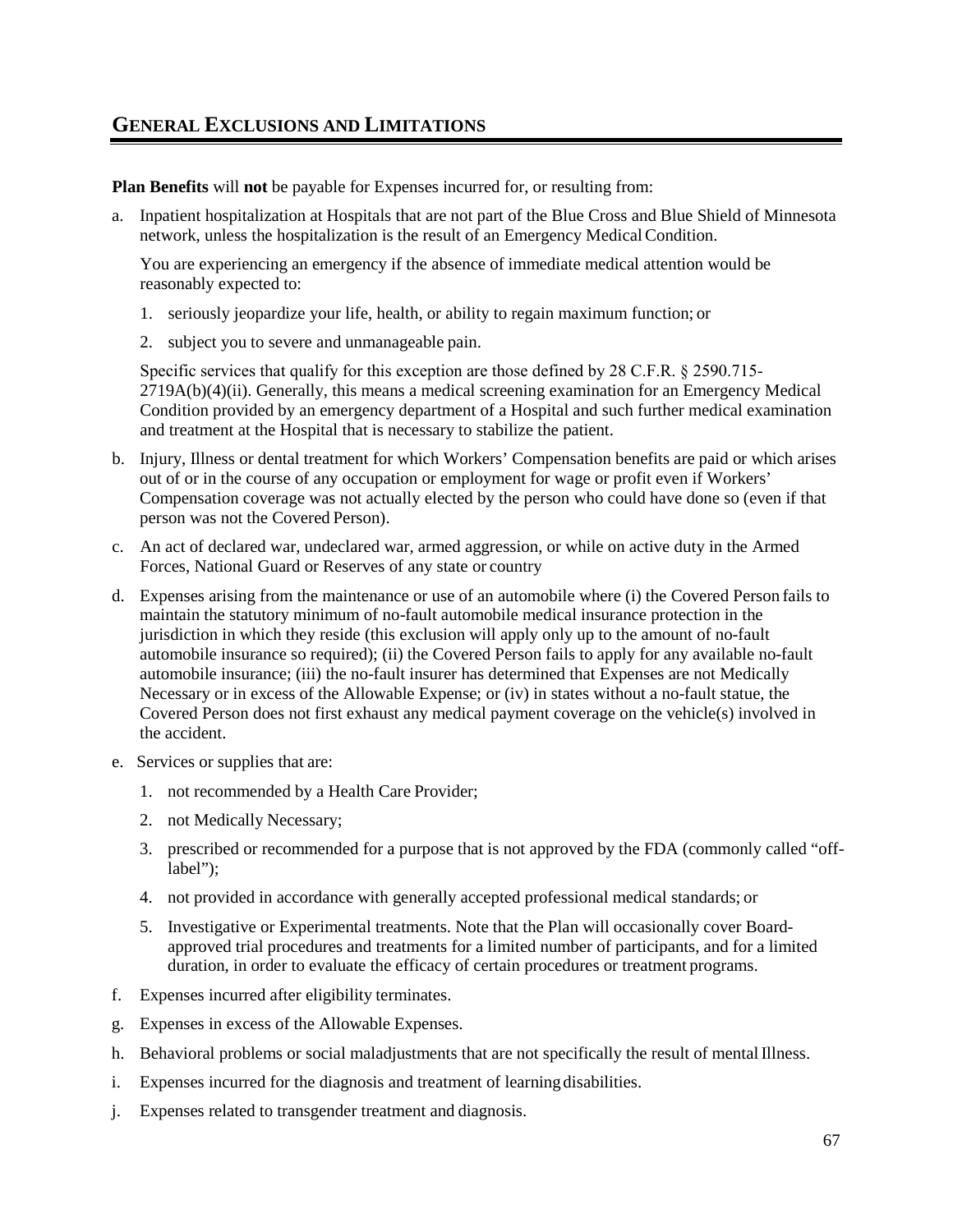## **GENERAL EXCLUSIONS AND LIMITATIONS**

**Plan Benefits** will **not** be payable for Expenses incurred for, or resulting from:

a. Inpatient hospitalization at Hospitals that are not part of the Blue Cross and Blue Shield of Minnesota network, unless the hospitalization is the result of an Emergency MedicalCondition.

You are experiencing an emergency if the absence of immediate medical attention would be reasonably expected to:

- 1. seriously jeopardize your life, health, or ability to regain maximum function; or
- 2. subject you to severe and unmanageable pain.

Specific services that qualify for this exception are those defined by 28 C.F.R. § 2590.715– 2719A(b)(4)(ii). Generally, this means a medical screening examination for an Emergency Medical Condition provided by an emergency department of a Hospital and such further medical examination and treatment at the Hospital that is necessary to stabilize the patient.

- b. Injury, Illness or dental treatment for which Workers' Compensation benefits are paid or which arises out of or in the course of any occupation or employment for wage or profit even if Workers' Compensation coverage was not actually elected by the person who could have done so (even if that person was not the Covered Person).
- c. An act of declared war, undeclared war, armed aggression, or while on active duty in the Armed Forces, National Guard or Reserves of any state or country
- d. Expenses arising from the maintenance or use of an automobile where (i) the Covered Person fails to maintain the statutory minimum of no-fault automobile medical insurance protection in the jurisdiction in which they reside (this exclusion will apply only up to the amount of no-fault automobile insurance so required); (ii) the Covered Person fails to apply for any available no-fault automobile insurance; (iii) the no-fault insurer has determined that Expenses are not Medically Necessary or in excess of the Allowable Expense; or (iv) in states without a no-fault statue, the Covered Person does not first exhaust any medical payment coverage on the vehicle(s) involved in the accident.
- e. Services or supplies that are:
	- 1. not recommended by a Health Care Provider;
	- 2. not Medically Necessary;
	- 3. prescribed or recommended for a purpose that is not approved by the FDA (commonly called "offlabel");
	- 4. not provided in accordance with generally accepted professional medical standards; or
	- 5. Investigative or Experimental treatments. Note that the Plan will occasionally cover Boardapproved trial procedures and treatments for a limited number of participants, and for a limited duration, in order to evaluate the efficacy of certain procedures or treatment programs.
- f. Expenses incurred after eligibility terminates.
- g. Expenses in excess of the Allowable Expenses.
- h. Behavioral problems or social maladjustments that are not specifically the result of mentalIllness.
- i. Expenses incurred for the diagnosis and treatment of learning disabilities.
- j. Expenses related to transgender treatment and diagnosis.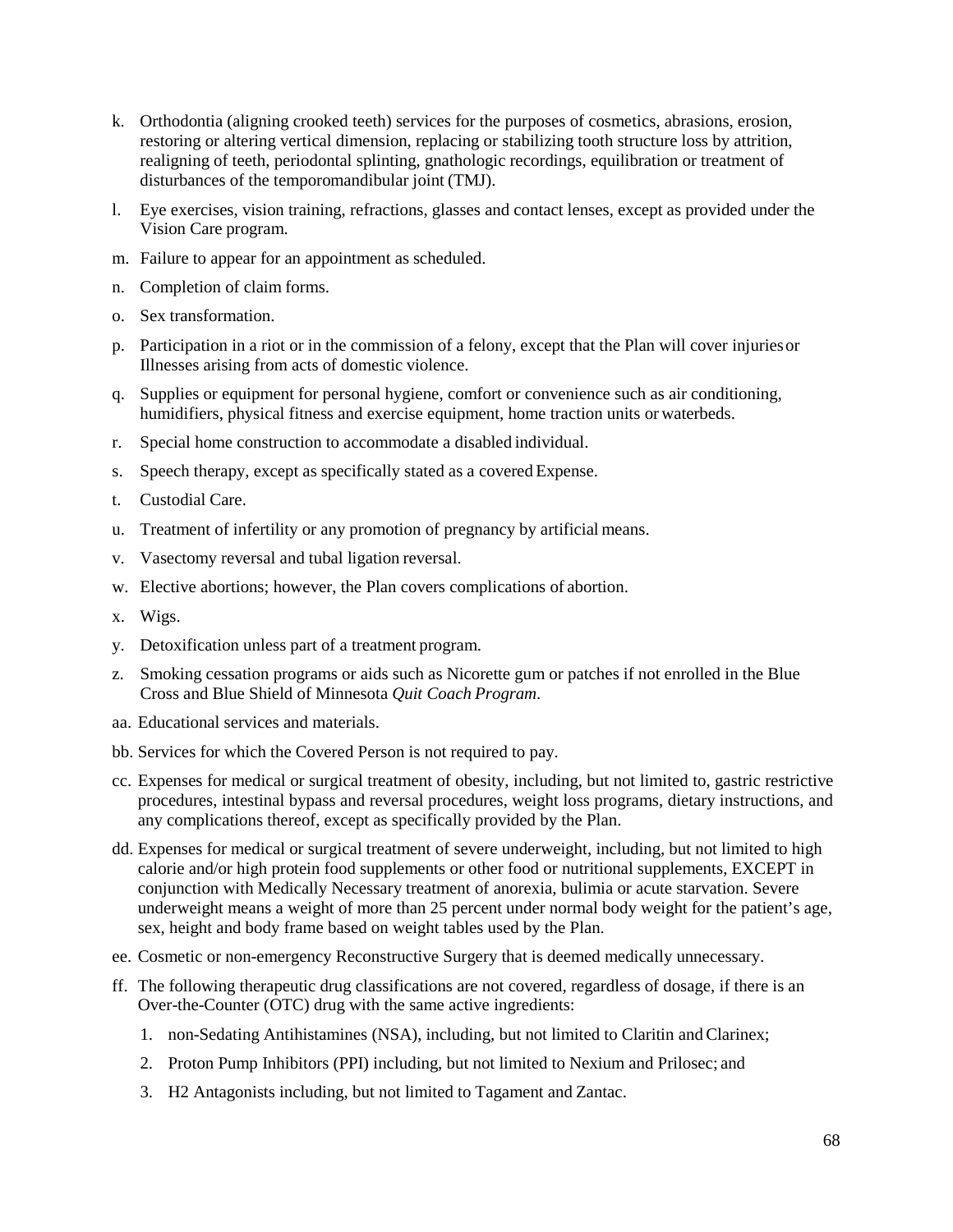- k. Orthodontia (aligning crooked teeth) services for the purposes of cosmetics, abrasions, erosion, restoring or altering vertical dimension, replacing or stabilizing tooth structure loss by attrition, realigning of teeth, periodontal splinting, gnathologic recordings, equilibration or treatment of disturbances of the temporomandibular joint (TMJ).
- l. Eye exercises, vision training, refractions, glasses and contact lenses, except as provided under the Vision Care program.
- m. Failure to appear for an appointment as scheduled.
- n. Completion of claim forms.
- o. Sex transformation.
- p. Participation in a riot or in the commission of a felony, except that the Plan will cover injuriesor Illnesses arising from acts of domestic violence.
- q. Supplies or equipment for personal hygiene, comfort or convenience such as air conditioning, humidifiers, physical fitness and exercise equipment, home traction units or waterbeds.
- r. Special home construction to accommodate a disabled individual.
- s. Speech therapy, except as specifically stated as a covered Expense.
- t. Custodial Care.
- u. Treatment of infertility or any promotion of pregnancy by artificial means.
- v. Vasectomy reversal and tubal ligation reversal.
- w. Elective abortions; however, the Plan covers complications of abortion.
- x. Wigs.
- y. Detoxification unless part of a treatment program.
- z. Smoking cessation programs or aids such as Nicorette gum or patches if not enrolled in the Blue Cross and Blue Shield of Minnesota *Quit Coach Program*.
- aa. Educational services and materials.
- bb. Services for which the Covered Person is not required to pay.
- cc. Expenses for medical or surgical treatment of obesity, including, but not limited to, gastric restrictive procedures, intestinal bypass and reversal procedures, weight loss programs, dietary instructions, and any complications thereof, except as specifically provided by the Plan.
- dd. Expenses for medical or surgical treatment of severe underweight, including, but not limited to high calorie and/or high protein food supplements or other food or nutritional supplements, EXCEPT in conjunction with Medically Necessary treatment of anorexia, bulimia or acute starvation. Severe underweight means a weight of more than 25 percent under normal body weight for the patient's age, sex, height and body frame based on weight tables used by the Plan.
- ee. Cosmetic or non-emergency Reconstructive Surgery that is deemed medically unnecessary.
- ff. The following therapeutic drug classifications are not covered, regardless of dosage, if there is an Over-the-Counter (OTC) drug with the same active ingredients:
	- 1. non-Sedating Antihistamines (NSA), including, but not limited to Claritin and Clarinex;
	- 2. Proton Pump Inhibitors (PPI) including, but not limited to Nexium and Prilosec; and
	- 3. H2 Antagonists including, but not limited to Tagament and Zantac.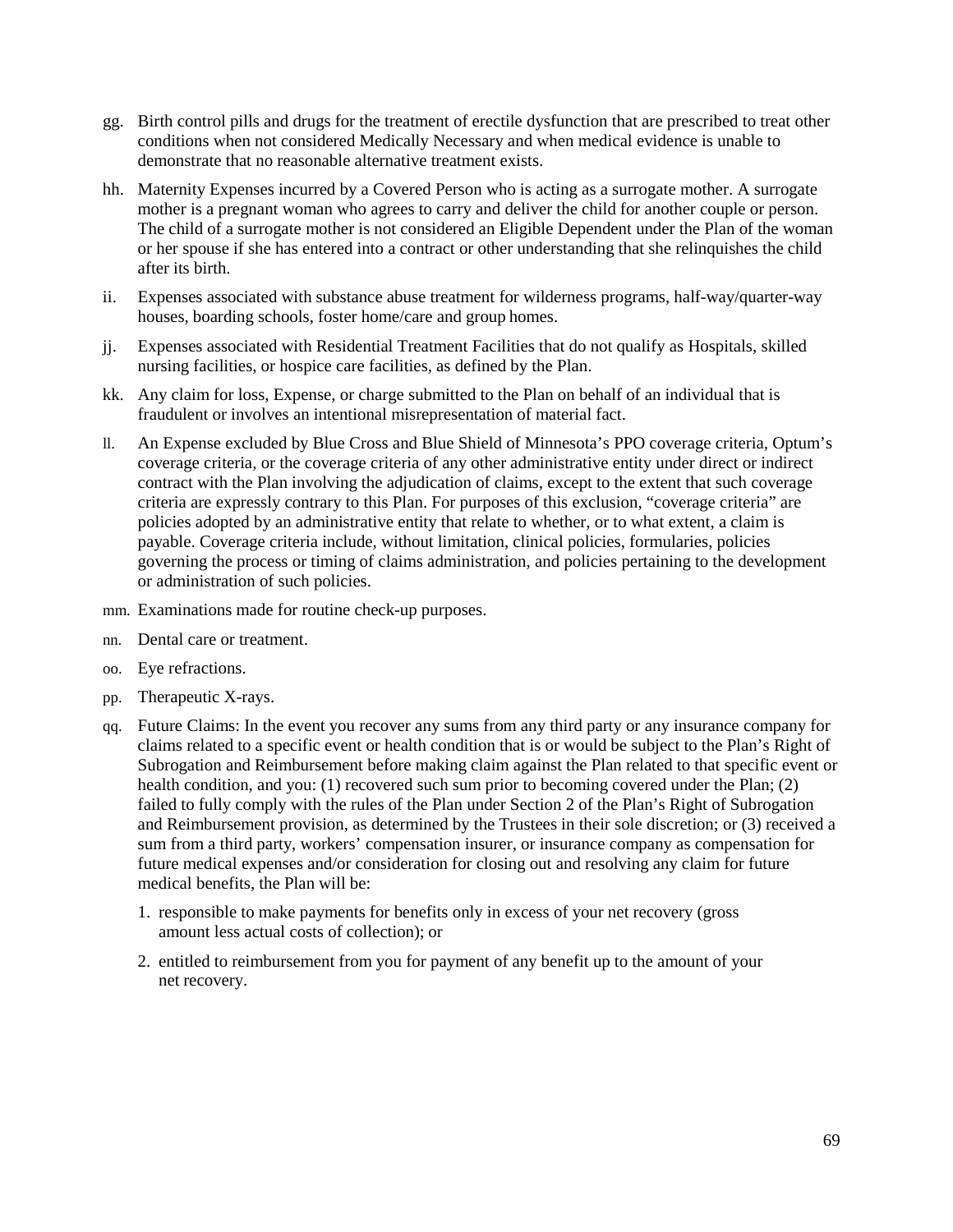- gg. Birth control pills and drugs for the treatment of erectile dysfunction that are prescribed to treat other conditions when not considered Medically Necessary and when medical evidence is unable to demonstrate that no reasonable alternative treatment exists.
- hh. Maternity Expenses incurred by a Covered Person who is acting as a surrogate mother. A surrogate mother is a pregnant woman who agrees to carry and deliver the child for another couple or person. The child of a surrogate mother is not considered an Eligible Dependent under the Plan of the woman or her spouse if she has entered into a contract or other understanding that she relinquishes the child after its birth.
- ii. Expenses associated with substance abuse treatment for wilderness programs, half-way/quarter-way houses, boarding schools, foster home/care and group homes.
- jj. Expenses associated with Residential Treatment Facilities that do not qualify as Hospitals, skilled nursing facilities, or hospice care facilities, as defined by the Plan.
- kk. Any claim for loss, Expense, or charge submitted to the Plan on behalf of an individual that is fraudulent or involves an intentional misrepresentation of material fact.
- ll. An Expense excluded by Blue Cross and Blue Shield of Minnesota's PPO coverage criteria, Optum's coverage criteria, or the coverage criteria of any other administrative entity under direct or indirect contract with the Plan involving the adjudication of claims, except to the extent that such coverage criteria are expressly contrary to this Plan. For purposes of this exclusion, "coverage criteria" are policies adopted by an administrative entity that relate to whether, or to what extent, a claim is payable. Coverage criteria include, without limitation, clinical policies, formularies, policies governing the process or timing of claims administration, and policies pertaining to the development or administration of such policies.
- mm. Examinations made for routine check-up purposes.
- nn. Dental care or treatment.
- oo. Eye refractions.
- pp. Therapeutic X-rays.
- qq. Future Claims: In the event you recover any sums from any third party or any insurance company for claims related to a specific event or health condition that is or would be subject to the Plan's Right of Subrogation and Reimbursement before making claim against the Plan related to that specific event or health condition, and you: (1) recovered such sum prior to becoming covered under the Plan; (2) failed to fully comply with the rules of the Plan under Section 2 of the Plan's Right of Subrogation and Reimbursement provision, as determined by the Trustees in their sole discretion; or (3) received a sum from a third party, workers' compensation insurer, or insurance company as compensation for future medical expenses and/or consideration for closing out and resolving any claim for future medical benefits, the Plan will be:
	- 1. responsible to make payments for benefits only in excess of your net recovery (gross amount less actual costs of collection); or
	- 2. entitled to reimbursement from you for payment of any benefit up to the amount of your net recovery.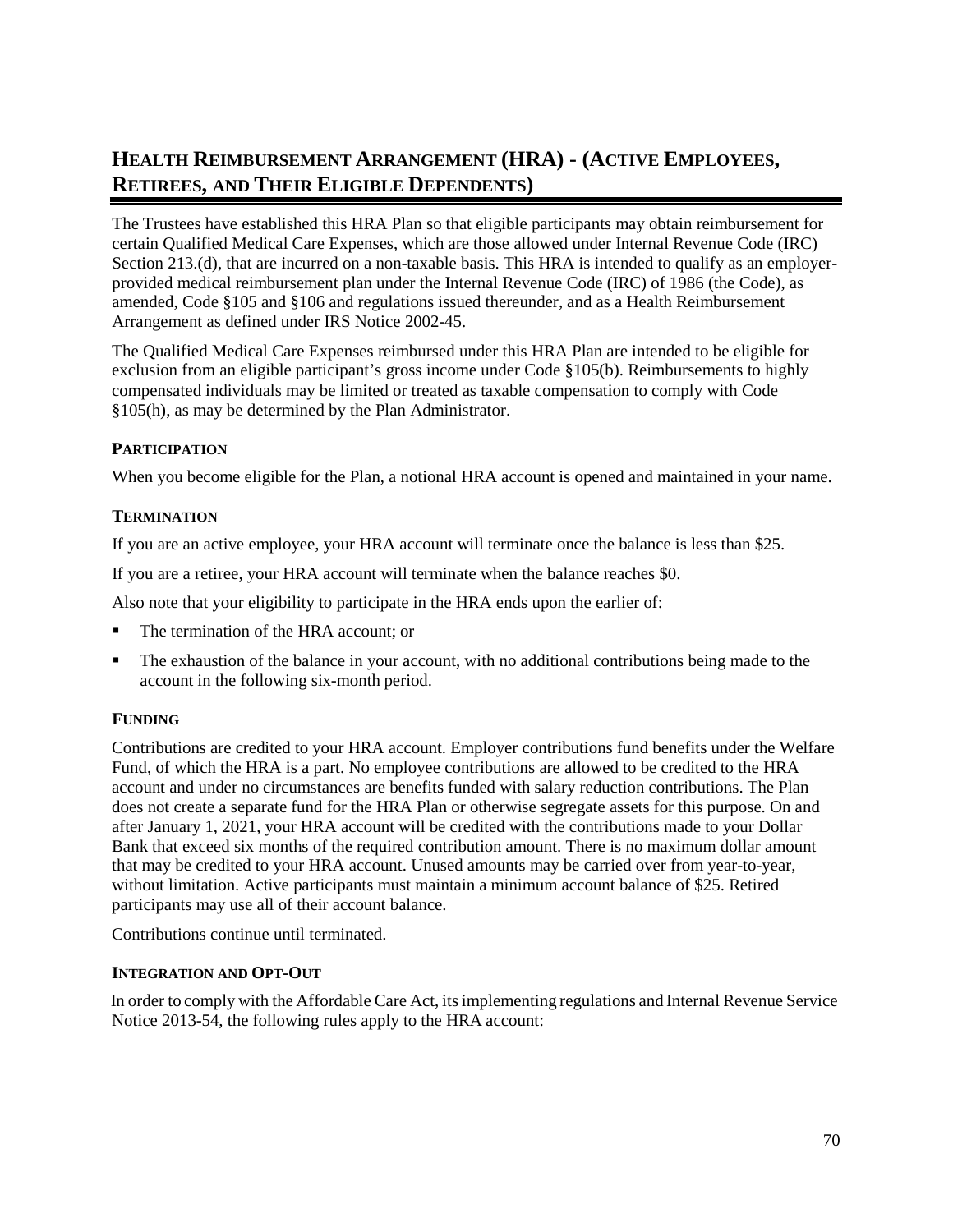# **HEALTH REIMBURSEMENT ARRANGEMENT (HRA) - (ACTIVE EMPLOYEES, RETIREES, AND THEIR ELIGIBLE DEPENDENTS)**

The Trustees have established this HRA Plan so that eligible participants may obtain reimbursement for certain Qualified Medical Care Expenses, which are those allowed under Internal Revenue Code (IRC) Section 213.(d), that are incurred on a non-taxable basis. This HRA is intended to qualify as an employerprovided medical reimbursement plan under the Internal Revenue Code (IRC) of 1986 (the Code), as amended, Code §105 and §106 and regulations issued thereunder, and as a Health Reimbursement Arrangement as defined under IRS Notice 2002-45.

The Qualified Medical Care Expenses reimbursed under this HRA Plan are intended to be eligible for exclusion from an eligible participant's gross income under Code §105(b). Reimbursements to highly compensated individuals may be limited or treated as taxable compensation to comply with Code §105(h), as may be determined by the Plan Administrator.

## **PARTICIPATION**

When you become eligible for the Plan, a notional HRA account is opened and maintained in your name.

## **TERMINATION**

If you are an active employee, your HRA account will terminate once the balance is less than \$25.

If you are a retiree, your HRA account will terminate when the balance reaches \$0.

Also note that your eligibility to participate in the HRA ends upon the earlier of:

- The termination of the HRA account; or
- The exhaustion of the balance in your account, with no additional contributions being made to the account in the following six-month period.

## **FUNDING**

Contributions are credited to your HRA account. Employer contributions fund benefits under the Welfare Fund, of which the HRA is a part. No employee contributions are allowed to be credited to the HRA account and under no circumstances are benefits funded with salary reduction contributions. The Plan does not create a separate fund for the HRA Plan or otherwise segregate assets for this purpose. On and after January 1, 2021, your HRA account will be credited with the contributions made to your Dollar Bank that exceed six months of the required contribution amount. There is no maximum dollar amount that may be credited to your HRA account. Unused amounts may be carried over from year-to-year, without limitation. Active participants must maintain a minimum account balance of \$25. Retired participants may use all of their account balance.

Contributions continue until terminated.

## **INTEGRATION AND OPT-OUT**

In order to comply with the Affordable Care Act, itsimplementing regulations and Internal Revenue Service Notice 2013-54, the following rules apply to the HRA account: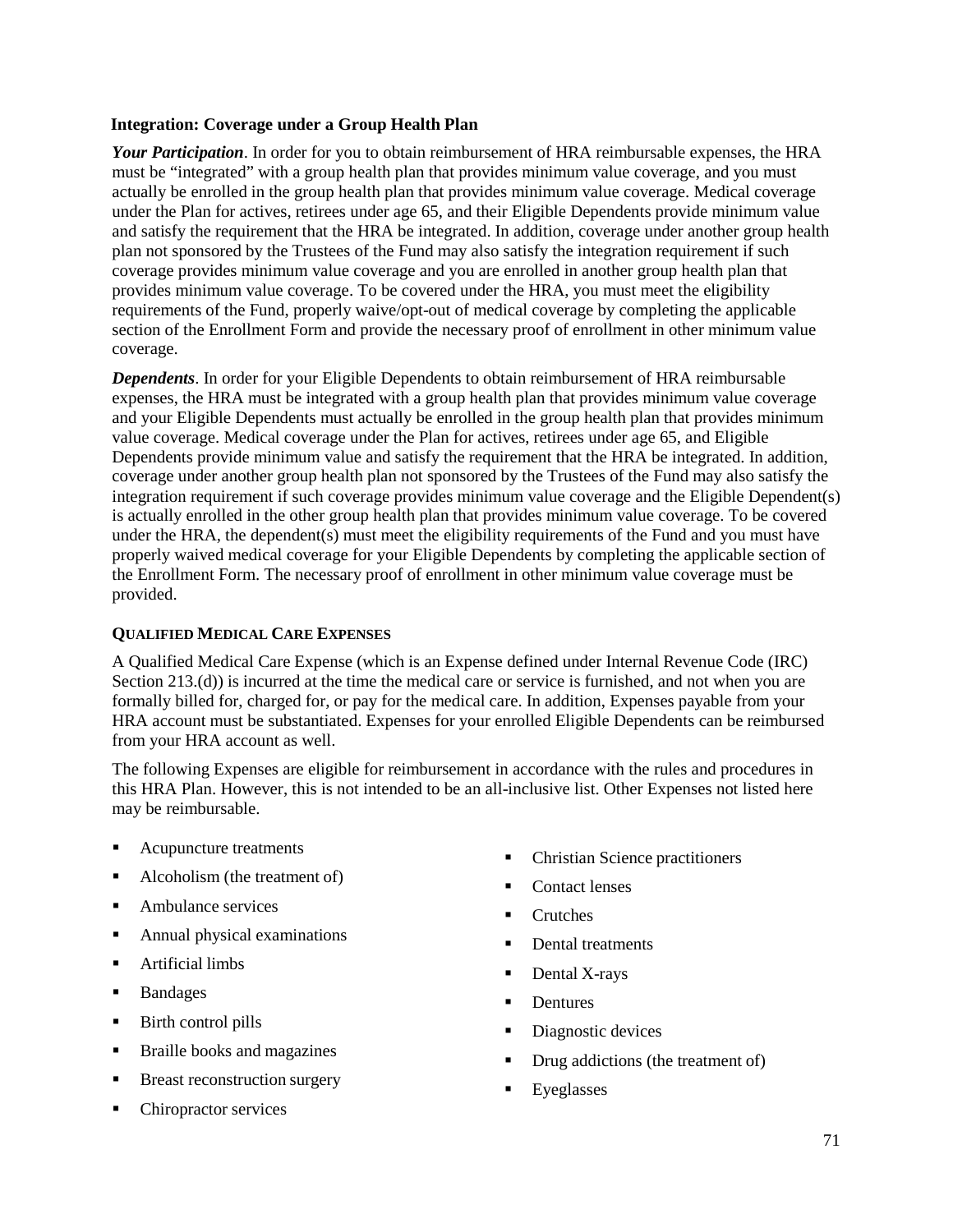## **Integration: Coverage under a Group Health Plan**

*Your Participation*. In order for you to obtain reimbursement of HRA reimbursable expenses, the HRA must be "integrated" with a group health plan that provides minimum value coverage, and you must actually be enrolled in the group health plan that provides minimum value coverage. Medical coverage under the Plan for actives, retirees under age 65, and their Eligible Dependents provide minimum value and satisfy the requirement that the HRA be integrated. In addition, coverage under another group health plan not sponsored by the Trustees of the Fund may also satisfy the integration requirement if such coverage provides minimum value coverage and you are enrolled in another group health plan that provides minimum value coverage. To be covered under the HRA, you must meet the eligibility requirements of the Fund, properly waive/opt-out of medical coverage by completing the applicable section of the Enrollment Form and provide the necessary proof of enrollment in other minimum value coverage.

*Dependents*. In order for your Eligible Dependents to obtain reimbursement of HRA reimbursable expenses, the HRA must be integrated with a group health plan that provides minimum value coverage and your Eligible Dependents must actually be enrolled in the group health plan that provides minimum value coverage. Medical coverage under the Plan for actives, retirees under age 65, and Eligible Dependents provide minimum value and satisfy the requirement that the HRA be integrated. In addition, coverage under another group health plan not sponsored by the Trustees of the Fund may also satisfy the integration requirement if such coverage provides minimum value coverage and the Eligible Dependent(s) is actually enrolled in the other group health plan that provides minimum value coverage. To be covered under the HRA, the dependent(s) must meet the eligibility requirements of the Fund and you must have properly waived medical coverage for your Eligible Dependents by completing the applicable section of the Enrollment Form. The necessary proof of enrollment in other minimum value coverage must be provided.

## **QUALIFIED MEDICAL CARE EXPENSES**

A Qualified Medical Care Expense (which is an Expense defined under Internal Revenue Code (IRC) Section 213.(d)) is incurred at the time the medical care or service is furnished, and not when you are formally billed for, charged for, or pay for the medical care. In addition, Expenses payable from your HRA account must be substantiated. Expenses for your enrolled Eligible Dependents can be reimbursed from your HRA account as well.

The following Expenses are eligible for reimbursement in accordance with the rules and procedures in this HRA Plan. However, this is not intended to be an all-inclusive list. Other Expenses not listed here may be reimbursable.

- Acupuncture treatments
- Alcoholism (the treatment of)
- **Ambulance services**
- Annual physical examinations
- **•** Artificial limbs
- **Bandages**
- **Birth control pills**
- **Braille books and magazines**
- **Breast reconstruction surgery**
- Chiropractor services
- Christian Science practitioners
- Contact lenses
- Crutches
- Dental treatments
- Dental X-rays
- **Dentures**
- Diagnostic devices
- Drug addictions (the treatment of)
- Eyeglasses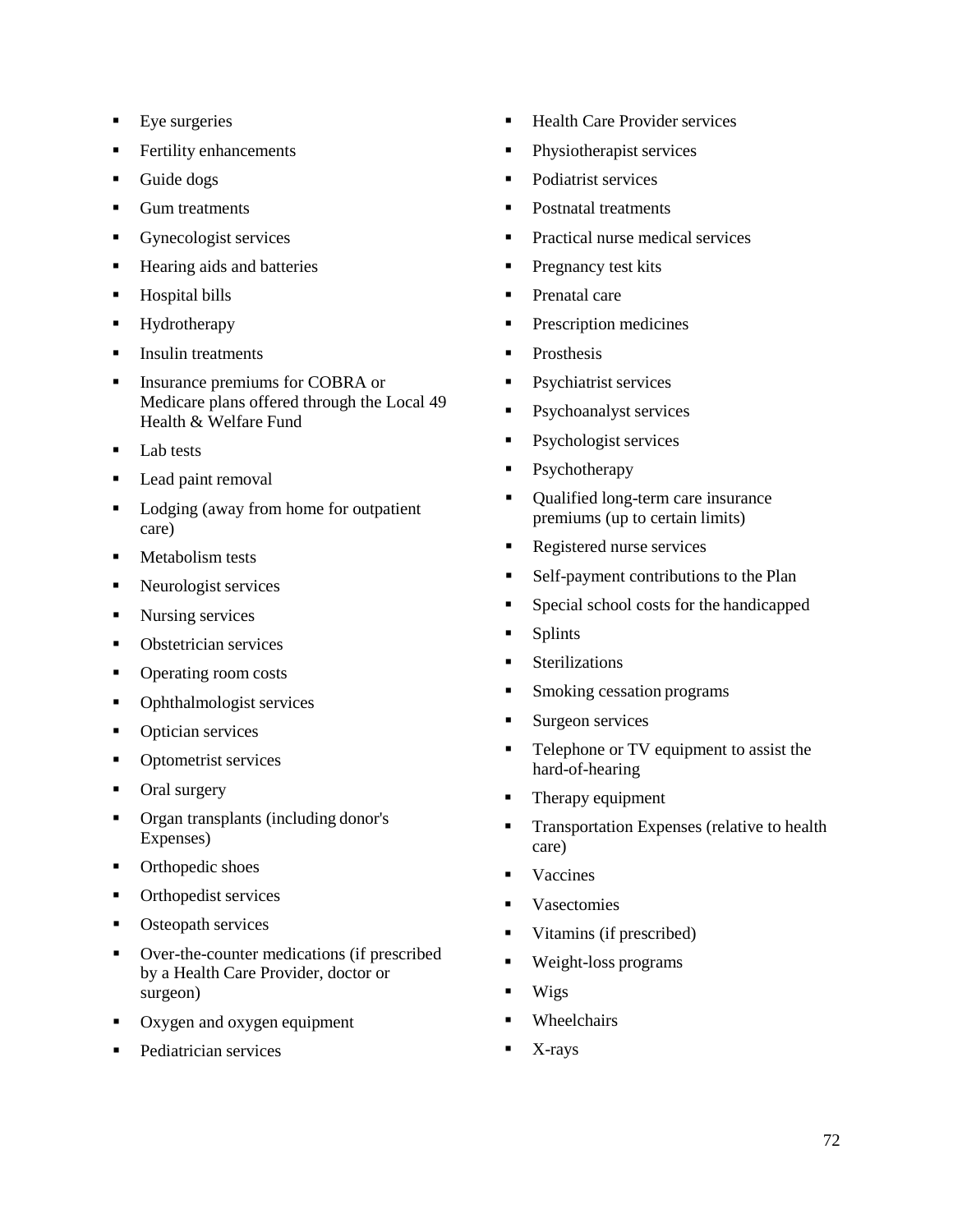- Eye surgeries
- Fertility enhancements
- **Guide dogs**
- **Gum** treatments
- Gynecologist services
- Hearing aids and batteries
- **Hospital bills**
- **Hydrotherapy**
- Insulin treatments
- Insurance premiums for COBRA or Medicare plans offered through the Local 49 Health & Welfare Fund
- Lab tests
- Lead paint removal
- Lodging (away from home for outpatient care)
- **Metabolism tests**
- Neurologist services
- Nursing services
- Obstetrician services
- Operating room costs
- Ophthalmologist services
- Optician services
- Optometrist services
- Oral surgery
- Organ transplants (including donor's Expenses)
- Orthopedic shoes
- Orthopedist services
- Osteopath services
- Over-the-counter medications (if prescribed by a Health Care Provider, doctor or surgeon)
- Oxygen and oxygen equipment
- Pediatrician services
- Health Care Provider services
- Physiotherapist services
- Podiatrist services
- Postnatal treatments
- Practical nurse medical services
- $\blacksquare$  Pregnancy test kits
- Prenatal care
- **•** Prescription medicines
- Prosthesis
- **Psychiatrist services**
- **Psychoanalyst services**
- **Psychologist services**
- Psychotherapy
- Qualified long-term care insurance premiums (up to certain limits)
- Registered nurse services
- Self-payment contributions to the Plan
- **Special school costs for the handicapped**
- **Splints**
- **Sterilizations**
- **Smoking cessation programs**
- Surgeon services
- **Telephone or TV equipment to assist the** hard-of-hearing
- Therapy equipment
- **Transportation Expenses (relative to health** care)
- **vaccines**
- **vasectomies**
- Vitamins (if prescribed)
- Weight-loss programs
- **Wigs**
- Wheelchairs
- $\blacksquare$  X-rays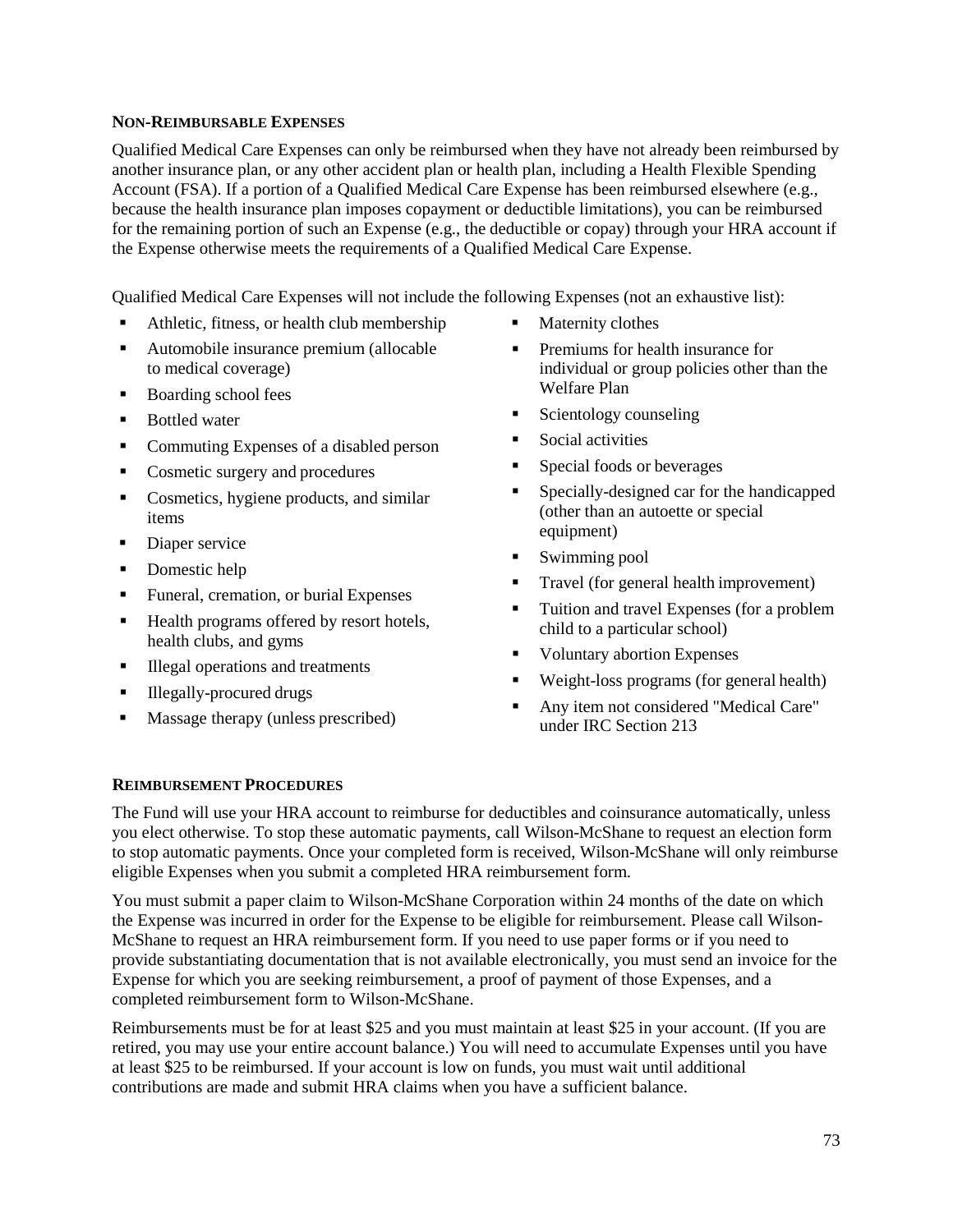#### **NON-REIMBURSABLE EXPENSES**

Qualified Medical Care Expenses can only be reimbursed when they have not already been reimbursed by another insurance plan, or any other accident plan or health plan, including a Health Flexible Spending Account (FSA). If a portion of a Qualified Medical Care Expense has been reimbursed elsewhere (e.g., because the health insurance plan imposes copayment or deductible limitations), you can be reimbursed for the remaining portion of such an Expense (e.g., the deductible or copay) through your HRA account if the Expense otherwise meets the requirements of a Qualified Medical Care Expense.

Qualified Medical Care Expenses will not include the following Expenses (not an exhaustive list):

- Athletic, fitness, or health club membership
- Automobile insurance premium (allocable to medical coverage)
- Boarding school fees
- Bottled water
- Commuting Expenses of a disabled person
- Cosmetic surgery and procedures
- Cosmetics, hygiene products, and similar items
- Diaper service
- Domestic help
- Funeral, cremation, or burial Expenses
- Health programs offered by resort hotels, health clubs, and gyms
- Illegal operations and treatments
- Illegally-procured drugs
- **Massage therapy (unless prescribed)**
- **Maternity clothes**
- **Premiums for health insurance for** individual or group policies other than the Welfare Plan
- $\blacksquare$  Scientology counseling
- Social activities
- **Special foods or beverages**
- **Specially-designed car for the handicapped** (other than an autoette or special equipment)
- Swimming pool
- Travel (for general health improvement)
- Tuition and travel Expenses (for a problem child to a particular school)
- Voluntary abortion Expenses
- Weight-loss programs (for general health)
- Any item not considered "Medical Care" under IRC Section 213

## **REIMBURSEMENT PROCEDURES**

The Fund will use your HRA account to reimburse for deductibles and coinsurance automatically, unless you elect otherwise. To stop these automatic payments, call Wilson-McShane to request an election form to stop automatic payments. Once your completed form is received, Wilson-McShane will only reimburse eligible Expenses when you submit a completed HRA reimbursement form.

You must submit a paper claim to Wilson-McShane Corporation within 24 months of the date on which the Expense was incurred in order for the Expense to be eligible for reimbursement. Please call Wilson-McShane to request an HRA reimbursement form. If you need to use paper forms or if you need to provide substantiating documentation that is not available electronically, you must send an invoice for the Expense for which you are seeking reimbursement, a proof of payment of those Expenses, and a completed reimbursement form to Wilson-McShane.

Reimbursements must be for at least \$25 and you must maintain at least \$25 in your account. (If you are retired, you may use your entire account balance.) You will need to accumulate Expenses until you have at least \$25 to be reimbursed. If your account is low on funds, you must wait until additional contributions are made and submit HRA claims when you have a sufficient balance.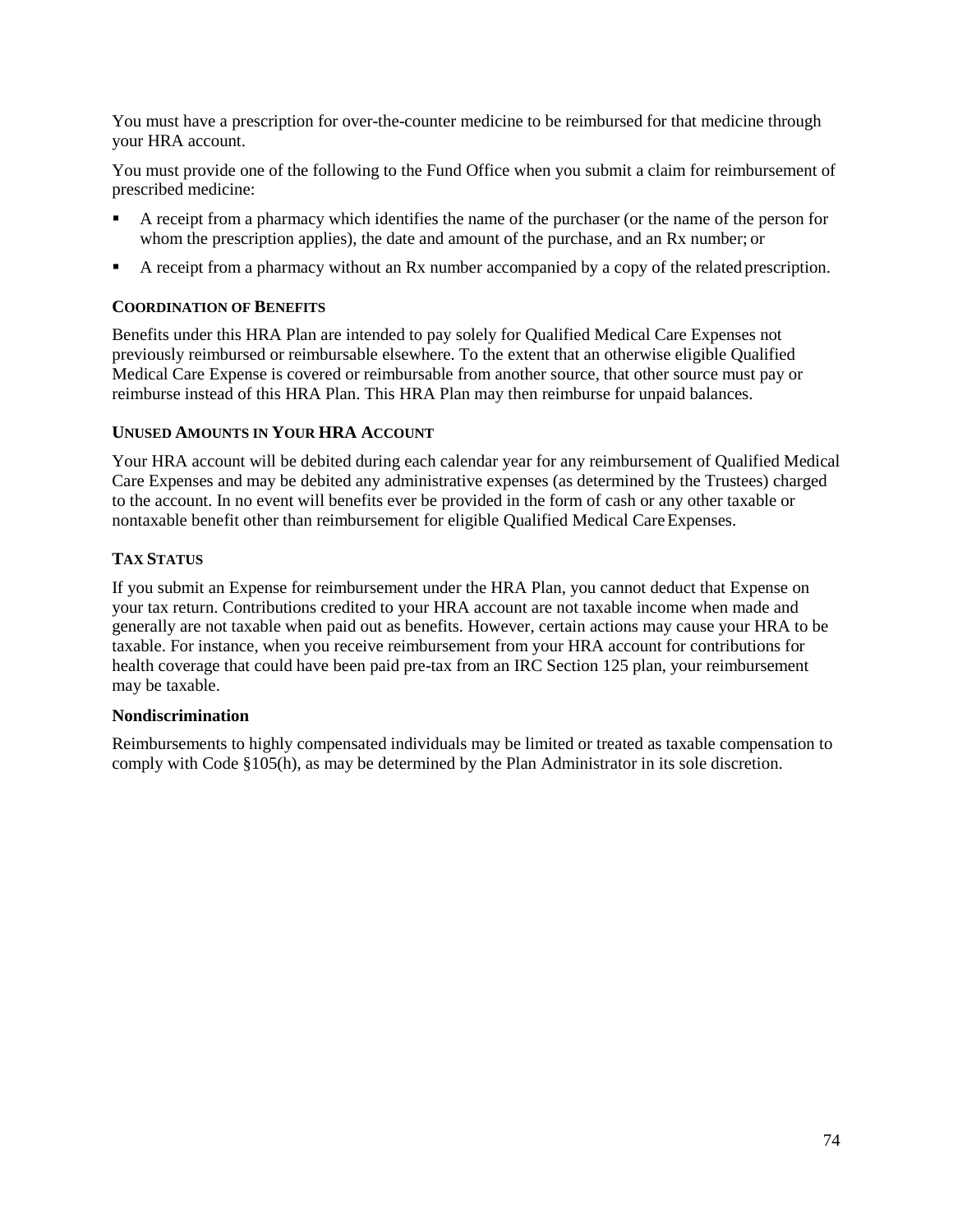You must have a prescription for over-the-counter medicine to be reimbursed for that medicine through your HRA account.

You must provide one of the following to the Fund Office when you submit a claim for reimbursement of prescribed medicine:

- A receipt from a pharmacy which identifies the name of the purchaser (or the name of the person for whom the prescription applies), the date and amount of the purchase, and an Rx number; or
- A receipt from a pharmacy without an Rx number accompanied by a copy of the related prescription.

#### **COORDINATION OF BENEFITS**

Benefits under this HRA Plan are intended to pay solely for Qualified Medical Care Expenses not previously reimbursed or reimbursable elsewhere. To the extent that an otherwise eligible Qualified Medical Care Expense is covered or reimbursable from another source, that other source must pay or reimburse instead of this HRA Plan. This HRA Plan may then reimburse for unpaid balances.

## **UNUSED AMOUNTS IN YOUR HRA ACCOUNT**

Your HRA account will be debited during each calendar year for any reimbursement of Qualified Medical Care Expenses and may be debited any administrative expenses (as determined by the Trustees) charged to the account. In no event will benefits ever be provided in the form of cash or any other taxable or nontaxable benefit other than reimbursement for eligible Qualified Medical Care Expenses.

## **TAX STATUS**

If you submit an Expense for reimbursement under the HRA Plan, you cannot deduct that Expense on your tax return. Contributions credited to your HRA account are not taxable income when made and generally are not taxable when paid out as benefits. However, certain actions may cause your HRA to be taxable. For instance, when you receive reimbursement from your HRA account for contributions for health coverage that could have been paid pre-tax from an IRC Section 125 plan, your reimbursement may be taxable.

#### **Nondiscrimination**

Reimbursements to highly compensated individuals may be limited or treated as taxable compensation to comply with Code §105(h), as may be determined by the Plan Administrator in its sole discretion.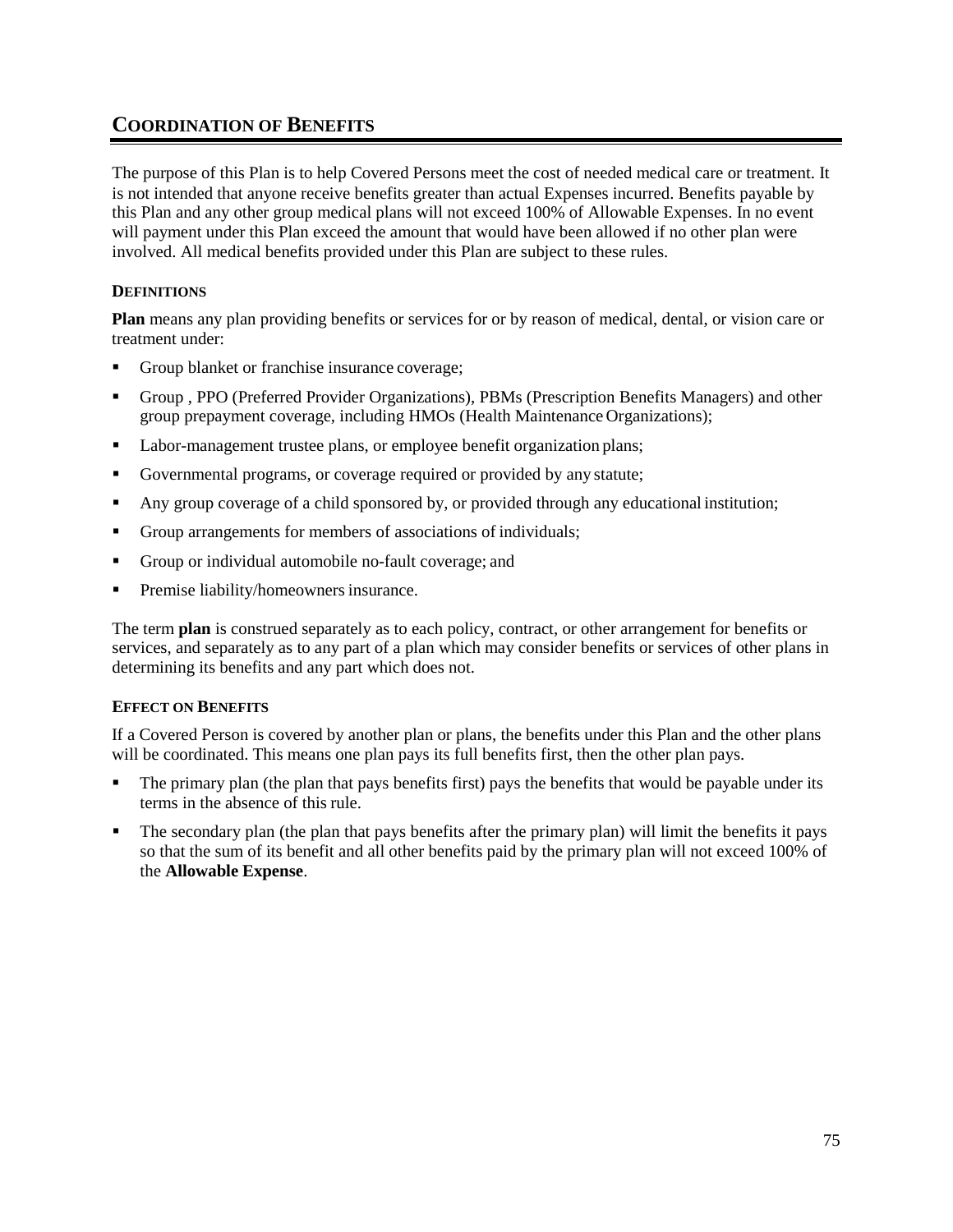## **COORDINATION OF BENEFITS**

The purpose of this Plan is to help Covered Persons meet the cost of needed medical care or treatment. It is not intended that anyone receive benefits greater than actual Expenses incurred. Benefits payable by this Plan and any other group medical plans will not exceed 100% of Allowable Expenses. In no event will payment under this Plan exceed the amount that would have been allowed if no other plan were involved. All medical benefits provided under this Plan are subject to these rules.

## **DEFINITIONS**

**Plan** means any plan providing benefits or services for or by reason of medical, dental, or vision care or treatment under:

- Group blanket or franchise insurance coverage;
- Group , PPO (Preferred Provider Organizations), PBMs (Prescription Benefits Managers) and other group prepayment coverage, including HMOs (Health Maintenance Organizations);
- Labor-management trustee plans, or employee benefit organization plans;
- Governmental programs, or coverage required or provided by any statute;
- Any group coverage of a child sponsored by, or provided through any educational institution;
- Group arrangements for members of associations of individuals;
- Group or individual automobile no-fault coverage; and
- **Premise liability/homeowners insurance.**

The term **plan** is construed separately as to each policy, contract, or other arrangement for benefits or services, and separately as to any part of a plan which may consider benefits or services of other plans in determining its benefits and any part which does not.

## **EFFECT ON BENEFITS**

If a Covered Person is covered by another plan or plans, the benefits under this Plan and the other plans will be coordinated. This means one plan pays its full benefits first, then the other plan pays.

- The primary plan (the plan that pays benefits first) pays the benefits that would be payable under its terms in the absence of this rule.
- The secondary plan (the plan that pays benefits after the primary plan) will limit the benefits it pays so that the sum of its benefit and all other benefits paid by the primary plan will not exceed 100% of the **Allowable Expense**.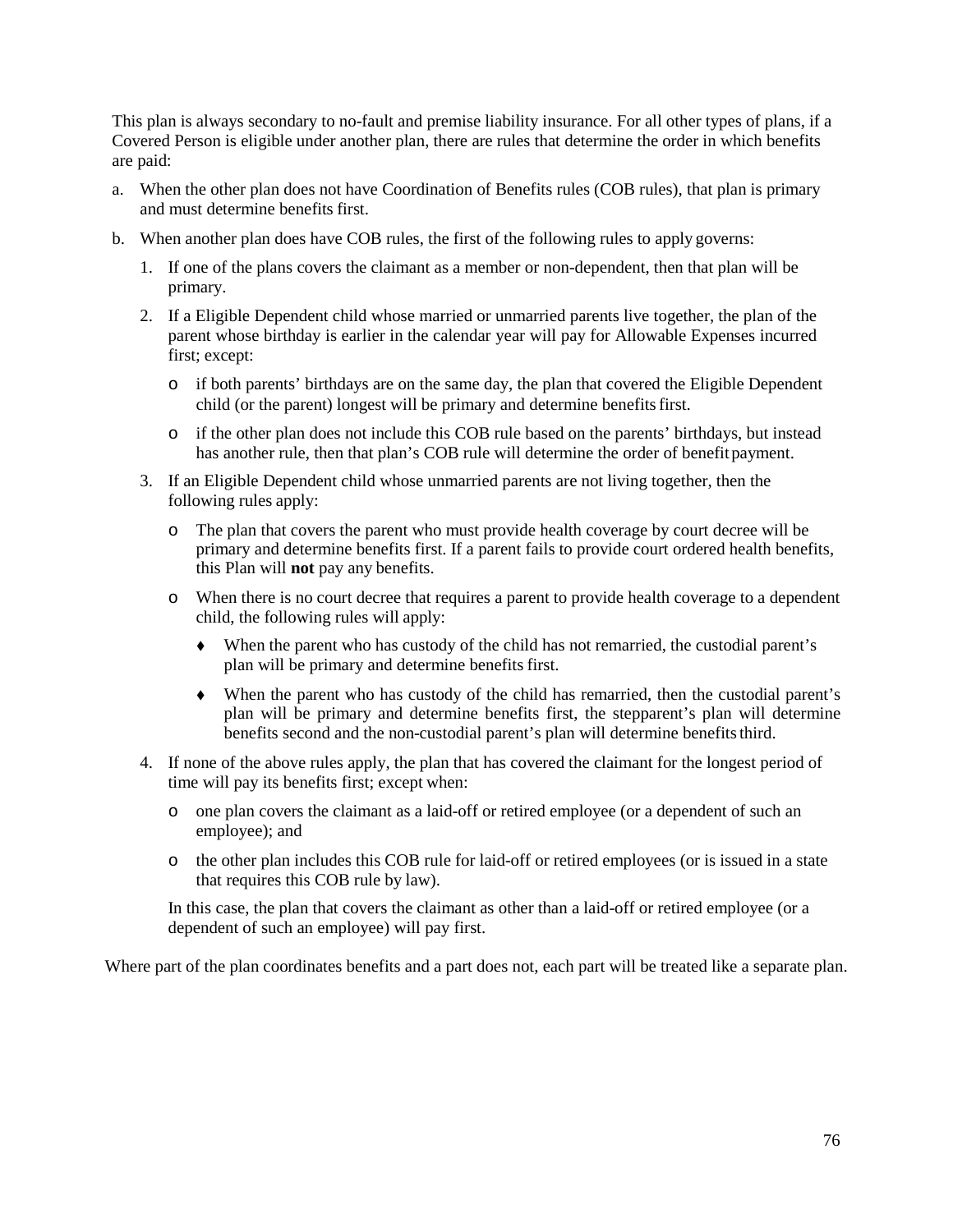This plan is always secondary to no-fault and premise liability insurance. For all other types of plans, if a Covered Person is eligible under another plan, there are rules that determine the order in which benefits are paid:

- a. When the other plan does not have Coordination of Benefits rules (COB rules), that plan is primary and must determine benefits first.
- b. When another plan does have COB rules, the first of the following rules to apply governs:
	- 1. If one of the plans covers the claimant as a member or non-dependent, then that plan will be primary.
	- 2. If a Eligible Dependent child whose married or unmarried parents live together, the plan of the parent whose birthday is earlier in the calendar year will pay for Allowable Expenses incurred first; except:
		- o if both parents' birthdays are on the same day, the plan that covered the Eligible Dependent child (or the parent) longest will be primary and determine benefits first.
		- o if the other plan does not include this COB rule based on the parents' birthdays, but instead has another rule, then that plan's COB rule will determine the order of benefit payment.
	- 3. If an Eligible Dependent child whose unmarried parents are not living together, then the following rules apply:
		- o The plan that covers the parent who must provide health coverage by court decree will be primary and determine benefits first. If a parent fails to provide court ordered health benefits, this Plan will **not** pay any benefits.
		- o When there is no court decree that requires a parent to provide health coverage to a dependent child, the following rules will apply:
			- When the parent who has custody of the child has not remarried, the custodial parent's plan will be primary and determine benefits first.
			- When the parent who has custody of the child has remarried, then the custodial parent's plan will be primary and determine benefits first, the stepparent's plan will determine benefits second and the non-custodial parent's plan will determine benefits third.
	- 4. If none of the above rules apply, the plan that has covered the claimant for the longest period of time will pay its benefits first; except when:
		- o one plan covers the claimant as a laid-off or retired employee (or a dependent of such an employee); and
		- o the other plan includes this COB rule for laid-off or retired employees (or is issued in a state that requires this COB rule by law).

In this case, the plan that covers the claimant as other than a laid-off or retired employee (or a dependent of such an employee) will pay first.

Where part of the plan coordinates benefits and a part does not, each part will be treated like a separate plan.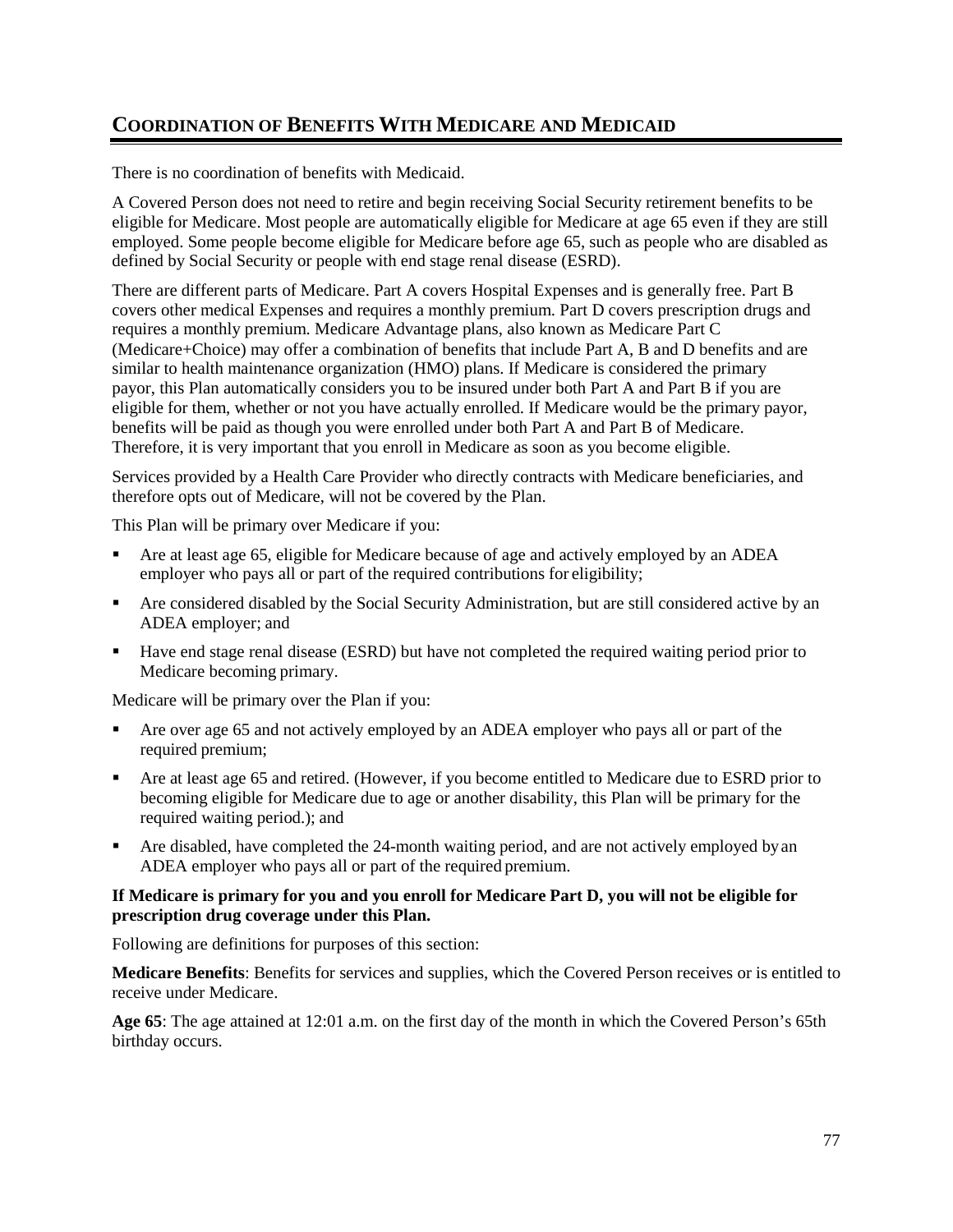# **COORDINATION OF BENEFITS WITH MEDICARE AND MEDICAID**

There is no coordination of benefits with Medicaid.

A Covered Person does not need to retire and begin receiving Social Security retirement benefits to be eligible for Medicare. Most people are automatically eligible for Medicare at age 65 even if they are still employed. Some people become eligible for Medicare before age 65, such as people who are disabled as defined by Social Security or people with end stage renal disease (ESRD).

There are different parts of Medicare. Part A covers Hospital Expenses and is generally free. Part B covers other medical Expenses and requires a monthly premium. Part D covers prescription drugs and requires a monthly premium. Medicare Advantage plans, also known as Medicare Part C (Medicare+Choice) may offer a combination of benefits that include Part A, B and D benefits and are similar to health maintenance organization (HMO) plans. If Medicare is considered the primary payor, this Plan automatically considers you to be insured under both Part A and Part B if you are eligible for them, whether or not you have actually enrolled. If Medicare would be the primary payor, benefits will be paid as though you were enrolled under both Part A and Part B of Medicare. Therefore, it is very important that you enroll in Medicare as soon as you become eligible.

Services provided by a Health Care Provider who directly contracts with Medicare beneficiaries, and therefore opts out of Medicare, will not be covered by the Plan.

This Plan will be primary over Medicare if you:

- Are at least age 65, eligible for Medicare because of age and actively employed by an ADEA employer who pays all or part of the required contributions for eligibility;
- Are considered disabled by the Social Security Administration, but are still considered active by an ADEA employer; and
- Have end stage renal disease (ESRD) but have not completed the required waiting period prior to Medicare becoming primary.

Medicare will be primary over the Plan if you:

- Are over age 65 and not actively employed by an ADEA employer who pays all or part of the required premium;
- Are at least age 65 and retired. (However, if you become entitled to Medicare due to ESRD prior to becoming eligible for Medicare due to age or another disability, this Plan will be primary for the required waiting period.); and
- Are disabled, have completed the 24-month waiting period, and are not actively employed byan ADEA employer who pays all or part of the required premium.

#### **If Medicare is primary for you and you enroll for Medicare Part D, you will not be eligible for prescription drug coverage under this Plan.**

Following are definitions for purposes of this section:

**Medicare Benefits**: Benefits for services and supplies, which the Covered Person receives or is entitled to receive under Medicare.

**Age 65**: The age attained at 12:01 a.m. on the first day of the month in which the Covered Person's 65th birthday occurs.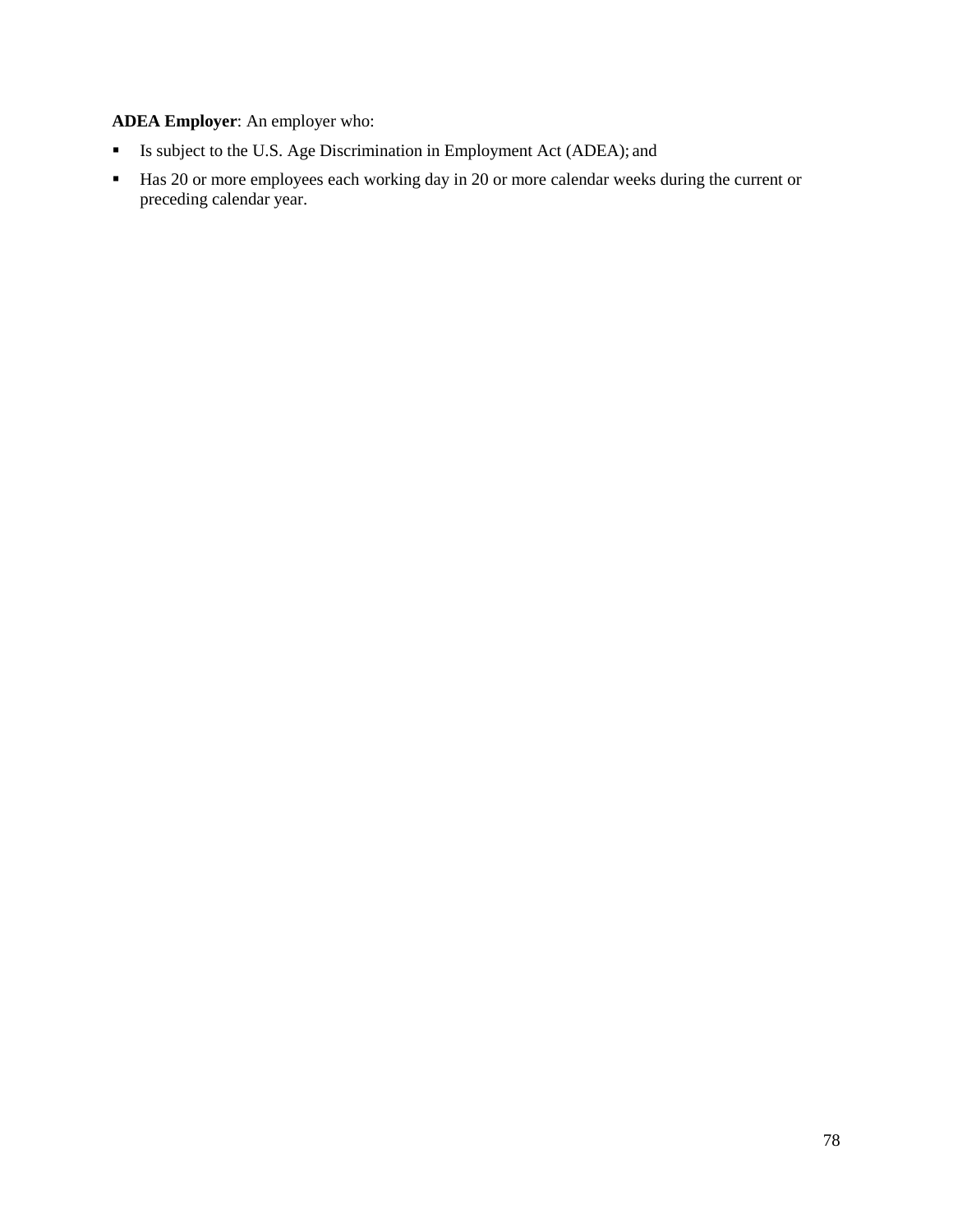## **ADEA Employer**: An employer who:

- Is subject to the U.S. Age Discrimination in Employment Act (ADEA); and
- Has 20 or more employees each working day in 20 or more calendar weeks during the current or preceding calendar year.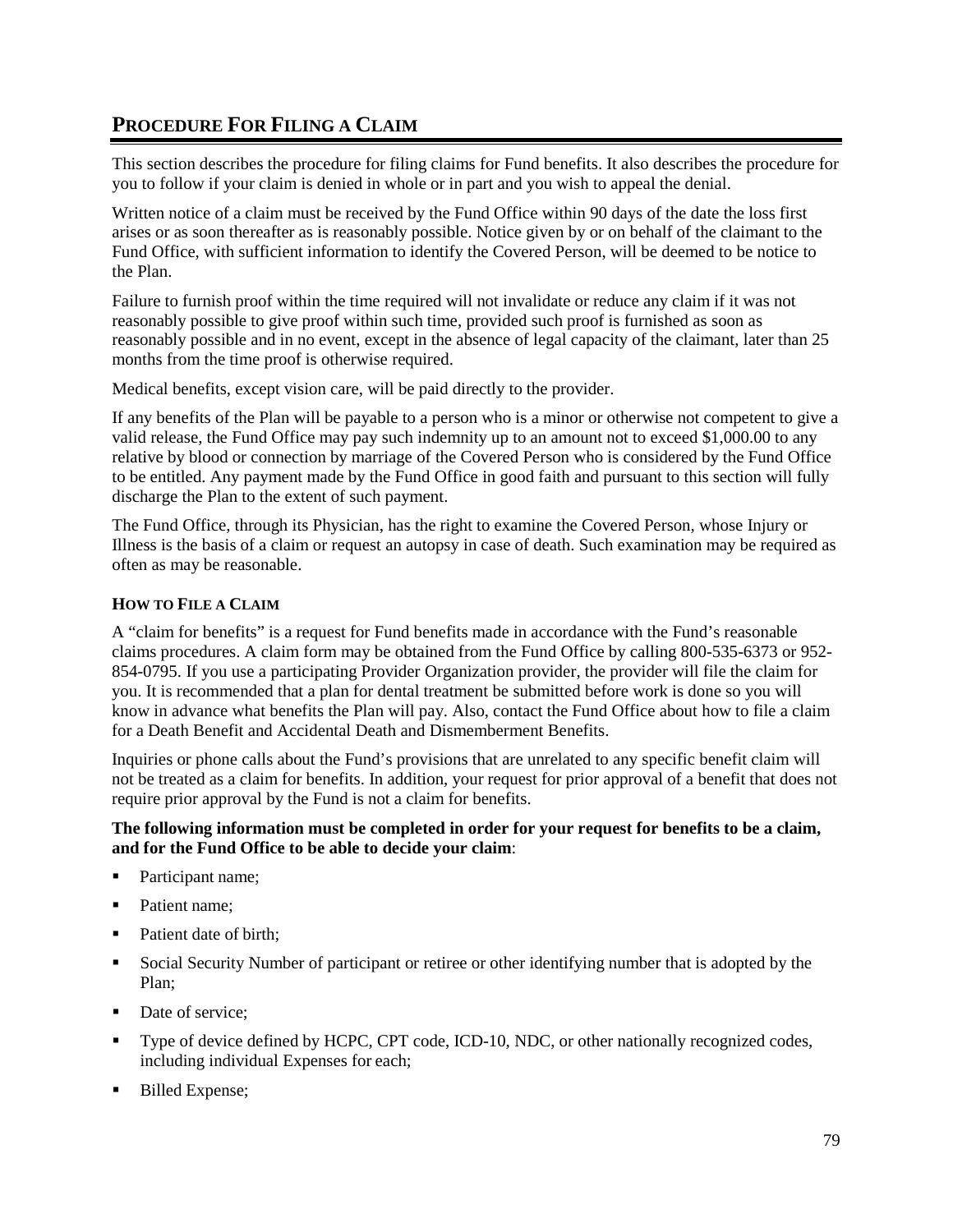# **PROCEDURE FOR FILING A CLAIM**

This section describes the procedure for filing claims for Fund benefits. It also describes the procedure for you to follow if your claim is denied in whole or in part and you wish to appeal the denial.

Written notice of a claim must be received by the Fund Office within 90 days of the date the loss first arises or as soon thereafter as is reasonably possible. Notice given by or on behalf of the claimant to the Fund Office, with sufficient information to identify the Covered Person, will be deemed to be notice to the Plan.

Failure to furnish proof within the time required will not invalidate or reduce any claim if it was not reasonably possible to give proof within such time, provided such proof is furnished as soon as reasonably possible and in no event, except in the absence of legal capacity of the claimant, later than 25 months from the time proof is otherwise required.

Medical benefits, except vision care, will be paid directly to the provider.

If any benefits of the Plan will be payable to a person who is a minor or otherwise not competent to give a valid release, the Fund Office may pay such indemnity up to an amount not to exceed \$1,000.00 to any relative by blood or connection by marriage of the Covered Person who is considered by the Fund Office to be entitled. Any payment made by the Fund Office in good faith and pursuant to this section will fully discharge the Plan to the extent of such payment.

The Fund Office, through its Physician, has the right to examine the Covered Person, whose Injury or Illness is the basis of a claim or request an autopsy in case of death. Such examination may be required as often as may be reasonable.

## **HOW TO FILE A CLAIM**

A "claim for benefits" is a request for Fund benefits made in accordance with the Fund's reasonable claims procedures. A claim form may be obtained from the Fund Office by calling 800-535-6373 or 952- 854-0795. If you use a participating Provider Organization provider, the provider will file the claim for you. It is recommended that a plan for dental treatment be submitted before work is done so you will know in advance what benefits the Plan will pay. Also, contact the Fund Office about how to file a claim for a Death Benefit and Accidental Death and Dismemberment Benefits.

Inquiries or phone calls about the Fund's provisions that are unrelated to any specific benefit claim will not be treated as a claim for benefits. In addition, your request for prior approval of a benefit that does not require prior approval by the Fund is not a claim for benefits.

## **The following information must be completed in order for your request for benefits to be a claim, and for the Fund Office to be able to decide your claim**:

- Participant name;
- Patient name;
- Patient date of birth;
- Social Security Number of participant or retiree or other identifying number that is adopted by the Plan;
- Date of service;
- Type of device defined by HCPC, CPT code, ICD-10, NDC, or other nationally recognized codes, including individual Expenses for each;
- Billed Expense;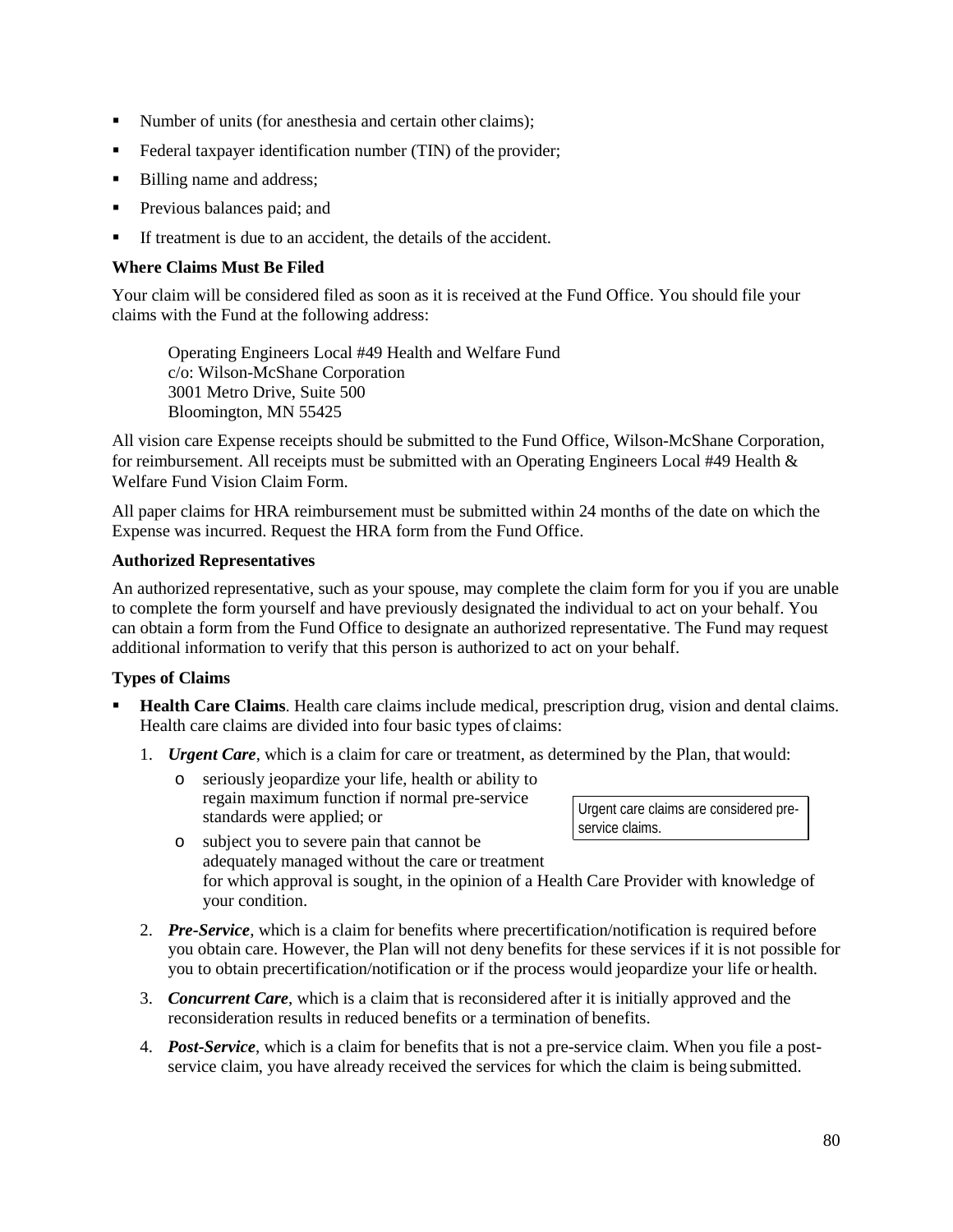- Number of units (for anesthesia and certain other claims);
- Federal taxpayer identification number (TIN) of the provider;
- Billing name and address;
- **Previous balances paid; and**
- If treatment is due to an accident, the details of the accident.

## **Where Claims Must Be Filed**

Your claim will be considered filed as soon as it is received at the Fund Office. You should file your claims with the Fund at the following address:

Operating Engineers Local #49 Health and Welfare Fund c/o: Wilson-McShane Corporation 3001 Metro Drive, Suite 500 Bloomington, MN 55425

All vision care Expense receipts should be submitted to the Fund Office, Wilson-McShane Corporation, for reimbursement. All receipts must be submitted with an Operating Engineers Local #49 Health & Welfare Fund Vision Claim Form.

All paper claims for HRA reimbursement must be submitted within 24 months of the date on which the Expense was incurred. Request the HRA form from the Fund Office.

## **Authorized Representatives**

An authorized representative, such as your spouse, may complete the claim form for you if you are unable to complete the form yourself and have previously designated the individual to act on your behalf. You can obtain a form from the Fund Office to designate an authorized representative. The Fund may request additional information to verify that this person is authorized to act on your behalf.

## **Types of Claims**

- **Health Care Claims**. Health care claims include medical, prescription drug, vision and dental claims. Health care claims are divided into four basic types of claims:
	- 1. *Urgent Care*, which is a claim for care or treatment, as determined by the Plan, that would:
		- o seriously jeopardize your life, health or ability to regain maximum function if normal pre-service standards were applied; or
- Urgent care claims are considered preservice claims.
- o subject you to severe pain that cannot be adequately managed without the care or treatment for which approval is sought, in the opinion of a Health Care Provider with knowledge of your condition.
- 2. *Pre-Service*, which is a claim for benefits where precertification/notification is required before you obtain care. However, the Plan will not deny benefits for these services if it is not possible for you to obtain precertification/notification or if the process would jeopardize your life or health.
- 3. *Concurrent Care*, which is a claim that is reconsidered after it is initially approved and the reconsideration results in reduced benefits or a termination of benefits.
- 4. *Post-Service*, which is a claim for benefits that is not a pre-service claim. When you file a postservice claim, you have already received the services for which the claim is being submitted.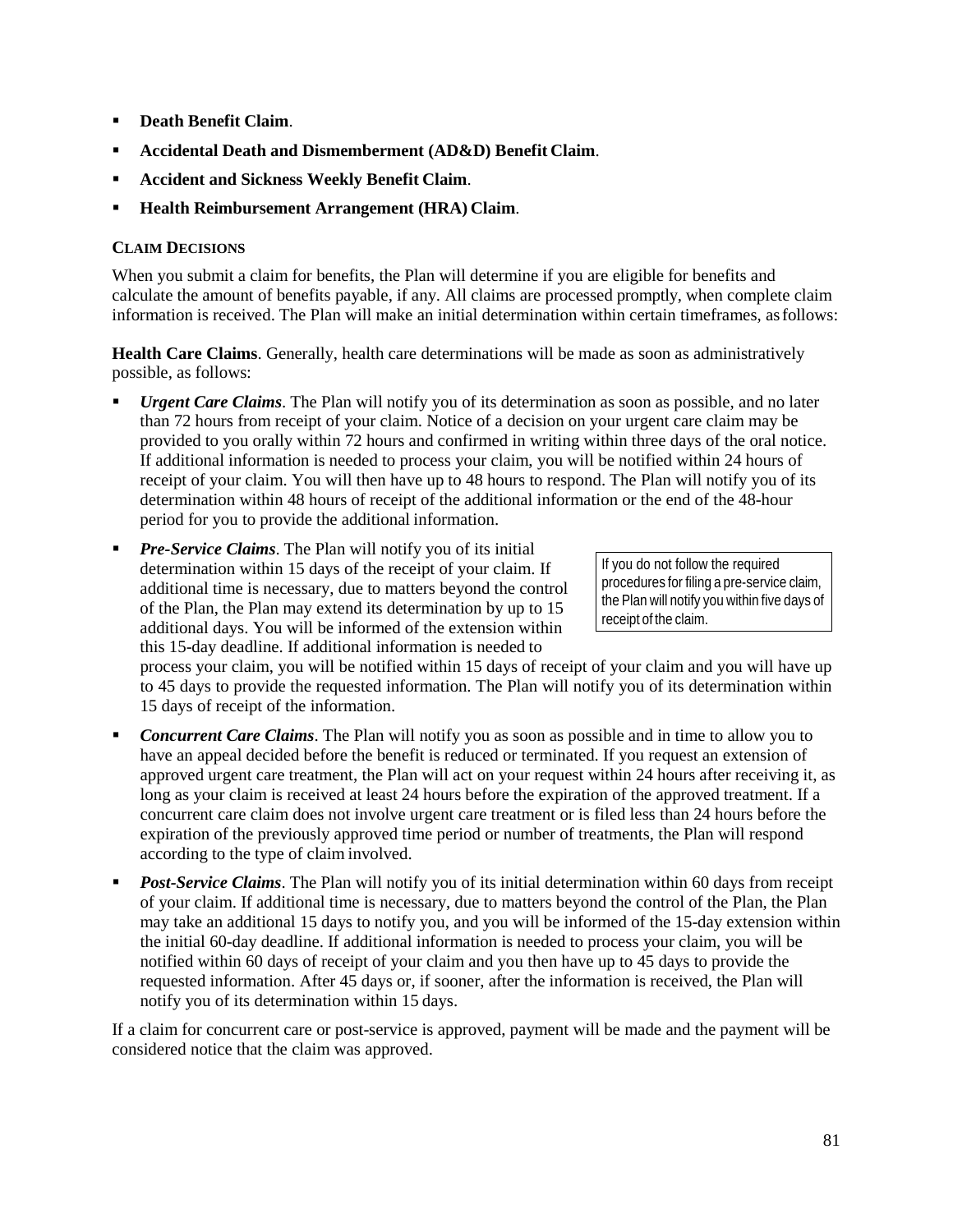- **Death Benefit Claim**.
- **Accidental Death and Dismemberment (AD&D) Benefit Claim**.
- **Accident and Sickness Weekly Benefit Claim**.
- **Health Reimbursement Arrangement (HRA) Claim**.

## **CLAIM DECISIONS**

When you submit a claim for benefits, the Plan will determine if you are eligible for benefits and calculate the amount of benefits payable, if any. All claims are processed promptly, when complete claim information is received. The Plan will make an initial determination within certain timeframes, asfollows:

**Health Care Claims**. Generally, health care determinations will be made as soon as administratively possible, as follows:

- *Urgent Care Claims*. The Plan will notify you of its determination as soon as possible, and no later than 72 hours from receipt of your claim. Notice of a decision on your urgent care claim may be provided to you orally within 72 hours and confirmed in writing within three days of the oral notice. If additional information is needed to process your claim, you will be notified within 24 hours of receipt of your claim. You will then have up to 48 hours to respond. The Plan will notify you of its determination within 48 hours of receipt of the additional information or the end of the 48-hour period for you to provide the additional information.
- *Pre-Service Claims*. The Plan will notify you of its initial determination within 15 days of the receipt of your claim. If additional time is necessary, due to matters beyond the control of the Plan, the Plan may extend its determination by up to 15 additional days. You will be informed of the extension within this 15-day deadline. If additional information is needed to

If you do not follow the required procedures for filing a pre-service claim, the Plan will notify you within five days of receipt of the claim.

process your claim, you will be notified within 15 days of receipt of your claim and you will have up to 45 days to provide the requested information. The Plan will notify you of its determination within 15 days of receipt of the information.

- *Concurrent Care Claims*. The Plan will notify you as soon as possible and in time to allow you to have an appeal decided before the benefit is reduced or terminated. If you request an extension of approved urgent care treatment, the Plan will act on your request within 24 hours after receiving it, as long as your claim is received at least 24 hours before the expiration of the approved treatment. If a concurrent care claim does not involve urgent care treatment or is filed less than 24 hours before the expiration of the previously approved time period or number of treatments, the Plan will respond according to the type of claim involved.
- *Post-Service Claims*. The Plan will notify you of its initial determination within 60 days from receipt of your claim. If additional time is necessary, due to matters beyond the control of the Plan, the Plan may take an additional 15 days to notify you, and you will be informed of the 15-day extension within the initial 60-day deadline. If additional information is needed to process your claim, you will be notified within 60 days of receipt of your claim and you then have up to 45 days to provide the requested information. After 45 days or, if sooner, after the information is received, the Plan will notify you of its determination within 15 days.

If a claim for concurrent care or post-service is approved, payment will be made and the payment will be considered notice that the claim was approved.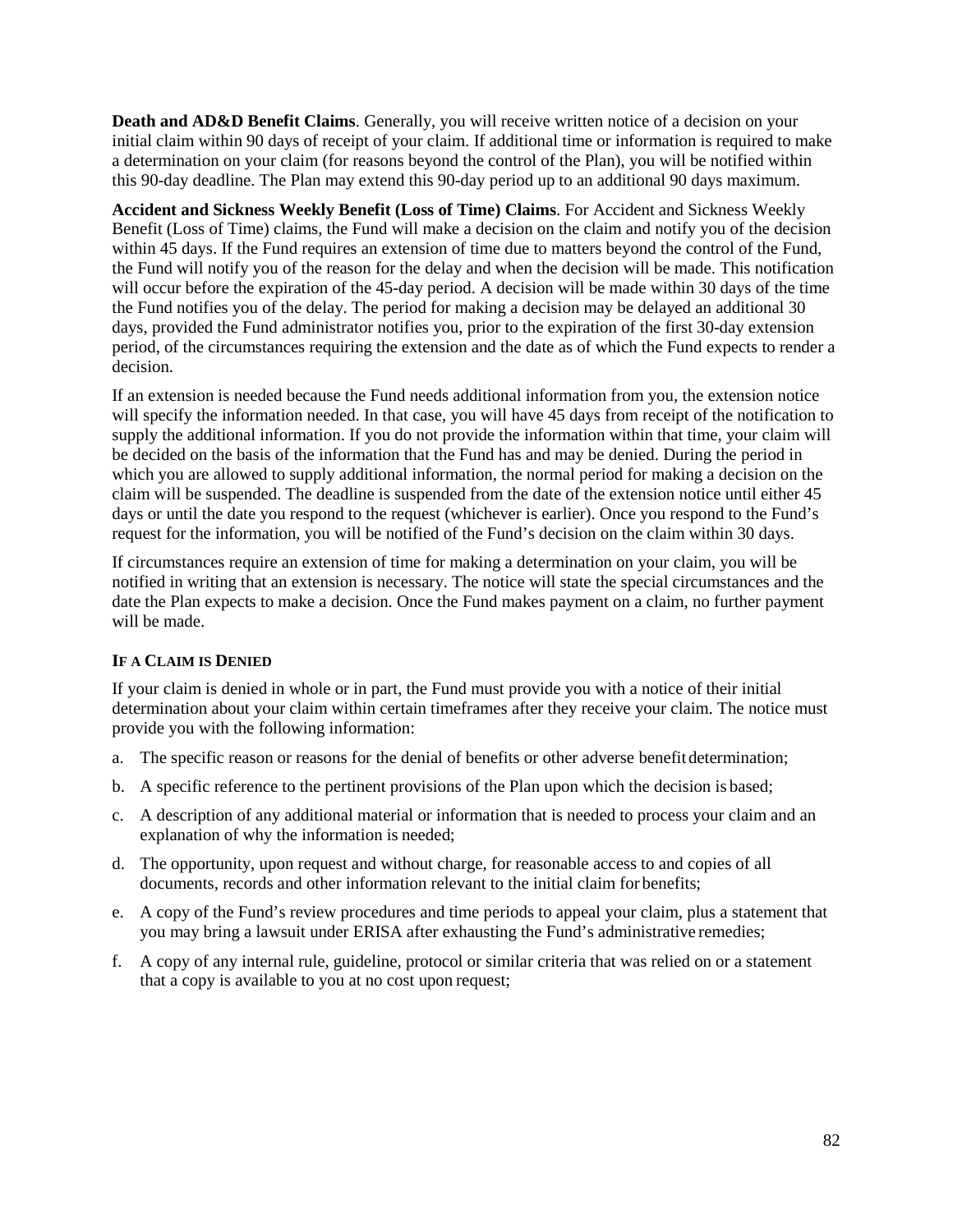**Death and AD&D Benefit Claims**. Generally, you will receive written notice of a decision on your initial claim within 90 days of receipt of your claim. If additional time or information is required to make a determination on your claim (for reasons beyond the control of the Plan), you will be notified within this 90-day deadline. The Plan may extend this 90-day period up to an additional 90 days maximum.

**Accident and Sickness Weekly Benefit (Loss of Time) Claims**. For Accident and Sickness Weekly Benefit (Loss of Time) claims, the Fund will make a decision on the claim and notify you of the decision within 45 days. If the Fund requires an extension of time due to matters beyond the control of the Fund, the Fund will notify you of the reason for the delay and when the decision will be made. This notification will occur before the expiration of the 45-day period. A decision will be made within 30 days of the time the Fund notifies you of the delay. The period for making a decision may be delayed an additional 30 days, provided the Fund administrator notifies you, prior to the expiration of the first 30-day extension period, of the circumstances requiring the extension and the date as of which the Fund expects to render a decision.

If an extension is needed because the Fund needs additional information from you, the extension notice will specify the information needed. In that case, you will have 45 days from receipt of the notification to supply the additional information. If you do not provide the information within that time, your claim will be decided on the basis of the information that the Fund has and may be denied. During the period in which you are allowed to supply additional information, the normal period for making a decision on the claim will be suspended. The deadline is suspended from the date of the extension notice until either 45 days or until the date you respond to the request (whichever is earlier). Once you respond to the Fund's request for the information, you will be notified of the Fund's decision on the claim within 30 days.

If circumstances require an extension of time for making a determination on your claim, you will be notified in writing that an extension is necessary. The notice will state the special circumstances and the date the Plan expects to make a decision. Once the Fund makes payment on a claim, no further payment will be made.

## **IF A CLAIM IS DENIED**

If your claim is denied in whole or in part, the Fund must provide you with a notice of their initial determination about your claim within certain timeframes after they receive your claim. The notice must provide you with the following information:

- a. The specific reason or reasons for the denial of benefits or other adverse benefit determination;
- b. A specific reference to the pertinent provisions of the Plan upon which the decision is based;
- c. A description of any additional material or information that is needed to process your claim and an explanation of why the information is needed;
- d. The opportunity, upon request and without charge, for reasonable access to and copies of all documents, records and other information relevant to the initial claim for benefits;
- e. A copy of the Fund's review procedures and time periods to appeal your claim, plus a statement that you may bring a lawsuit under ERISA after exhausting the Fund's administrative remedies;
- f. A copy of any internal rule, guideline, protocol or similar criteria that was relied on or a statement that a copy is available to you at no cost upon request;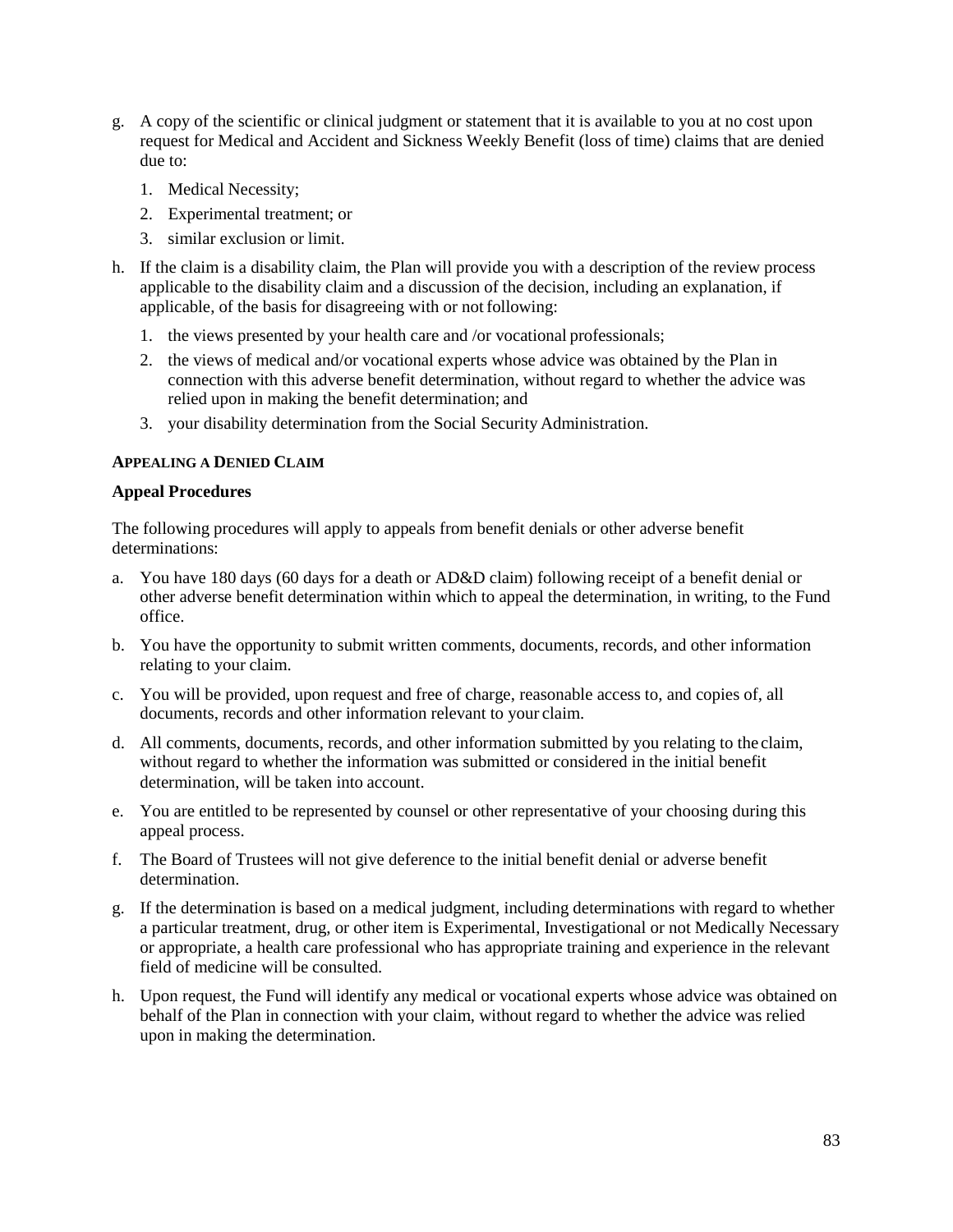- g. A copy of the scientific or clinical judgment or statement that it is available to you at no cost upon request for Medical and Accident and Sickness Weekly Benefit (loss of time) claims that are denied due to:
	- 1. Medical Necessity;
	- 2. Experimental treatment; or
	- 3. similar exclusion or limit.
- h. If the claim is a disability claim, the Plan will provide you with a description of the review process applicable to the disability claim and a discussion of the decision, including an explanation, if applicable, of the basis for disagreeing with or not following:
	- 1. the views presented by your health care and /or vocational professionals;
	- 2. the views of medical and/or vocational experts whose advice was obtained by the Plan in connection with this adverse benefit determination, without regard to whether the advice was relied upon in making the benefit determination; and
	- 3. your disability determination from the Social Security Administration.

## **APPEALING A DENIED CLAIM**

#### **Appeal Procedures**

The following procedures will apply to appeals from benefit denials or other adverse benefit determinations:

- a. You have 180 days (60 days for a death or AD&D claim) following receipt of a benefit denial or other adverse benefit determination within which to appeal the determination, in writing, to the Fund office.
- b. You have the opportunity to submit written comments, documents, records, and other information relating to your claim.
- c. You will be provided, upon request and free of charge, reasonable access to, and copies of, all documents, records and other information relevant to your claim.
- d. All comments, documents, records, and other information submitted by you relating to the claim, without regard to whether the information was submitted or considered in the initial benefit determination, will be taken into account.
- e. You are entitled to be represented by counsel or other representative of your choosing during this appeal process.
- f. The Board of Trustees will not give deference to the initial benefit denial or adverse benefit determination.
- g. If the determination is based on a medical judgment, including determinations with regard to whether a particular treatment, drug, or other item is Experimental, Investigational or not Medically Necessary or appropriate, a health care professional who has appropriate training and experience in the relevant field of medicine will be consulted.
- h. Upon request, the Fund will identify any medical or vocational experts whose advice was obtained on behalf of the Plan in connection with your claim, without regard to whether the advice was relied upon in making the determination.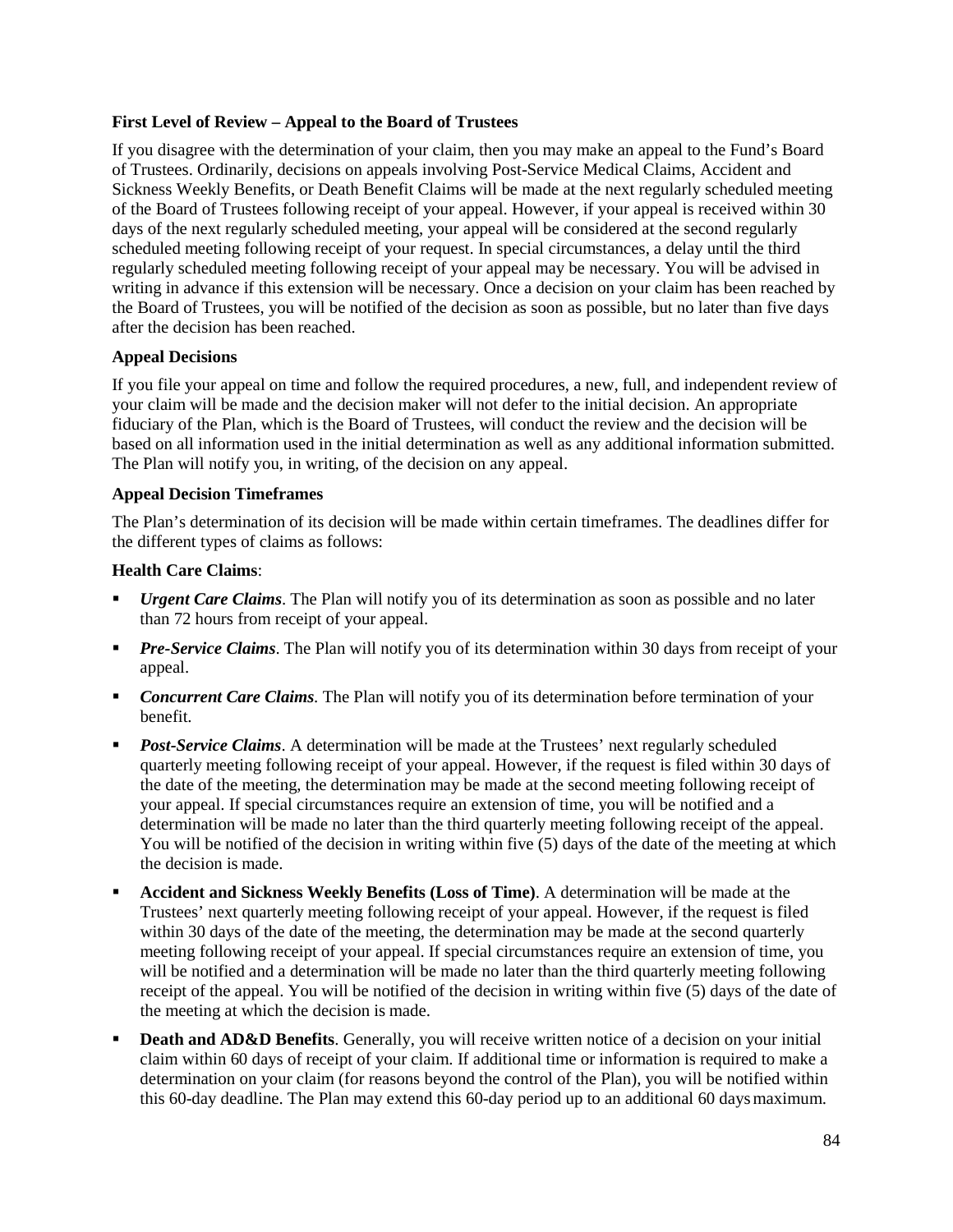## **First Level of Review – Appeal to the Board of Trustees**

If you disagree with the determination of your claim, then you may make an appeal to the Fund's Board of Trustees. Ordinarily, decisions on appeals involving Post-Service Medical Claims, Accident and Sickness Weekly Benefits, or Death Benefit Claims will be made at the next regularly scheduled meeting of the Board of Trustees following receipt of your appeal. However, if your appeal is received within 30 days of the next regularly scheduled meeting, your appeal will be considered at the second regularly scheduled meeting following receipt of your request. In special circumstances, a delay until the third regularly scheduled meeting following receipt of your appeal may be necessary. You will be advised in writing in advance if this extension will be necessary. Once a decision on your claim has been reached by the Board of Trustees, you will be notified of the decision as soon as possible, but no later than five days after the decision has been reached.

## **Appeal Decisions**

If you file your appeal on time and follow the required procedures, a new, full, and independent review of your claim will be made and the decision maker will not defer to the initial decision. An appropriate fiduciary of the Plan, which is the Board of Trustees, will conduct the review and the decision will be based on all information used in the initial determination as well as any additional information submitted. The Plan will notify you, in writing, of the decision on any appeal.

## **Appeal Decision Timeframes**

The Plan's determination of its decision will be made within certain timeframes. The deadlines differ for the different types of claims as follows:

## **Health Care Claims**:

- *Urgent Care Claims*. The Plan will notify you of its determination as soon as possible and no later than 72 hours from receipt of your appeal.
- *Pre-Service Claims*. The Plan will notify you of its determination within 30 days from receipt of your appeal.
- **Concurrent Care Claims**. The Plan will notify you of its determination before termination of your benefit.
- *Post-Service Claims*. A determination will be made at the Trustees' next regularly scheduled quarterly meeting following receipt of your appeal. However, if the request is filed within 30 days of the date of the meeting, the determination may be made at the second meeting following receipt of your appeal. If special circumstances require an extension of time, you will be notified and a determination will be made no later than the third quarterly meeting following receipt of the appeal. You will be notified of the decision in writing within five (5) days of the date of the meeting at which the decision is made.
- **Accident and Sickness Weekly Benefits (Loss of Time)**. A determination will be made at the Trustees' next quarterly meeting following receipt of your appeal. However, if the request is filed within 30 days of the date of the meeting, the determination may be made at the second quarterly meeting following receipt of your appeal. If special circumstances require an extension of time, you will be notified and a determination will be made no later than the third quarterly meeting following receipt of the appeal. You will be notified of the decision in writing within five (5) days of the date of the meeting at which the decision is made.
- **Death and AD&D Benefits.** Generally, you will receive written notice of a decision on your initial claim within 60 days of receipt of your claim. If additional time or information is required to make a determination on your claim (for reasons beyond the control of the Plan), you will be notified within this 60-day deadline. The Plan may extend this 60-day period up to an additional 60 daysmaximum.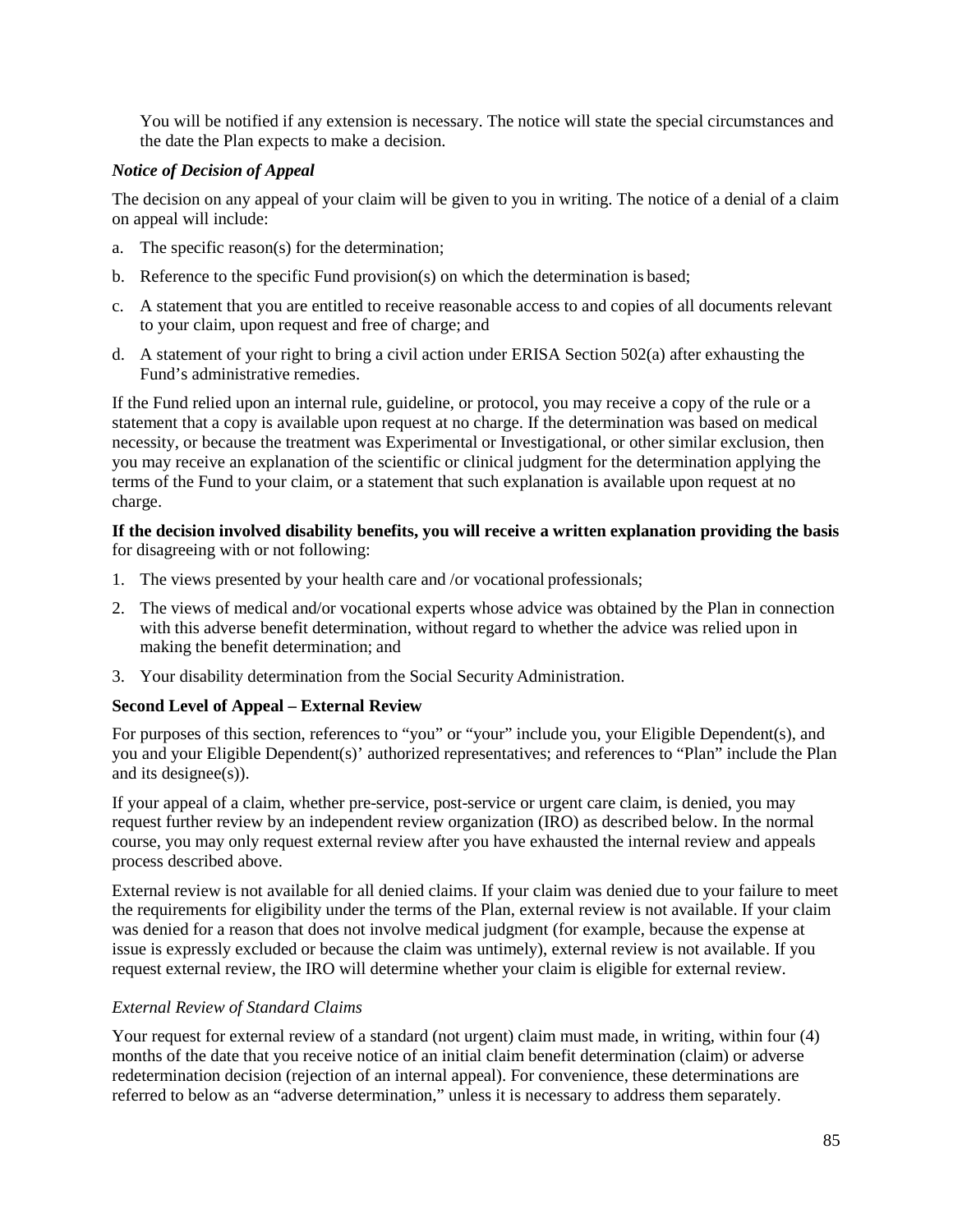You will be notified if any extension is necessary. The notice will state the special circumstances and the date the Plan expects to make a decision.

## *Notice of Decision of Appeal*

The decision on any appeal of your claim will be given to you in writing. The notice of a denial of a claim on appeal will include:

- a. The specific reason(s) for the determination;
- b. Reference to the specific Fund provision(s) on which the determination is based;
- c. A statement that you are entitled to receive reasonable access to and copies of all documents relevant to your claim, upon request and free of charge; and
- d. A statement of your right to bring a civil action under ERISA Section 502(a) after exhausting the Fund's administrative remedies.

If the Fund relied upon an internal rule, guideline, or protocol, you may receive a copy of the rule or a statement that a copy is available upon request at no charge. If the determination was based on medical necessity, or because the treatment was Experimental or Investigational, or other similar exclusion, then you may receive an explanation of the scientific or clinical judgment for the determination applying the terms of the Fund to your claim, or a statement that such explanation is available upon request at no charge.

## **If the decision involved disability benefits, you will receive a written explanation providing the basis** for disagreeing with or not following:

- 1. The views presented by your health care and /or vocational professionals;
- 2. The views of medical and/or vocational experts whose advice was obtained by the Plan in connection with this adverse benefit determination, without regard to whether the advice was relied upon in making the benefit determination; and
- 3. Your disability determination from the Social Security Administration.

## **Second Level of Appeal – External Review**

For purposes of this section, references to "you" or "your" include you, your Eligible Dependent(s), and you and your Eligible Dependent(s)' authorized representatives; and references to "Plan" include the Plan and its designee(s)).

If your appeal of a claim, whether pre-service, post-service or urgent care claim, is denied, you may request further review by an independent review organization (IRO) as described below. In the normal course, you may only request external review after you have exhausted the internal review and appeals process described above.

External review is not available for all denied claims. If your claim was denied due to your failure to meet the requirements for eligibility under the terms of the Plan, external review is not available. If your claim was denied for a reason that does not involve medical judgment (for example, because the expense at issue is expressly excluded or because the claim was untimely), external review is not available. If you request external review, the IRO will determine whether your claim is eligible for external review.

## *External Review of Standard Claims*

Your request for external review of a standard (not urgent) claim must made, in writing, within four (4) months of the date that you receive notice of an initial claim benefit determination (claim) or adverse redetermination decision (rejection of an internal appeal). For convenience, these determinations are referred to below as an "adverse determination," unless it is necessary to address them separately.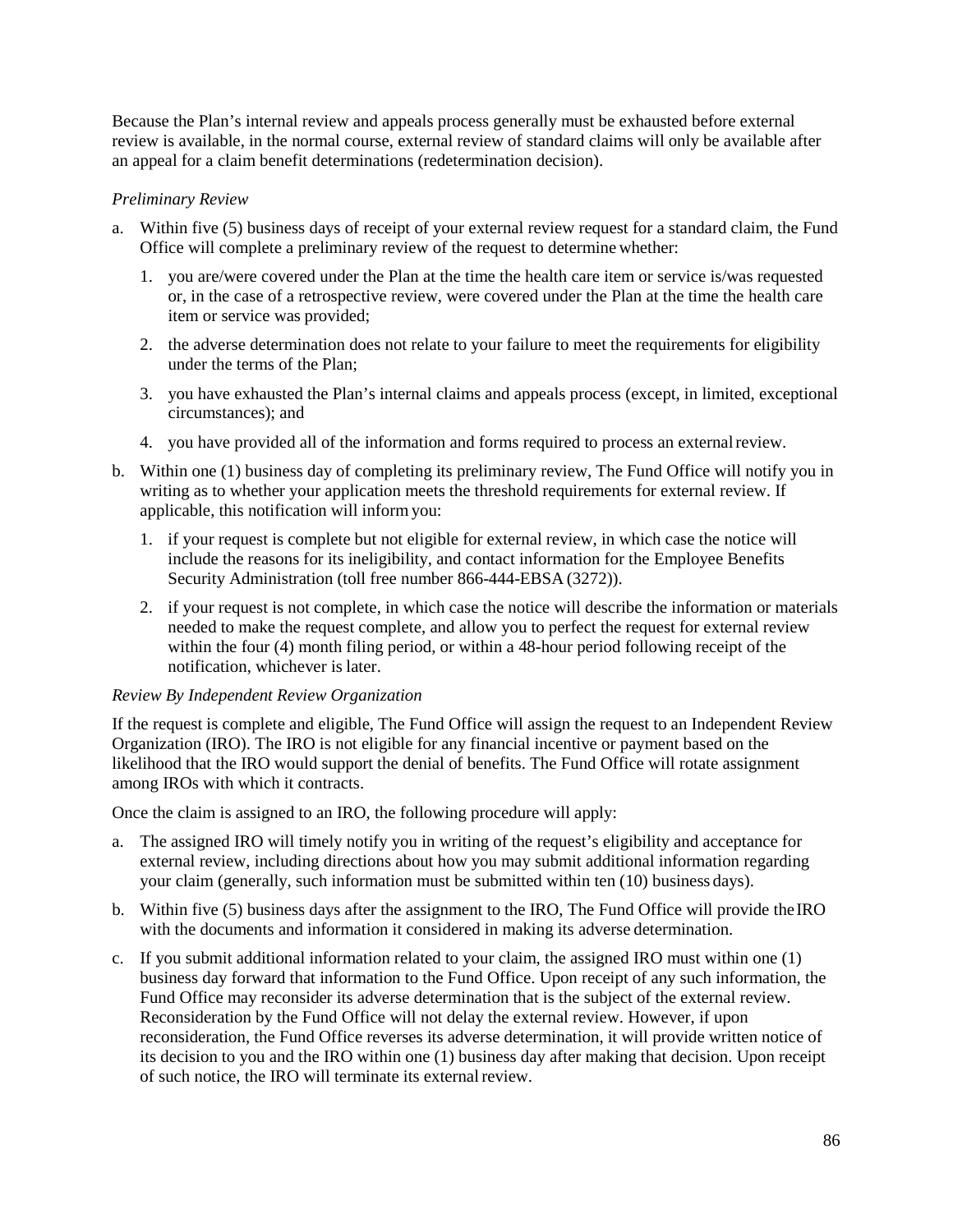Because the Plan's internal review and appeals process generally must be exhausted before external review is available, in the normal course, external review of standard claims will only be available after an appeal for a claim benefit determinations (redetermination decision).

## *Preliminary Review*

- a. Within five (5) business days of receipt of your external review request for a standard claim, the Fund Office will complete a preliminary review of the request to determine whether:
	- 1. you are/were covered under the Plan at the time the health care item or service is/was requested or, in the case of a retrospective review, were covered under the Plan at the time the health care item or service was provided;
	- 2. the adverse determination does not relate to your failure to meet the requirements for eligibility under the terms of the Plan;
	- 3. you have exhausted the Plan's internal claims and appeals process (except, in limited, exceptional circumstances); and
	- 4. you have provided all of the information and forms required to process an externalreview.
- b. Within one (1) business day of completing its preliminary review, The Fund Office will notify you in writing as to whether your application meets the threshold requirements for external review. If applicable, this notification will informyou:
	- 1. if your request is complete but not eligible for external review, in which case the notice will include the reasons for its ineligibility, and contact information for the Employee Benefits Security Administration (toll free number 866-444-EBSA (3272)).
	- 2. if your request is not complete, in which case the notice will describe the information or materials needed to make the request complete, and allow you to perfect the request for external review within the four (4) month filing period, or within a 48-hour period following receipt of the notification, whichever is later.

## *Review By Independent Review Organization*

If the request is complete and eligible, The Fund Office will assign the request to an Independent Review Organization (IRO). The IRO is not eligible for any financial incentive or payment based on the likelihood that the IRO would support the denial of benefits. The Fund Office will rotate assignment among IROs with which it contracts.

Once the claim is assigned to an IRO, the following procedure will apply:

- a. The assigned IRO will timely notify you in writing of the request's eligibility and acceptance for external review, including directions about how you may submit additional information regarding your claim (generally, such information must be submitted within ten (10) business days).
- b. Within five (5) business days after the assignment to the IRO, The Fund Office will provide theIRO with the documents and information it considered in making its adverse determination.
- c. If you submit additional information related to your claim, the assigned IRO must within one (1) business day forward that information to the Fund Office. Upon receipt of any such information, the Fund Office may reconsider its adverse determination that is the subject of the external review. Reconsideration by the Fund Office will not delay the external review. However, if upon reconsideration, the Fund Office reverses its adverse determination, it will provide written notice of its decision to you and the IRO within one (1) business day after making that decision. Upon receipt of such notice, the IRO will terminate its externalreview.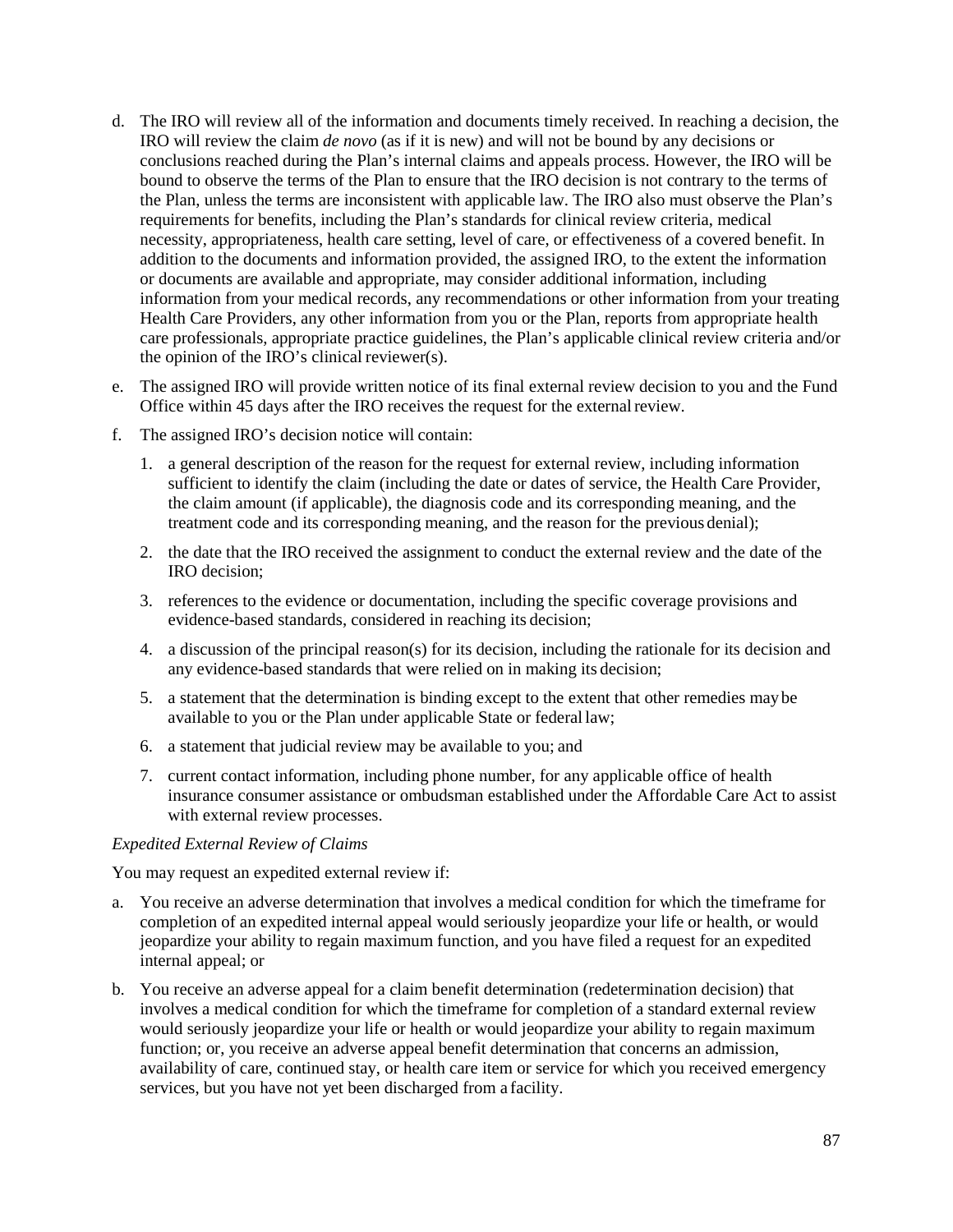- d. The IRO will review all of the information and documents timely received. In reaching a decision, the IRO will review the claim *de novo* (as if it is new) and will not be bound by any decisions or conclusions reached during the Plan's internal claims and appeals process. However, the IRO will be bound to observe the terms of the Plan to ensure that the IRO decision is not contrary to the terms of the Plan, unless the terms are inconsistent with applicable law. The IRO also must observe the Plan's requirements for benefits, including the Plan's standards for clinical review criteria, medical necessity, appropriateness, health care setting, level of care, or effectiveness of a covered benefit. In addition to the documents and information provided, the assigned IRO, to the extent the information or documents are available and appropriate, may consider additional information, including information from your medical records, any recommendations or other information from your treating Health Care Providers, any other information from you or the Plan, reports from appropriate health care professionals, appropriate practice guidelines, the Plan's applicable clinical review criteria and/or the opinion of the IRO's clinical reviewer(s).
- e. The assigned IRO will provide written notice of its final external review decision to you and the Fund Office within 45 days after the IRO receives the request for the externalreview.
- f. The assigned IRO's decision notice will contain:
	- 1. a general description of the reason for the request for external review, including information sufficient to identify the claim (including the date or dates of service, the Health Care Provider, the claim amount (if applicable), the diagnosis code and its corresponding meaning, and the treatment code and its corresponding meaning, and the reason for the previous denial);
	- 2. the date that the IRO received the assignment to conduct the external review and the date of the IRO decision;
	- 3. references to the evidence or documentation, including the specific coverage provisions and evidence-based standards, considered in reaching its decision;
	- 4. a discussion of the principal reason(s) for its decision, including the rationale for its decision and any evidence-based standards that were relied on in making its decision;
	- 5. a statement that the determination is binding except to the extent that other remedies maybe available to you or the Plan under applicable State or federal law;
	- 6. a statement that judicial review may be available to you; and
	- 7. current contact information, including phone number, for any applicable office of health insurance consumer assistance or ombudsman established under the Affordable Care Act to assist with external review processes.

## *Expedited External Review of Claims*

You may request an expedited external review if:

- a. You receive an adverse determination that involves a medical condition for which the timeframe for completion of an expedited internal appeal would seriously jeopardize your life or health, or would jeopardize your ability to regain maximum function, and you have filed a request for an expedited internal appeal; or
- b. You receive an adverse appeal for a claim benefit determination (redetermination decision) that involves a medical condition for which the timeframe for completion of a standard external review would seriously jeopardize your life or health or would jeopardize your ability to regain maximum function; or, you receive an adverse appeal benefit determination that concerns an admission, availability of care, continued stay, or health care item or service for which you received emergency services, but you have not yet been discharged from a facility.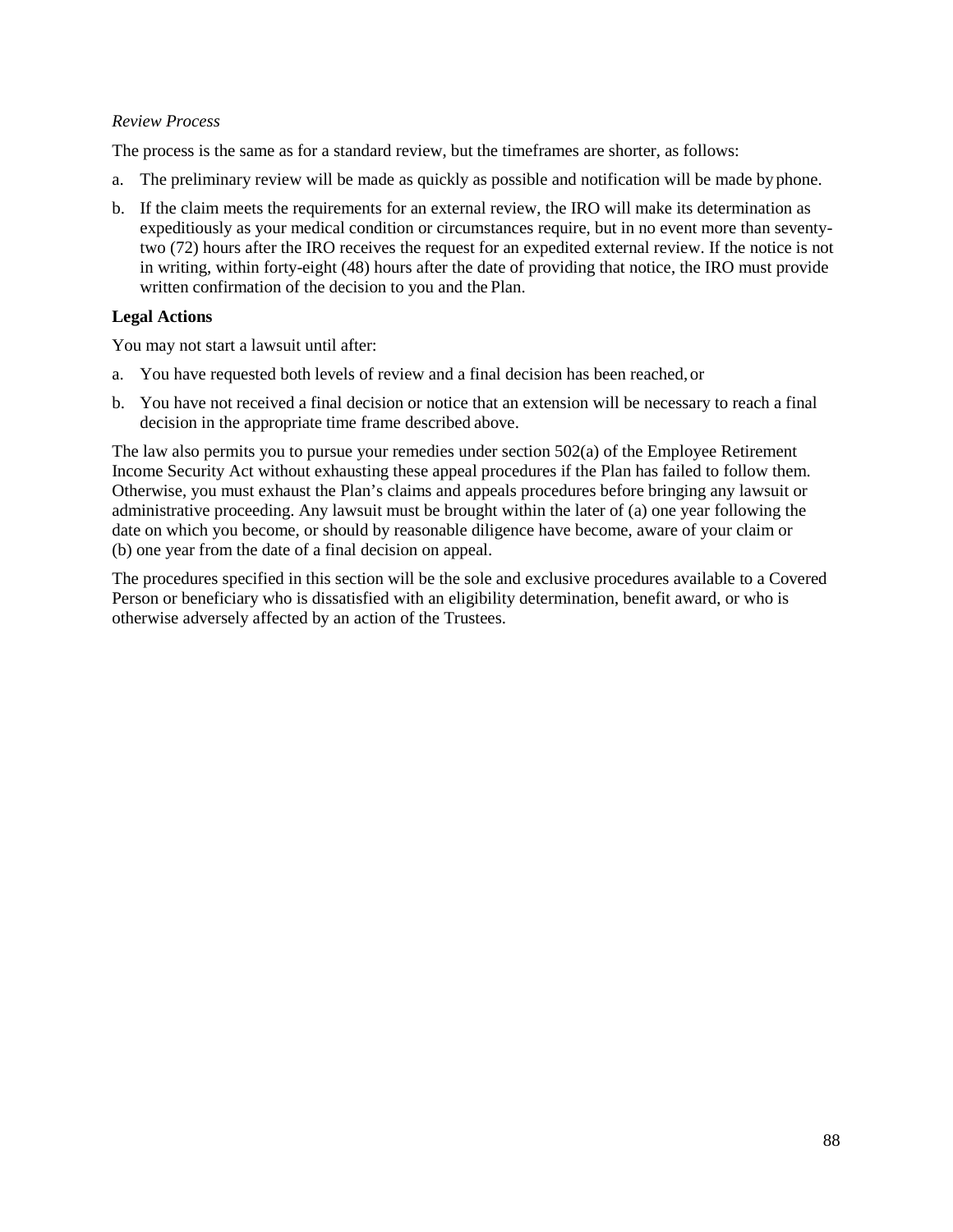#### *Review Process*

The process is the same as for a standard review, but the timeframes are shorter, as follows:

- a. The preliminary review will be made as quickly as possible and notification will be made by phone.
- b. If the claim meets the requirements for an external review, the IRO will make its determination as expeditiously as your medical condition or circumstances require, but in no event more than seventytwo (72) hours after the IRO receives the request for an expedited external review. If the notice is not in writing, within forty-eight (48) hours after the date of providing that notice, the IRO must provide written confirmation of the decision to you and the Plan.

## **Legal Actions**

You may not start a lawsuit until after:

- a. You have requested both levels of review and a final decision has been reached,or
- b. You have not received a final decision or notice that an extension will be necessary to reach a final decision in the appropriate time frame described above.

The law also permits you to pursue your remedies under section 502(a) of the Employee Retirement Income Security Act without exhausting these appeal procedures if the Plan has failed to follow them. Otherwise, you must exhaust the Plan's claims and appeals procedures before bringing any lawsuit or administrative proceeding. Any lawsuit must be brought within the later of (a) one year following the date on which you become, or should by reasonable diligence have become, aware of your claim or (b) one year from the date of a final decision on appeal.

The procedures specified in this section will be the sole and exclusive procedures available to a Covered Person or beneficiary who is dissatisfied with an eligibility determination, benefit award, or who is otherwise adversely affected by an action of the Trustees.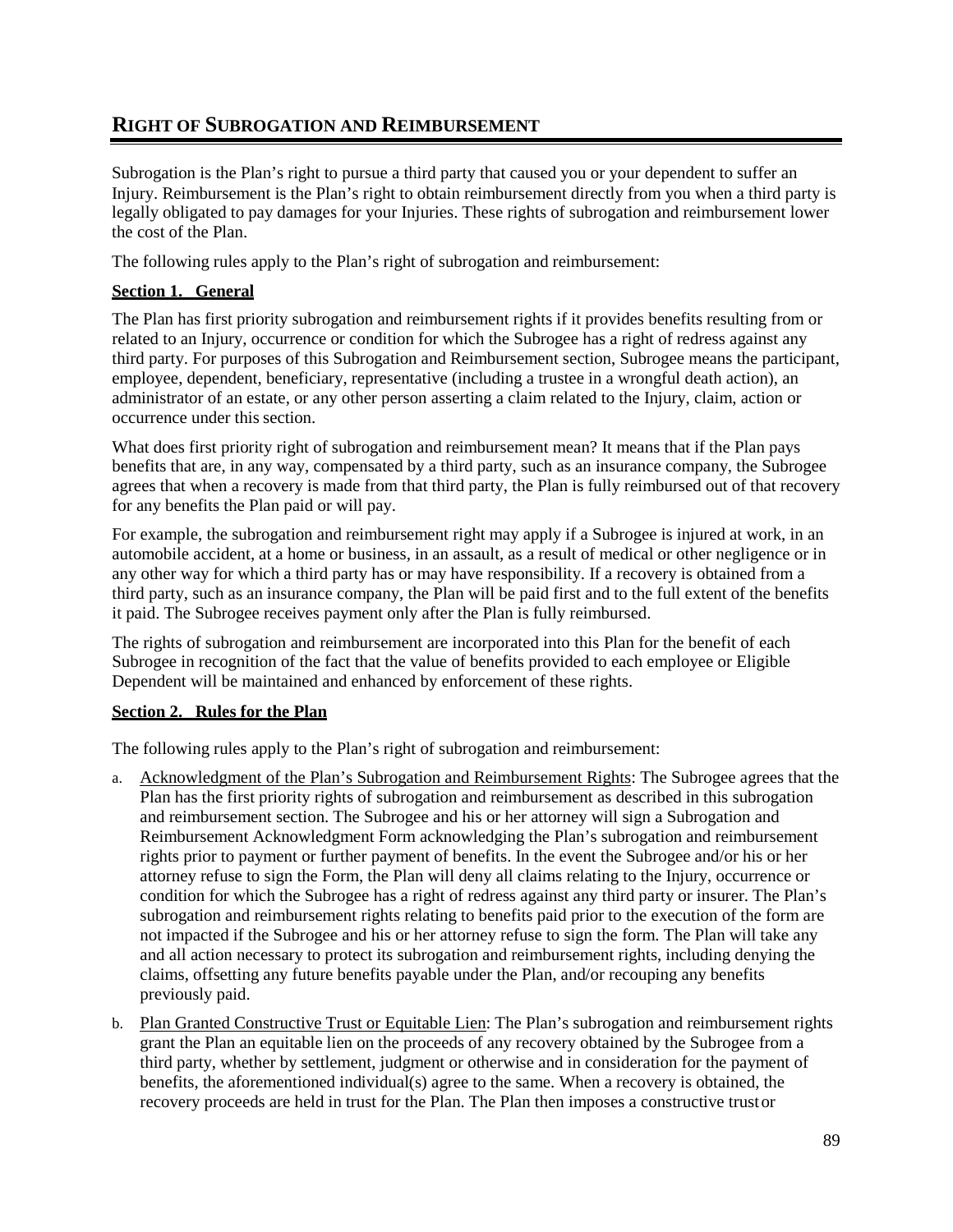## **RIGHT OF SUBROGATION AND REIMBURSEMENT**

Subrogation is the Plan's right to pursue a third party that caused you or your dependent to suffer an Injury. Reimbursement is the Plan's right to obtain reimbursement directly from you when a third party is legally obligated to pay damages for your Injuries. These rights of subrogation and reimbursement lower the cost of the Plan.

The following rules apply to the Plan's right of subrogation and reimbursement:

## **Section 1. General**

The Plan has first priority subrogation and reimbursement rights if it provides benefits resulting from or related to an Injury, occurrence or condition for which the Subrogee has a right of redress against any third party. For purposes of this Subrogation and Reimbursement section, Subrogee means the participant, employee, dependent, beneficiary, representative (including a trustee in a wrongful death action), an administrator of an estate, or any other person asserting a claim related to the Injury, claim, action or occurrence under this section.

What does first priority right of subrogation and reimbursement mean? It means that if the Plan pays benefits that are, in any way, compensated by a third party, such as an insurance company, the Subrogee agrees that when a recovery is made from that third party, the Plan is fully reimbursed out of that recovery for any benefits the Plan paid or will pay.

For example, the subrogation and reimbursement right may apply if a Subrogee is injured at work, in an automobile accident, at a home or business, in an assault, as a result of medical or other negligence or in any other way for which a third party has or may have responsibility. If a recovery is obtained from a third party, such as an insurance company, the Plan will be paid first and to the full extent of the benefits it paid. The Subrogee receives payment only after the Plan is fully reimbursed.

The rights of subrogation and reimbursement are incorporated into this Plan for the benefit of each Subrogee in recognition of the fact that the value of benefits provided to each employee or Eligible Dependent will be maintained and enhanced by enforcement of these rights.

## **Section 2. Rules for the Plan**

The following rules apply to the Plan's right of subrogation and reimbursement:

- a. Acknowledgment of the Plan's Subrogation and Reimbursement Rights: The Subrogee agrees that the Plan has the first priority rights of subrogation and reimbursement as described in this subrogation and reimbursement section. The Subrogee and his or her attorney will sign a Subrogation and Reimbursement Acknowledgment Form acknowledging the Plan's subrogation and reimbursement rights prior to payment or further payment of benefits. In the event the Subrogee and/or his or her attorney refuse to sign the Form, the Plan will deny all claims relating to the Injury, occurrence or condition for which the Subrogee has a right of redress against any third party or insurer. The Plan's subrogation and reimbursement rights relating to benefits paid prior to the execution of the form are not impacted if the Subrogee and his or her attorney refuse to sign the form. The Plan will take any and all action necessary to protect its subrogation and reimbursement rights, including denying the claims, offsetting any future benefits payable under the Plan, and/or recouping any benefits previously paid.
- b. Plan Granted Constructive Trust or Equitable Lien: The Plan's subrogation and reimbursement rights grant the Plan an equitable lien on the proceeds of any recovery obtained by the Subrogee from a third party, whether by settlement, judgment or otherwise and in consideration for the payment of benefits, the aforementioned individual(s) agree to the same. When a recovery is obtained, the recovery proceeds are held in trust for the Plan. The Plan then imposes a constructive trustor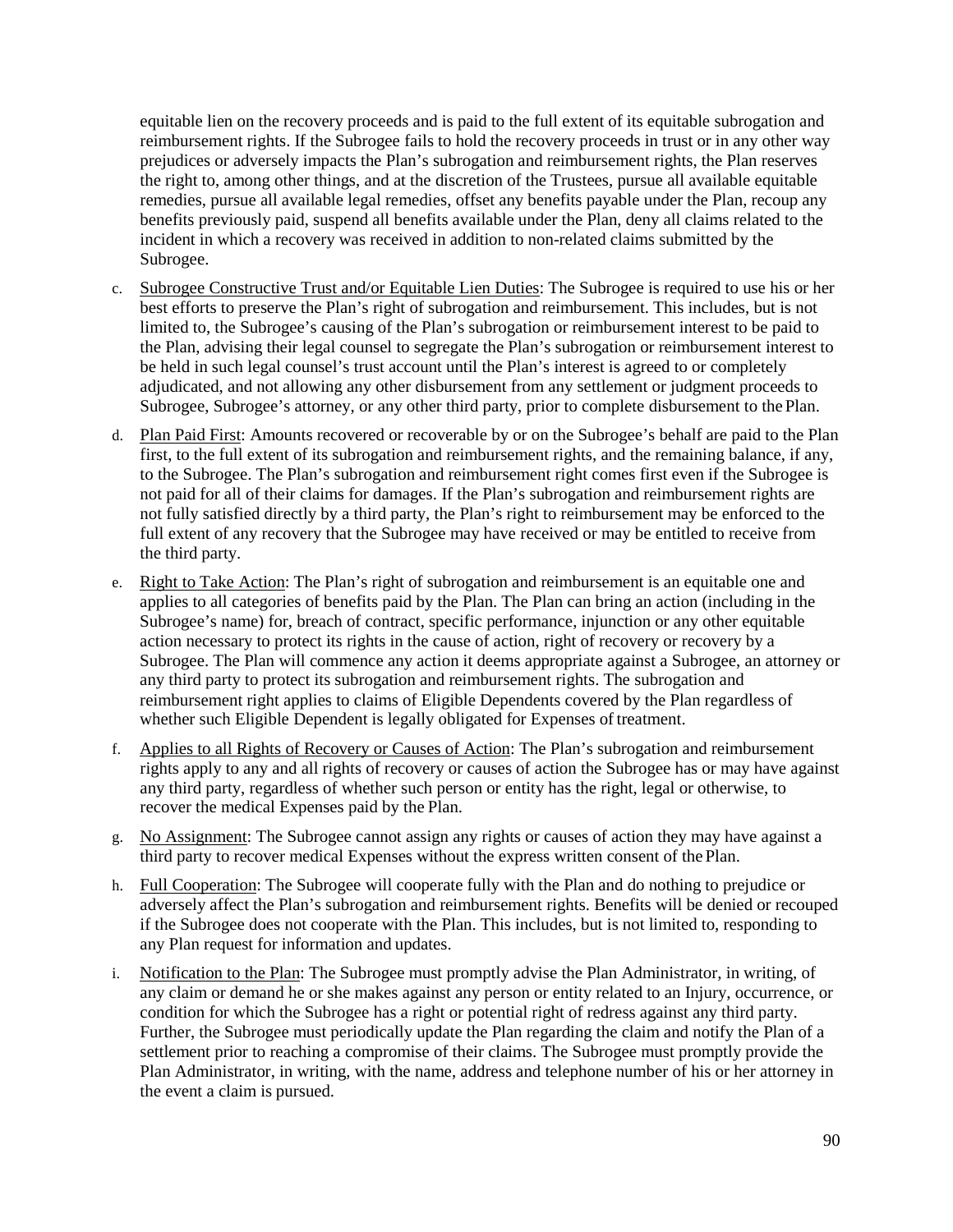equitable lien on the recovery proceeds and is paid to the full extent of its equitable subrogation and reimbursement rights. If the Subrogee fails to hold the recovery proceeds in trust or in any other way prejudices or adversely impacts the Plan's subrogation and reimbursement rights, the Plan reserves the right to, among other things, and at the discretion of the Trustees, pursue all available equitable remedies, pursue all available legal remedies, offset any benefits payable under the Plan, recoup any benefits previously paid, suspend all benefits available under the Plan, deny all claims related to the incident in which a recovery was received in addition to non-related claims submitted by the Subrogee.

- c. Subrogee Constructive Trust and/or Equitable Lien Duties: The Subrogee is required to use his or her best efforts to preserve the Plan's right of subrogation and reimbursement. This includes, but is not limited to, the Subrogee's causing of the Plan's subrogation or reimbursement interest to be paid to the Plan, advising their legal counsel to segregate the Plan's subrogation or reimbursement interest to be held in such legal counsel's trust account until the Plan's interest is agreed to or completely adjudicated, and not allowing any other disbursement from any settlement or judgment proceeds to Subrogee, Subrogee's attorney, or any other third party, prior to complete disbursement to the Plan.
- d. Plan Paid First: Amounts recovered or recoverable by or on the Subrogee's behalf are paid to the Plan first, to the full extent of its subrogation and reimbursement rights, and the remaining balance, if any, to the Subrogee. The Plan's subrogation and reimbursement right comes first even if the Subrogee is not paid for all of their claims for damages. If the Plan's subrogation and reimbursement rights are not fully satisfied directly by a third party, the Plan's right to reimbursement may be enforced to the full extent of any recovery that the Subrogee may have received or may be entitled to receive from the third party.
- e. Right to Take Action: The Plan's right of subrogation and reimbursement is an equitable one and applies to all categories of benefits paid by the Plan. The Plan can bring an action (including in the Subrogee's name) for, breach of contract, specific performance, injunction or any other equitable action necessary to protect its rights in the cause of action, right of recovery or recovery by a Subrogee. The Plan will commence any action it deems appropriate against a Subrogee, an attorney or any third party to protect its subrogation and reimbursement rights. The subrogation and reimbursement right applies to claims of Eligible Dependents covered by the Plan regardless of whether such Eligible Dependent is legally obligated for Expenses of treatment.
- f. Applies to all Rights of Recovery or Causes of Action: The Plan's subrogation and reimbursement rights apply to any and all rights of recovery or causes of action the Subrogee has or may have against any third party, regardless of whether such person or entity has the right, legal or otherwise, to recover the medical Expenses paid by the Plan.
- g. No Assignment: The Subrogee cannot assign any rights or causes of action they may have against a third party to recover medical Expenses without the express written consent of the Plan.
- h. Full Cooperation: The Subrogee will cooperate fully with the Plan and do nothing to prejudice or adversely affect the Plan's subrogation and reimbursement rights. Benefits will be denied or recouped if the Subrogee does not cooperate with the Plan. This includes, but is not limited to, responding to any Plan request for information and updates.
- i. Notification to the Plan: The Subrogee must promptly advise the Plan Administrator, in writing, of any claim or demand he or she makes against any person or entity related to an Injury, occurrence, or condition for which the Subrogee has a right or potential right of redress against any third party. Further, the Subrogee must periodically update the Plan regarding the claim and notify the Plan of a settlement prior to reaching a compromise of their claims. The Subrogee must promptly provide the Plan Administrator, in writing, with the name, address and telephone number of his or her attorney in the event a claim is pursued.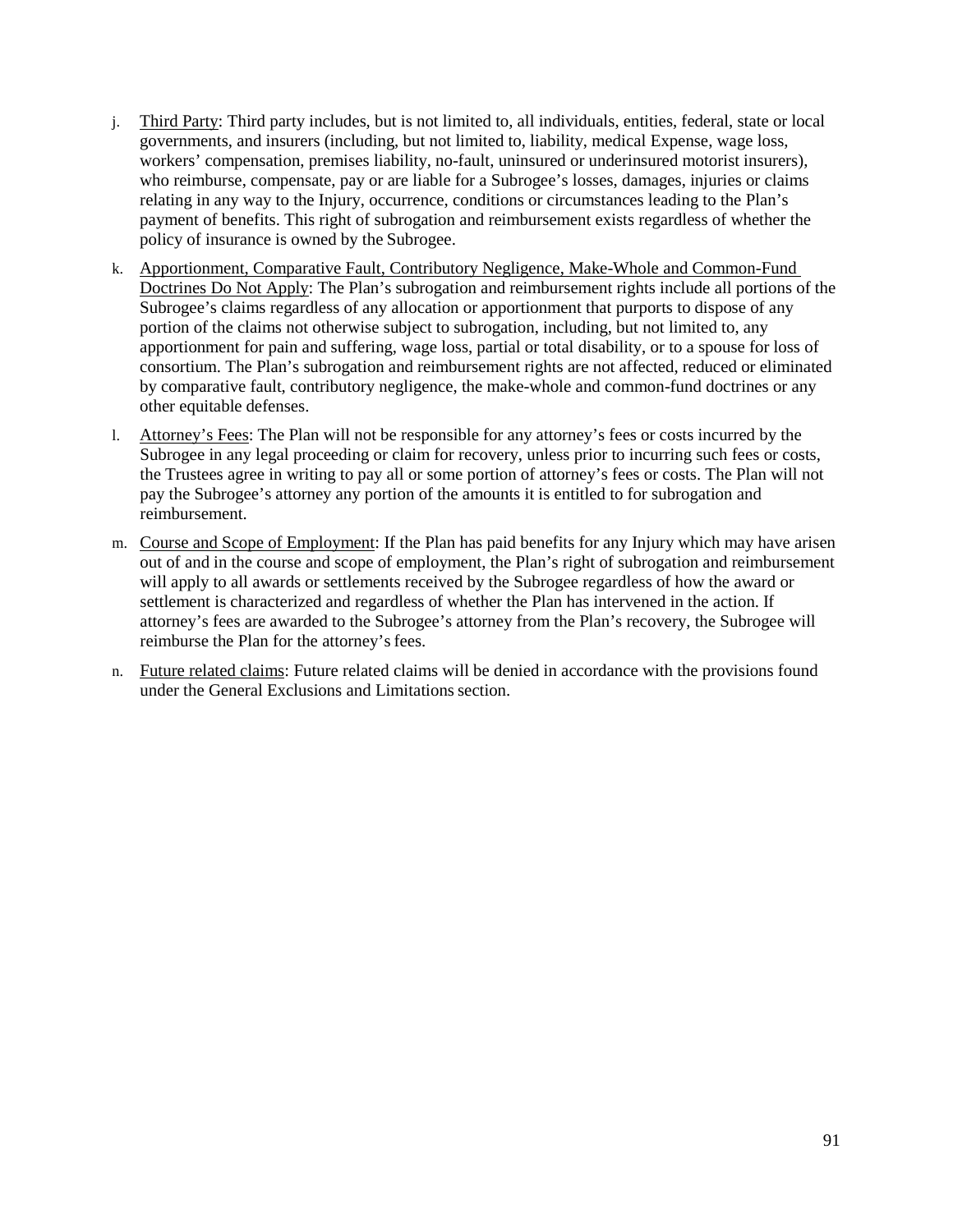- j. Third Party: Third party includes, but is not limited to, all individuals, entities, federal, state or local governments, and insurers (including, but not limited to, liability, medical Expense, wage loss, workers' compensation, premises liability, no-fault, uninsured or underinsured motorist insurers), who reimburse, compensate, pay or are liable for a Subrogee's losses, damages, injuries or claims relating in any way to the Injury, occurrence, conditions or circumstances leading to the Plan's payment of benefits. This right of subrogation and reimbursement exists regardless of whether the policy of insurance is owned by the Subrogee.
- k. Apportionment, Comparative Fault, Contributory Negligence, Make-Whole and Common-Fund Doctrines Do Not Apply: The Plan's subrogation and reimbursement rights include all portions of the Subrogee's claims regardless of any allocation or apportionment that purports to dispose of any portion of the claims not otherwise subject to subrogation, including, but not limited to, any apportionment for pain and suffering, wage loss, partial or total disability, or to a spouse for loss of consortium. The Plan's subrogation and reimbursement rights are not affected, reduced or eliminated by comparative fault, contributory negligence, the make-whole and common-fund doctrines or any other equitable defenses.
- l. Attorney's Fees: The Plan will not be responsible for any attorney's fees or costs incurred by the Subrogee in any legal proceeding or claim for recovery, unless prior to incurring such fees or costs, the Trustees agree in writing to pay all or some portion of attorney's fees or costs. The Plan will not pay the Subrogee's attorney any portion of the amounts it is entitled to for subrogation and reimbursement.
- m. Course and Scope of Employment: If the Plan has paid benefits for any Injury which may have arisen out of and in the course and scope of employment, the Plan's right of subrogation and reimbursement will apply to all awards or settlements received by the Subrogee regardless of how the award or settlement is characterized and regardless of whether the Plan has intervened in the action. If attorney's fees are awarded to the Subrogee's attorney from the Plan's recovery, the Subrogee will reimburse the Plan for the attorney's fees.
- n. Future related claims: Future related claims will be denied in accordance with the provisions found under the General Exclusions and Limitations section.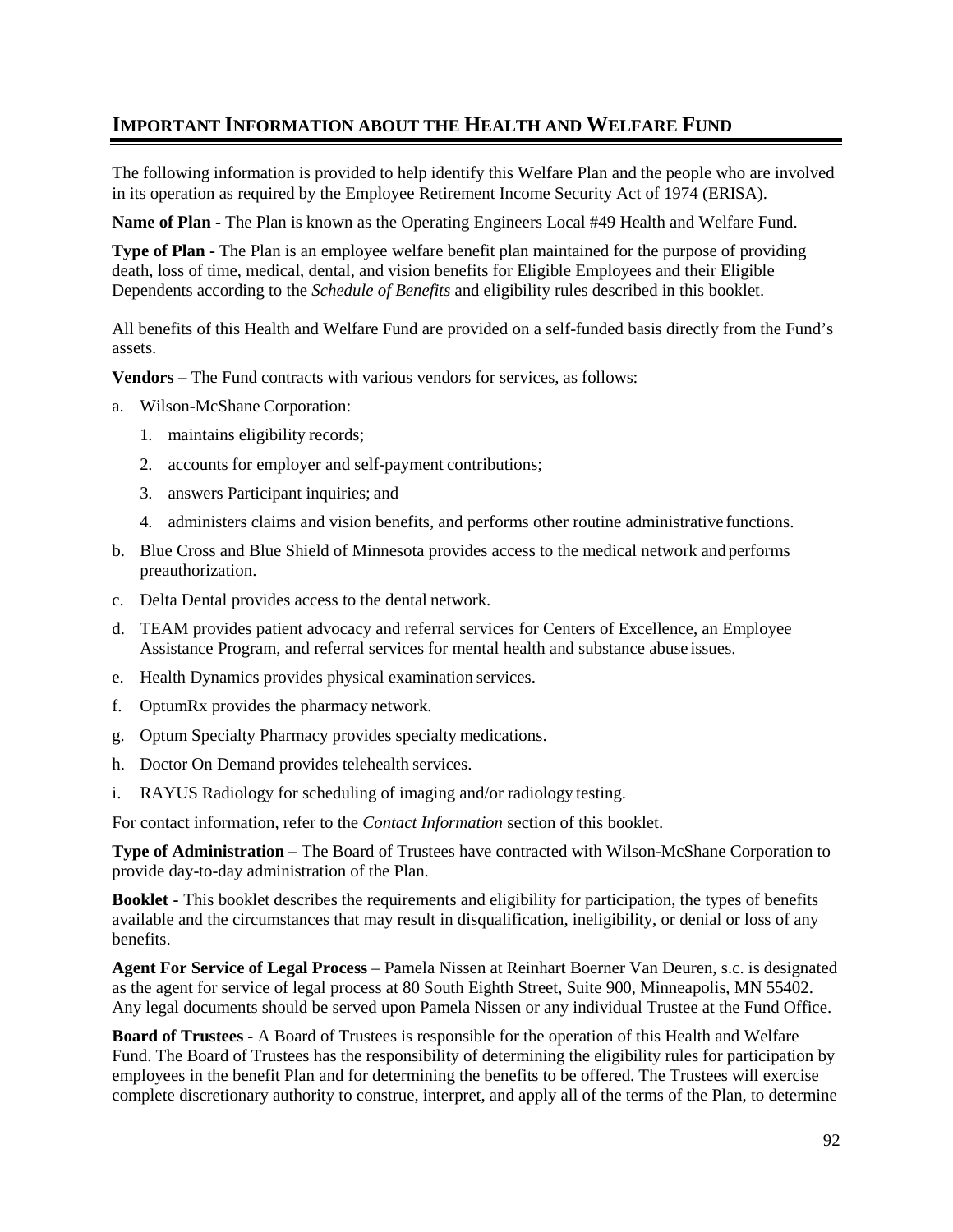# **IMPORTANT INFORMATION ABOUT THE HEALTH AND WELFARE FUND**

The following information is provided to help identify this Welfare Plan and the people who are involved in its operation as required by the Employee Retirement Income Security Act of 1974 (ERISA).

**Name of Plan -** The Plan is known as the Operating Engineers Local #49 Health and Welfare Fund.

**Type of Plan -** The Plan is an employee welfare benefit plan maintained for the purpose of providing death, loss of time, medical, dental, and vision benefits for Eligible Employees and their Eligible Dependents according to the *Schedule of Benefits* and eligibility rules described in this booklet.

All benefits of this Health and Welfare Fund are provided on a self-funded basis directly from the Fund's assets.

**Vendors –** The Fund contracts with various vendors for services, as follows:

- a. Wilson-McShane Corporation:
	- 1. maintains eligibility records;
	- 2. accounts for employer and self-payment contributions;
	- 3. answers Participant inquiries; and
	- 4. administers claims and vision benefits, and performs other routine administrative functions.
- b. Blue Cross and Blue Shield of Minnesota provides access to the medical network and performs preauthorization.
- c. Delta Dental provides access to the dental network.
- d. TEAM provides patient advocacy and referral services for Centers of Excellence, an Employee Assistance Program, and referral services for mental health and substance abuse issues.
- e. Health Dynamics provides physical examination services.
- f. OptumRx provides the pharmacy network.
- g. Optum Specialty Pharmacy provides specialty medications.
- h. Doctor On Demand provides telehealth services.
- i. RAYUS Radiology for scheduling of imaging and/or radiology testing.

For contact information, refer to the *Contact Information* section of this booklet.

**Type of Administration –** The Board of Trustees have contracted with Wilson-McShane Corporation to provide day-to-day administration of the Plan.

**Booklet -** This booklet describes the requirements and eligibility for participation, the types of benefits available and the circumstances that may result in disqualification, ineligibility, or denial or loss of any benefits.

**Agent For Service of Legal Process** – Pamela Nissen at Reinhart Boerner Van Deuren, s.c. is designated as the agent for service of legal process at 80 South Eighth Street, Suite 900, Minneapolis, MN 55402. Any legal documents should be served upon Pamela Nissen or any individual Trustee at the Fund Office.

**Board of Trustees -** A Board of Trustees is responsible for the operation of this Health and Welfare Fund. The Board of Trustees has the responsibility of determining the eligibility rules for participation by employees in the benefit Plan and for determining the benefits to be offered. The Trustees will exercise complete discretionary authority to construe, interpret, and apply all of the terms of the Plan, to determine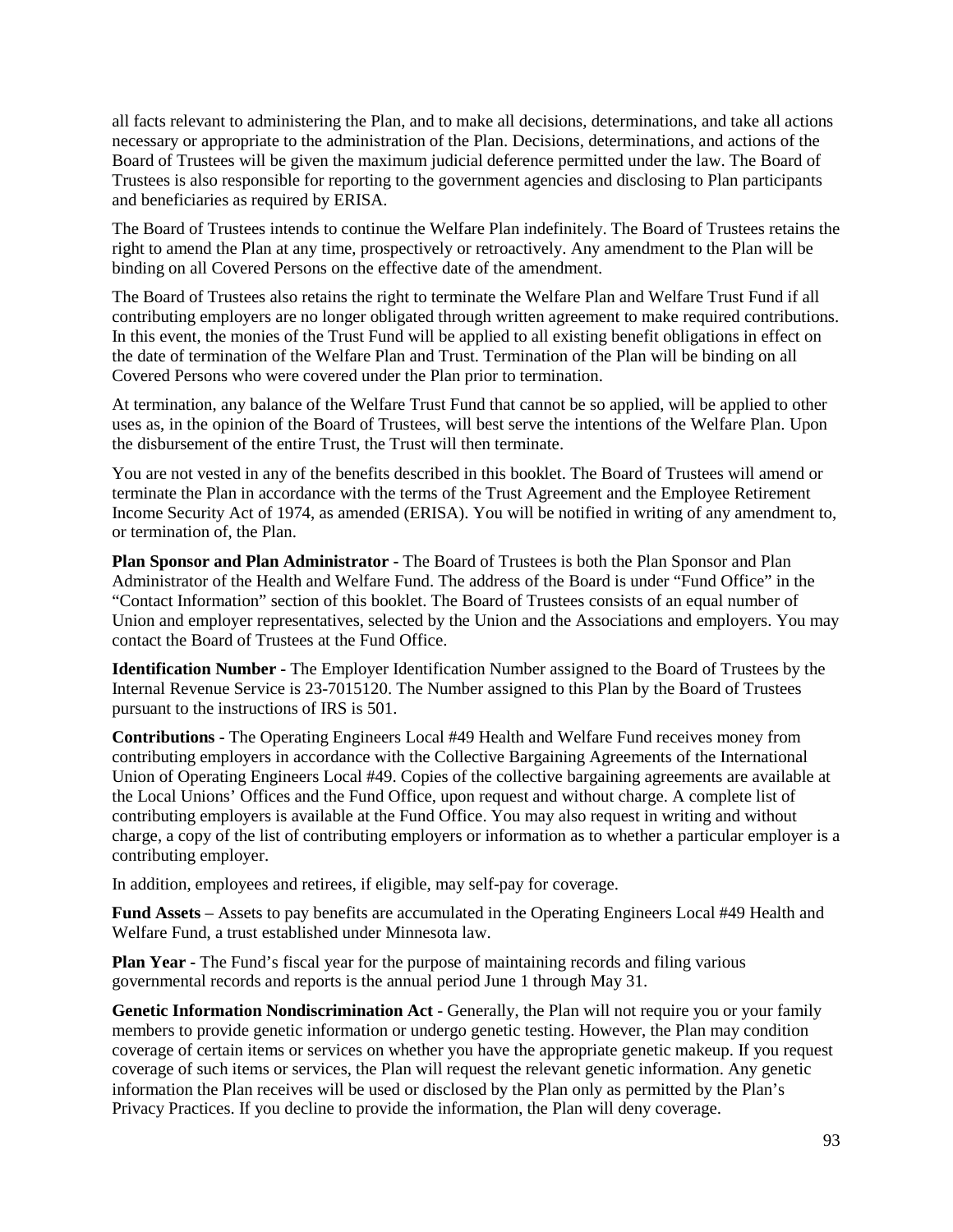all facts relevant to administering the Plan, and to make all decisions, determinations, and take all actions necessary or appropriate to the administration of the Plan. Decisions, determinations, and actions of the Board of Trustees will be given the maximum judicial deference permitted under the law. The Board of Trustees is also responsible for reporting to the government agencies and disclosing to Plan participants and beneficiaries as required by ERISA.

The Board of Trustees intends to continue the Welfare Plan indefinitely. The Board of Trustees retains the right to amend the Plan at any time, prospectively or retroactively. Any amendment to the Plan will be binding on all Covered Persons on the effective date of the amendment.

The Board of Trustees also retains the right to terminate the Welfare Plan and Welfare Trust Fund if all contributing employers are no longer obligated through written agreement to make required contributions. In this event, the monies of the Trust Fund will be applied to all existing benefit obligations in effect on the date of termination of the Welfare Plan and Trust. Termination of the Plan will be binding on all Covered Persons who were covered under the Plan prior to termination.

At termination, any balance of the Welfare Trust Fund that cannot be so applied, will be applied to other uses as, in the opinion of the Board of Trustees, will best serve the intentions of the Welfare Plan. Upon the disbursement of the entire Trust, the Trust will then terminate.

You are not vested in any of the benefits described in this booklet. The Board of Trustees will amend or terminate the Plan in accordance with the terms of the Trust Agreement and the Employee Retirement Income Security Act of 1974, as amended (ERISA). You will be notified in writing of any amendment to, or termination of, the Plan.

**Plan Sponsor and Plan Administrator -** The Board of Trustees is both the Plan Sponsor and Plan Administrator of the Health and Welfare Fund. The address of the Board is under "Fund Office" in the "Contact Information" section of this booklet. The Board of Trustees consists of an equal number of Union and employer representatives, selected by the Union and the Associations and employers. You may contact the Board of Trustees at the Fund Office.

**Identification Number -** The Employer Identification Number assigned to the Board of Trustees by the Internal Revenue Service is 23-7015120. The Number assigned to this Plan by the Board of Trustees pursuant to the instructions of IRS is 501.

**Contributions -** The Operating Engineers Local #49 Health and Welfare Fund receives money from contributing employers in accordance with the Collective Bargaining Agreements of the International Union of Operating Engineers Local #49. Copies of the collective bargaining agreements are available at the Local Unions' Offices and the Fund Office, upon request and without charge. A complete list of contributing employers is available at the Fund Office. You may also request in writing and without charge, a copy of the list of contributing employers or information as to whether a particular employer is a contributing employer.

In addition, employees and retirees, if eligible, may self-pay for coverage.

**Fund Assets** – Assets to pay benefits are accumulated in the Operating Engineers Local #49 Health and Welfare Fund, a trust established under Minnesota law.

**Plan Year -** The Fund's fiscal year for the purpose of maintaining records and filing various governmental records and reports is the annual period June 1 through May 31.

**Genetic Information Nondiscrimination Act** - Generally, the Plan will not require you or your family members to provide genetic information or undergo genetic testing. However, the Plan may condition coverage of certain items or services on whether you have the appropriate genetic makeup. If you request coverage of such items or services, the Plan will request the relevant genetic information. Any genetic information the Plan receives will be used or disclosed by the Plan only as permitted by the Plan's Privacy Practices. If you decline to provide the information, the Plan will deny coverage.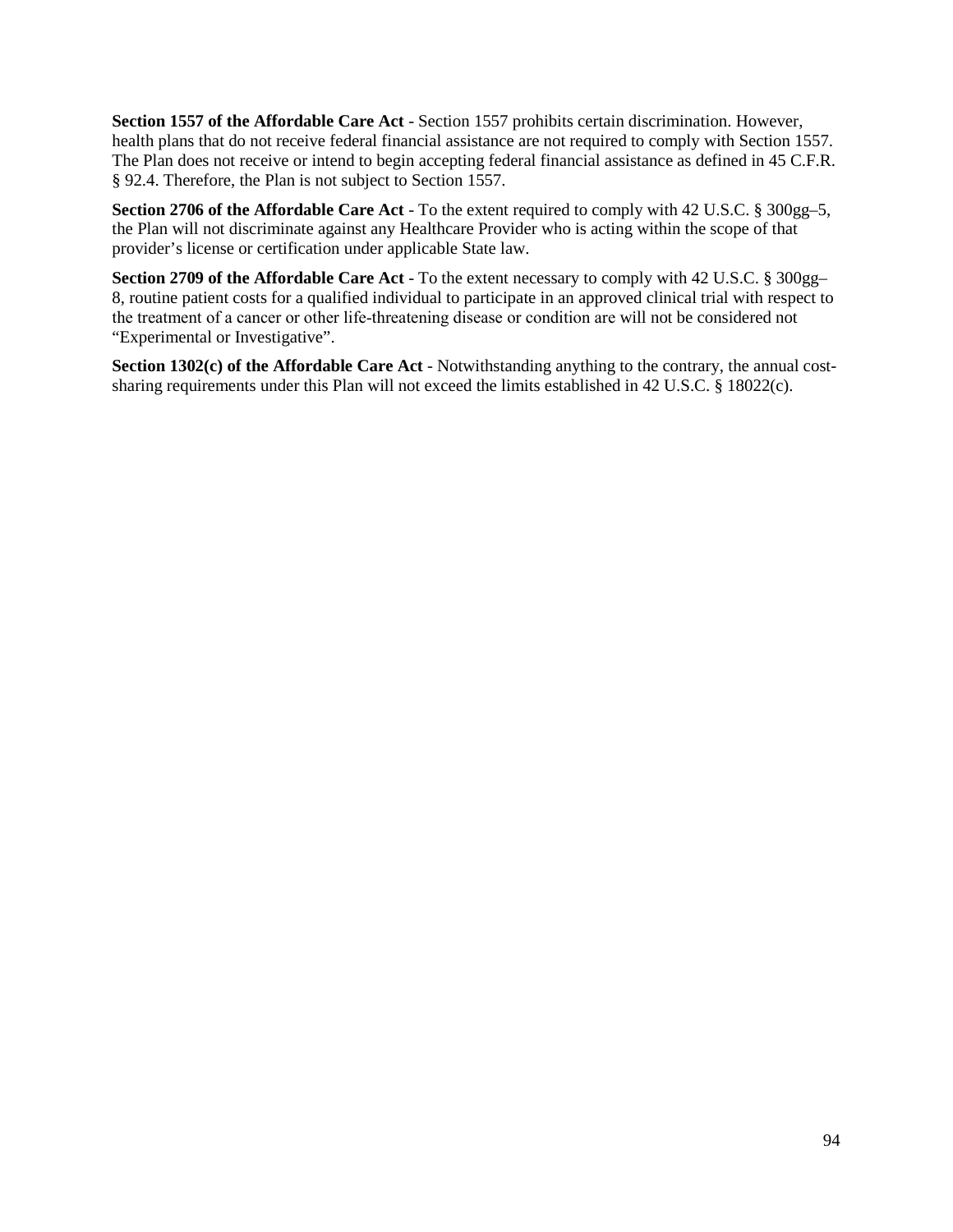**Section 1557 of the Affordable Care Act** - Section 1557 prohibits certain discrimination. However, health plans that do not receive federal financial assistance are not required to comply with Section 1557. The Plan does not receive or intend to begin accepting federal financial assistance as defined in 45 C.F.R. § 92.4. Therefore, the Plan is not subject to Section 1557.

**Section 2706 of the Affordable Care Act** - To the extent required to comply with 42 U.S.C. § 300gg–5, the Plan will not discriminate against any Healthcare Provider who is acting within the scope of that provider's license or certification under applicable State law.

**Section 2709 of the Affordable Care Act** - To the extent necessary to comply with 42 U.S.C. § 300gg– 8, routine patient costs for a qualified individual to participate in an approved clinical trial with respect to the treatment of a cancer or other life‐threatening disease or condition are will not be considered not "Experimental or Investigative".

**Section 1302(c) of the Affordable Care Act** - Notwithstanding anything to the contrary, the annual costsharing requirements under this Plan will not exceed the limits established in 42 U.S.C. § 18022(c).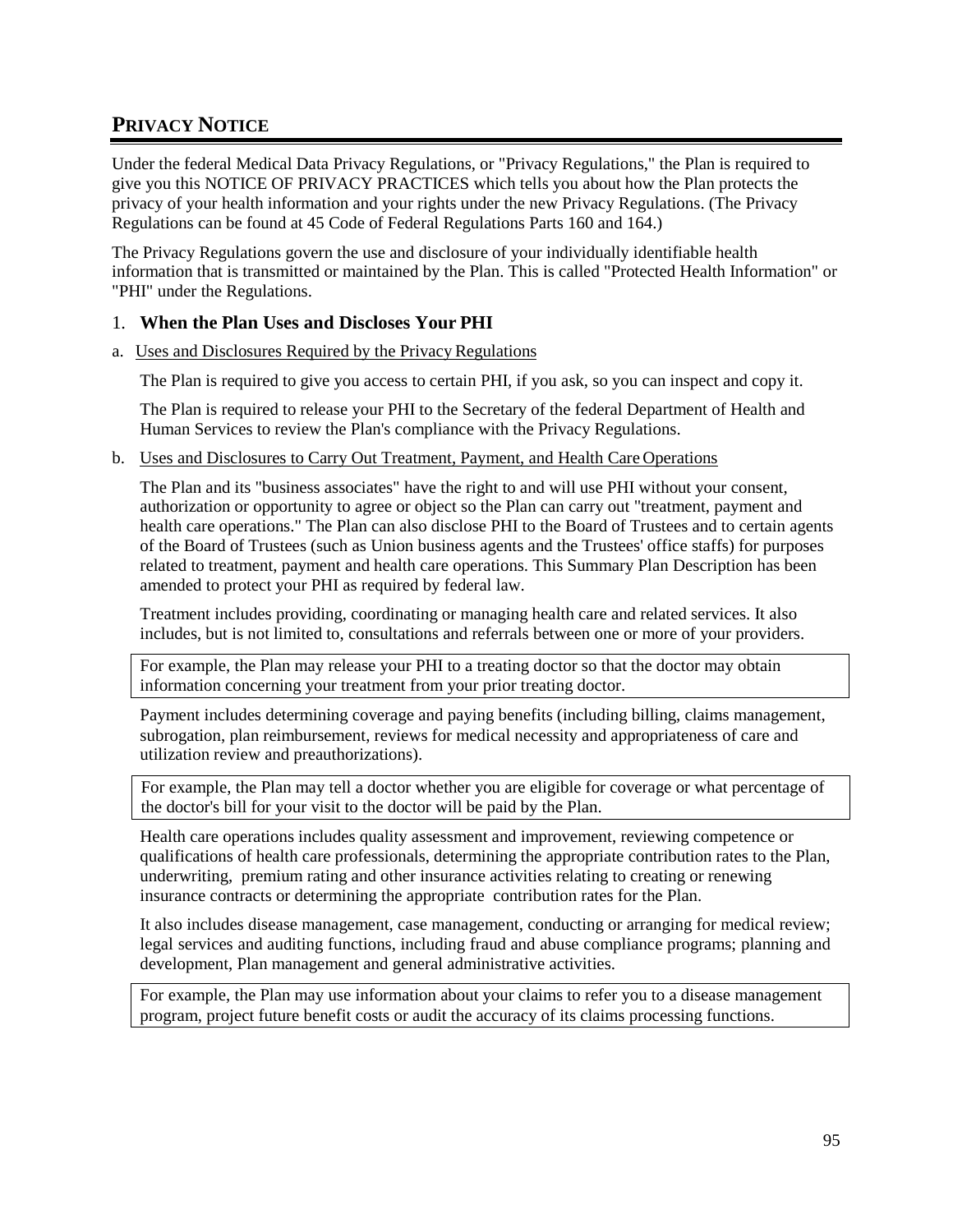## **PRIVACY NOTICE**

Under the federal Medical Data Privacy Regulations, or "Privacy Regulations," the Plan is required to give you this NOTICE OF PRIVACY PRACTICES which tells you about how the Plan protects the privacy of your health information and your rights under the new Privacy Regulations. (The Privacy Regulations can be found at 45 Code of Federal Regulations Parts 160 and 164.)

The Privacy Regulations govern the use and disclosure of your individually identifiable health information that is transmitted or maintained by the Plan. This is called "Protected Health Information" or "PHI" under the Regulations.

## 1. **When the Plan Uses and Discloses Your PHI**

a. Uses and Disclosures Required by the Privacy Regulations

The Plan is required to give you access to certain PHI, if you ask, so you can inspect and copy it.

The Plan is required to release your PHI to the Secretary of the federal Department of Health and Human Services to review the Plan's compliance with the Privacy Regulations.

b. Uses and Disclosures to Carry Out Treatment, Payment, and Health Care Operations

The Plan and its "business associates" have the right to and will use PHI without your consent, authorization or opportunity to agree or object so the Plan can carry out "treatment, payment and health care operations." The Plan can also disclose PHI to the Board of Trustees and to certain agents of the Board of Trustees (such as Union business agents and the Trustees' office staffs) for purposes related to treatment, payment and health care operations. This Summary Plan Description has been amended to protect your PHI as required by federal law.

Treatment includes providing, coordinating or managing health care and related services. It also includes, but is not limited to, consultations and referrals between one or more of your providers.

For example, the Plan may release your PHI to a treating doctor so that the doctor may obtain information concerning your treatment from your prior treating doctor.

Payment includes determining coverage and paying benefits (including billing, claims management, subrogation, plan reimbursement, reviews for medical necessity and appropriateness of care and utilization review and preauthorizations).

For example, the Plan may tell a doctor whether you are eligible for coverage or what percentage of the doctor's bill for your visit to the doctor will be paid by the Plan.

Health care operations includes quality assessment and improvement, reviewing competence or qualifications of health care professionals, determining the appropriate contribution rates to the Plan, underwriting, premium rating and other insurance activities relating to creating or renewing insurance contracts or determining the appropriate contribution rates for the Plan.

It also includes disease management, case management, conducting or arranging for medical review; legal services and auditing functions, including fraud and abuse compliance programs; planning and development, Plan management and general administrative activities.

For example, the Plan may use information about your claims to refer you to a disease management program, project future benefit costs or audit the accuracy of its claims processing functions.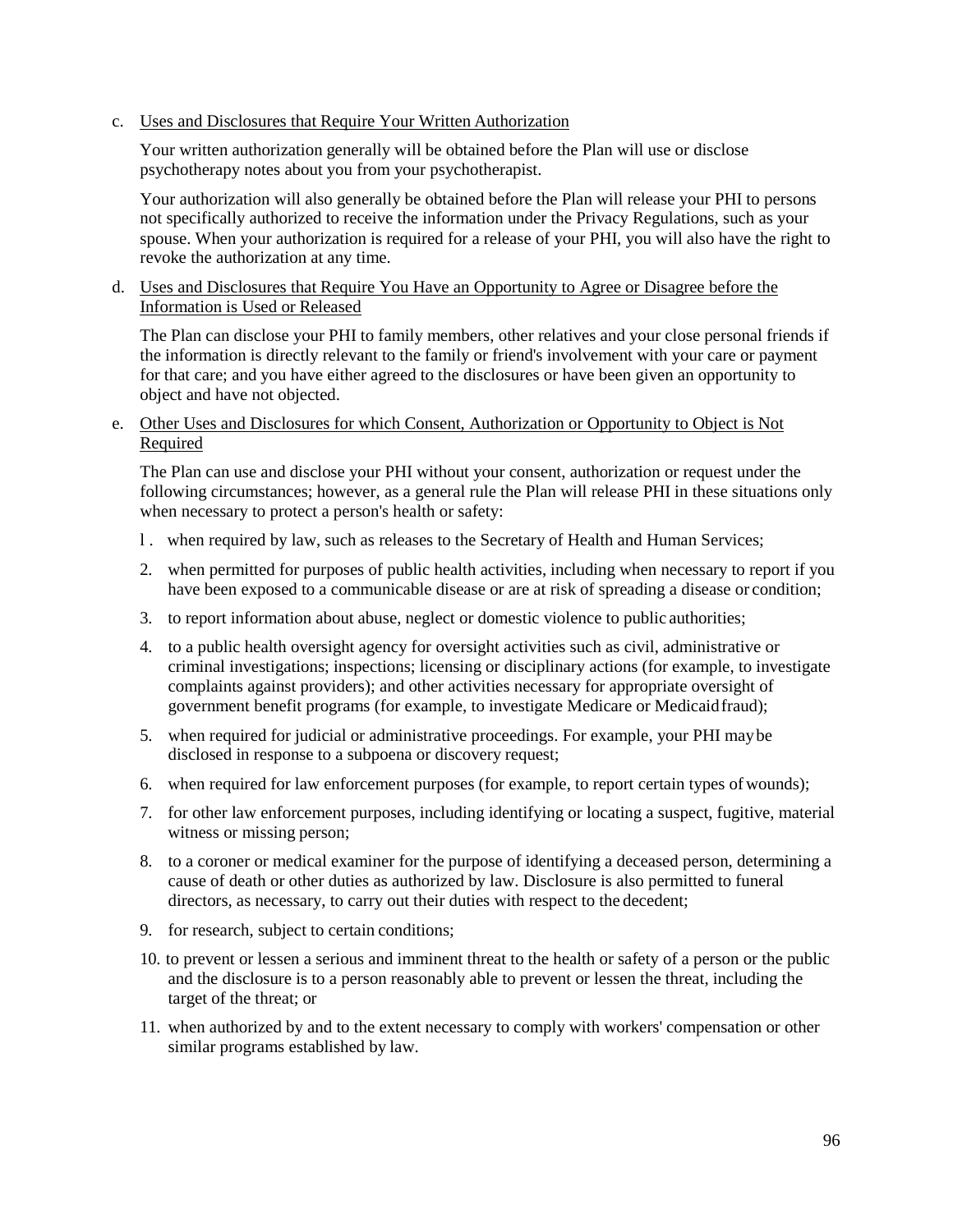#### c. Uses and Disclosures that Require Your Written Authorization

Your written authorization generally will be obtained before the Plan will use or disclose psychotherapy notes about you from your psychotherapist.

Your authorization will also generally be obtained before the Plan will release your PHI to persons not specifically authorized to receive the information under the Privacy Regulations, such as your spouse. When your authorization is required for a release of your PHI, you will also have the right to revoke the authorization at any time.

## d. Uses and Disclosures that Require You Have an Opportunity to Agree or Disagree before the Information is Used or Released

The Plan can disclose your PHI to family members, other relatives and your close personal friends if the information is directly relevant to the family or friend's involvement with your care or payment for that care; and you have either agreed to the disclosures or have been given an opportunity to object and have not objected.

## e. Other Uses and Disclosures for which Consent, Authorization or Opportunity to Object is Not Required

The Plan can use and disclose your PHI without your consent, authorization or request under the following circumstances; however, as a general rule the Plan will release PHI in these situations only when necessary to protect a person's health or safety:

- l . when required by law, such as releases to the Secretary of Health and Human Services;
- 2. when permitted for purposes of public health activities, including when necessary to report if you have been exposed to a communicable disease or are at risk of spreading a disease or condition;
- 3. to report information about abuse, neglect or domestic violence to public authorities;
- 4. to a public health oversight agency for oversight activities such as civil, administrative or criminal investigations; inspections; licensing or disciplinary actions (for example, to investigate complaints against providers); and other activities necessary for appropriate oversight of government benefit programs (for example, to investigate Medicare or Medicaidfraud);
- 5. when required for judicial or administrative proceedings. For example, your PHI maybe disclosed in response to a subpoena or discovery request;
- 6. when required for law enforcement purposes (for example, to report certain types of wounds);
- 7. for other law enforcement purposes, including identifying or locating a suspect, fugitive, material witness or missing person;
- 8. to a coroner or medical examiner for the purpose of identifying a deceased person, determining a cause of death or other duties as authorized by law. Disclosure is also permitted to funeral directors, as necessary, to carry out their duties with respect to the decedent;
- 9. for research, subject to certain conditions;
- 10. to prevent or lessen a serious and imminent threat to the health or safety of a person or the public and the disclosure is to a person reasonably able to prevent or lessen the threat, including the target of the threat; or
- 11. when authorized by and to the extent necessary to comply with workers' compensation or other similar programs established by law.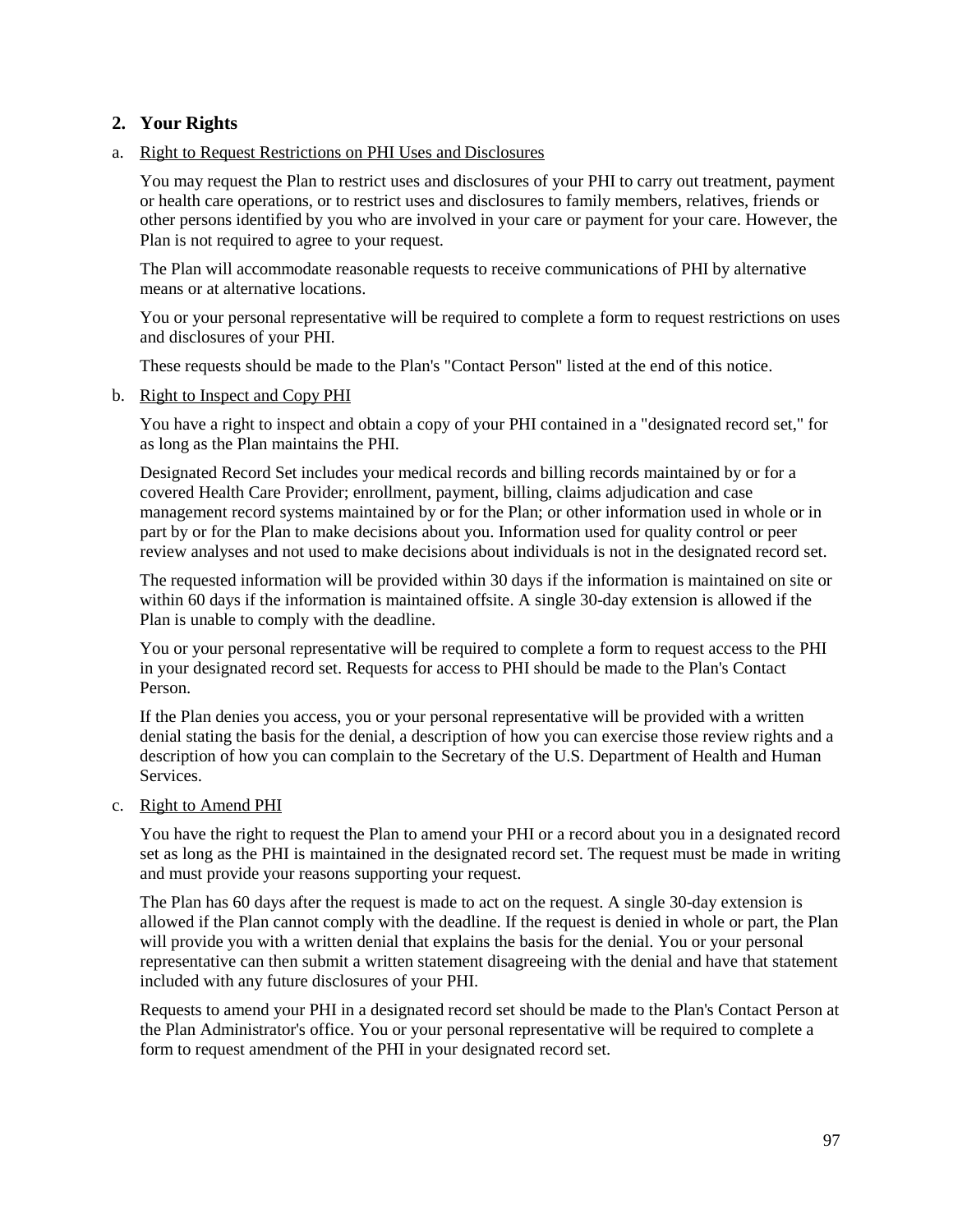## **2. Your Rights**

a. Right to Request Restrictions on PHI Uses and Disclosures

You may request the Plan to restrict uses and disclosures of your PHI to carry out treatment, payment or health care operations, or to restrict uses and disclosures to family members, relatives, friends or other persons identified by you who are involved in your care or payment for your care. However, the Plan is not required to agree to your request.

The Plan will accommodate reasonable requests to receive communications of PHI by alternative means or at alternative locations.

You or your personal representative will be required to complete a form to request restrictions on uses and disclosures of your PHI.

These requests should be made to the Plan's "Contact Person" listed at the end of this notice.

b. Right to Inspect and Copy PHI

You have a right to inspect and obtain a copy of your PHI contained in a "designated record set," for as long as the Plan maintains the PHI.

Designated Record Set includes your medical records and billing records maintained by or for a covered Health Care Provider; enrollment, payment, billing, claims adjudication and case management record systems maintained by or for the Plan; or other information used in whole or in part by or for the Plan to make decisions about you. Information used for quality control or peer review analyses and not used to make decisions about individuals is not in the designated record set.

The requested information will be provided within 30 days if the information is maintained on site or within 60 days if the information is maintained offsite. A single 30-day extension is allowed if the Plan is unable to comply with the deadline.

You or your personal representative will be required to complete a form to request access to the PHI in your designated record set. Requests for access to PHI should be made to the Plan's Contact Person.

If the Plan denies you access, you or your personal representative will be provided with a written denial stating the basis for the denial, a description of how you can exercise those review rights and a description of how you can complain to the Secretary of the U.S. Department of Health and Human Services.

c. Right to Amend PHI

You have the right to request the Plan to amend your PHI or a record about you in a designated record set as long as the PHI is maintained in the designated record set. The request must be made in writing and must provide your reasons supporting your request.

The Plan has 60 days after the request is made to act on the request. A single 30-day extension is allowed if the Plan cannot comply with the deadline. If the request is denied in whole or part, the Plan will provide you with a written denial that explains the basis for the denial. You or your personal representative can then submit a written statement disagreeing with the denial and have that statement included with any future disclosures of your PHI.

Requests to amend your PHI in a designated record set should be made to the Plan's Contact Person at the Plan Administrator's office. You or your personal representative will be required to complete a form to request amendment of the PHI in your designated record set.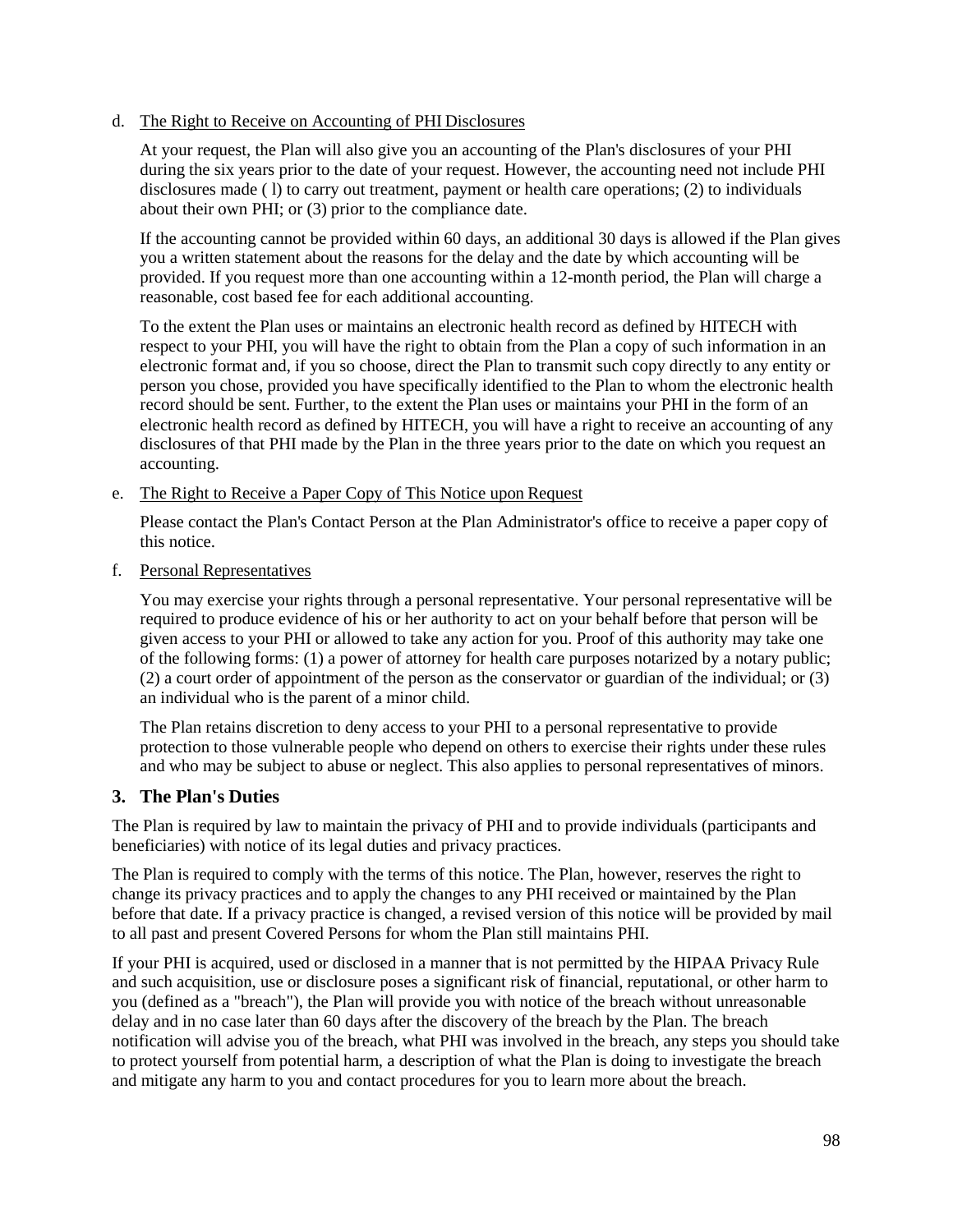## d. The Right to Receive on Accounting of PHI Disclosures

At your request, the Plan will also give you an accounting of the Plan's disclosures of your PHI during the six years prior to the date of your request. However, the accounting need not include PHI disclosures made ( l) to carry out treatment, payment or health care operations; (2) to individuals about their own PHI; or (3) prior to the compliance date.

If the accounting cannot be provided within 60 days, an additional 30 days is allowed if the Plan gives you a written statement about the reasons for the delay and the date by which accounting will be provided. If you request more than one accounting within a 12-month period, the Plan will charge a reasonable, cost based fee for each additional accounting.

To the extent the Plan uses or maintains an electronic health record as defined by HITECH with respect to your PHI, you will have the right to obtain from the Plan a copy of such information in an electronic format and, if you so choose, direct the Plan to transmit such copy directly to any entity or person you chose, provided you have specifically identified to the Plan to whom the electronic health record should be sent. Further, to the extent the Plan uses or maintains your PHI in the form of an electronic health record as defined by HITECH, you will have a right to receive an accounting of any disclosures of that PHI made by the Plan in the three years prior to the date on which you request an accounting.

## e. The Right to Receive a Paper Copy of This Notice upon Request

Please contact the Plan's Contact Person at the Plan Administrator's office to receive a paper copy of this notice.

f. Personal Representatives

You may exercise your rights through a personal representative. Your personal representative will be required to produce evidence of his or her authority to act on your behalf before that person will be given access to your PHI or allowed to take any action for you. Proof of this authority may take one of the following forms: (1) a power of attorney for health care purposes notarized by a notary public; (2) a court order of appointment of the person as the conservator or guardian of the individual; or (3) an individual who is the parent of a minor child.

The Plan retains discretion to deny access to your PHI to a personal representative to provide protection to those vulnerable people who depend on others to exercise their rights under these rules and who may be subject to abuse or neglect. This also applies to personal representatives of minors.

## **3. The Plan's Duties**

The Plan is required by law to maintain the privacy of PHI and to provide individuals (participants and beneficiaries) with notice of its legal duties and privacy practices.

The Plan is required to comply with the terms of this notice. The Plan, however, reserves the right to change its privacy practices and to apply the changes to any PHI received or maintained by the Plan before that date. If a privacy practice is changed, a revised version of this notice will be provided by mail to all past and present Covered Persons for whom the Plan still maintains PHI.

If your PHI is acquired, used or disclosed in a manner that is not permitted by the HIPAA Privacy Rule and such acquisition, use or disclosure poses a significant risk of financial, reputational, or other harm to you (defined as a "breach"), the Plan will provide you with notice of the breach without unreasonable delay and in no case later than 60 days after the discovery of the breach by the Plan. The breach notification will advise you of the breach, what PHI was involved in the breach, any steps you should take to protect yourself from potential harm, a description of what the Plan is doing to investigate the breach and mitigate any harm to you and contact procedures for you to learn more about the breach.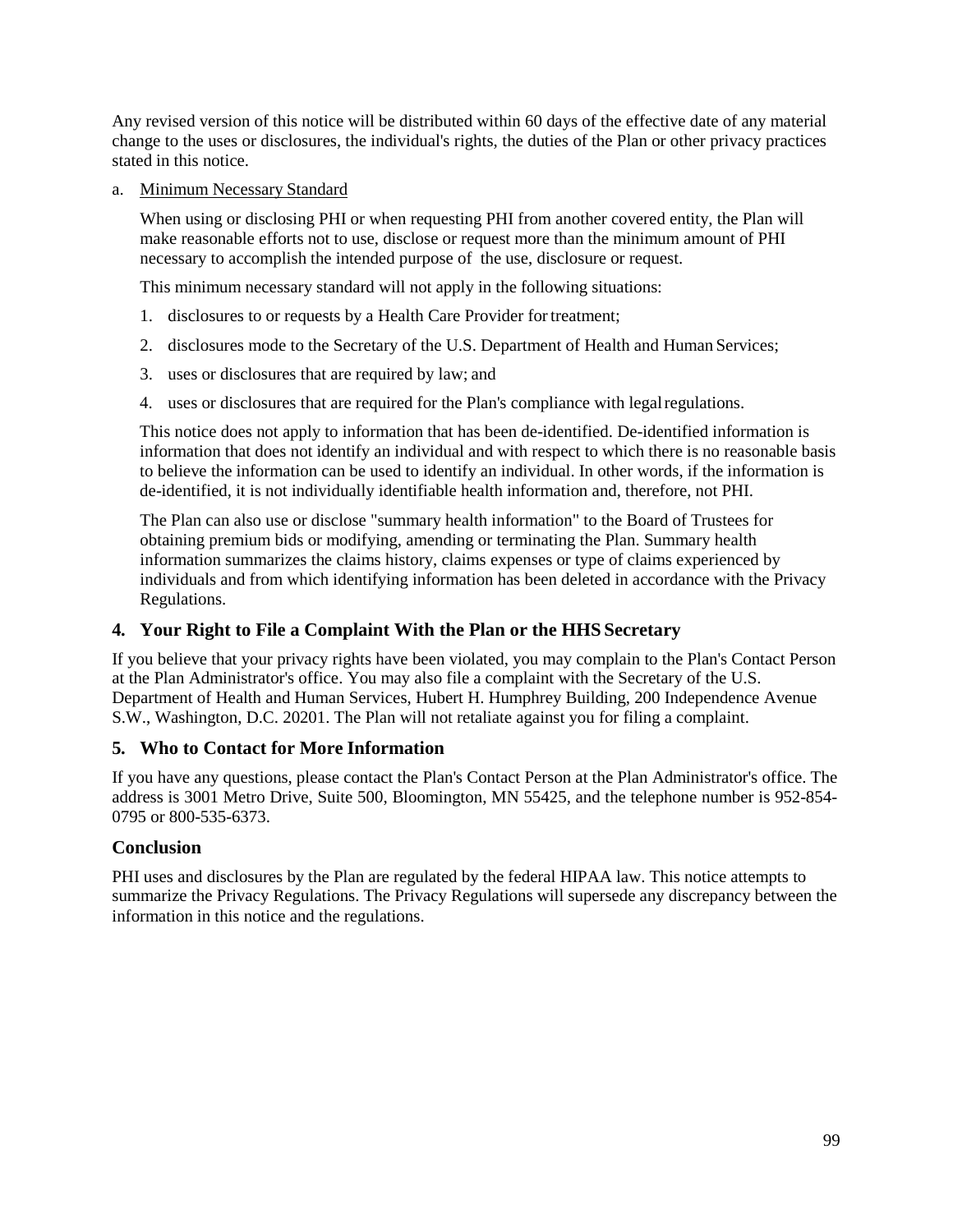Any revised version of this notice will be distributed within 60 days of the effective date of any material change to the uses or disclosures, the individual's rights, the duties of the Plan or other privacy practices stated in this notice.

a. Minimum Necessary Standard

When using or disclosing PHI or when requesting PHI from another covered entity, the Plan will make reasonable efforts not to use, disclose or request more than the minimum amount of PHI necessary to accomplish the intended purpose of the use, disclosure or request.

This minimum necessary standard will not apply in the following situations:

- 1. disclosures to or requests by a Health Care Provider for treatment;
- 2. disclosures mode to the Secretary of the U.S. Department of Health and Human Services;
- 3. uses or disclosures that are required by law; and
- 4. uses or disclosures that are required for the Plan's compliance with legalregulations.

This notice does not apply to information that has been de-identified. De-identified information is information that does not identify an individual and with respect to which there is no reasonable basis to believe the information can be used to identify an individual. In other words, if the information is de-identified, it is not individually identifiable health information and, therefore, not PHI.

The Plan can also use or disclose "summary health information" to the Board of Trustees for obtaining premium bids or modifying, amending or terminating the Plan. Summary health information summarizes the claims history, claims expenses or type of claims experienced by individuals and from which identifying information has been deleted in accordance with the Privacy Regulations.

## **4. Your Right to File a Complaint With the Plan or the HHS Secretary**

If you believe that your privacy rights have been violated, you may complain to the Plan's Contact Person at the Plan Administrator's office. You may also file a complaint with the Secretary of the U.S. Department of Health and Human Services, Hubert H. Humphrey Building, 200 Independence Avenue S.W., Washington, D.C. 20201. The Plan will not retaliate against you for filing a complaint.

## **5. Who to Contact for More Information**

If you have any questions, please contact the Plan's Contact Person at the Plan Administrator's office. The address is 3001 Metro Drive, Suite 500, Bloomington, MN 55425, and the telephone number is 952-854- 0795 or 800-535-6373.

## **Conclusion**

PHI uses and disclosures by the Plan are regulated by the federal HIPAA law. This notice attempts to summarize the Privacy Regulations. The Privacy Regulations will supersede any discrepancy between the information in this notice and the regulations.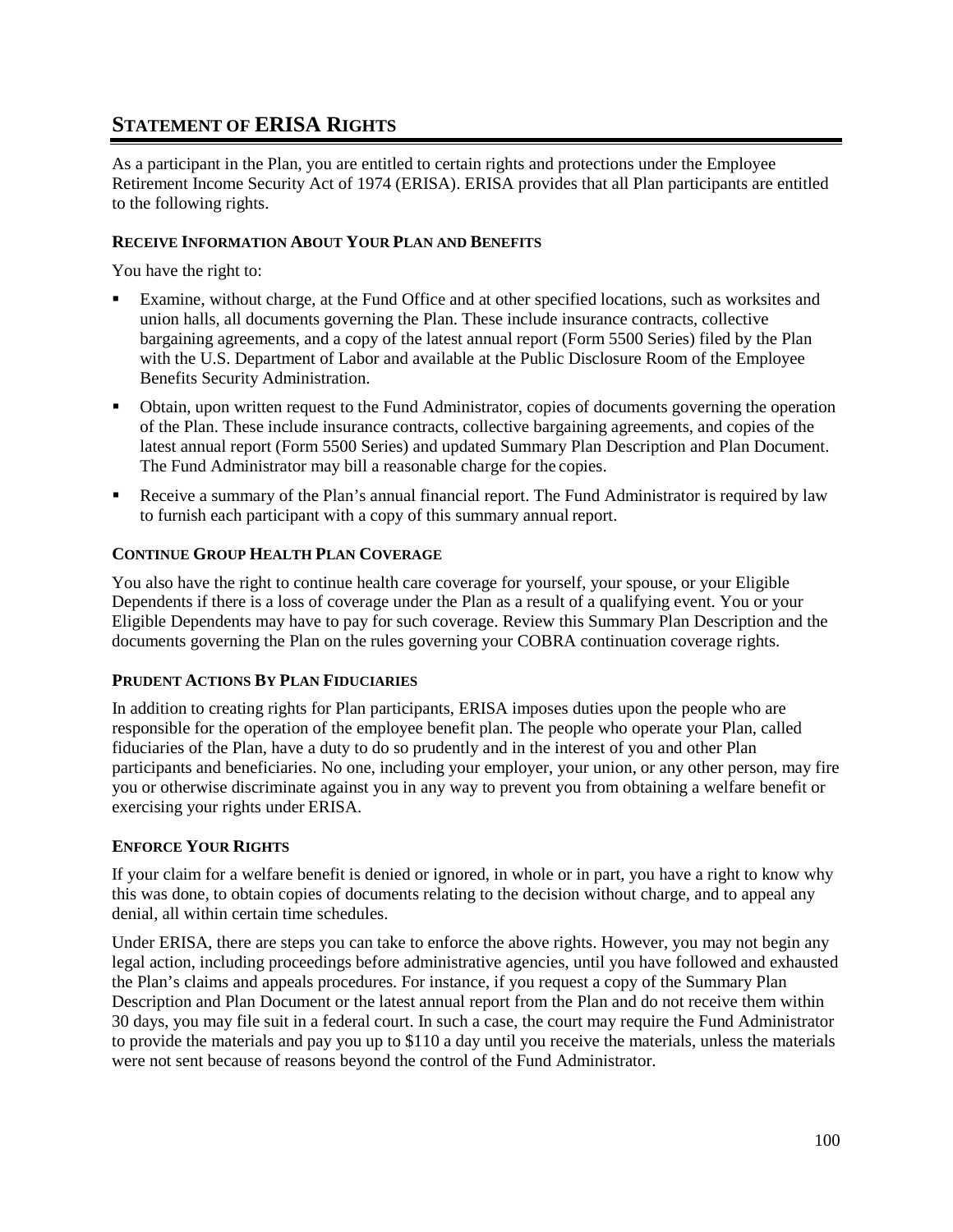## **STATEMENT OF ERISA RIGHTS**

As a participant in the Plan, you are entitled to certain rights and protections under the Employee Retirement Income Security Act of 1974 (ERISA). ERISA provides that all Plan participants are entitled to the following rights.

## **RECEIVE INFORMATION ABOUT YOUR PLAN AND BENEFITS**

You have the right to:

- Examine, without charge, at the Fund Office and at other specified locations, such as worksites and union halls, all documents governing the Plan. These include insurance contracts, collective bargaining agreements, and a copy of the latest annual report (Form 5500 Series) filed by the Plan with the U.S. Department of Labor and available at the Public Disclosure Room of the Employee Benefits Security Administration.
- Obtain, upon written request to the Fund Administrator, copies of documents governing the operation of the Plan. These include insurance contracts, collective bargaining agreements, and copies of the latest annual report (Form 5500 Series) and updated Summary Plan Description and Plan Document. The Fund Administrator may bill a reasonable charge for the copies.
- **Receive a summary of the Plan's annual financial report. The Fund Administrator is required by law** to furnish each participant with a copy of this summary annual report.

## **CONTINUE GROUP HEALTH PLAN COVERAGE**

You also have the right to continue health care coverage for yourself, your spouse, or your Eligible Dependents if there is a loss of coverage under the Plan as a result of a qualifying event. You or your Eligible Dependents may have to pay for such coverage. Review this Summary Plan Description and the documents governing the Plan on the rules governing your COBRA continuation coverage rights.

## **PRUDENT ACTIONS BY PLAN FIDUCIARIES**

In addition to creating rights for Plan participants, ERISA imposes duties upon the people who are responsible for the operation of the employee benefit plan. The people who operate your Plan, called fiduciaries of the Plan, have a duty to do so prudently and in the interest of you and other Plan participants and beneficiaries. No one, including your employer, your union, or any other person, may fire you or otherwise discriminate against you in any way to prevent you from obtaining a welfare benefit or exercising your rights under ERISA.

## **ENFORCE YOUR RIGHTS**

If your claim for a welfare benefit is denied or ignored, in whole or in part, you have a right to know why this was done, to obtain copies of documents relating to the decision without charge, and to appeal any denial, all within certain time schedules.

Under ERISA, there are steps you can take to enforce the above rights. However, you may not begin any legal action, including proceedings before administrative agencies, until you have followed and exhausted the Plan's claims and appeals procedures. For instance, if you request a copy of the Summary Plan Description and Plan Document or the latest annual report from the Plan and do not receive them within 30 days, you may file suit in a federal court. In such a case, the court may require the Fund Administrator to provide the materials and pay you up to \$110 a day until you receive the materials, unless the materials were not sent because of reasons beyond the control of the Fund Administrator.